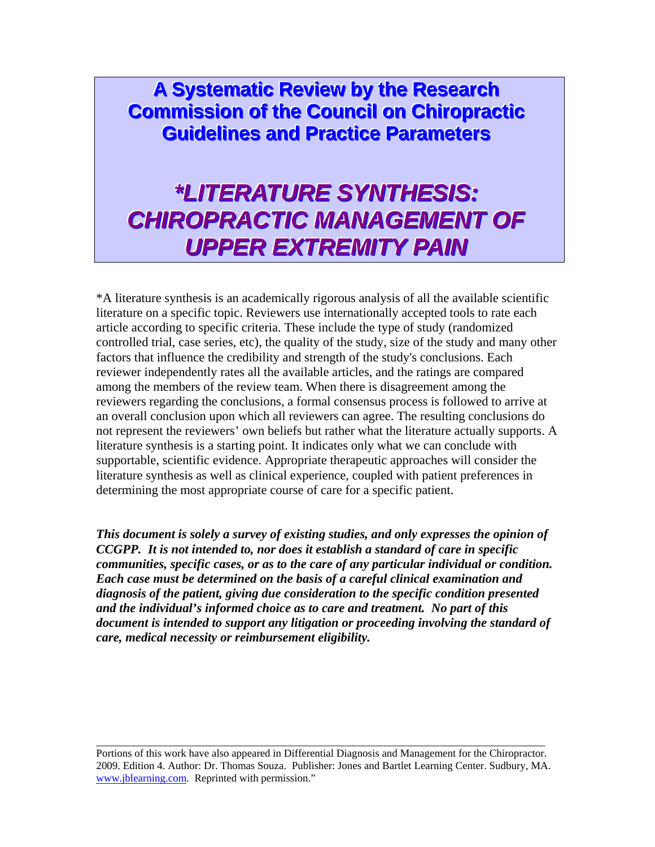**A Systematic Review by the Research Commission of the Council on Chiropractic Guidelines and Practice Parameters** 

# *\*\*LLIITTEERRAATTUURREE SSYYNNTTHHEESSIISS::* **CHIROPRACTIC MANAGEMENT OF UPPER EXTREMITY PAIN**

\*A literature synthesis is an academically rigorous analysis of all the available scientific literature on a specific topic. Reviewers use internationally accepted tools to rate each article according to specific criteria. These include the type of study (randomized controlled trial, case series, etc), the quality of the study, size of the study and many other factors that influence the credibility and strength of the study's conclusions. Each reviewer independently rates all the available articles, and the ratings are compared among the members of the review team. When there is disagreement among the reviewers regarding the conclusions, a formal consensus process is followed to arrive at an overall conclusion upon which all reviewers can agree. The resulting conclusions do not represent the reviewers' own beliefs but rather what the literature actually supports. A literature synthesis is a starting point. It indicates only what we can conclude with supportable, scientific evidence. Appropriate therapeutic approaches will consider the literature synthesis as well as clinical experience, coupled with patient preferences in determining the most appropriate course of care for a specific patient.

*This document is solely a survey of existing studies, and only expresses the opinion of CCGPP. It is not intended to, nor does it establish a standard of care in specific communities, specific cases, or as to the care of any particular individual or condition. Each case must be determined on the basis of a careful clinical examination and diagnosis of the patient, giving due consideration to the specific condition presented and the individual's informed choice as to care and treatment. No part of this document is intended to support any litigation or proceeding involving the standard of care, medical necessity or reimbursement eligibility.*

Portions of this work have also appeared in Differential Diagnosis and Management for the Chiropractor. 2009. Edition 4. Author: Dr. Thomas Souza. Publisher: Jones and Bartlet Learning Center. Sudbury, MA. www.jblearning.com. Reprinted with permission."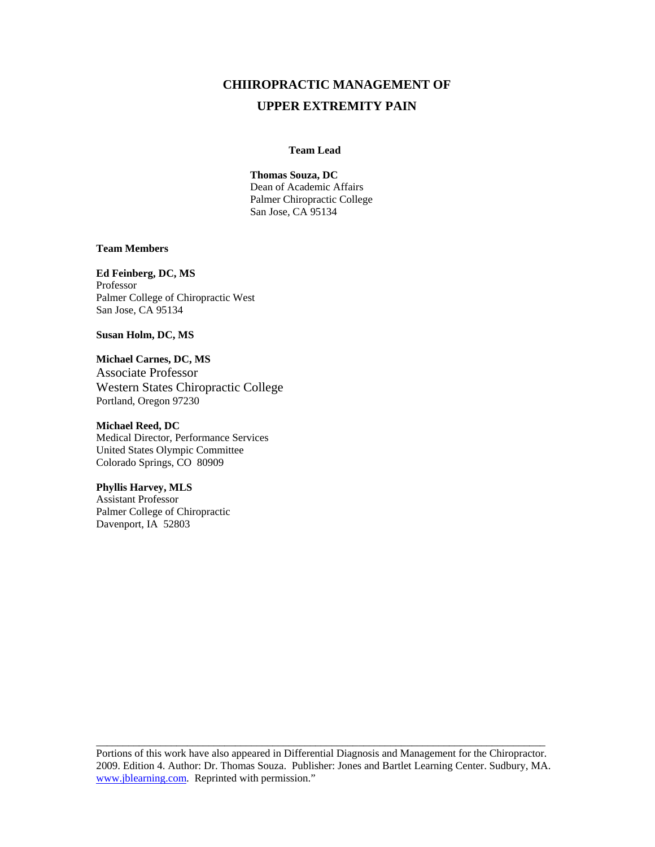## **CHIIROPRACTIC MANAGEMENT OF UPPER EXTREMITY PAIN**

#### **Team Lead**

**Thomas Souza, DC**  Dean of Academic Affairs Palmer Chiropractic College San Jose, CA 95134

#### **Team Members**

## **Ed Feinberg, DC, MS**

Professor Palmer College of Chiropractic West San Jose, CA 95134

**Susan Holm, DC, MS** 

**Michael Carnes, DC, MS**  Associate Professor Western States Chiropractic College Portland, Oregon 97230

**Michael Reed, DC** 

Medical Director, Performance Services United States Olympic Committee Colorado Springs, CO 80909

#### **Phyllis Harvey, MLS**

Assistant Professor Palmer College of Chiropractic Davenport, IA 52803

Portions of this work have also appeared in Differential Diagnosis and Management for the Chiropractor. 2009. Edition 4. Author: Dr. Thomas Souza. Publisher: Jones and Bartlet Learning Center. Sudbury, MA. www.jblearning.com. Reprinted with permission."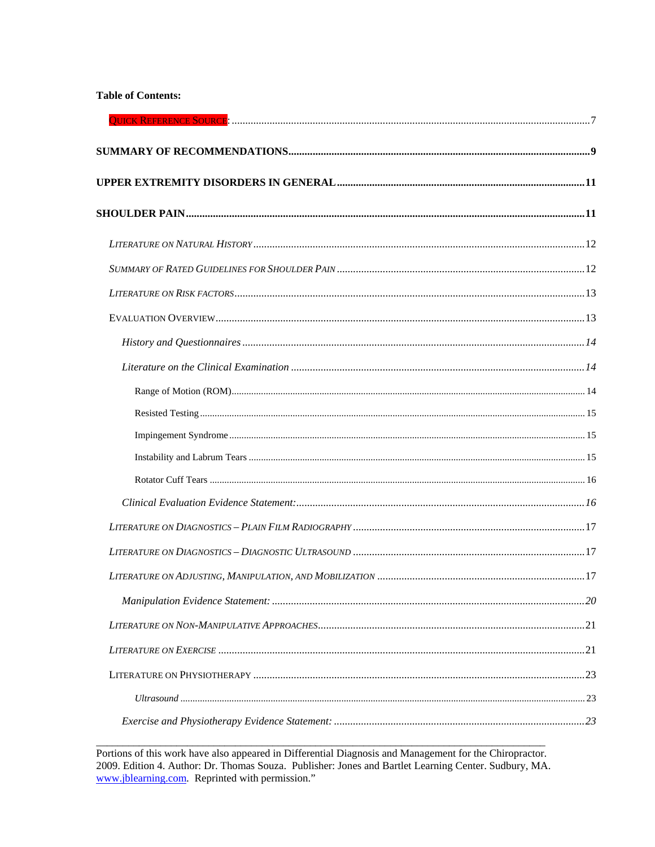## **Table of Contents:**

Portions of this work have also appeared in Differential Diagnosis and Management for the Chiropractor. 2009. Edition 4. Author: Dr. Thomas Souza. Publisher: Jones and Bartlet Learning Center. Sudbury, MA. www.jblearning.com. Reprinted with permission."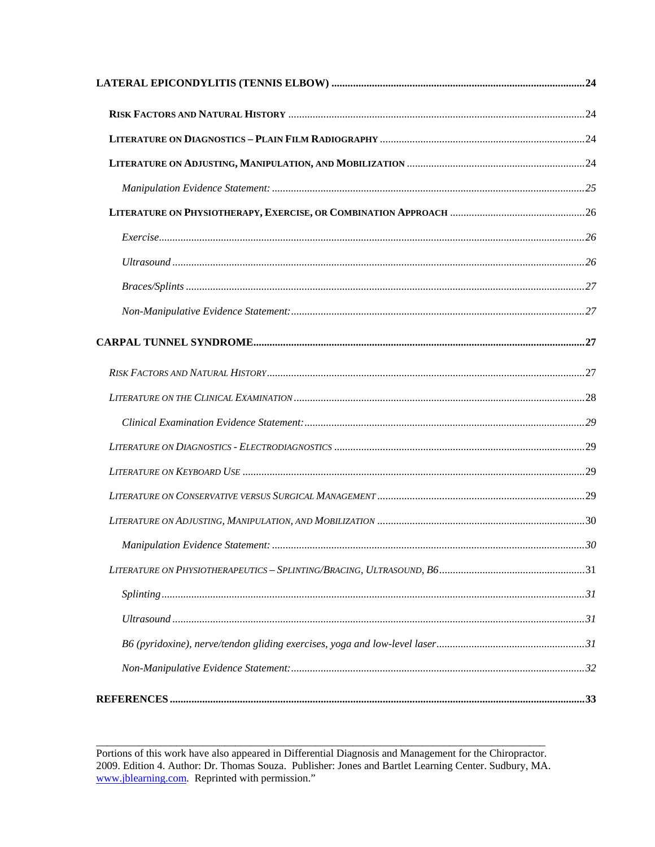Portions of this work have also appeared in Differential Diagnosis and Management for the Chiropractor.<br>2009. Edition 4. Author: Dr. Thomas Souza. Publisher: Jones and Bartlet Learning Center. Sudbury, MA.<br>www.jblearning.c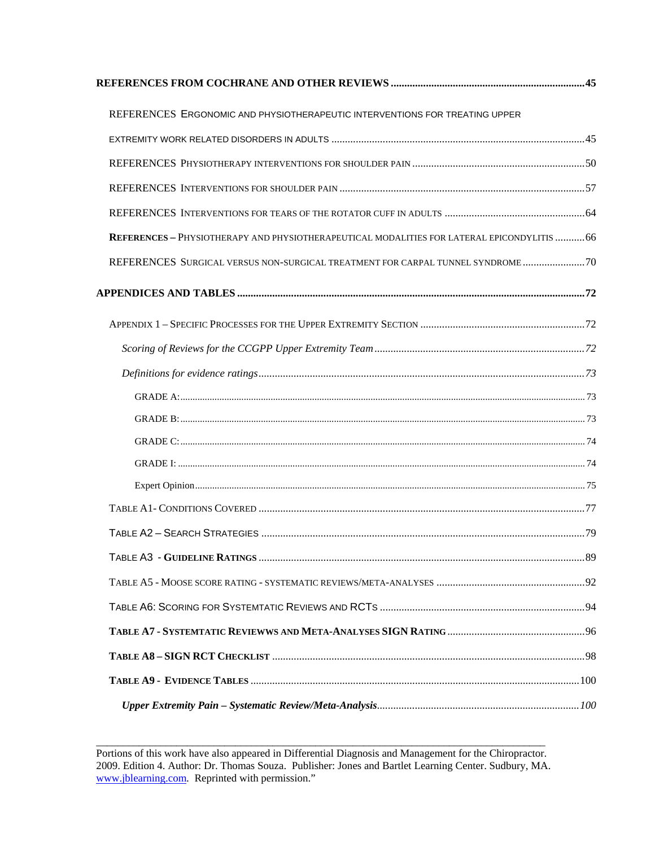| REFERENCES ERGONOMIC AND PHYSIOTHERAPEUTIC INTERVENTIONS FOR TREATING UPPER                 |  |
|---------------------------------------------------------------------------------------------|--|
|                                                                                             |  |
|                                                                                             |  |
|                                                                                             |  |
|                                                                                             |  |
| REFERENCES - PHYSIOTHERAPY AND PHYSIOTHERAPEUTICAL MODALITIES FOR LATERAL EPICONDYLITIS  66 |  |
| REFERENCES SURGICAL VERSUS NON-SURGICAL TREATMENT FOR CARPAL TUNNEL SYNDROME  70            |  |
|                                                                                             |  |
|                                                                                             |  |
|                                                                                             |  |
|                                                                                             |  |
|                                                                                             |  |
|                                                                                             |  |
|                                                                                             |  |
|                                                                                             |  |
|                                                                                             |  |
|                                                                                             |  |
|                                                                                             |  |
|                                                                                             |  |
|                                                                                             |  |
|                                                                                             |  |
|                                                                                             |  |
|                                                                                             |  |
|                                                                                             |  |
|                                                                                             |  |

Portions of this work have also appeared in Differential Diagnosis and Management for the Chiropractor. 2009. Edition 4. Author: Dr. Thomas Souza. Publisher: Jones and Bartlet Learning Center. Sudbury, MA. www.jblearning.com. Reprinted with permission."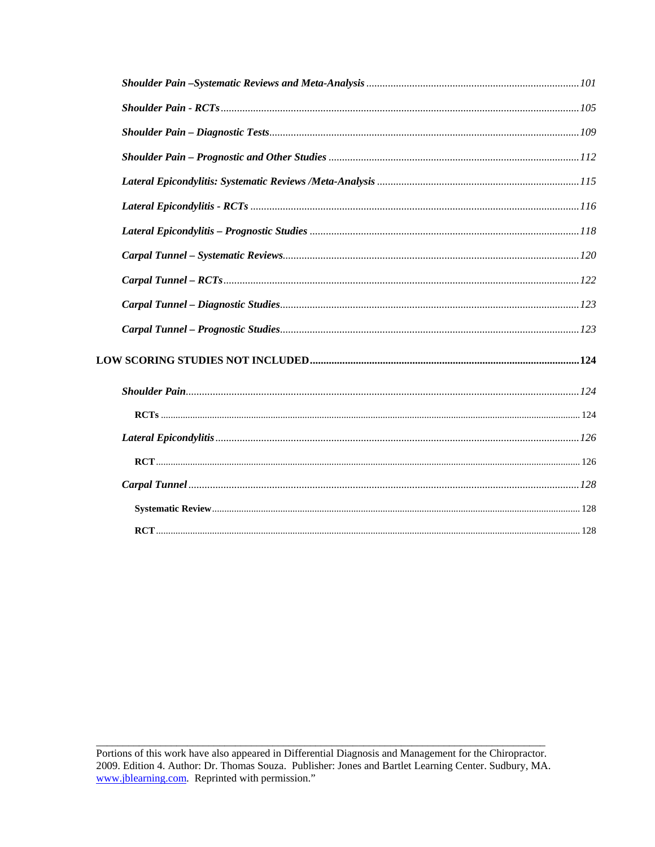Portions of this work have also appeared in Differential Diagnosis and Management for the Chiropractor.<br>2009. Edition 4. Author: Dr. Thomas Souza. Publisher: Jones and Bartlet Learning Center. Sudbury, MA. www.jblearning.com. Reprinted with permission."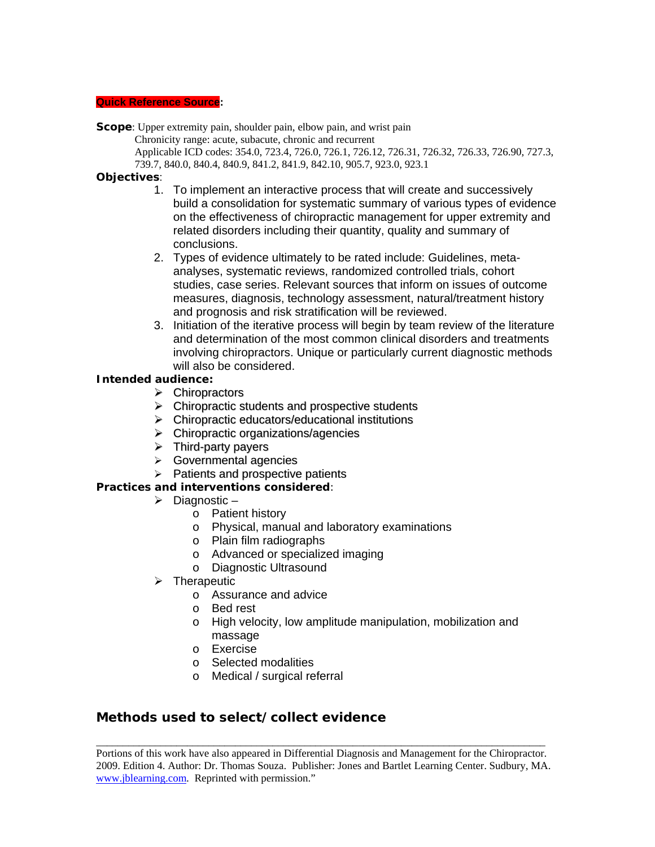#### **Quick Reference Source:**

*Scope*: Upper extremity pain, shoulder pain, elbow pain, and wrist pain Chronicity range: acute, subacute, chronic and recurrent Applicable ICD codes: 354.0, 723.4, 726.0, 726.1, 726.12, 726.31, 726.32, 726.33, 726.90, 727.3, 739.7, 840.0, 840.4, 840.9, 841.2, 841.9, 842.10, 905.7, 923.0, 923.1

## *Objectives*:

- 1. To implement an interactive process that will create and successively build a consolidation for systematic summary of various types of evidence on the effectiveness of chiropractic management for upper extremity and related disorders including their quantity, quality and summary of conclusions.
- 2. Types of evidence ultimately to be rated include: Guidelines, metaanalyses, systematic reviews, randomized controlled trials, cohort studies, case series. Relevant sources that inform on issues of outcome measures, diagnosis, technology assessment, natural/treatment history and prognosis and risk stratification will be reviewed.
- 3. Initiation of the iterative process will begin by team review of the literature and determination of the most common clinical disorders and treatments involving chiropractors. Unique or particularly current diagnostic methods will also be considered.

## *Intended audience:*

- $\triangleright$  Chiropractors
- $\triangleright$  Chiropractic students and prospective students
- $\triangleright$  Chiropractic educators/educational institutions
- $\triangleright$  Chiropractic organizations/agencies
- $\triangleright$  Third-party payers
- $\triangleright$  Governmental agencies
- $\triangleright$  Patients and prospective patients

## *Practices and interventions considered*:

- $\triangleright$  Diagnostic
	- o Patient history
	- o Physical, manual and laboratory examinations
	- o Plain film radiographs
	- o Advanced or specialized imaging
	- o Diagnostic Ultrasound
- $\triangleright$  Therapeutic
	- o Assurance and advice
	- o Bed rest
	- o High velocity, low amplitude manipulation, mobilization and massage
	- o Exercise
	- o Selected modalities
	- o Medical / surgical referral

## **Methods used to select/collect evidence**

Portions of this work have also appeared in Differential Diagnosis and Management for the Chiropractor. 2009. Edition 4. Author: Dr. Thomas Souza. Publisher: Jones and Bartlet Learning Center. Sudbury, MA. www.jblearning.com. Reprinted with permission."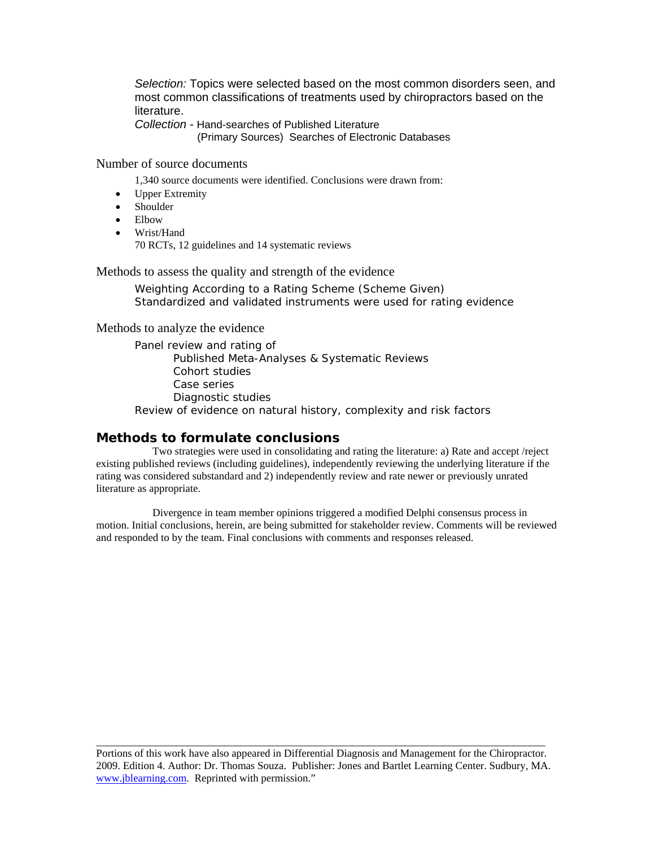*Selection:* Topics were selected based on the most common disorders seen, and most common classifications of treatments used by chiropractors based on the literature.

*Collection* - Hand-searches of Published Literature (Primary Sources) Searches of Electronic Databases

Number of source documents

1,340 source documents were identified. Conclusions were drawn from:

- Upper Extremity
- Shoulder
- Elbow
- Wrist/Hand 70 RCTs, 12 guidelines and 14 systematic reviews

Methods to assess the quality and strength of the evidence

Weighting According to a Rating Scheme (Scheme Given) Standardized and validated instruments were used for rating evidence

## Methods to analyze the evidence

Panel review and rating of Published Meta-Analyses & Systematic Reviews Cohort studies Case series Diagnostic studies Review of evidence on natural history, complexity and risk factors

## *Methods to formulate conclusions*

 Two strategies were used in consolidating and rating the literature: a) Rate and accept /reject existing published reviews (including guidelines), independently reviewing the underlying literature if the rating was considered substandard and 2) independently review and rate newer or previously unrated literature as appropriate.

 Divergence in team member opinions triggered a modified Delphi consensus process in motion. Initial conclusions, herein, are being submitted for stakeholder review. Comments will be reviewed and responded to by the team. Final conclusions with comments and responses released.

Portions of this work have also appeared in Differential Diagnosis and Management for the Chiropractor. 2009. Edition 4. Author: Dr. Thomas Souza. Publisher: Jones and Bartlet Learning Center. Sudbury, MA. www.jblearning.com. Reprinted with permission."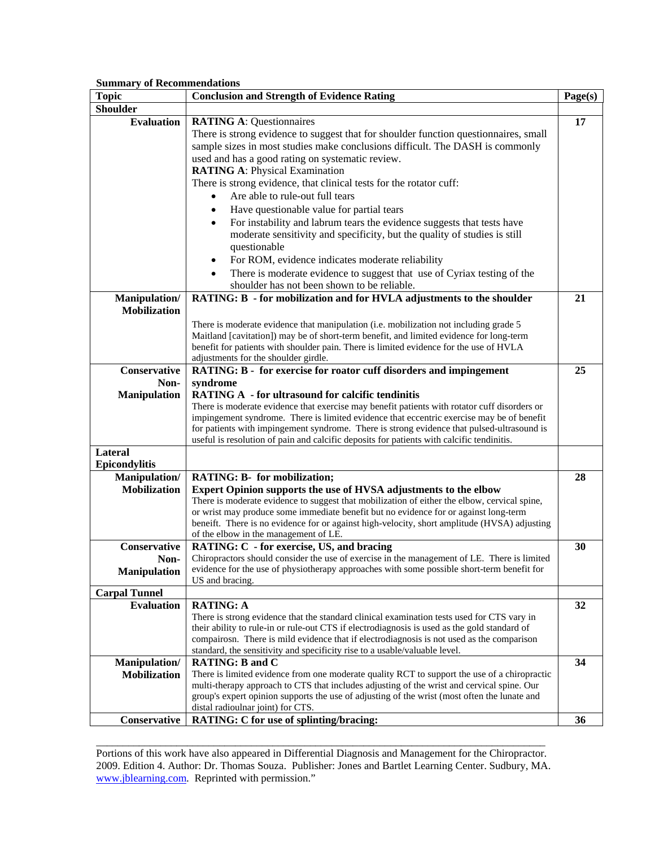| <b>Summary of Recommendations</b> |                                                                                                                                                                                           |         |
|-----------------------------------|-------------------------------------------------------------------------------------------------------------------------------------------------------------------------------------------|---------|
| <b>Topic</b>                      | <b>Conclusion and Strength of Evidence Rating</b>                                                                                                                                         | Page(s) |
| <b>Shoulder</b>                   |                                                                                                                                                                                           |         |
| <b>Evaluation</b>                 | <b>RATING A: Questionnaires</b>                                                                                                                                                           | 17      |
|                                   | There is strong evidence to suggest that for shoulder function questionnaires, small                                                                                                      |         |
|                                   | sample sizes in most studies make conclusions difficult. The DASH is commonly                                                                                                             |         |
|                                   | used and has a good rating on systematic review.                                                                                                                                          |         |
|                                   | <b>RATING A: Physical Examination</b>                                                                                                                                                     |         |
|                                   | There is strong evidence, that clinical tests for the rotator cuff:                                                                                                                       |         |
|                                   | Are able to rule-out full tears                                                                                                                                                           |         |
|                                   | Have questionable value for partial tears                                                                                                                                                 |         |
|                                   | For instability and labrum tears the evidence suggests that tests have<br>$\bullet$                                                                                                       |         |
|                                   | moderate sensitivity and specificity, but the quality of studies is still                                                                                                                 |         |
|                                   | questionable                                                                                                                                                                              |         |
|                                   | For ROM, evidence indicates moderate reliability<br>٠                                                                                                                                     |         |
|                                   | There is moderate evidence to suggest that use of Cyriax testing of the                                                                                                                   |         |
|                                   | shoulder has not been shown to be reliable.                                                                                                                                               |         |
| Manipulation/                     | RATING: B - for mobilization and for HVLA adjustments to the shoulder                                                                                                                     | 21      |
| <b>Mobilization</b>               |                                                                                                                                                                                           |         |
|                                   |                                                                                                                                                                                           |         |
|                                   | There is moderate evidence that manipulation (i.e. mobilization not including grade 5                                                                                                     |         |
|                                   | Maitland [cavitation]) may be of short-term benefit, and limited evidence for long-term<br>benefit for patients with shoulder pain. There is limited evidence for the use of HVLA         |         |
|                                   | adjustments for the shoulder girdle.                                                                                                                                                      |         |
| Conservative                      | RATING: B - for exercise for roator cuff disorders and impingement                                                                                                                        | 25      |
| Non-                              | syndrome                                                                                                                                                                                  |         |
| <b>Manipulation</b>               | <b>RATING A</b> - for ultrasound for calcific tendinitis                                                                                                                                  |         |
|                                   | There is moderate evidence that exercise may benefit patients with rotator cuff disorders or                                                                                              |         |
|                                   | impingement syndrome. There is limited evidence that eccentric exercise may be of benefit                                                                                                 |         |
|                                   | for patients with impingement syndrome. There is strong evidence that pulsed-ultrasound is                                                                                                |         |
|                                   | useful is resolution of pain and calcific deposits for patients with calcific tendinitis.                                                                                                 |         |
| Lateral                           |                                                                                                                                                                                           |         |
| <b>Epicondylitis</b>              |                                                                                                                                                                                           |         |
| Manipulation/                     | RATING: B- for mobilization;                                                                                                                                                              | 28      |
| <b>Mobilization</b>               | Expert Opinion supports the use of HVSA adjustments to the elbow                                                                                                                          |         |
|                                   | There is moderate evidence to suggest that mobilization of either the elbow, cervical spine,                                                                                              |         |
|                                   | or wrist may produce some immediate benefit but no evidence for or against long-term                                                                                                      |         |
|                                   | beneift. There is no evidence for or against high-velocity, short amplitude (HVSA) adjusting                                                                                              |         |
|                                   | of the elbow in the management of LE.                                                                                                                                                     |         |
| Conservative                      | RATING: C - for exercise, US, and bracing                                                                                                                                                 | 30      |
| Non-                              | Chiropractors should consider the use of exercise in the management of LE. There is limited<br>evidence for the use of physiotherapy approaches with some possible short-term benefit for |         |
| <b>Manipulation</b>               | US and bracing.                                                                                                                                                                           |         |
| <b>Carpal Tunnel</b>              |                                                                                                                                                                                           |         |
| <b>Evaluation</b>                 | <b>RATING: A</b>                                                                                                                                                                          | 32      |
|                                   | There is strong evidence that the standard clinical examination tests used for CTS vary in                                                                                                |         |
|                                   | their ability to rule-in or rule-out CTS if electrodiagnosis is used as the gold standard of                                                                                              |         |
|                                   | compairosn. There is mild evidence that if electrodiagnosis is not used as the comparison                                                                                                 |         |
|                                   | standard, the sensitivity and specificity rise to a usable/valuable level.                                                                                                                |         |
| Manipulation/                     | <b>RATING: B and C</b>                                                                                                                                                                    | 34      |
| <b>Mobilization</b>               | There is limited evidence from one moderate quality RCT to support the use of a chiropractic                                                                                              |         |
|                                   | multi-therapy approach to CTS that includes adjusting of the wrist and cervical spine. Our                                                                                                |         |
|                                   | group's expert opinion supports the use of adjusting of the wrist (most often the lunate and                                                                                              |         |
|                                   | distal radioulnar joint) for CTS.                                                                                                                                                         |         |
| Conservative                      | RATING: C for use of splinting/bracing:                                                                                                                                                   | 36      |

Portions of this work have also appeared in Differential Diagnosis and Management for the Chiropractor. 2009. Edition 4. Author: Dr. Thomas Souza. Publisher: Jones and Bartlet Learning Center. Sudbury, MA. www.jblearning.com. Reprinted with permission."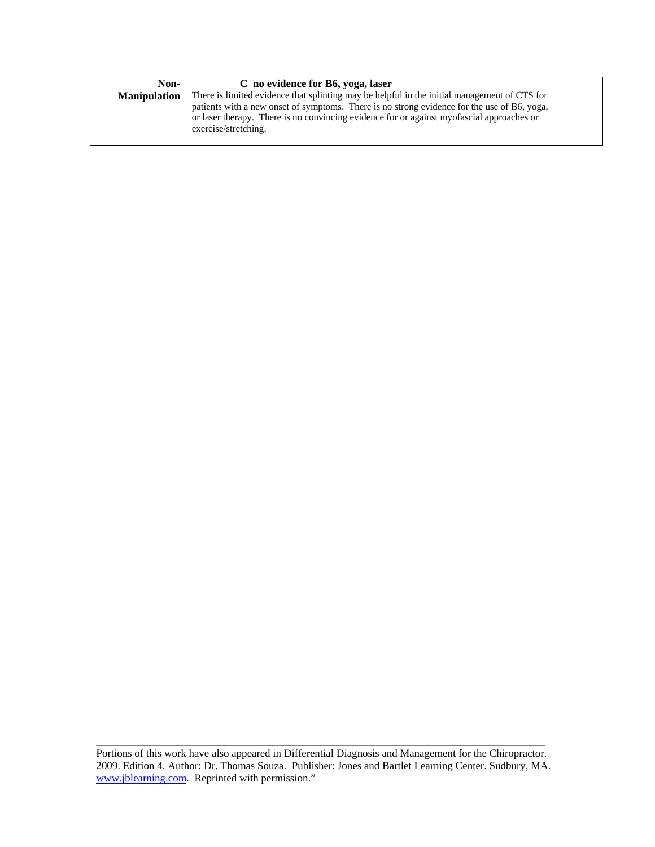| Non-                | C no evidence for B6, yoga, laser                                                                                                                                                                                                                                                                                |  |
|---------------------|------------------------------------------------------------------------------------------------------------------------------------------------------------------------------------------------------------------------------------------------------------------------------------------------------------------|--|
| <b>Manipulation</b> | There is limited evidence that splinting may be helpful in the initial management of CTS for<br>patients with a new onset of symptoms. There is no strong evidence for the use of B6, yoga,<br>or laser therapy. There is no convincing evidence for or against myofascial approaches or<br>exercise/stretching. |  |

Portions of this work have also appeared in Differential Diagnosis and Management for the Chiropractor. 2009. Edition 4. Author: Dr. Thomas Souza. Publisher: Jones and Bartlet Learning Center. Sudbury, MA. www.jblearning.com. Reprinted with permission."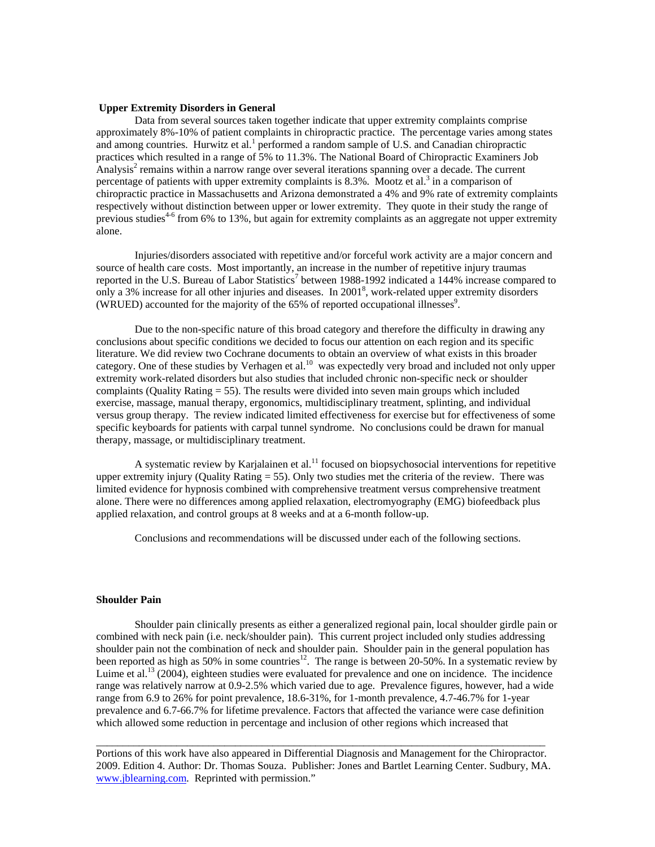#### **Upper Extremity Disorders in General**

Data from several sources taken together indicate that upper extremity complaints comprise approximately 8%-10% of patient complaints in chiropractic practice. The percentage varies among states and among countries. Hurwitz et al.<sup>1</sup> performed a random sample of U.S. and Canadian chiropractic practices which resulted in a range of 5% to 11.3%. The National Board of Chiropractic Examiners Job Analysis<sup>2</sup> remains within a narrow range over several iterations spanning over a decade. The current percentage of patients with upper extremity complaints is  $8.3\%$ . Mootz et al.<sup>3</sup> in a comparison of chiropractic practice in Massachusetts and Arizona demonstrated a 4% and 9% rate of extremity complaints respectively without distinction between upper or lower extremity. They quote in their study the range of previous studies<sup>4-6</sup> from 6% to 13%, but again for extremity complaints as an aggregate not upper extremity alone.

Injuries/disorders associated with repetitive and/or forceful work activity are a major concern and source of health care costs. Most importantly, an increase in the number of repetitive injury traumas reported in the U.S. Bureau of Labor Statistics<sup>7</sup> between 1988-1992 indicated a 144% increase compared to only a 3% increase for all other injuries and diseases. In 2001<sup>8</sup>, work-related upper extremity disorders (WRUED) accounted for the majority of the  $65\%$  of reported occupational illnesses<sup>9</sup>.

Due to the non-specific nature of this broad category and therefore the difficulty in drawing any conclusions about specific conditions we decided to focus our attention on each region and its specific literature. We did review two Cochrane documents to obtain an overview of what exists in this broader category. One of these studies by Verhagen et al.<sup>10</sup> was expectedly very broad and included not only upper extremity work-related disorders but also studies that included chronic non-specific neck or shoulder complaints (Quality Rating  $= 55$ ). The results were divided into seven main groups which included exercise, massage, manual therapy, ergonomics, multidisciplinary treatment, splinting, and individual versus group therapy. The review indicated limited effectiveness for exercise but for effectiveness of some specific keyboards for patients with carpal tunnel syndrome. No conclusions could be drawn for manual therapy, massage, or multidisciplinary treatment.

A systematic review by Karjalainen et al.<sup>11</sup> focused on biopsychosocial interventions for repetitive upper extremity injury (Quality Rating  $= 55$ ). Only two studies met the criteria of the review. There was limited evidence for hypnosis combined with comprehensive treatment versus comprehensive treatment alone. There were no differences among applied relaxation, electromyography (EMG) biofeedback plus applied relaxation, and control groups at 8 weeks and at a 6-month follow-up.

Conclusions and recommendations will be discussed under each of the following sections.

#### **Shoulder Pain**

Shoulder pain clinically presents as either a generalized regional pain, local shoulder girdle pain or combined with neck pain (i.e. neck/shoulder pain). This current project included only studies addressing shoulder pain not the combination of neck and shoulder pain. Shoulder pain in the general population has been reported as high as 50% in some countries<sup>12</sup>. The range is between 20-50%. In a systematic review by Luime et al.<sup>13</sup> (2004), eighteen studies were evaluated for prevalence and one on incidence. The incidence range was relatively narrow at 0.9-2.5% which varied due to age. Prevalence figures, however, had a wide range from 6.9 to 26% for point prevalence, 18.6-31%, for 1-month prevalence, 4.7-46.7% for 1-year prevalence and 6.7-66.7% for lifetime prevalence. Factors that affected the variance were case definition which allowed some reduction in percentage and inclusion of other regions which increased that

Portions of this work have also appeared in Differential Diagnosis and Management for the Chiropractor. 2009. Edition 4. Author: Dr. Thomas Souza. Publisher: Jones and Bartlet Learning Center. Sudbury, MA. www.jblearning.com. Reprinted with permission."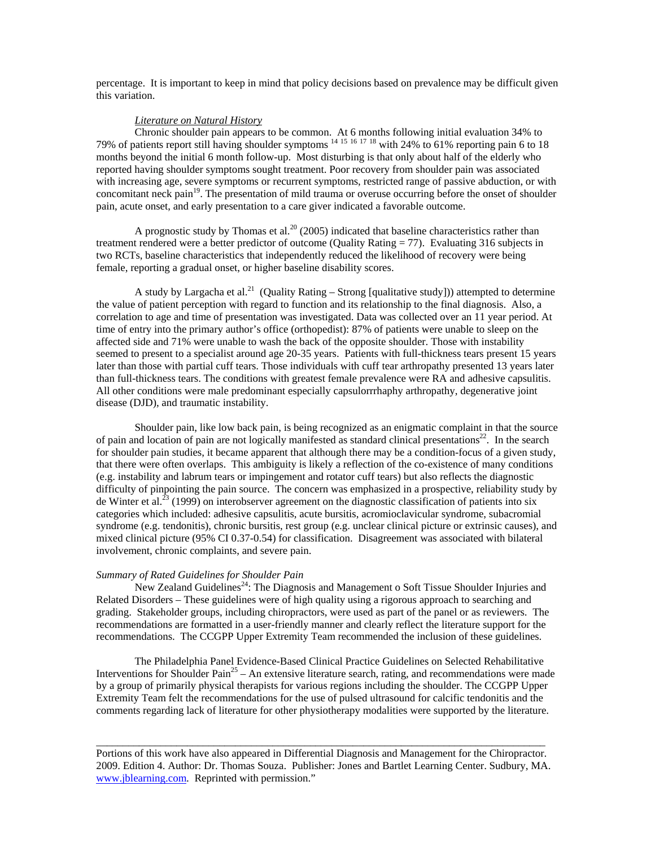percentage. It is important to keep in mind that policy decisions based on prevalence may be difficult given this variation.

#### *Literature on Natural History*

Chronic shoulder pain appears to be common. At 6 months following initial evaluation 34% to 79% of patients report still having shoulder symptoms  $14 \frac{15 \frac{16}{17} \frac{18}{8}}{17}$  with 24% to 61% reporting pain 6 to 18 months beyond the initial 6 month follow-up. Most disturbing is that only about half of the elderly who reported having shoulder symptoms sought treatment. Poor recovery from shoulder pain was associated with increasing age, severe symptoms or recurrent symptoms, restricted range of passive abduction, or with concomitant neck pain<sup>19</sup>. The presentation of mild trauma or overuse occurring before the onset of shoulder pain, acute onset, and early presentation to a care giver indicated a favorable outcome.

A prognostic study by Thomas et al.<sup>20</sup> (2005) indicated that baseline characteristics rather than treatment rendered were a better predictor of outcome (Quality Rating = 77). Evaluating 316 subjects in two RCTs, baseline characteristics that independently reduced the likelihood of recovery were being female, reporting a gradual onset, or higher baseline disability scores.

A study by Largacha et al.<sup>21</sup> (Quality Rating – Strong [qualitative study])) attempted to determine the value of patient perception with regard to function and its relationship to the final diagnosis. Also, a correlation to age and time of presentation was investigated. Data was collected over an 11 year period. At time of entry into the primary author's office (orthopedist): 87% of patients were unable to sleep on the affected side and 71% were unable to wash the back of the opposite shoulder. Those with instability seemed to present to a specialist around age 20-35 years. Patients with full-thickness tears present 15 years later than those with partial cuff tears. Those individuals with cuff tear arthropathy presented 13 years later than full-thickness tears. The conditions with greatest female prevalence were RA and adhesive capsulitis. All other conditions were male predominant especially capsulorrrhaphy arthropathy, degenerative joint disease (DJD), and traumatic instability.

Shoulder pain, like low back pain, is being recognized as an enigmatic complaint in that the source of pain and location of pain are not logically manifested as standard clinical presentations<sup>22</sup>. In the search for shoulder pain studies, it became apparent that although there may be a condition-focus of a given study, that there were often overlaps. This ambiguity is likely a reflection of the co-existence of many conditions (e.g. instability and labrum tears or impingement and rotator cuff tears) but also reflects the diagnostic difficulty of pinpointing the pain source. The concern was emphasized in a prospective, reliability study by de Winter et al.<sup>23</sup> (1999) on interobserver agreement on the diagnostic classification of patients into six categories which included: adhesive capsulitis, acute bursitis, acromioclavicular syndrome, subacromial syndrome (e.g. tendonitis), chronic bursitis, rest group (e.g. unclear clinical picture or extrinsic causes), and mixed clinical picture (95% CI 0.37-0.54) for classification. Disagreement was associated with bilateral involvement, chronic complaints, and severe pain.

#### *Summary of Rated Guidelines for Shoulder Pain*

New Zealand Guidelines<sup>24</sup>: The Diagnosis and Management o Soft Tissue Shoulder Injuries and Related Disorders – These guidelines were of high quality using a rigorous approach to searching and grading. Stakeholder groups, including chiropractors, were used as part of the panel or as reviewers. The recommendations are formatted in a user-friendly manner and clearly reflect the literature support for the recommendations. The CCGPP Upper Extremity Team recommended the inclusion of these guidelines.

The Philadelphia Panel Evidence-Based Clinical Practice Guidelines on Selected Rehabilitative Interventions for Shoulder Pain<sup>25</sup> – An extensive literature search, rating, and recommendations were made by a group of primarily physical therapists for various regions including the shoulder. The CCGPP Upper Extremity Team felt the recommendations for the use of pulsed ultrasound for calcific tendonitis and the comments regarding lack of literature for other physiotherapy modalities were supported by the literature.

Portions of this work have also appeared in Differential Diagnosis and Management for the Chiropractor. 2009. Edition 4. Author: Dr. Thomas Souza. Publisher: Jones and Bartlet Learning Center. Sudbury, MA. www.jblearning.com. Reprinted with permission."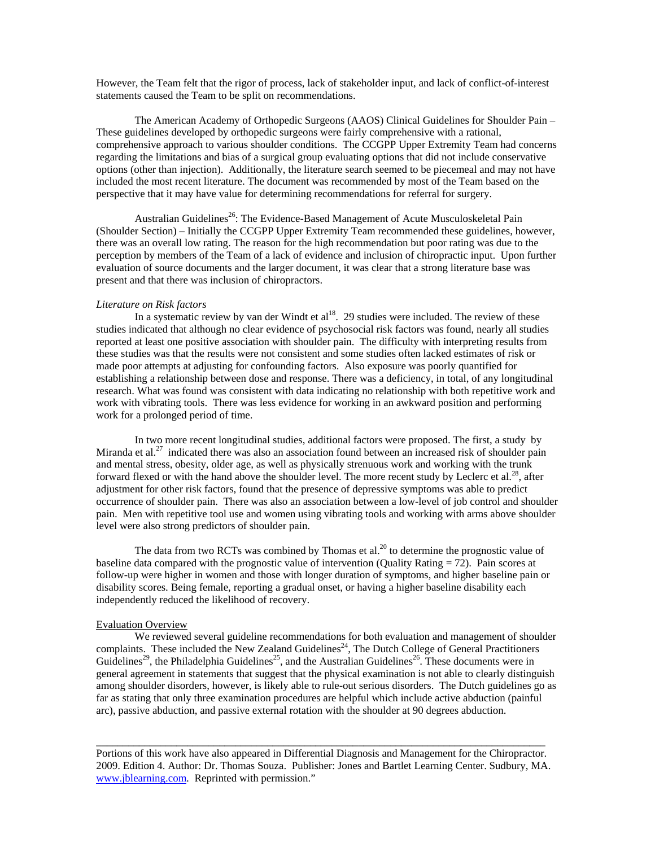However, the Team felt that the rigor of process, lack of stakeholder input, and lack of conflict-of-interest statements caused the Team to be split on recommendations.

The American Academy of Orthopedic Surgeons (AAOS) Clinical Guidelines for Shoulder Pain – These guidelines developed by orthopedic surgeons were fairly comprehensive with a rational, comprehensive approach to various shoulder conditions. The CCGPP Upper Extremity Team had concerns regarding the limitations and bias of a surgical group evaluating options that did not include conservative options (other than injection). Additionally, the literature search seemed to be piecemeal and may not have included the most recent literature. The document was recommended by most of the Team based on the perspective that it may have value for determining recommendations for referral for surgery.

Australian Guidelines<sup>26</sup>: The Evidence-Based Management of Acute Musculoskeletal Pain (Shoulder Section) – Initially the CCGPP Upper Extremity Team recommended these guidelines, however, there was an overall low rating. The reason for the high recommendation but poor rating was due to the perception by members of the Team of a lack of evidence and inclusion of chiropractic input. Upon further evaluation of source documents and the larger document, it was clear that a strong literature base was present and that there was inclusion of chiropractors.

#### *Literature on Risk factors*

In a systematic review by van der Windt et  $al^{18}$ . 29 studies were included. The review of these studies indicated that although no clear evidence of psychosocial risk factors was found, nearly all studies reported at least one positive association with shoulder pain. The difficulty with interpreting results from these studies was that the results were not consistent and some studies often lacked estimates of risk or made poor attempts at adjusting for confounding factors. Also exposure was poorly quantified for establishing a relationship between dose and response. There was a deficiency, in total, of any longitudinal research. What was found was consistent with data indicating no relationship with both repetitive work and work with vibrating tools. There was less evidence for working in an awkward position and performing work for a prolonged period of time.

In two more recent longitudinal studies, additional factors were proposed. The first, a study by Miranda et al.<sup>27</sup> indicated there was also an association found between an increased risk of shoulder pain and mental stress, obesity, older age, as well as physically strenuous work and working with the trunk forward flexed or with the hand above the shoulder level. The more recent study by Leclerc et al.<sup>28</sup>, after adjustment for other risk factors, found that the presence of depressive symptoms was able to predict occurrence of shoulder pain. There was also an association between a low-level of job control and shoulder pain. Men with repetitive tool use and women using vibrating tools and working with arms above shoulder level were also strong predictors of shoulder pain.

The data from two RCTs was combined by Thomas et al.<sup>20</sup> to determine the prognostic value of baseline data compared with the prognostic value of intervention (Quality Rating = 72). Pain scores at follow-up were higher in women and those with longer duration of symptoms, and higher baseline pain or disability scores. Being female, reporting a gradual onset, or having a higher baseline disability each independently reduced the likelihood of recovery.

#### Evaluation Overview

We reviewed several guideline recommendations for both evaluation and management of shoulder complaints. These included the New Zealand Guidelines<sup>24</sup>, The Dutch College of General Practitioners Guidelines<sup>29</sup>, the Philadelphia Guidelines<sup>25</sup>, and the Australian Guidelines<sup>26</sup>. These documents were in general agreement in statements that suggest that the physical examination is not able to clearly distinguish among shoulder disorders, however, is likely able to rule-out serious disorders. The Dutch guidelines go as far as stating that only three examination procedures are helpful which include active abduction (painful arc), passive abduction, and passive external rotation with the shoulder at 90 degrees abduction.

Portions of this work have also appeared in Differential Diagnosis and Management for the Chiropractor. 2009. Edition 4. Author: Dr. Thomas Souza. Publisher: Jones and Bartlet Learning Center. Sudbury, MA. www.jblearning.com. Reprinted with permission."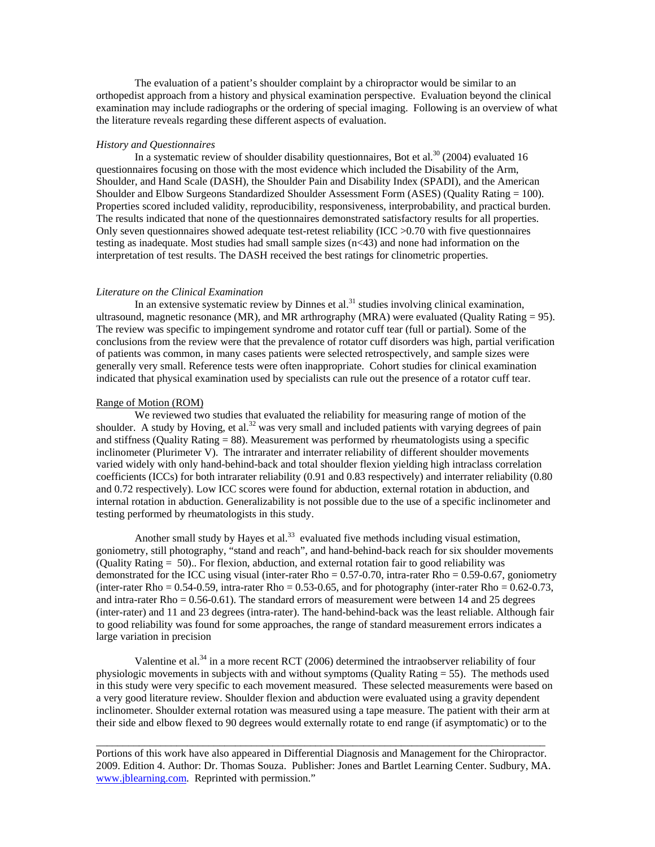The evaluation of a patient's shoulder complaint by a chiropractor would be similar to an orthopedist approach from a history and physical examination perspective. Evaluation beyond the clinical examination may include radiographs or the ordering of special imaging. Following is an overview of what the literature reveals regarding these different aspects of evaluation.

#### *History and Questionnaires*

In a systematic review of shoulder disability questionnaires, Bot et al.<sup>30</sup> (2004) evaluated 16 questionnaires focusing on those with the most evidence which included the Disability of the Arm, Shoulder, and Hand Scale (DASH), the Shoulder Pain and Disability Index (SPADI), and the American Shoulder and Elbow Surgeons Standardized Shoulder Assessment Form (ASES) (Quality Rating = 100). Properties scored included validity, reproducibility, responsiveness, interprobability, and practical burden. The results indicated that none of the questionnaires demonstrated satisfactory results for all properties. Only seven questionnaires showed adequate test-retest reliability (ICC >0.70 with five questionnaires testing as inadequate. Most studies had small sample sizes (n<43) and none had information on the interpretation of test results. The DASH received the best ratings for clinometric properties.

#### *Literature on the Clinical Examination*

In an extensive systematic review by Dinnes et al. $31$  studies involving clinical examination, ultrasound, magnetic resonance (MR), and MR arthrography (MRA) were evaluated (Quality Rating  $= 95$ ). The review was specific to impingement syndrome and rotator cuff tear (full or partial). Some of the conclusions from the review were that the prevalence of rotator cuff disorders was high, partial verification of patients was common, in many cases patients were selected retrospectively, and sample sizes were generally very small. Reference tests were often inappropriate. Cohort studies for clinical examination indicated that physical examination used by specialists can rule out the presence of a rotator cuff tear.

#### Range of Motion (ROM)

We reviewed two studies that evaluated the reliability for measuring range of motion of the shoulder. A study by Hoving, et al. $^{32}$  was very small and included patients with varying degrees of pain and stiffness (Quality Rating = 88). Measurement was performed by rheumatologists using a specific inclinometer (Plurimeter V). The intrarater and interrater reliability of different shoulder movements varied widely with only hand-behind-back and total shoulder flexion yielding high intraclass correlation coefficients (ICCs) for both intrarater reliability (0.91 and 0.83 respectively) and interrater reliability (0.80 and 0.72 respectively). Low ICC scores were found for abduction, external rotation in abduction, and internal rotation in abduction. Generalizability is not possible due to the use of a specific inclinometer and testing performed by rheumatologists in this study.

Another small study by Hayes et al. $33$  evaluated five methods including visual estimation, goniometry, still photography, "stand and reach", and hand-behind-back reach for six shoulder movements (Quality Rating = 50).. For flexion, abduction, and external rotation fair to good reliability was demonstrated for the ICC using visual (inter-rater Rho = 0.57-0.70, intra-rater Rho = 0.59-0.67, goniometry (inter-rater Rho =  $0.54$ - $0.59$ , intra-rater Rho =  $0.53$ - $0.65$ , and for photography (inter-rater Rho =  $0.62$ - $0.73$ , and intra-rater Rho = 0.56-0.61). The standard errors of measurement were between 14 and 25 degrees (inter-rater) and 11 and 23 degrees (intra-rater). The hand-behind-back was the least reliable. Although fair to good reliability was found for some approaches, the range of standard measurement errors indicates a large variation in precision

Valentine et al.<sup>34</sup> in a more recent RCT (2006) determined the intraobserver reliability of four physiologic movements in subjects with and without symptoms (Quality Rating  $= 55$ ). The methods used in this study were very specific to each movement measured. These selected measurements were based on a very good literature review. Shoulder flexion and abduction were evaluated using a gravity dependent inclinometer. Shoulder external rotation was measured using a tape measure. The patient with their arm at their side and elbow flexed to 90 degrees would externally rotate to end range (if asymptomatic) or to the

Portions of this work have also appeared in Differential Diagnosis and Management for the Chiropractor. 2009. Edition 4. Author: Dr. Thomas Souza. Publisher: Jones and Bartlet Learning Center. Sudbury, MA. www.jblearning.com. Reprinted with permission."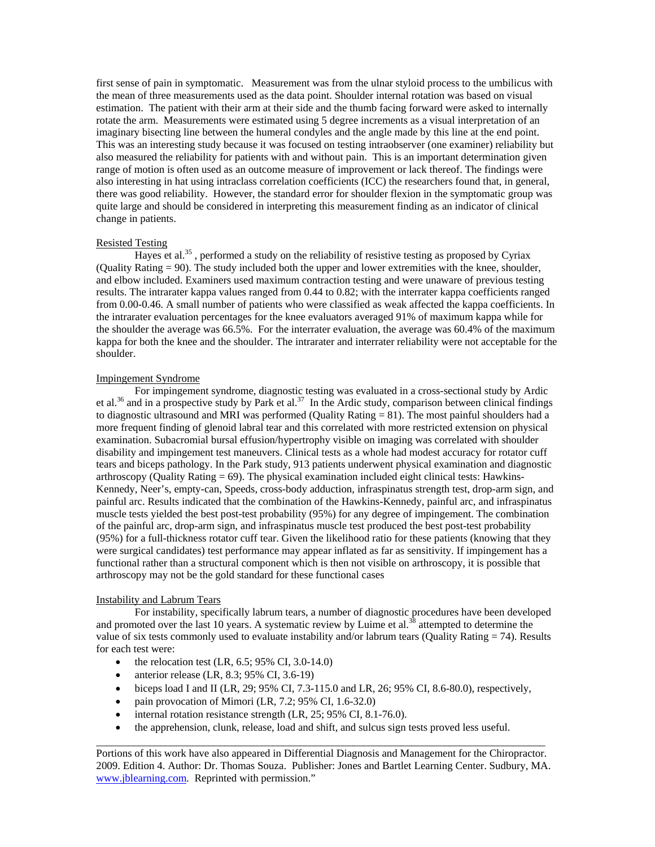first sense of pain in symptomatic. Measurement was from the ulnar styloid process to the umbilicus with the mean of three measurements used as the data point. Shoulder internal rotation was based on visual estimation. The patient with their arm at their side and the thumb facing forward were asked to internally rotate the arm. Measurements were estimated using 5 degree increments as a visual interpretation of an imaginary bisecting line between the humeral condyles and the angle made by this line at the end point. This was an interesting study because it was focused on testing intraobserver (one examiner) reliability but also measured the reliability for patients with and without pain. This is an important determination given range of motion is often used as an outcome measure of improvement or lack thereof. The findings were also interesting in hat using intraclass correlation coefficients (ICC) the researchers found that, in general, there was good reliability. However, the standard error for shoulder flexion in the symptomatic group was quite large and should be considered in interpreting this measurement finding as an indicator of clinical change in patients.

#### Resisted Testing

Hayes et al.<sup>35</sup>, performed a study on the reliability of resistive testing as proposed by Cyriax (Quality Rating = 90). The study included both the upper and lower extremities with the knee, shoulder, and elbow included. Examiners used maximum contraction testing and were unaware of previous testing results. The intrarater kappa values ranged from 0.44 to 0.82; with the interrater kappa coefficients ranged from 0.00-0.46. A small number of patients who were classified as weak affected the kappa coefficients. In the intrarater evaluation percentages for the knee evaluators averaged 91% of maximum kappa while for the shoulder the average was 66.5%. For the interrater evaluation, the average was 60.4% of the maximum kappa for both the knee and the shoulder. The intrarater and interrater reliability were not acceptable for the shoulder.

#### Impingement Syndrome

For impingement syndrome, diagnostic testing was evaluated in a cross-sectional study by Ardic et al.<sup>36</sup> and in a prospective study by Park et al.<sup>37</sup> In the Ardic study, comparison between clinical findings to diagnostic ultrasound and MRI was performed (Quality Rating = 81). The most painful shoulders had a more frequent finding of glenoid labral tear and this correlated with more restricted extension on physical examination. Subacromial bursal effusion/hypertrophy visible on imaging was correlated with shoulder disability and impingement test maneuvers. Clinical tests as a whole had modest accuracy for rotator cuff tears and biceps pathology. In the Park study, 913 patients underwent physical examination and diagnostic arthroscopy (Quality Rating  $= 69$ ). The physical examination included eight clinical tests: Hawkins-Kennedy, Neer's, empty-can, Speeds, cross-body adduction, infraspinatus strength test, drop-arm sign, and painful arc. Results indicated that the combination of the Hawkins-Kennedy, painful arc, and infraspinatus muscle tests yielded the best post-test probability (95%) for any degree of impingement. The combination of the painful arc, drop-arm sign, and infraspinatus muscle test produced the best post-test probability (95%) for a full-thickness rotator cuff tear. Given the likelihood ratio for these patients (knowing that they were surgical candidates) test performance may appear inflated as far as sensitivity. If impingement has a functional rather than a structural component which is then not visible on arthroscopy, it is possible that arthroscopy may not be the gold standard for these functional cases

#### Instability and Labrum Tears

 For instability, specifically labrum tears, a number of diagnostic procedures have been developed and promoted over the last 10 years. A systematic review by Luime et al.<sup>38</sup> attempted to determine the value of six tests commonly used to evaluate instability and/or labrum tears (Quality Rating = 74). Results for each test were:

- the relocation test  $(LR, 6.5; 95\% \text{ CI}, 3.0-14.0)$
- anterior release (LR, 8.3; 95% CI, 3.6-19)
- biceps load I and II (LR, 29; 95% CI, 7.3-115.0 and LR, 26; 95% CI, 8.6-80.0), respectively,
- pain provocation of Mimori (LR, 7.2; 95% CI, 1.6-32.0)
- internal rotation resistance strength (LR, 25; 95% CI, 8.1-76.0).
- the apprehension, clunk, release, load and shift, and sulcus sign tests proved less useful.

Portions of this work have also appeared in Differential Diagnosis and Management for the Chiropractor. 2009. Edition 4. Author: Dr. Thomas Souza. Publisher: Jones and Bartlet Learning Center. Sudbury, MA. www.jblearning.com. Reprinted with permission."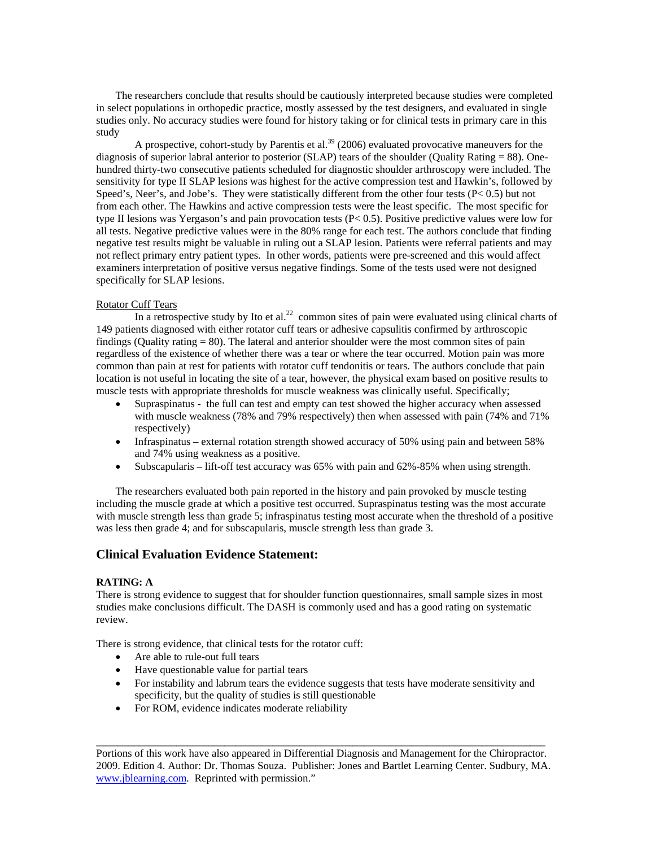The researchers conclude that results should be cautiously interpreted because studies were completed in select populations in orthopedic practice, mostly assessed by the test designers, and evaluated in single studies only. No accuracy studies were found for history taking or for clinical tests in primary care in this study

A prospective, cohort-study by Parentis et al.<sup>39</sup> (2006) evaluated provocative maneuvers for the diagnosis of superior labral anterior to posterior (SLAP) tears of the shoulder (Quality Rating = 88). Onehundred thirty-two consecutive patients scheduled for diagnostic shoulder arthroscopy were included. The sensitivity for type II SLAP lesions was highest for the active compression test and Hawkin's, followed by Speed's, Neer's, and Jobe's. They were statistically different from the other four tests  $(P< 0.5)$  but not from each other. The Hawkins and active compression tests were the least specific. The most specific for type II lesions was Yergason's and pain provocation tests (P< 0.5). Positive predictive values were low for all tests. Negative predictive values were in the 80% range for each test. The authors conclude that finding negative test results might be valuable in ruling out a SLAP lesion. Patients were referral patients and may not reflect primary entry patient types. In other words, patients were pre-screened and this would affect examiners interpretation of positive versus negative findings. Some of the tests used were not designed specifically for SLAP lesions.

#### Rotator Cuff Tears

In a retrospective study by Ito et al.<sup>22</sup> common sites of pain were evaluated using clinical charts of 149 patients diagnosed with either rotator cuff tears or adhesive capsulitis confirmed by arthroscopic findings (Quality rating  $= 80$ ). The lateral and anterior shoulder were the most common sites of pain regardless of the existence of whether there was a tear or where the tear occurred. Motion pain was more common than pain at rest for patients with rotator cuff tendonitis or tears. The authors conclude that pain location is not useful in locating the site of a tear, however, the physical exam based on positive results to muscle tests with appropriate thresholds for muscle weakness was clinically useful. Specifically;

- Supraspinatus the full can test and empty can test showed the higher accuracy when assessed with muscle weakness (78% and 79% respectively) then when assessed with pain (74% and 71% respectively)
- Infraspinatus external rotation strength showed accuracy of 50% using pain and between 58% and 74% using weakness as a positive.
- Subscapularis lift-off test accuracy was 65% with pain and 62%-85% when using strength.

The researchers evaluated both pain reported in the history and pain provoked by muscle testing including the muscle grade at which a positive test occurred. Supraspinatus testing was the most accurate with muscle strength less than grade 5; infraspinatus testing most accurate when the threshold of a positive was less then grade 4; and for subscapularis, muscle strength less than grade 3.

## **Clinical Evaluation Evidence Statement:**

#### **RATING: A**

There is strong evidence to suggest that for shoulder function questionnaires, small sample sizes in most studies make conclusions difficult. The DASH is commonly used and has a good rating on systematic review.

There is strong evidence, that clinical tests for the rotator cuff:

- Are able to rule-out full tears
- Have questionable value for partial tears
- For instability and labrum tears the evidence suggests that tests have moderate sensitivity and specificity, but the quality of studies is still questionable
- For ROM, evidence indicates moderate reliability

Portions of this work have also appeared in Differential Diagnosis and Management for the Chiropractor. 2009. Edition 4. Author: Dr. Thomas Souza. Publisher: Jones and Bartlet Learning Center. Sudbury, MA. www.jblearning.com. Reprinted with permission."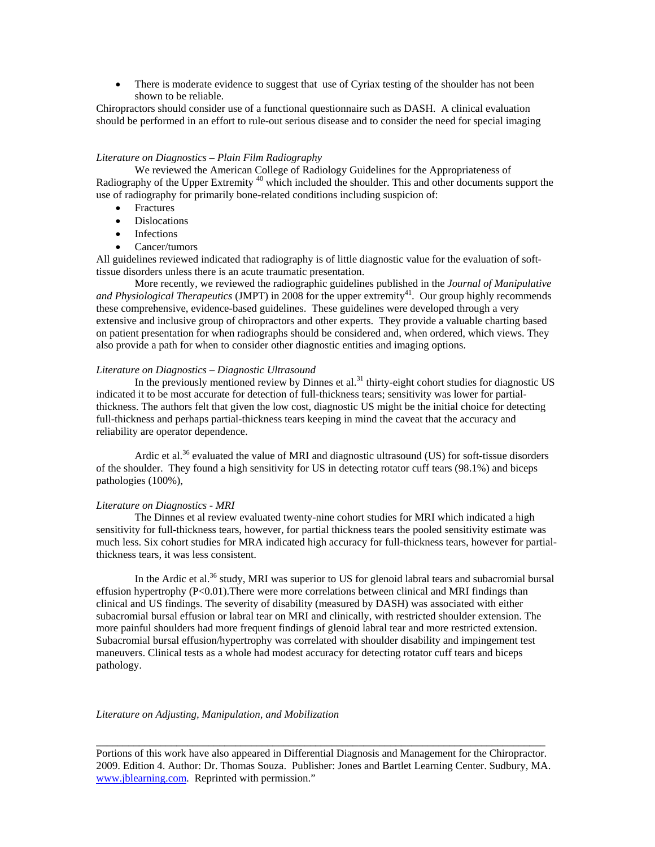• There is moderate evidence to suggest that use of Cyriax testing of the shoulder has not been shown to be reliable.

Chiropractors should consider use of a functional questionnaire such as DASH. A clinical evaluation should be performed in an effort to rule-out serious disease and to consider the need for special imaging

#### *Literature on Diagnostics – Plain Film Radiography*

We reviewed the American College of Radiology Guidelines for the Appropriateness of Radiography of the Upper Extremity <sup>40</sup> which included the shoulder. This and other documents support the use of radiography for primarily bone-related conditions including suspicion of:

- **Fractures**
- Dislocations
- Infections
- Cancer/tumors

All guidelines reviewed indicated that radiography is of little diagnostic value for the evaluation of softtissue disorders unless there is an acute traumatic presentation.

 More recently, we reviewed the radiographic guidelines published in the *Journal of Manipulative and Physiological Therapeutics* (JMPT) in 2008 for the upper extremity<sup>41</sup>. Our group highly recommends these comprehensive, evidence-based guidelines. These guidelines were developed through a very extensive and inclusive group of chiropractors and other experts. They provide a valuable charting based on patient presentation for when radiographs should be considered and, when ordered, which views. They also provide a path for when to consider other diagnostic entities and imaging options.

#### *Literature on Diagnostics – Diagnostic Ultrasound*

In the previously mentioned review by Dinnes et al.<sup>31</sup> thirty-eight cohort studies for diagnostic US indicated it to be most accurate for detection of full-thickness tears; sensitivity was lower for partialthickness. The authors felt that given the low cost, diagnostic US might be the initial choice for detecting full-thickness and perhaps partial-thickness tears keeping in mind the caveat that the accuracy and reliability are operator dependence.

Ardic et al.<sup>36</sup> evaluated the value of MRI and diagnostic ultrasound (US) for soft-tissue disorders of the shoulder. They found a high sensitivity for US in detecting rotator cuff tears (98.1%) and biceps pathologies (100%),

#### *Literature on Diagnostics - MRI*

The Dinnes et al review evaluated twenty-nine cohort studies for MRI which indicated a high sensitivity for full-thickness tears, however, for partial thickness tears the pooled sensitivity estimate was much less. Six cohort studies for MRA indicated high accuracy for full-thickness tears, however for partialthickness tears, it was less consistent.

In the Ardic et al.<sup>36</sup> study, MRI was superior to US for glenoid labral tears and subacromial bursal effusion hypertrophy (P<0.01).There were more correlations between clinical and MRI findings than clinical and US findings. The severity of disability (measured by DASH) was associated with either subacromial bursal effusion or labral tear on MRI and clinically, with restricted shoulder extension. The more painful shoulders had more frequent findings of glenoid labral tear and more restricted extension. Subacromial bursal effusion/hypertrophy was correlated with shoulder disability and impingement test maneuvers. Clinical tests as a whole had modest accuracy for detecting rotator cuff tears and biceps pathology.

#### *Literature on Adjusting, Manipulation, and Mobilization*

Portions of this work have also appeared in Differential Diagnosis and Management for the Chiropractor. 2009. Edition 4. Author: Dr. Thomas Souza. Publisher: Jones and Bartlet Learning Center. Sudbury, MA. www.jblearning.com. Reprinted with permission."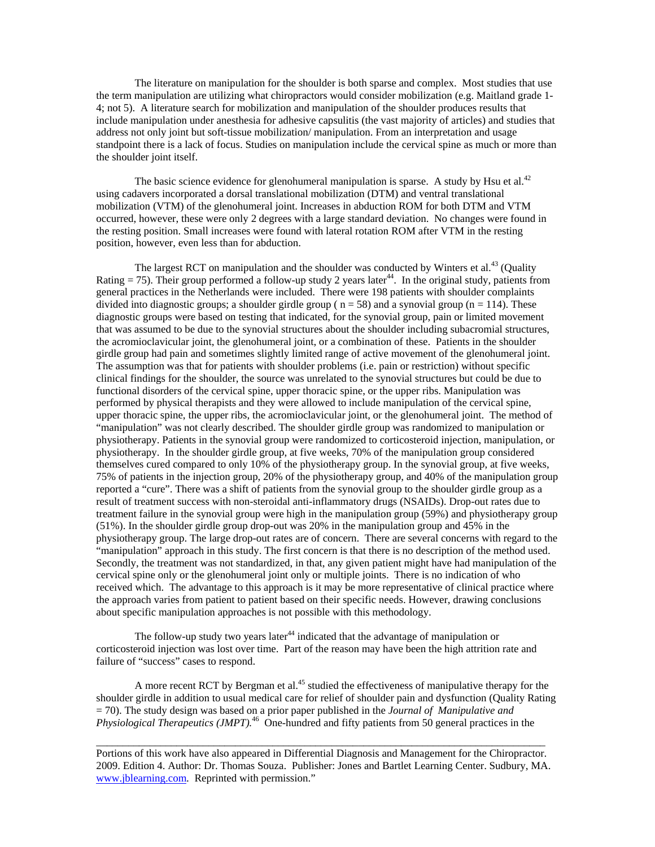The literature on manipulation for the shoulder is both sparse and complex. Most studies that use the term manipulation are utilizing what chiropractors would consider mobilization (e.g. Maitland grade 1- 4; not 5). A literature search for mobilization and manipulation of the shoulder produces results that include manipulation under anesthesia for adhesive capsulitis (the vast majority of articles) and studies that address not only joint but soft-tissue mobilization/ manipulation. From an interpretation and usage standpoint there is a lack of focus. Studies on manipulation include the cervical spine as much or more than the shoulder joint itself.

The basic science evidence for glenohumeral manipulation is sparse. A study by Hsu et al.<sup>42</sup> using cadavers incorporated a dorsal translational mobilization (DTM) and ventral translational mobilization (VTM) of the glenohumeral joint. Increases in abduction ROM for both DTM and VTM occurred, however, these were only 2 degrees with a large standard deviation. No changes were found in the resting position. Small increases were found with lateral rotation ROM after VTM in the resting position, however, even less than for abduction.

The largest RCT on manipulation and the shoulder was conducted by Winters et al.<sup>43</sup> (Quality Rating  $= 75$ ). Their group performed a follow-up study 2 years later<sup>44</sup>. In the original study, patients from general practices in the Netherlands were included. There were 198 patients with shoulder complaints divided into diagnostic groups; a shoulder girdle group ( $n = 58$ ) and a synovial group ( $n = 114$ ). These diagnostic groups were based on testing that indicated, for the synovial group, pain or limited movement that was assumed to be due to the synovial structures about the shoulder including subacromial structures, the acromioclavicular joint, the glenohumeral joint, or a combination of these. Patients in the shoulder girdle group had pain and sometimes slightly limited range of active movement of the glenohumeral joint. The assumption was that for patients with shoulder problems (i.e. pain or restriction) without specific clinical findings for the shoulder, the source was unrelated to the synovial structures but could be due to functional disorders of the cervical spine, upper thoracic spine, or the upper ribs. Manipulation was performed by physical therapists and they were allowed to include manipulation of the cervical spine, upper thoracic spine, the upper ribs, the acromioclavicular joint, or the glenohumeral joint. The method of "manipulation" was not clearly described. The shoulder girdle group was randomized to manipulation or physiotherapy. Patients in the synovial group were randomized to corticosteroid injection, manipulation, or physiotherapy. In the shoulder girdle group, at five weeks, 70% of the manipulation group considered themselves cured compared to only 10% of the physiotherapy group. In the synovial group, at five weeks, 75% of patients in the injection group, 20% of the physiotherapy group, and 40% of the manipulation group reported a "cure". There was a shift of patients from the synovial group to the shoulder girdle group as a result of treatment success with non-steroidal anti-inflammatory drugs (NSAIDs). Drop-out rates due to treatment failure in the synovial group were high in the manipulation group (59%) and physiotherapy group (51%). In the shoulder girdle group drop-out was 20% in the manipulation group and 45% in the physiotherapy group. The large drop-out rates are of concern. There are several concerns with regard to the "manipulation" approach in this study. The first concern is that there is no description of the method used. Secondly, the treatment was not standardized, in that, any given patient might have had manipulation of the cervical spine only or the glenohumeral joint only or multiple joints. There is no indication of who received which. The advantage to this approach is it may be more representative of clinical practice where the approach varies from patient to patient based on their specific needs. However, drawing conclusions about specific manipulation approaches is not possible with this methodology.

The follow-up study two years later<sup>44</sup> indicated that the advantage of manipulation or corticosteroid injection was lost over time. Part of the reason may have been the high attrition rate and failure of "success" cases to respond.

A more recent RCT by Bergman et al.<sup>45</sup> studied the effectiveness of manipulative therapy for the shoulder girdle in addition to usual medical care for relief of shoulder pain and dysfunction (Quality Rating = 70). The study design was based on a prior paper published in the *Journal of Manipulative and Physiological Therapeutics (JMPT).*46 One-hundred and fifty patients from 50 general practices in the

Portions of this work have also appeared in Differential Diagnosis and Management for the Chiropractor. 2009. Edition 4. Author: Dr. Thomas Souza. Publisher: Jones and Bartlet Learning Center. Sudbury, MA. www.jblearning.com. Reprinted with permission."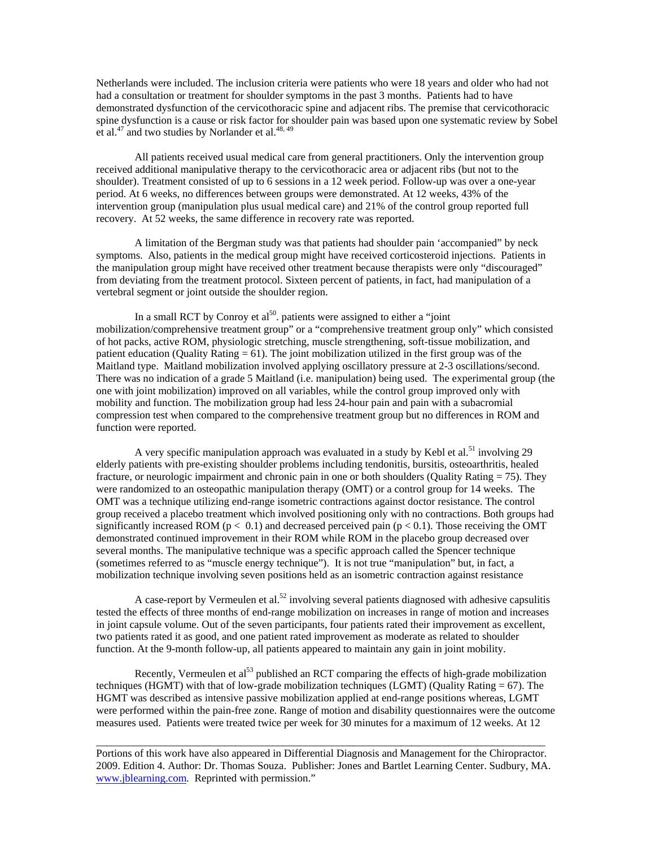Netherlands were included. The inclusion criteria were patients who were 18 years and older who had not had a consultation or treatment for shoulder symptoms in the past 3 months. Patients had to have demonstrated dysfunction of the cervicothoracic spine and adjacent ribs. The premise that cervicothoracic spine dysfunction is a cause or risk factor for shoulder pain was based upon one systematic review by Sobel et al.<sup>47</sup> and two studies by Norlander et al.<sup>48, 49</sup>

All patients received usual medical care from general practitioners. Only the intervention group received additional manipulative therapy to the cervicothoracic area or adjacent ribs (but not to the shoulder). Treatment consisted of up to 6 sessions in a 12 week period. Follow-up was over a one-year period. At 6 weeks, no differences between groups were demonstrated. At 12 weeks, 43% of the intervention group (manipulation plus usual medical care) and 21% of the control group reported full recovery. At 52 weeks, the same difference in recovery rate was reported.

A limitation of the Bergman study was that patients had shoulder pain 'accompanied" by neck symptoms. Also, patients in the medical group might have received corticosteroid injections. Patients in the manipulation group might have received other treatment because therapists were only "discouraged" from deviating from the treatment protocol. Sixteen percent of patients, in fact, had manipulation of a vertebral segment or joint outside the shoulder region.

In a small RCT by Conroy et  $al<sup>50</sup>$ . patients were assigned to either a "joint mobilization/comprehensive treatment group" or a "comprehensive treatment group only" which consisted of hot packs, active ROM, physiologic stretching, muscle strengthening, soft-tissue mobilization, and patient education (Quality Rating = 61). The joint mobilization utilized in the first group was of the Maitland type. Maitland mobilization involved applying oscillatory pressure at 2-3 oscillations/second. There was no indication of a grade 5 Maitland (i.e. manipulation) being used. The experimental group (the one with joint mobilization) improved on all variables, while the control group improved only with mobility and function. The mobilization group had less 24-hour pain and pain with a subacromial compression test when compared to the comprehensive treatment group but no differences in ROM and function were reported.

A very specific manipulation approach was evaluated in a study by Kebl et al.<sup>51</sup> involving 29 elderly patients with pre-existing shoulder problems including tendonitis, bursitis, osteoarthritis, healed fracture, or neurologic impairment and chronic pain in one or both shoulders (Quality Rating  $= 75$ ). They were randomized to an osteopathic manipulation therapy (OMT) or a control group for 14 weeks. The OMT was a technique utilizing end-range isometric contractions against doctor resistance. The control group received a placebo treatment which involved positioning only with no contractions. Both groups had significantly increased ROM ( $p < 0.1$ ) and decreased perceived pain ( $p < 0.1$ ). Those receiving the OMT demonstrated continued improvement in their ROM while ROM in the placebo group decreased over several months. The manipulative technique was a specific approach called the Spencer technique (sometimes referred to as "muscle energy technique"). It is not true "manipulation" but, in fact, a mobilization technique involving seven positions held as an isometric contraction against resistance

A case-report by Vermeulen et al.<sup>52</sup> involving several patients diagnosed with adhesive capsulitis tested the effects of three months of end-range mobilization on increases in range of motion and increases in joint capsule volume. Out of the seven participants, four patients rated their improvement as excellent, two patients rated it as good, and one patient rated improvement as moderate as related to shoulder function. At the 9-month follow-up, all patients appeared to maintain any gain in joint mobility.

Recently, Vermeulen et al<sup>53</sup> published an RCT comparing the effects of high-grade mobilization techniques (HGMT) with that of low-grade mobilization techniques (LGMT) (Quality Rating  $= 67$ ). The HGMT was described as intensive passive mobilization applied at end-range positions whereas, LGMT were performed within the pain-free zone. Range of motion and disability questionnaires were the outcome measures used. Patients were treated twice per week for 30 minutes for a maximum of 12 weeks. At 12

Portions of this work have also appeared in Differential Diagnosis and Management for the Chiropractor. 2009. Edition 4. Author: Dr. Thomas Souza. Publisher: Jones and Bartlet Learning Center. Sudbury, MA. www.jblearning.com. Reprinted with permission."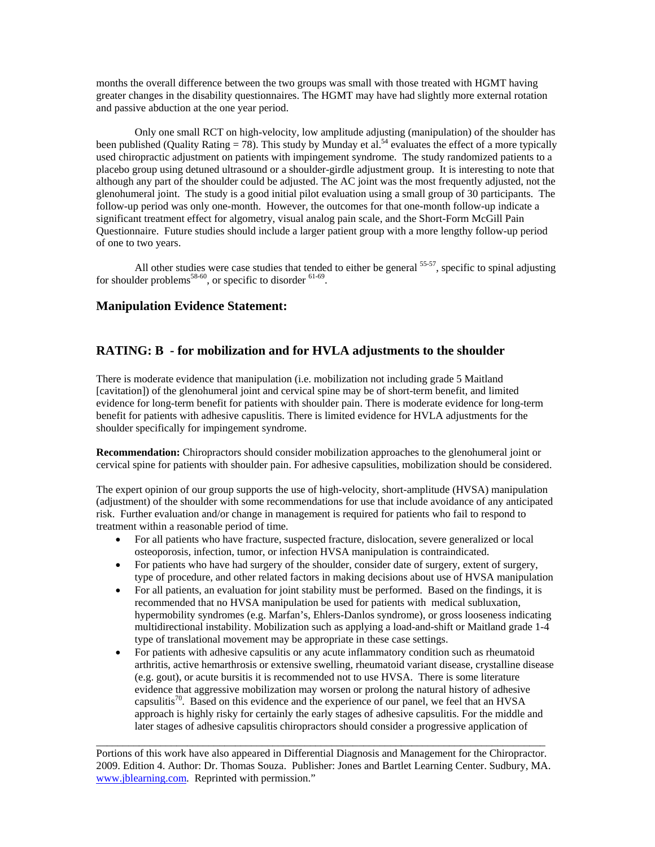months the overall difference between the two groups was small with those treated with HGMT having greater changes in the disability questionnaires. The HGMT may have had slightly more external rotation and passive abduction at the one year period.

Only one small RCT on high-velocity, low amplitude adjusting (manipulation) of the shoulder has been published (Quality Rating = 78). This study by Munday et al.<sup>54</sup> evaluates the effect of a more typically used chiropractic adjustment on patients with impingement syndrome. The study randomized patients to a placebo group using detuned ultrasound or a shoulder-girdle adjustment group. It is interesting to note that although any part of the shoulder could be adjusted. The AC joint was the most frequently adjusted, not the glenohumeral joint. The study is a good initial pilot evaluation using a small group of 30 participants. The follow-up period was only one-month. However, the outcomes for that one-month follow-up indicate a significant treatment effect for algometry, visual analog pain scale, and the Short-Form McGill Pain Questionnaire. Future studies should include a larger patient group with a more lengthy follow-up period of one to two years.

All other studies were case studies that tended to either be general  $55-57$ , specific to spinal adjusting for shoulder problems<sup>58-60</sup>, or specific to disorder  $61-69$ .

## **Manipulation Evidence Statement:**

## **RATING: B - for mobilization and for HVLA adjustments to the shoulder**

There is moderate evidence that manipulation (i.e. mobilization not including grade 5 Maitland [cavitation]) of the glenohumeral joint and cervical spine may be of short-term benefit, and limited evidence for long-term benefit for patients with shoulder pain. There is moderate evidence for long-term benefit for patients with adhesive capuslitis. There is limited evidence for HVLA adjustments for the shoulder specifically for impingement syndrome.

**Recommendation:** Chiropractors should consider mobilization approaches to the glenohumeral joint or cervical spine for patients with shoulder pain. For adhesive capsulities, mobilization should be considered.

The expert opinion of our group supports the use of high-velocity, short-amplitude (HVSA) manipulation (adjustment) of the shoulder with some recommendations for use that include avoidance of any anticipated risk. Further evaluation and/or change in management is required for patients who fail to respond to treatment within a reasonable period of time.

- For all patients who have fracture, suspected fracture, dislocation, severe generalized or local osteoporosis, infection, tumor, or infection HVSA manipulation is contraindicated.
- For patients who have had surgery of the shoulder, consider date of surgery, extent of surgery, type of procedure, and other related factors in making decisions about use of HVSA manipulation
- For all patients, an evaluation for joint stability must be performed. Based on the findings, it is recommended that no HVSA manipulation be used for patients with medical subluxation, hypermobility syndromes (e.g. Marfan's, Ehlers-Danlos syndrome), or gross looseness indicating multidirectional instability. Mobilization such as applying a load-and-shift or Maitland grade 1-4 type of translational movement may be appropriate in these case settings.
- For patients with adhesive capsulitis or any acute inflammatory condition such as rheumatoid arthritis, active hemarthrosis or extensive swelling, rheumatoid variant disease, crystalline disease (e.g. gout), or acute bursitis it is recommended not to use HVSA. There is some literature evidence that aggressive mobilization may worsen or prolong the natural history of adhesive capsulitis<sup>70</sup>. Based on this evidence and the experience of our panel, we feel that an HVSA approach is highly risky for certainly the early stages of adhesive capsulitis. For the middle and later stages of adhesive capsulitis chiropractors should consider a progressive application of

Portions of this work have also appeared in Differential Diagnosis and Management for the Chiropractor. 2009. Edition 4. Author: Dr. Thomas Souza. Publisher: Jones and Bartlet Learning Center. Sudbury, MA. www.jblearning.com. Reprinted with permission."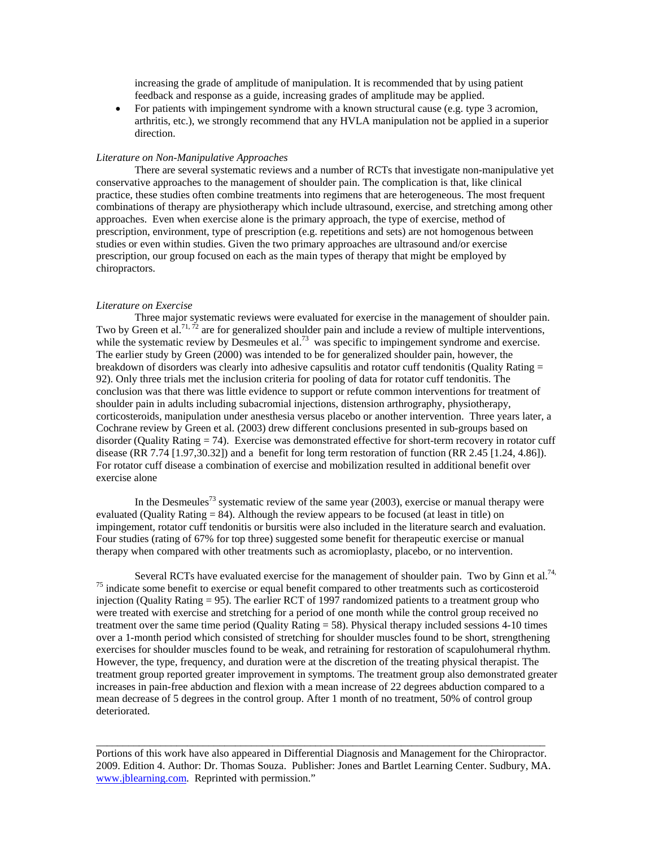increasing the grade of amplitude of manipulation. It is recommended that by using patient feedback and response as a guide, increasing grades of amplitude may be applied.

• For patients with impingement syndrome with a known structural cause (e.g. type 3 acromion, arthritis, etc.), we strongly recommend that any HVLA manipulation not be applied in a superior direction.

#### *Literature on Non-Manipulative Approaches*

There are several systematic reviews and a number of RCTs that investigate non-manipulative yet conservative approaches to the management of shoulder pain. The complication is that, like clinical practice, these studies often combine treatments into regimens that are heterogeneous. The most frequent combinations of therapy are physiotherapy which include ultrasound, exercise, and stretching among other approaches. Even when exercise alone is the primary approach, the type of exercise, method of prescription, environment, type of prescription (e.g. repetitions and sets) are not homogenous between studies or even within studies. Given the two primary approaches are ultrasound and/or exercise prescription, our group focused on each as the main types of therapy that might be employed by chiropractors.

#### *Literature on Exercise*

 Three major systematic reviews were evaluated for exercise in the management of shoulder pain. Two by Green et al.<sup>71,  $\tilde{7}$ </sup> are for generalized shoulder pain and include a review of multiple interventions, while the systematic review by Desmeules et al.<sup>73</sup> was specific to impingement syndrome and exercise. The earlier study by Green (2000) was intended to be for generalized shoulder pain, however, the breakdown of disorders was clearly into adhesive capsulitis and rotator cuff tendonitis (Quality Rating  $=$ 92). Only three trials met the inclusion criteria for pooling of data for rotator cuff tendonitis. The conclusion was that there was little evidence to support or refute common interventions for treatment of shoulder pain in adults including subacromial injections, distension arthrography, physiotherapy, corticosteroids, manipulation under anesthesia versus placebo or another intervention. Three years later, a Cochrane review by Green et al. (2003) drew different conclusions presented in sub-groups based on disorder (Quality Rating = 74). Exercise was demonstrated effective for short-term recovery in rotator cuff disease (RR 7.74 [1.97,30.32]) and a benefit for long term restoration of function (RR 2.45 [1.24, 4.86]). For rotator cuff disease a combination of exercise and mobilization resulted in additional benefit over exercise alone

In the Desmeules<sup>73</sup> systematic review of the same year (2003), exercise or manual therapy were evaluated (Quality Rating  $= 84$ ). Although the review appears to be focused (at least in title) on impingement, rotator cuff tendonitis or bursitis were also included in the literature search and evaluation. Four studies (rating of 67% for top three) suggested some benefit for therapeutic exercise or manual therapy when compared with other treatments such as acromioplasty, placebo, or no intervention.

Several RCTs have evaluated exercise for the management of shoulder pain. Two by Ginn et al.<sup>74,</sup> <sup>75</sup> indicate some benefit to exercise or equal benefit compared to other treatments such as corticosteroid injection (Quality Rating = 95). The earlier RCT of 1997 randomized patients to a treatment group who were treated with exercise and stretching for a period of one month while the control group received no treatment over the same time period (Quality Rating = 58). Physical therapy included sessions 4-10 times over a 1-month period which consisted of stretching for shoulder muscles found to be short, strengthening exercises for shoulder muscles found to be weak, and retraining for restoration of scapulohumeral rhythm. However, the type, frequency, and duration were at the discretion of the treating physical therapist. The treatment group reported greater improvement in symptoms. The treatment group also demonstrated greater increases in pain-free abduction and flexion with a mean increase of 22 degrees abduction compared to a mean decrease of 5 degrees in the control group. After 1 month of no treatment, 50% of control group deteriorated.

Portions of this work have also appeared in Differential Diagnosis and Management for the Chiropractor. 2009. Edition 4. Author: Dr. Thomas Souza. Publisher: Jones and Bartlet Learning Center. Sudbury, MA. www.jblearning.com. Reprinted with permission."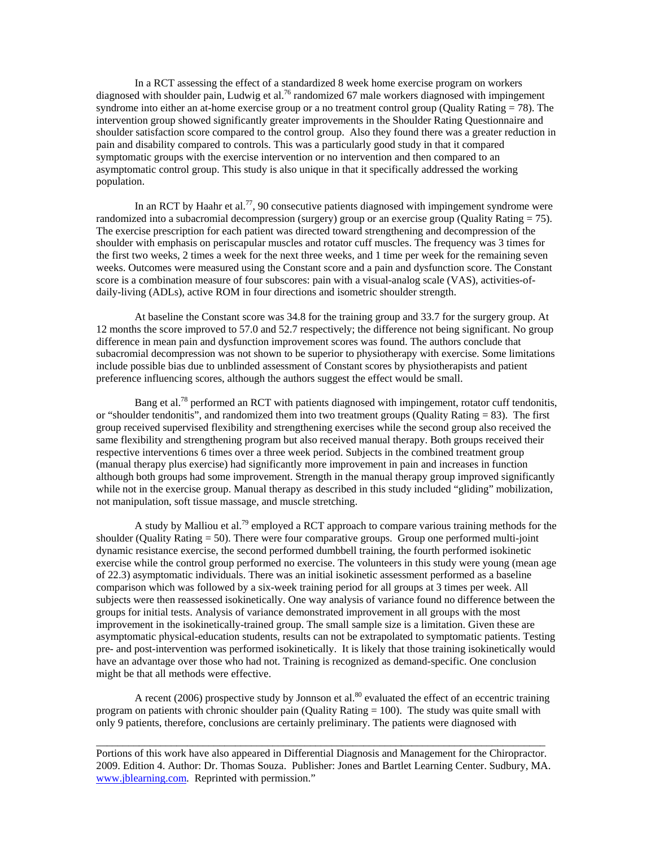In a RCT assessing the effect of a standardized 8 week home exercise program on workers diagnosed with shoulder pain, Ludwig et al.<sup>76</sup> randomized 67 male workers diagnosed with impingement syndrome into either an at-home exercise group or a no treatment control group (Quality Rating = 78). The intervention group showed significantly greater improvements in the Shoulder Rating Questionnaire and shoulder satisfaction score compared to the control group. Also they found there was a greater reduction in pain and disability compared to controls. This was a particularly good study in that it compared symptomatic groups with the exercise intervention or no intervention and then compared to an asymptomatic control group. This study is also unique in that it specifically addressed the working population.

In an RCT by Haahr et al.<sup>77</sup>, 90 consecutive patients diagnosed with impingement syndrome were randomized into a subacromial decompression (surgery) group or an exercise group (Quality Rating = 75). The exercise prescription for each patient was directed toward strengthening and decompression of the shoulder with emphasis on periscapular muscles and rotator cuff muscles. The frequency was 3 times for the first two weeks, 2 times a week for the next three weeks, and 1 time per week for the remaining seven weeks. Outcomes were measured using the Constant score and a pain and dysfunction score. The Constant score is a combination measure of four subscores: pain with a visual-analog scale (VAS), activities-ofdaily-living (ADLs), active ROM in four directions and isometric shoulder strength.

At baseline the Constant score was 34.8 for the training group and 33.7 for the surgery group. At 12 months the score improved to 57.0 and 52.7 respectively; the difference not being significant. No group difference in mean pain and dysfunction improvement scores was found. The authors conclude that subacromial decompression was not shown to be superior to physiotherapy with exercise. Some limitations include possible bias due to unblinded assessment of Constant scores by physiotherapists and patient preference influencing scores, although the authors suggest the effect would be small.

Bang et al.<sup>78</sup> performed an RCT with patients diagnosed with impingement, rotator cuff tendonitis, or "shoulder tendonitis", and randomized them into two treatment groups (Quality Rating = 83). The first group received supervised flexibility and strengthening exercises while the second group also received the same flexibility and strengthening program but also received manual therapy. Both groups received their respective interventions 6 times over a three week period. Subjects in the combined treatment group (manual therapy plus exercise) had significantly more improvement in pain and increases in function although both groups had some improvement. Strength in the manual therapy group improved significantly while not in the exercise group. Manual therapy as described in this study included "gliding" mobilization, not manipulation, soft tissue massage, and muscle stretching.

A study by Malliou et al.<sup>79</sup> employed a RCT approach to compare various training methods for the shoulder (Quality Rating  $=$  50). There were four comparative groups. Group one performed multi-joint dynamic resistance exercise, the second performed dumbbell training, the fourth performed isokinetic exercise while the control group performed no exercise. The volunteers in this study were young (mean age of 22.3) asymptomatic individuals. There was an initial isokinetic assessment performed as a baseline comparison which was followed by a six-week training period for all groups at 3 times per week. All subjects were then reassessed isokinetically. One way analysis of variance found no difference between the groups for initial tests. Analysis of variance demonstrated improvement in all groups with the most improvement in the isokinetically-trained group. The small sample size is a limitation. Given these are asymptomatic physical-education students, results can not be extrapolated to symptomatic patients. Testing pre- and post-intervention was performed isokinetically. It is likely that those training isokinetically would have an advantage over those who had not. Training is recognized as demand-specific. One conclusion might be that all methods were effective.

A recent (2006) prospective study by Jonnson et al.<sup>80</sup> evaluated the effect of an eccentric training program on patients with chronic shoulder pain (Quality Rating = 100). The study was quite small with only 9 patients, therefore, conclusions are certainly preliminary. The patients were diagnosed with

Portions of this work have also appeared in Differential Diagnosis and Management for the Chiropractor. 2009. Edition 4. Author: Dr. Thomas Souza. Publisher: Jones and Bartlet Learning Center. Sudbury, MA. www.jblearning.com. Reprinted with permission."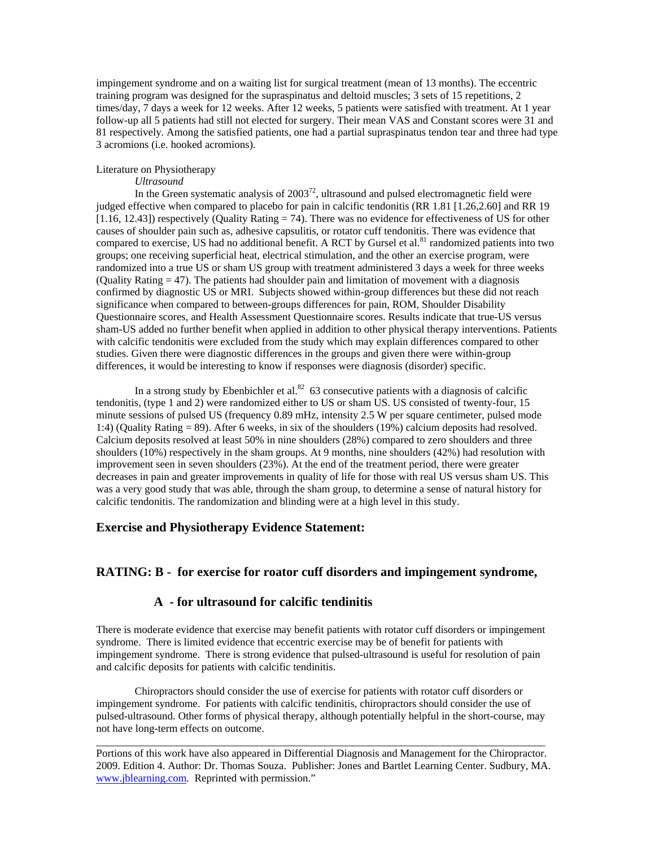impingement syndrome and on a waiting list for surgical treatment (mean of 13 months). The eccentric training program was designed for the supraspinatus and deltoid muscles; 3 sets of 15 repetitions, 2 times/day, 7 days a week for 12 weeks. After 12 weeks, 5 patients were satisfied with treatment. At 1 year follow-up all 5 patients had still not elected for surgery. Their mean VAS and Constant scores were 31 and 81 respectively. Among the satisfied patients, one had a partial supraspinatus tendon tear and three had type 3 acromions (i.e. hooked acromions).

#### Literature on Physiotherapy

#### *Ultrasound*

In the Green systematic analysis of  $2003^{72}$ , ultrasound and pulsed electromagnetic field were judged effective when compared to placebo for pain in calcific tendonitis (RR 1.81 [1.26,2.60] and RR 19 [1.16, 12.43]) respectively (Quality Rating = 74). There was no evidence for effectiveness of US for other causes of shoulder pain such as, adhesive capsulitis, or rotator cuff tendonitis. There was evidence that compared to exercise, US had no additional benefit. A RCT by Gursel et al.<sup>81</sup> randomized patients into two groups; one receiving superficial heat, electrical stimulation, and the other an exercise program, were randomized into a true US or sham US group with treatment administered 3 days a week for three weeks (Quality Rating = 47). The patients had shoulder pain and limitation of movement with a diagnosis confirmed by diagnostic US or MRI. Subjects showed within-group differences but these did not reach significance when compared to between-groups differences for pain, ROM, Shoulder Disability Questionnaire scores, and Health Assessment Questionnaire scores. Results indicate that true-US versus sham-US added no further benefit when applied in addition to other physical therapy interventions. Patients with calcific tendonitis were excluded from the study which may explain differences compared to other studies. Given there were diagnostic differences in the groups and given there were within-group differences, it would be interesting to know if responses were diagnosis (disorder) specific.

In a strong study by Ebenbichler et al. $82\,$  63 consecutive patients with a diagnosis of calcific tendonitis, (type 1 and 2) were randomized either to US or sham US. US consisted of twenty-four, 15 minute sessions of pulsed US (frequency 0.89 mHz, intensity 2.5 W per square centimeter, pulsed mode 1:4) (Quality Rating = 89). After 6 weeks, in six of the shoulders (19%) calcium deposits had resolved. Calcium deposits resolved at least 50% in nine shoulders (28%) compared to zero shoulders and three shoulders (10%) respectively in the sham groups. At 9 months, nine shoulders (42%) had resolution with improvement seen in seven shoulders (23%). At the end of the treatment period, there were greater decreases in pain and greater improvements in quality of life for those with real US versus sham US. This was a very good study that was able, through the sham group, to determine a sense of natural history for calcific tendonitis. The randomization and blinding were at a high level in this study.

#### **Exercise and Physiotherapy Evidence Statement:**

## **RATING: B - for exercise for roator cuff disorders and impingement syndrome,**

## **A - for ultrasound for calcific tendinitis**

There is moderate evidence that exercise may benefit patients with rotator cuff disorders or impingement syndrome. There is limited evidence that eccentric exercise may be of benefit for patients with impingement syndrome. There is strong evidence that pulsed-ultrasound is useful for resolution of pain and calcific deposits for patients with calcific tendinitis.

Chiropractors should consider the use of exercise for patients with rotator cuff disorders or impingement syndrome. For patients with calcific tendinitis, chiropractors should consider the use of pulsed-ultrasound. Other forms of physical therapy, although potentially helpful in the short-course, may not have long-term effects on outcome.

Portions of this work have also appeared in Differential Diagnosis and Management for the Chiropractor. 2009. Edition 4. Author: Dr. Thomas Souza. Publisher: Jones and Bartlet Learning Center. Sudbury, MA. www.jblearning.com. Reprinted with permission."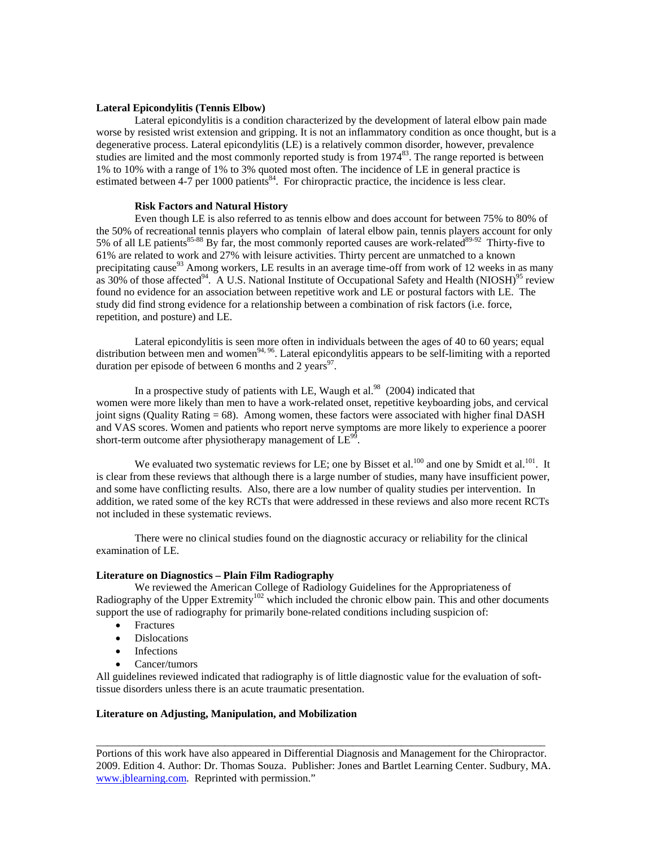#### **Lateral Epicondylitis (Tennis Elbow)**

Lateral epicondylitis is a condition characterized by the development of lateral elbow pain made worse by resisted wrist extension and gripping. It is not an inflammatory condition as once thought, but is a degenerative process. Lateral epicondylitis (LE) is a relatively common disorder, however, prevalence studies are limited and the most commonly reported study is from 1974<sup>83</sup>. The range reported is between 1% to 10% with a range of 1% to 3% quoted most often. The incidence of LE in general practice is estimated between  $4-7$  per 1000 patients<sup>84</sup>. For chiropractic practice, the incidence is less clear.

#### **Risk Factors and Natural History**

Even though LE is also referred to as tennis elbow and does account for between 75% to 80% of the 50% of recreational tennis players who complain of lateral elbow pain, tennis players account for only 5% of all LE patients<sup>85-88</sup> By far, the most commonly reported causes are work-related<sup>89-92</sup> Thirty-five to 61% are related to work and 27% with leisure activities. Thirty percent are unmatched to a known precipitating cause<sup>93</sup> Among workers, LE results in an average time-off from work of 12 weeks in as many as 30% of those affected<sup>94</sup>. A U.S. National Institute of Occupational Safety and Health (NIOSH)<sup>95</sup> review found no evidence for an association between repetitive work and LE or postural factors with LE. The study did find strong evidence for a relationship between a combination of risk factors (i.e. force, repetition, and posture) and LE.

Lateral epicondylitis is seen more often in individuals between the ages of 40 to 60 years; equal distribution between men and women<sup>94, 96</sup>. Lateral epicondylitis appears to be self-limiting with a reported duration per episode of between 6 months and 2 years<sup>97</sup>.

In a prospective study of patients with LE, Waugh et al. $98$  (2004) indicated that women were more likely than men to have a work-related onset, repetitive keyboarding jobs, and cervical joint signs (Quality Rating  $= 68$ ). Among women, these factors were associated with higher final DASH and VAS scores. Women and patients who report nerve symptoms are more likely to experience a poorer short-term outcome after physiotherapy management of  $LE^{99}$ .

We evaluated two systematic reviews for LE; one by Bisset et al.<sup>100</sup> and one by Smidt et al.<sup>101</sup>. It is clear from these reviews that although there is a large number of studies, many have insufficient power, and some have conflicting results. Also, there are a low number of quality studies per intervention. In addition, we rated some of the key RCTs that were addressed in these reviews and also more recent RCTs not included in these systematic reviews.

 There were no clinical studies found on the diagnostic accuracy or reliability for the clinical examination of LE.

#### **Literature on Diagnostics – Plain Film Radiography**

We reviewed the American College of Radiology Guidelines for the Appropriateness of Radiography of the Upper Extremity<sup>102</sup> which included the chronic elbow pain. This and other documents support the use of radiography for primarily bone-related conditions including suspicion of:

- **Fractures**
- Dislocations
- Infections
- Cancer/tumors

All guidelines reviewed indicated that radiography is of little diagnostic value for the evaluation of softtissue disorders unless there is an acute traumatic presentation.

#### **Literature on Adjusting, Manipulation, and Mobilization**

Portions of this work have also appeared in Differential Diagnosis and Management for the Chiropractor. 2009. Edition 4. Author: Dr. Thomas Souza. Publisher: Jones and Bartlet Learning Center. Sudbury, MA. www.jblearning.com. Reprinted with permission."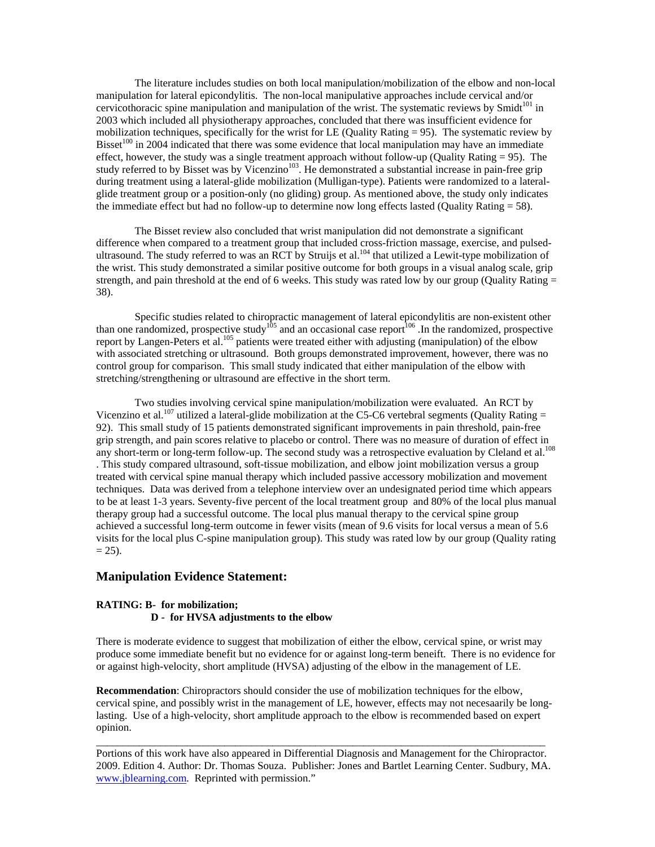The literature includes studies on both local manipulation/mobilization of the elbow and non-local manipulation for lateral epicondylitis. The non-local manipulative approaches include cervical and/or cervicothoracic spine manipulation and manipulation of the wrist. The systematic reviews by Smidt<sup>101</sup> in 2003 which included all physiotherapy approaches, concluded that there was insufficient evidence for mobilization techniques, specifically for the wrist for LE (Quality Rating  $= 95$ ). The systematic review by Bisset<sup>100</sup> in 2004 indicated that there was some evidence that local manipulation may have an immediate effect, however, the study was a single treatment approach without follow-up (Quality Rating = 95). The study referred to by Bisset was by Vicenzino<sup>103</sup>. He demonstrated a substantial increase in pain-free grip during treatment using a lateral-glide mobilization (Mulligan-type). Patients were randomized to a lateralglide treatment group or a position-only (no gliding) group. As mentioned above, the study only indicates the immediate effect but had no follow-up to determine now long effects lasted (Quality Rating  $= 58$ ).

The Bisset review also concluded that wrist manipulation did not demonstrate a significant difference when compared to a treatment group that included cross-friction massage, exercise, and pulsedultrasound. The study referred to was an RCT by Struijs et al.<sup>104</sup> that utilized a Lewit-type mobilization of the wrist. This study demonstrated a similar positive outcome for both groups in a visual analog scale, grip strength, and pain threshold at the end of 6 weeks. This study was rated low by our group (Quality Rating  $=$ 38).

Specific studies related to chiropractic management of lateral epicondylitis are non-existent other than one randomized, prospective study<sup>105</sup> and an occasional case report<sup>106</sup>. In the randomized, prospective report by Langen-Peters et al.<sup>105</sup> patients were treated either with adjusting (manipulation) of the elbow with associated stretching or ultrasound. Both groups demonstrated improvement, however, there was no control group for comparison. This small study indicated that either manipulation of the elbow with stretching/strengthening or ultrasound are effective in the short term.

Two studies involving cervical spine manipulation/mobilization were evaluated. An RCT by Vicenzino et al.<sup>107</sup> utilized a lateral-glide mobilization at the C5-C6 vertebral segments (Quality Rating = 92). This small study of 15 patients demonstrated significant improvements in pain threshold, pain-free grip strength, and pain scores relative to placebo or control. There was no measure of duration of effect in any short-term or long-term follow-up. The second study was a retrospective evaluation by Cleland et al.<sup>108</sup> . This study compared ultrasound, soft-tissue mobilization, and elbow joint mobilization versus a group treated with cervical spine manual therapy which included passive accessory mobilization and movement techniques. Data was derived from a telephone interview over an undesignated period time which appears to be at least 1-3 years. Seventy-five percent of the local treatment group and 80% of the local plus manual therapy group had a successful outcome. The local plus manual therapy to the cervical spine group achieved a successful long-term outcome in fewer visits (mean of 9.6 visits for local versus a mean of 5.6 visits for the local plus C-spine manipulation group). This study was rated low by our group (Quality rating  $= 25$ ).

## **Manipulation Evidence Statement:**

#### **RATING: B- for mobilization; D - for HVSA adjustments to the elbow**

There is moderate evidence to suggest that mobilization of either the elbow, cervical spine, or wrist may produce some immediate benefit but no evidence for or against long-term beneift. There is no evidence for or against high-velocity, short amplitude (HVSA) adjusting of the elbow in the management of LE.

**Recommendation**: Chiropractors should consider the use of mobilization techniques for the elbow, cervical spine, and possibly wrist in the management of LE, however, effects may not necesaarily be longlasting. Use of a high-velocity, short amplitude approach to the elbow is recommended based on expert opinion.

Portions of this work have also appeared in Differential Diagnosis and Management for the Chiropractor. 2009. Edition 4. Author: Dr. Thomas Souza. Publisher: Jones and Bartlet Learning Center. Sudbury, MA. www.jblearning.com. Reprinted with permission."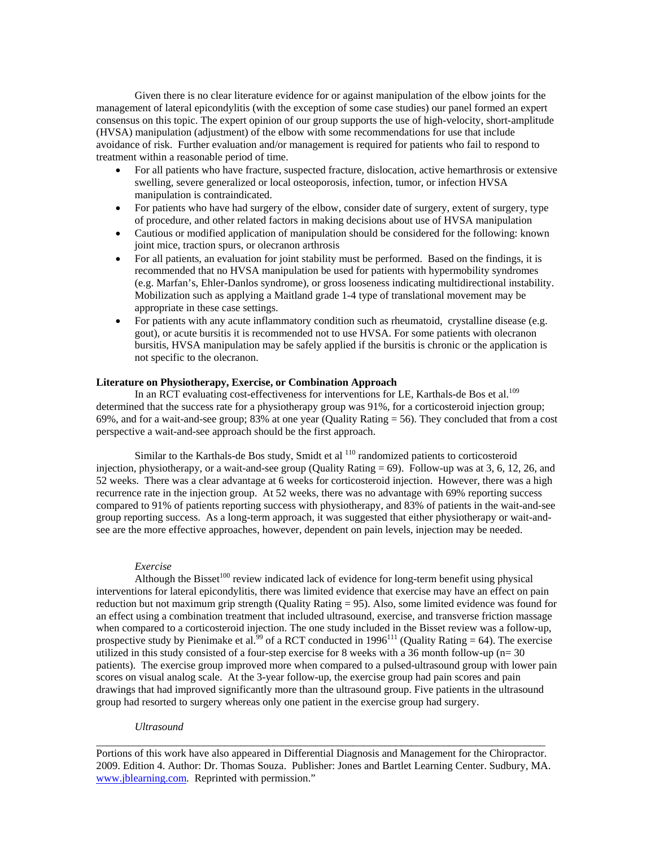Given there is no clear literature evidence for or against manipulation of the elbow joints for the management of lateral epicondylitis (with the exception of some case studies) our panel formed an expert consensus on this topic. The expert opinion of our group supports the use of high-velocity, short-amplitude (HVSA) manipulation (adjustment) of the elbow with some recommendations for use that include avoidance of risk. Further evaluation and/or management is required for patients who fail to respond to treatment within a reasonable period of time.

- For all patients who have fracture, suspected fracture, dislocation, active hemarthrosis or extensive swelling, severe generalized or local osteoporosis, infection, tumor, or infection HVSA manipulation is contraindicated.
- For patients who have had surgery of the elbow, consider date of surgery, extent of surgery, type of procedure, and other related factors in making decisions about use of HVSA manipulation
- Cautious or modified application of manipulation should be considered for the following: known joint mice, traction spurs, or olecranon arthrosis
- For all patients, an evaluation for joint stability must be performed. Based on the findings, it is recommended that no HVSA manipulation be used for patients with hypermobility syndromes (e.g. Marfan's, Ehler-Danlos syndrome), or gross looseness indicating multidirectional instability. Mobilization such as applying a Maitland grade 1-4 type of translational movement may be appropriate in these case settings.
- For patients with any acute inflammatory condition such as rheumatoid, crystalline disease (e.g. gout), or acute bursitis it is recommended not to use HVSA. For some patients with olecranon bursitis, HVSA manipulation may be safely applied if the bursitis is chronic or the application is not specific to the olecranon.

#### **Literature on Physiotherapy, Exercise, or Combination Approach**

In an RCT evaluating cost-effectiveness for interventions for LE, Karthals-de Bos et al.<sup>109</sup> determined that the success rate for a physiotherapy group was 91%, for a corticosteroid injection group; 69%, and for a wait-and-see group; 83% at one year (Quality Rating = 56). They concluded that from a cost perspective a wait-and-see approach should be the first approach.

Similar to the Karthals-de Bos study, Smidt et al  $^{110}$  randomized patients to corticosteroid injection, physiotherapy, or a wait-and-see group (Quality Rating  $= 69$ ). Follow-up was at 3, 6, 12, 26, and 52 weeks. There was a clear advantage at 6 weeks for corticosteroid injection. However, there was a high recurrence rate in the injection group. At 52 weeks, there was no advantage with 69% reporting success compared to 91% of patients reporting success with physiotherapy, and 83% of patients in the wait-and-see group reporting success. As a long-term approach, it was suggested that either physiotherapy or wait-andsee are the more effective approaches, however, dependent on pain levels, injection may be needed.

#### *Exercise*

Although the Bisset<sup>100</sup> review indicated lack of evidence for long-term benefit using physical interventions for lateral epicondylitis, there was limited evidence that exercise may have an effect on pain reduction but not maximum grip strength (Quality Rating = 95). Also, some limited evidence was found for an effect using a combination treatment that included ultrasound, exercise, and transverse friction massage when compared to a corticosteroid injection. The one study included in the Bisset review was a follow-up, prospective study by Pienimake et al.<sup>99</sup> of a RCT conducted in 1996<sup>111</sup> (Quality Rating = 64). The exercise utilized in this study consisted of a four-step exercise for 8 weeks with a 36 month follow-up ( $n=30$ ) patients). The exercise group improved more when compared to a pulsed-ultrasound group with lower pain scores on visual analog scale. At the 3-year follow-up, the exercise group had pain scores and pain drawings that had improved significantly more than the ultrasound group. Five patients in the ultrasound group had resorted to surgery whereas only one patient in the exercise group had surgery.

#### *Ultrasound*

Portions of this work have also appeared in Differential Diagnosis and Management for the Chiropractor. 2009. Edition 4. Author: Dr. Thomas Souza. Publisher: Jones and Bartlet Learning Center. Sudbury, MA. www.jblearning.com. Reprinted with permission."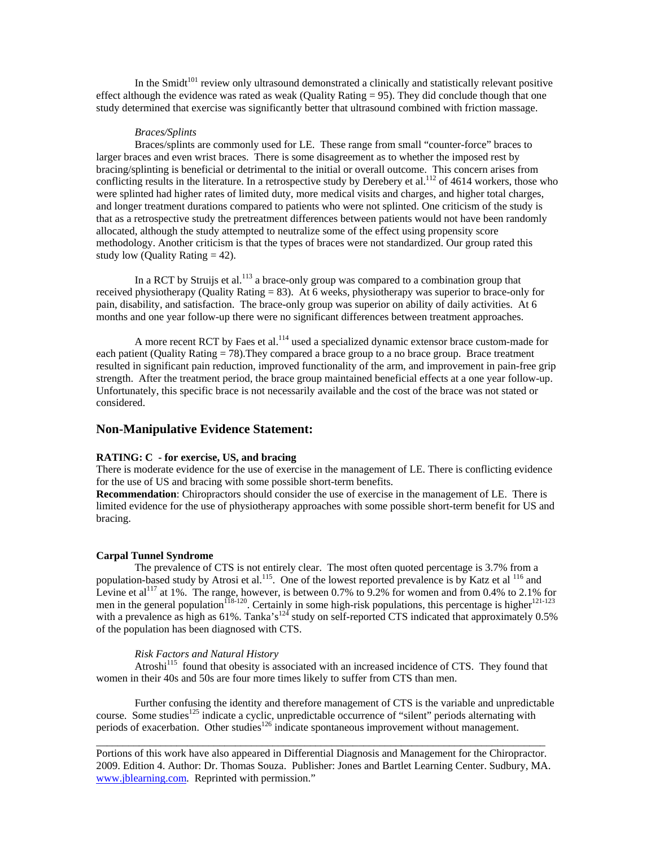In the Smidt $101$  review only ultrasound demonstrated a clinically and statistically relevant positive effect although the evidence was rated as weak (Quality Rating  $= 95$ ). They did conclude though that one study determined that exercise was significantly better that ultrasound combined with friction massage.

#### *Braces/Splints*

Braces/splints are commonly used for LE. These range from small "counter-force" braces to larger braces and even wrist braces. There is some disagreement as to whether the imposed rest by bracing/splinting is beneficial or detrimental to the initial or overall outcome. This concern arises from conflicting results in the literature. In a retrospective study by Derebery et al.<sup>112</sup> of 4614 workers, those who were splinted had higher rates of limited duty, more medical visits and charges, and higher total charges, and longer treatment durations compared to patients who were not splinted. One criticism of the study is that as a retrospective study the pretreatment differences between patients would not have been randomly allocated, although the study attempted to neutralize some of the effect using propensity score methodology. Another criticism is that the types of braces were not standardized. Our group rated this study low (Quality Rating  $= 42$ ).

In a RCT by Struijs et al.<sup>113</sup> a brace-only group was compared to a combination group that received physiotherapy (Quality Rating = 83). At 6 weeks, physiotherapy was superior to brace-only for pain, disability, and satisfaction. The brace-only group was superior on ability of daily activities. At 6 months and one year follow-up there were no significant differences between treatment approaches.

A more recent RCT by Faes et al.<sup>114</sup> used a specialized dynamic extensor brace custom-made for each patient (Quality Rating = 78).They compared a brace group to a no brace group. Brace treatment resulted in significant pain reduction, improved functionality of the arm, and improvement in pain-free grip strength. After the treatment period, the brace group maintained beneficial effects at a one year follow-up. Unfortunately, this specific brace is not necessarily available and the cost of the brace was not stated or considered.

## **Non-Manipulative Evidence Statement:**

#### **RATING: C - for exercise, US, and bracing**

There is moderate evidence for the use of exercise in the management of LE. There is conflicting evidence for the use of US and bracing with some possible short-term benefits.

**Recommendation**: Chiropractors should consider the use of exercise in the management of LE. There is limited evidence for the use of physiotherapy approaches with some possible short-term benefit for US and bracing.

#### **Carpal Tunnel Syndrome**

The prevalence of CTS is not entirely clear. The most often quoted percentage is 3.7% from a population-based study by Atrosi et al.<sup>115</sup>. One of the lowest reported prevalence is by Katz et al <sup>116</sup> and Levine et al<sup>117</sup> at 1%. The range, however, is between 0.7% to 9.2% for women and from 0.4% to 2.1% for men in the general population<sup>118-120</sup>. Certainly in some high-risk populations, this percentage is higher<sup>121-123</sup> with a prevalence as high as 61%. Tanka's<sup>124</sup> study on self-reported CTS indicated that approximately 0.5% of the population has been diagnosed with CTS.

## *Risk Factors and Natural History*

Atroshi<sup>115</sup> found that obesity is associated with an increased incidence of CTS. They found that women in their 40s and 50s are four more times likely to suffer from CTS than men.

Further confusing the identity and therefore management of CTS is the variable and unpredictable course. Some studies<sup>125</sup> indicate a cyclic, unpredictable occurrence of "silent" periods alternating with periods of exacerbation. Other studies<sup>126</sup> indicate spontaneous improvement without management.

Portions of this work have also appeared in Differential Diagnosis and Management for the Chiropractor. 2009. Edition 4. Author: Dr. Thomas Souza. Publisher: Jones and Bartlet Learning Center. Sudbury, MA. www.jblearning.com. Reprinted with permission."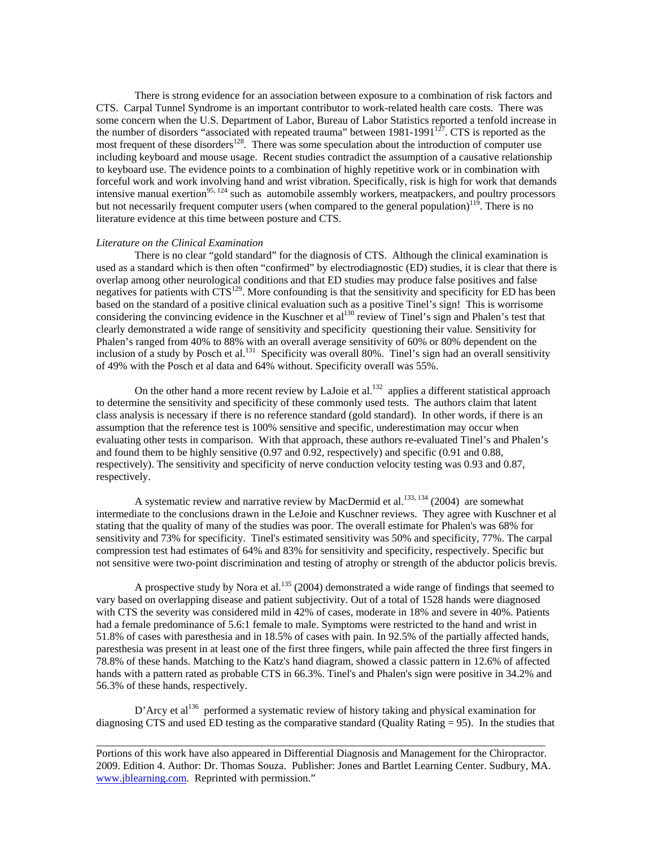There is strong evidence for an association between exposure to a combination of risk factors and CTS. Carpal Tunnel Syndrome is an important contributor to work-related health care costs. There was some concern when the U.S. Department of Labor, Bureau of Labor Statistics reported a tenfold increase in the number of disorders "associated with repeated trauma" between  $1981-1991^{127}$ . CTS is reported as the most frequent of these disorders<sup>128</sup>. There was some speculation about the introduction of computer use including keyboard and mouse usage. Recent studies contradict the assumption of a causative relationship to keyboard use. The evidence points to a combination of highly repetitive work or in combination with forceful work and work involving hand and wrist vibration. Specifically, risk is high for work that demands intensive manual exertion<sup>95, 124</sup> such as automobile assembly workers, meatpackers, and poultry processors but not necessarily frequent computer users (when compared to the general population)<sup>119</sup>. There is no literature evidence at this time between posture and CTS.

#### *Literature on the Clinical Examination*

There is no clear "gold standard" for the diagnosis of CTS. Although the clinical examination is used as a standard which is then often "confirmed" by electrodiagnostic (ED) studies, it is clear that there is overlap among other neurological conditions and that ED studies may produce false positives and false negatives for patients with  $CTS^{129}$ . More confounding is that the sensitivity and specificity for ED has been based on the standard of a positive clinical evaluation such as a positive Tinel's sign! This is worrisome considering the convincing evidence in the Kuschner et al<sup>130</sup> review of Tinel's sign and Phalen's test that clearly demonstrated a wide range of sensitivity and specificity questioning their value. Sensitivity for Phalen's ranged from 40% to 88% with an overall average sensitivity of 60% or 80% dependent on the inclusion of a study by Posch et al.<sup>131</sup> Specificity was overall 80%. Tinel's sign had an overall sensitivity of 49% with the Posch et al data and 64% without. Specificity overall was 55%.

On the other hand a more recent review by LaJoie et al.<sup>132</sup> applies a different statistical approach to determine the sensitivity and specificity of these commonly used tests. The authors claim that latent class analysis is necessary if there is no reference standard (gold standard). In other words, if there is an assumption that the reference test is 100% sensitive and specific, underestimation may occur when evaluating other tests in comparison. With that approach, these authors re-evaluated Tinel's and Phalen's and found them to be highly sensitive (0.97 and 0.92, respectively) and specific (0.91 and 0.88, respectively). The sensitivity and specificity of nerve conduction velocity testing was 0.93 and 0.87, respectively.

A systematic review and narrative review by MacDermid et al.<sup>133, 134</sup> (2004) are somewhat intermediate to the conclusions drawn in the LeJoie and Kuschner reviews. They agree with Kuschner et al stating that the quality of many of the studies was poor. The overall estimate for Phalen's was 68% for sensitivity and 73% for specificity. Tinel's estimated sensitivity was 50% and specificity, 77%. The carpal compression test had estimates of 64% and 83% for sensitivity and specificity, respectively. Specific but not sensitive were two-point discrimination and testing of atrophy or strength of the abductor policis brevis.

A prospective study by Nora et al.<sup>135</sup> (2004) demonstrated a wide range of findings that seemed to vary based on overlapping disease and patient subjectivity. Out of a total of 1528 hands were diagnosed with CTS the severity was considered mild in 42% of cases, moderate in 18% and severe in 40%. Patients had a female predominance of 5.6:1 female to male. Symptoms were restricted to the hand and wrist in 51.8% of cases with paresthesia and in 18.5% of cases with pain. In 92.5% of the partially affected hands, paresthesia was present in at least one of the first three fingers, while pain affected the three first fingers in 78.8% of these hands. Matching to the Katz's hand diagram, showed a classic pattern in 12.6% of affected hands with a pattern rated as probable CTS in 66.3%. Tinel's and Phalen's sign were positive in 34.2% and 56.3% of these hands, respectively.

D'Arcy et al<sup>136</sup> performed a systematic review of history taking and physical examination for diagnosing CTS and used ED testing as the comparative standard (Quality Rating = 95). In the studies that

Portions of this work have also appeared in Differential Diagnosis and Management for the Chiropractor. 2009. Edition 4. Author: Dr. Thomas Souza. Publisher: Jones and Bartlet Learning Center. Sudbury, MA. www.jblearning.com. Reprinted with permission."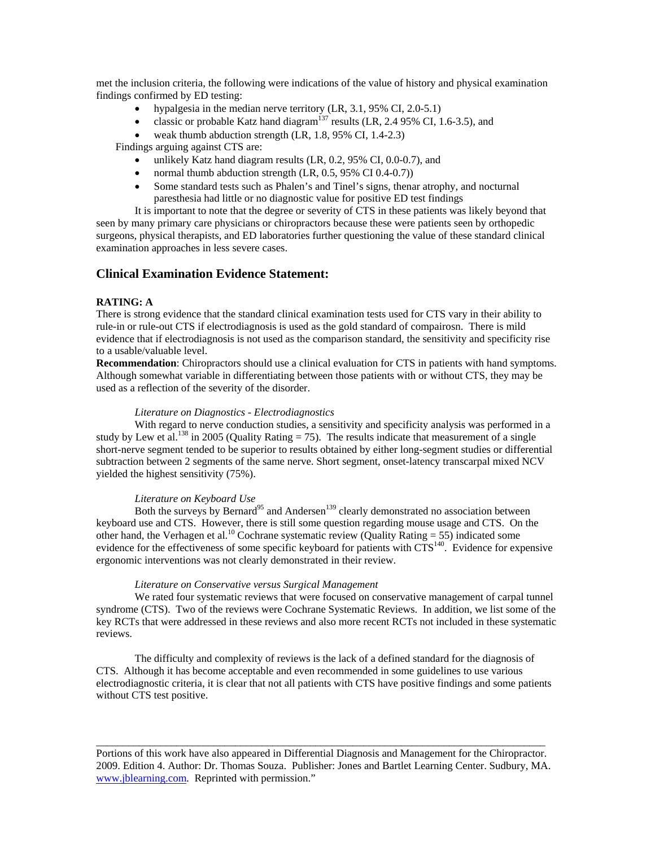met the inclusion criteria, the following were indications of the value of history and physical examination findings confirmed by ED testing:

- hypalgesia in the median nerve territory (LR, 3.1, 95% CI, 2.0-5.1)
- classic or probable Katz hand diagram<sup>137</sup> results (LR, 2.4 95% CI, 1.6-3.5), and
- weak thumb abduction strength  $(LR, 1.8, 95\% \text{ CI}, 1.4-2.3)$

Findings arguing against CTS are:

- unlikely Katz hand diagram results (LR, 0.2, 95% CI, 0.0-0.7), and
- normal thumb abduction strength  $(LR, 0.5, 95\% \text{ CI } 0.4-0.7)$ )
- Some standard tests such as Phalen's and Tinel's signs, thenar atrophy, and nocturnal paresthesia had little or no diagnostic value for positive ED test findings

It is important to note that the degree or severity of CTS in these patients was likely beyond that seen by many primary care physicians or chiropractors because these were patients seen by orthopedic surgeons, physical therapists, and ED laboratories further questioning the value of these standard clinical examination approaches in less severe cases.

## **Clinical Examination Evidence Statement:**

#### **RATING: A**

There is strong evidence that the standard clinical examination tests used for CTS vary in their ability to rule-in or rule-out CTS if electrodiagnosis is used as the gold standard of compairosn. There is mild evidence that if electrodiagnosis is not used as the comparison standard, the sensitivity and specificity rise to a usable/valuable level.

**Recommendation**: Chiropractors should use a clinical evaluation for CTS in patients with hand symptoms. Although somewhat variable in differentiating between those patients with or without CTS, they may be used as a reflection of the severity of the disorder.

#### *Literature on Diagnostics - Electrodiagnostics*

With regard to nerve conduction studies, a sensitivity and specificity analysis was performed in a study by Lew et al.<sup>138</sup> in 2005 (Quality Rating = 75). The results indicate that measurement of a single short-nerve segment tended to be superior to results obtained by either long-segment studies or differential subtraction between 2 segments of the same nerve. Short segment, onset-latency transcarpal mixed NCV yielded the highest sensitivity (75%).

#### *Literature on Keyboard Use*

Both the surveys by Bernard<sup>95</sup> and Andersen<sup>139</sup> clearly demonstrated no association between keyboard use and CTS. However, there is still some question regarding mouse usage and CTS. On the other hand, the Verhagen et al.<sup>10</sup> Cochrane systematic review (Quality Rating = 55) indicated some evidence for the effectiveness of some specific keyboard for patients with  $\overline{CS}^{140}$ . Evidence for expensive ergonomic interventions was not clearly demonstrated in their review.

#### *Literature on Conservative versus Surgical Management*

We rated four systematic reviews that were focused on conservative management of carpal tunnel syndrome (CTS). Two of the reviews were Cochrane Systematic Reviews. In addition, we list some of the key RCTs that were addressed in these reviews and also more recent RCTs not included in these systematic reviews.

The difficulty and complexity of reviews is the lack of a defined standard for the diagnosis of CTS. Although it has become acceptable and even recommended in some guidelines to use various electrodiagnostic criteria, it is clear that not all patients with CTS have positive findings and some patients without CTS test positive.

Portions of this work have also appeared in Differential Diagnosis and Management for the Chiropractor. 2009. Edition 4. Author: Dr. Thomas Souza. Publisher: Jones and Bartlet Learning Center. Sudbury, MA. www.jblearning.com. Reprinted with permission."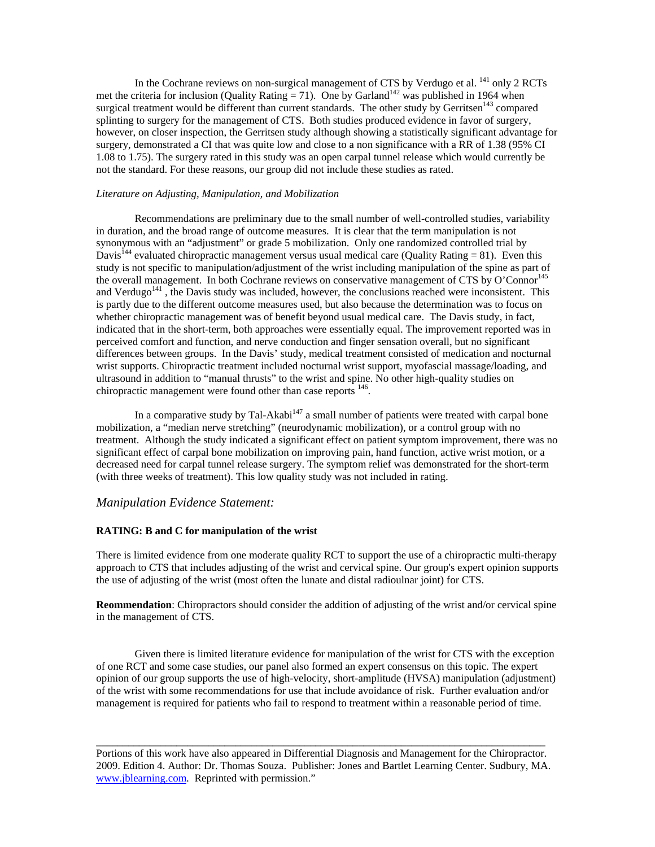In the Cochrane reviews on non-surgical management of CTS by Verdugo et al. <sup>141</sup> only 2 RCTs met the criteria for inclusion (Quality Rating = 71). One by Garland<sup>142</sup> was published in 1964 when surgical treatment would be different than current standards. The other study by Gerritsen<sup>143</sup> compared splinting to surgery for the management of CTS. Both studies produced evidence in favor of surgery, however, on closer inspection, the Gerritsen study although showing a statistically significant advantage for surgery, demonstrated a CI that was quite low and close to a non significance with a RR of 1.38 (95% CI 1.08 to 1.75). The surgery rated in this study was an open carpal tunnel release which would currently be not the standard. For these reasons, our group did not include these studies as rated.

#### *Literature on Adjusting, Manipulation, and Mobilization*

Recommendations are preliminary due to the small number of well-controlled studies, variability in duration, and the broad range of outcome measures. It is clear that the term manipulation is not synonymous with an "adjustment" or grade 5 mobilization. Only one randomized controlled trial by Davis<sup>144</sup> evaluated chiropractic management versus usual medical care (Quality Rating = 81). Even this study is not specific to manipulation/adjustment of the wrist including manipulation of the spine as part of the overall management. In both Cochrane reviews on conservative management of CTS by O'Connor<sup>145</sup> and Verdugo<sup>141</sup>, the Davis study was included, however, the conclusions reached were inconsistent. This is partly due to the different outcome measures used, but also because the determination was to focus on whether chiropractic management was of benefit beyond usual medical care. The Davis study, in fact, indicated that in the short-term, both approaches were essentially equal. The improvement reported was in perceived comfort and function, and nerve conduction and finger sensation overall, but no significant differences between groups. In the Davis' study, medical treatment consisted of medication and nocturnal wrist supports. Chiropractic treatment included nocturnal wrist support, myofascial massage/loading, and ultrasound in addition to "manual thrusts" to the wrist and spine. No other high-quality studies on chiropractic management were found other than case reports <sup>146</sup>.

In a comparative study by Tal-Akabi $147$  a small number of patients were treated with carpal bone mobilization, a "median nerve stretching" (neurodynamic mobilization), or a control group with no treatment. Although the study indicated a significant effect on patient symptom improvement, there was no significant effect of carpal bone mobilization on improving pain, hand function, active wrist motion, or a decreased need for carpal tunnel release surgery. The symptom relief was demonstrated for the short-term (with three weeks of treatment). This low quality study was not included in rating.

#### *Manipulation Evidence Statement:*

#### **RATING: B and C for manipulation of the wrist**

There is limited evidence from one moderate quality RCT to support the use of a chiropractic multi-therapy approach to CTS that includes adjusting of the wrist and cervical spine. Our group's expert opinion supports the use of adjusting of the wrist (most often the lunate and distal radioulnar joint) for CTS.

**Reommendation**: Chiropractors should consider the addition of adjusting of the wrist and/or cervical spine in the management of CTS.

Given there is limited literature evidence for manipulation of the wrist for CTS with the exception of one RCT and some case studies, our panel also formed an expert consensus on this topic. The expert opinion of our group supports the use of high-velocity, short-amplitude (HVSA) manipulation (adjustment) of the wrist with some recommendations for use that include avoidance of risk. Further evaluation and/or management is required for patients who fail to respond to treatment within a reasonable period of time.

Portions of this work have also appeared in Differential Diagnosis and Management for the Chiropractor. 2009. Edition 4. Author: Dr. Thomas Souza. Publisher: Jones and Bartlet Learning Center. Sudbury, MA. www.jblearning.com. Reprinted with permission."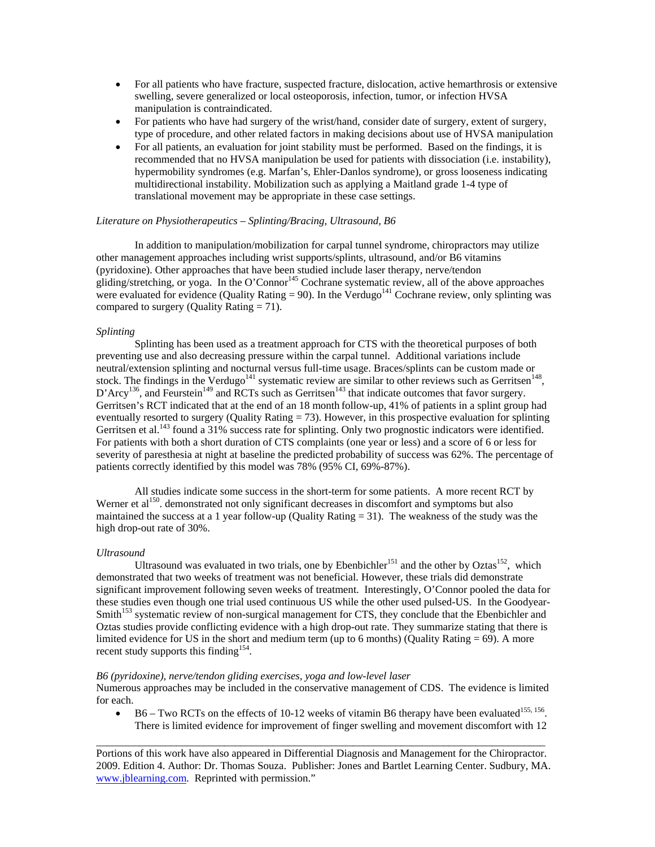- For all patients who have fracture, suspected fracture, dislocation, active hemarthrosis or extensive swelling, severe generalized or local osteoporosis, infection, tumor, or infection HVSA manipulation is contraindicated.
- For patients who have had surgery of the wrist/hand, consider date of surgery, extent of surgery, type of procedure, and other related factors in making decisions about use of HVSA manipulation
- For all patients, an evaluation for joint stability must be performed. Based on the findings, it is recommended that no HVSA manipulation be used for patients with dissociation (i.e. instability), hypermobility syndromes (e.g. Marfan's, Ehler-Danlos syndrome), or gross looseness indicating multidirectional instability. Mobilization such as applying a Maitland grade 1-4 type of translational movement may be appropriate in these case settings.

#### *Literature on Physiotherapeutics – Splinting/Bracing, Ultrasound, B6*

In addition to manipulation/mobilization for carpal tunnel syndrome, chiropractors may utilize other management approaches including wrist supports/splints, ultrasound, and/or B6 vitamins (pyridoxine). Other approaches that have been studied include laser therapy, nerve/tendon gliding/stretching, or yoga. In the O'Connor<sup>145</sup> Cochrane systematic review, all of the above approaches were evaluated for evidence (Quality Rating = 90). In the Verdugo<sup>141</sup> Cochrane review, only splinting was compared to surgery (Quality Rating  $= 71$ ).

#### *Splinting*

Splinting has been used as a treatment approach for CTS with the theoretical purposes of both preventing use and also decreasing pressure within the carpal tunnel. Additional variations include neutral/extension splinting and nocturnal versus full-time usage. Braces/splints can be custom made or stock. The findings in the Verdugo<sup>141</sup> systematic review are similar to other reviews such as Gerritsen<sup>148</sup>, D'Arcy<sup>136</sup>, and Feurstein<sup>149</sup> and RCTs such as Gerritsen<sup>143</sup> that indicate outcomes that favor surgery. Gerritsen's RCT indicated that at the end of an 18 month follow-up, 41% of patients in a splint group had eventually resorted to surgery (Quality Rating  $= 73$ ). However, in this prospective evaluation for splinting Gerritsen et al.<sup>143</sup> found a 31% success rate for splinting. Only two prognostic indicators were identified. For patients with both a short duration of CTS complaints (one year or less) and a score of 6 or less for severity of paresthesia at night at baseline the predicted probability of success was 62%. The percentage of patients correctly identified by this model was 78% (95% CI, 69%-87%).

All studies indicate some success in the short-term for some patients. A more recent RCT by Werner et  $al<sup>150</sup>$ , demonstrated not only significant decreases in discomfort and symptoms but also maintained the success at a 1 year follow-up (Quality Rating = 31). The weakness of the study was the high drop-out rate of 30%.

#### *Ultrasound*

Ultrasound was evaluated in two trials, one by Ebenbichler<sup>151</sup> and the other by Oztas<sup>152</sup>, which demonstrated that two weeks of treatment was not beneficial. However, these trials did demonstrate significant improvement following seven weeks of treatment. Interestingly, O'Connor pooled the data for these studies even though one trial used continuous US while the other used pulsed-US. In the Goodyear-Smith<sup>153</sup> systematic review of non-surgical management for CTS, they conclude that the Ebenbichler and Oztas studies provide conflicting evidence with a high drop-out rate. They summarize stating that there is limited evidence for US in the short and medium term (up to 6 months) (Quality Rating  $= 69$ ). A more recent study supports this finding<sup>154</sup>.

#### *B6 (pyridoxine), nerve/tendon gliding exercises, yoga and low-level laser*

Numerous approaches may be included in the conservative management of CDS. The evidence is limited for each.

 $\bullet$  B6 – Two RCTs on the effects of 10-12 weeks of vitamin B6 therapy have been evaluated<sup>155, 156</sup>. There is limited evidence for improvement of finger swelling and movement discomfort with 12

Portions of this work have also appeared in Differential Diagnosis and Management for the Chiropractor. 2009. Edition 4. Author: Dr. Thomas Souza. Publisher: Jones and Bartlet Learning Center. Sudbury, MA. www.jblearning.com. Reprinted with permission."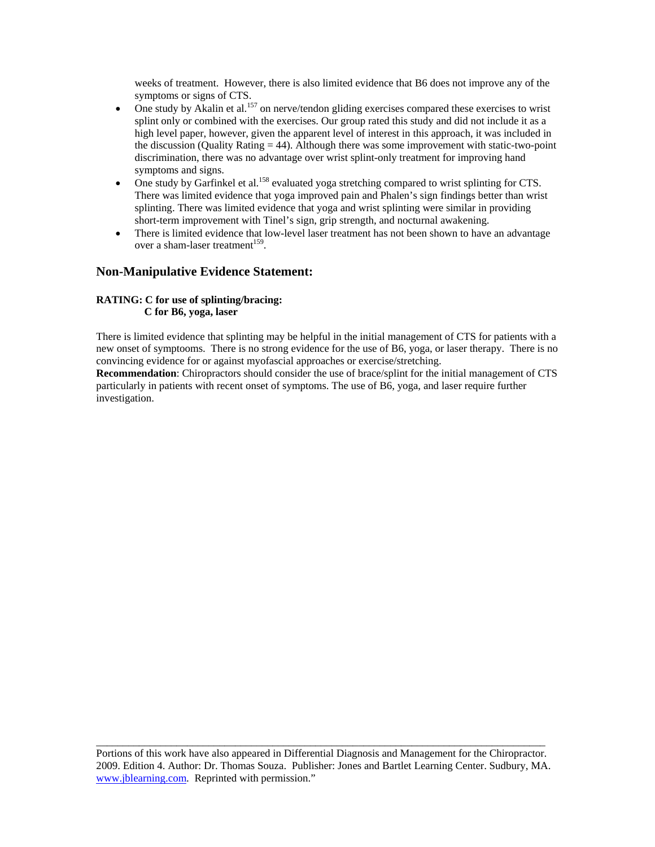weeks of treatment. However, there is also limited evidence that B6 does not improve any of the symptoms or signs of CTS.

- One study by Akalin et al.<sup>157</sup> on nerve/tendon gliding exercises compared these exercises to wrist splint only or combined with the exercises. Our group rated this study and did not include it as a high level paper, however, given the apparent level of interest in this approach, it was included in the discussion (Quality Rating = 44). Although there was some improvement with static-two-point discrimination, there was no advantage over wrist splint-only treatment for improving hand symptoms and signs.
- One study by Garfinkel et al.158 evaluated yoga stretching compared to wrist splinting for CTS. There was limited evidence that yoga improved pain and Phalen's sign findings better than wrist splinting. There was limited evidence that yoga and wrist splinting were similar in providing short-term improvement with Tinel's sign, grip strength, and nocturnal awakening.
- There is limited evidence that low-level laser treatment has not been shown to have an advantage over a sham-laser treatment<sup>159</sup>.

## **Non-Manipulative Evidence Statement:**

## **RATING: C for use of splinting/bracing: C for B6, yoga, laser**

There is limited evidence that splinting may be helpful in the initial management of CTS for patients with a new onset of symptooms. There is no strong evidence for the use of B6, yoga, or laser therapy. There is no convincing evidence for or against myofascial approaches or exercise/stretching.

**Recommendation**: Chiropractors should consider the use of brace/splint for the initial management of CTS particularly in patients with recent onset of symptoms. The use of B6, yoga, and laser require further investigation.

Portions of this work have also appeared in Differential Diagnosis and Management for the Chiropractor. 2009. Edition 4. Author: Dr. Thomas Souza. Publisher: Jones and Bartlet Learning Center. Sudbury, MA. www.jblearning.com. Reprinted with permission."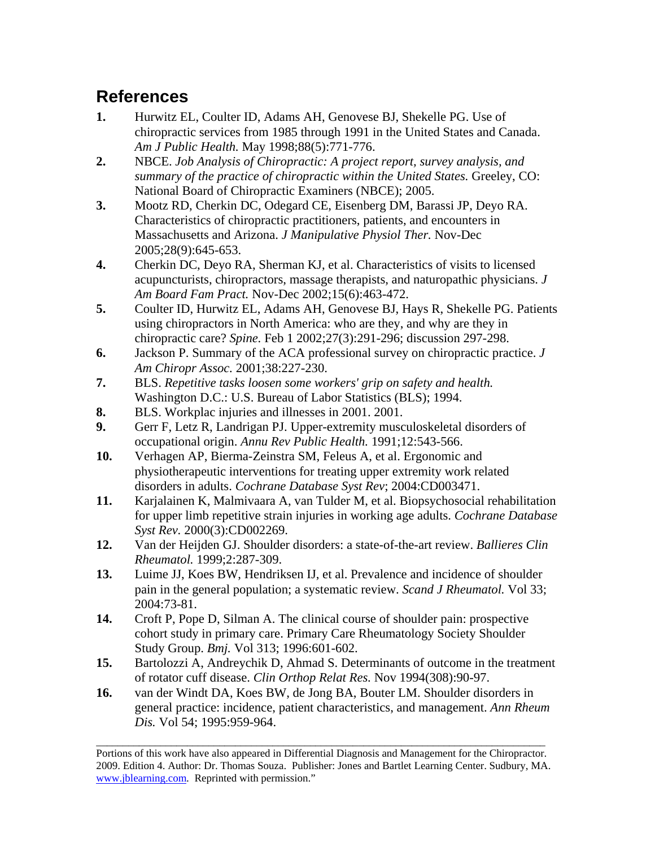# **References**

- **1.** Hurwitz EL, Coulter ID, Adams AH, Genovese BJ, Shekelle PG. Use of chiropractic services from 1985 through 1991 in the United States and Canada. *Am J Public Health.* May 1998;88(5):771-776.
- **2.** NBCE. *Job Analysis of Chiropractic: A project report, survey analysis, and summary of the practice of chiropractic within the United States.* Greeley, CO: National Board of Chiropractic Examiners (NBCE); 2005.
- **3.** Mootz RD, Cherkin DC, Odegard CE, Eisenberg DM, Barassi JP, Deyo RA. Characteristics of chiropractic practitioners, patients, and encounters in Massachusetts and Arizona. *J Manipulative Physiol Ther.* Nov-Dec 2005;28(9):645-653.
- **4.** Cherkin DC, Deyo RA, Sherman KJ, et al. Characteristics of visits to licensed acupuncturists, chiropractors, massage therapists, and naturopathic physicians. *J Am Board Fam Pract.* Nov-Dec 2002;15(6):463-472.
- **5.** Coulter ID, Hurwitz EL, Adams AH, Genovese BJ, Hays R, Shekelle PG. Patients using chiropractors in North America: who are they, and why are they in chiropractic care? *Spine.* Feb 1 2002;27(3):291-296; discussion 297-298.
- **6.** Jackson P. Summary of the ACA professional survey on chiropractic practice. *J Am Chiropr Assoc.* 2001;38:227-230.
- **7.** BLS. *Repetitive tasks loosen some workers' grip on safety and health.* Washington D.C.: U.S. Bureau of Labor Statistics (BLS); 1994.
- **8.** BLS. Workplac injuries and illnesses in 2001. 2001.
- **9.** Gerr F, Letz R, Landrigan PJ. Upper-extremity musculoskeletal disorders of occupational origin. *Annu Rev Public Health.* 1991;12:543-566.
- **10.** Verhagen AP, Bierma-Zeinstra SM, Feleus A, et al. Ergonomic and physiotherapeutic interventions for treating upper extremity work related disorders in adults. *Cochrane Database Syst Rev*; 2004:CD003471.
- **11.** Karjalainen K, Malmivaara A, van Tulder M, et al. Biopsychosocial rehabilitation for upper limb repetitive strain injuries in working age adults. *Cochrane Database Syst Rev.* 2000(3):CD002269.
- **12.** Van der Heijden GJ. Shoulder disorders: a state-of-the-art review. *Ballieres Clin Rheumatol.* 1999;2:287-309.
- **13.** Luime JJ, Koes BW, Hendriksen IJ, et al. Prevalence and incidence of shoulder pain in the general population; a systematic review. *Scand J Rheumatol.* Vol 33; 2004:73-81.
- **14.** Croft P, Pope D, Silman A. The clinical course of shoulder pain: prospective cohort study in primary care. Primary Care Rheumatology Society Shoulder Study Group. *Bmj.* Vol 313; 1996:601-602.
- **15.** Bartolozzi A, Andreychik D, Ahmad S. Determinants of outcome in the treatment of rotator cuff disease. *Clin Orthop Relat Res.* Nov 1994(308):90-97.
- **16.** van der Windt DA, Koes BW, de Jong BA, Bouter LM. Shoulder disorders in general practice: incidence, patient characteristics, and management. *Ann Rheum Dis.* Vol 54; 1995:959-964.

Portions of this work have also appeared in Differential Diagnosis and Management for the Chiropractor. 2009. Edition 4. Author: Dr. Thomas Souza. Publisher: Jones and Bartlet Learning Center. Sudbury, MA. www.jblearning.com. Reprinted with permission."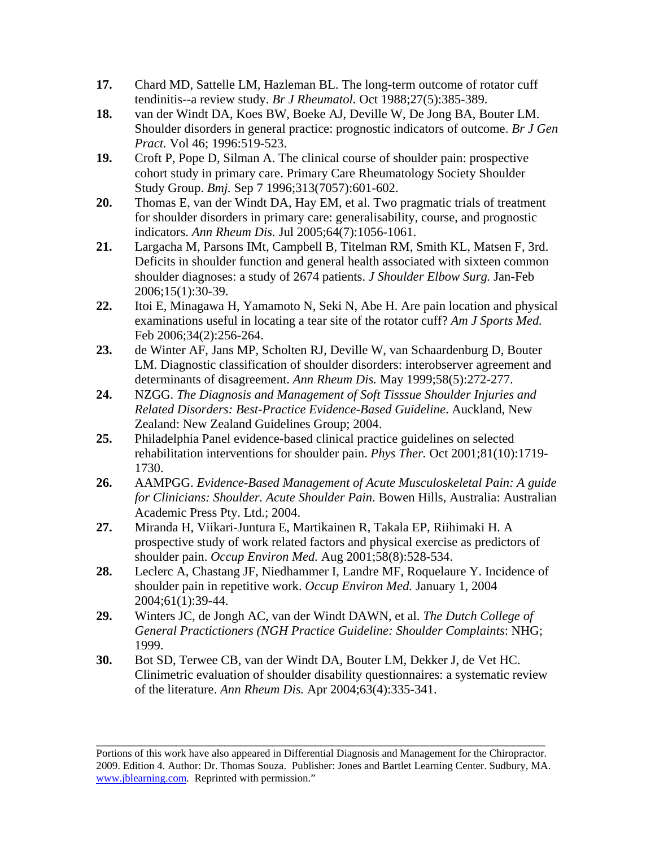- **17.** Chard MD, Sattelle LM, Hazleman BL. The long-term outcome of rotator cuff tendinitis--a review study. *Br J Rheumatol.* Oct 1988;27(5):385-389.
- **18.** van der Windt DA, Koes BW, Boeke AJ, Deville W, De Jong BA, Bouter LM. Shoulder disorders in general practice: prognostic indicators of outcome. *Br J Gen Pract.* Vol 46; 1996:519-523.
- **19.** Croft P, Pope D, Silman A. The clinical course of shoulder pain: prospective cohort study in primary care. Primary Care Rheumatology Society Shoulder Study Group. *Bmj.* Sep 7 1996;313(7057):601-602.
- **20.** Thomas E, van der Windt DA, Hay EM, et al. Two pragmatic trials of treatment for shoulder disorders in primary care: generalisability, course, and prognostic indicators. *Ann Rheum Dis.* Jul 2005;64(7):1056-1061.
- **21.** Largacha M, Parsons IMt, Campbell B, Titelman RM, Smith KL, Matsen F, 3rd. Deficits in shoulder function and general health associated with sixteen common shoulder diagnoses: a study of 2674 patients. *J Shoulder Elbow Surg.* Jan-Feb 2006;15(1):30-39.
- **22.** Itoi E, Minagawa H, Yamamoto N, Seki N, Abe H. Are pain location and physical examinations useful in locating a tear site of the rotator cuff? *Am J Sports Med.*  Feb 2006;34(2):256-264.
- **23.** de Winter AF, Jans MP, Scholten RJ, Deville W, van Schaardenburg D, Bouter LM. Diagnostic classification of shoulder disorders: interobserver agreement and determinants of disagreement. *Ann Rheum Dis.* May 1999;58(5):272-277.
- **24.** NZGG. *The Diagnosis and Management of Soft Tisssue Shoulder Injuries and Related Disorders: Best-Practice Evidence-Based Guideline*. Auckland, New Zealand: New Zealand Guidelines Group; 2004.
- **25.** Philadelphia Panel evidence-based clinical practice guidelines on selected rehabilitation interventions for shoulder pain. *Phys Ther.* Oct 2001;81(10):1719- 1730.
- **26.** AAMPGG. *Evidence-Based Management of Acute Musculoskeletal Pain: A guide for Clinicians: Shoulder. Acute Shoulder Pain*. Bowen Hills, Australia: Australian Academic Press Pty. Ltd.; 2004.
- **27.** Miranda H, Viikari-Juntura E, Martikainen R, Takala EP, Riihimaki H. A prospective study of work related factors and physical exercise as predictors of shoulder pain. *Occup Environ Med.* Aug 2001;58(8):528-534.
- **28.** Leclerc A, Chastang JF, Niedhammer I, Landre MF, Roquelaure Y. Incidence of shoulder pain in repetitive work. *Occup Environ Med.* January 1, 2004 2004;61(1):39-44.
- **29.** Winters JC, de Jongh AC, van der Windt DAWN, et al. *The Dutch College of General Practictioners (NGH Practice Guideline: Shoulder Complaints*: NHG; 1999.
- **30.** Bot SD, Terwee CB, van der Windt DA, Bouter LM, Dekker J, de Vet HC. Clinimetric evaluation of shoulder disability questionnaires: a systematic review of the literature. *Ann Rheum Dis.* Apr 2004;63(4):335-341.

Portions of this work have also appeared in Differential Diagnosis and Management for the Chiropractor. 2009. Edition 4. Author: Dr. Thomas Souza. Publisher: Jones and Bartlet Learning Center. Sudbury, MA. www.jblearning.com. Reprinted with permission."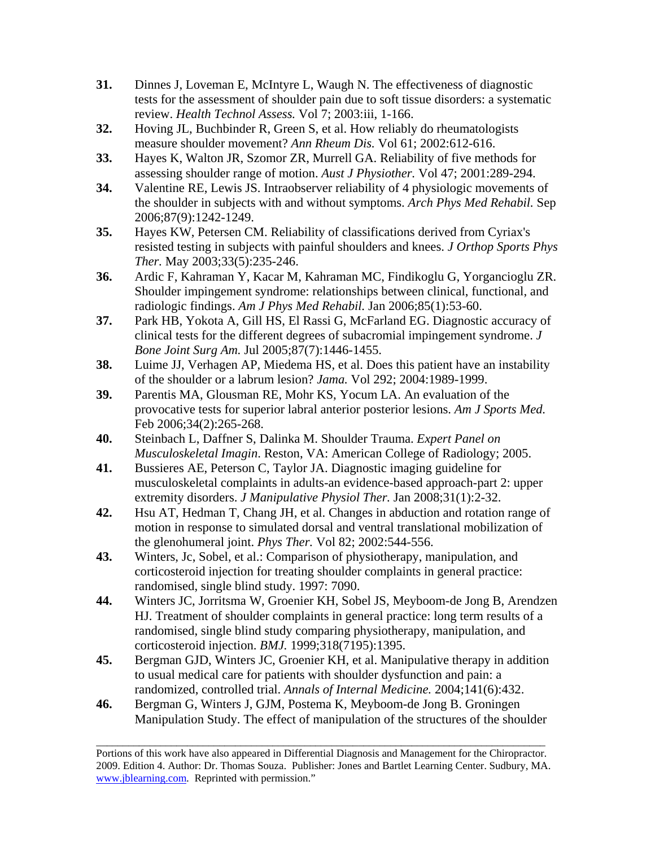- **31.** Dinnes J, Loveman E, McIntyre L, Waugh N. The effectiveness of diagnostic tests for the assessment of shoulder pain due to soft tissue disorders: a systematic review. *Health Technol Assess.* Vol 7; 2003:iii, 1-166.
- **32.** Hoving JL, Buchbinder R, Green S, et al. How reliably do rheumatologists measure shoulder movement? *Ann Rheum Dis.* Vol 61; 2002:612-616.
- **33.** Hayes K, Walton JR, Szomor ZR, Murrell GA. Reliability of five methods for assessing shoulder range of motion. *Aust J Physiother.* Vol 47; 2001:289-294.
- **34.** Valentine RE, Lewis JS. Intraobserver reliability of 4 physiologic movements of the shoulder in subjects with and without symptoms. *Arch Phys Med Rehabil.* Sep 2006;87(9):1242-1249.
- **35.** Hayes KW, Petersen CM. Reliability of classifications derived from Cyriax's resisted testing in subjects with painful shoulders and knees. *J Orthop Sports Phys Ther.* May 2003;33(5):235-246.
- **36.** Ardic F, Kahraman Y, Kacar M, Kahraman MC, Findikoglu G, Yorgancioglu ZR. Shoulder impingement syndrome: relationships between clinical, functional, and radiologic findings. *Am J Phys Med Rehabil.* Jan 2006;85(1):53-60.
- **37.** Park HB, Yokota A, Gill HS, El Rassi G, McFarland EG. Diagnostic accuracy of clinical tests for the different degrees of subacromial impingement syndrome. *J Bone Joint Surg Am.* Jul 2005;87(7):1446-1455.
- **38.** Luime JJ, Verhagen AP, Miedema HS, et al. Does this patient have an instability of the shoulder or a labrum lesion? *Jama.* Vol 292; 2004:1989-1999.
- **39.** Parentis MA, Glousman RE, Mohr KS, Yocum LA. An evaluation of the provocative tests for superior labral anterior posterior lesions. *Am J Sports Med.*  Feb 2006;34(2):265-268.
- **40.** Steinbach L, Daffner S, Dalinka M. Shoulder Trauma. *Expert Panel on Musculoskeletal Imagin*. Reston, VA: American College of Radiology; 2005.
- **41.** Bussieres AE, Peterson C, Taylor JA. Diagnostic imaging guideline for musculoskeletal complaints in adults-an evidence-based approach-part 2: upper extremity disorders. *J Manipulative Physiol Ther.* Jan 2008;31(1):2-32.
- **42.** Hsu AT, Hedman T, Chang JH, et al. Changes in abduction and rotation range of motion in response to simulated dorsal and ventral translational mobilization of the glenohumeral joint. *Phys Ther.* Vol 82; 2002:544-556.
- **43.** Winters, Jc, Sobel, et al.: Comparison of physiotherapy, manipulation, and corticosteroid injection for treating shoulder complaints in general practice: randomised, single blind study. 1997: 7090.
- **44.** Winters JC, Jorritsma W, Groenier KH, Sobel JS, Meyboom-de Jong B, Arendzen HJ. Treatment of shoulder complaints in general practice: long term results of a randomised, single blind study comparing physiotherapy, manipulation, and corticosteroid injection. *BMJ.* 1999;318(7195):1395.
- **45.** Bergman GJD, Winters JC, Groenier KH, et al. Manipulative therapy in addition to usual medical care for patients with shoulder dysfunction and pain: a randomized, controlled trial. *Annals of Internal Medicine.* 2004;141(6):432.
- **46.** Bergman G, Winters J, GJM, Postema K, Meyboom-de Jong B. Groningen Manipulation Study. The effect of manipulation of the structures of the shoulder

Portions of this work have also appeared in Differential Diagnosis and Management for the Chiropractor. 2009. Edition 4. Author: Dr. Thomas Souza. Publisher: Jones and Bartlet Learning Center. Sudbury, MA. www.jblearning.com. Reprinted with permission."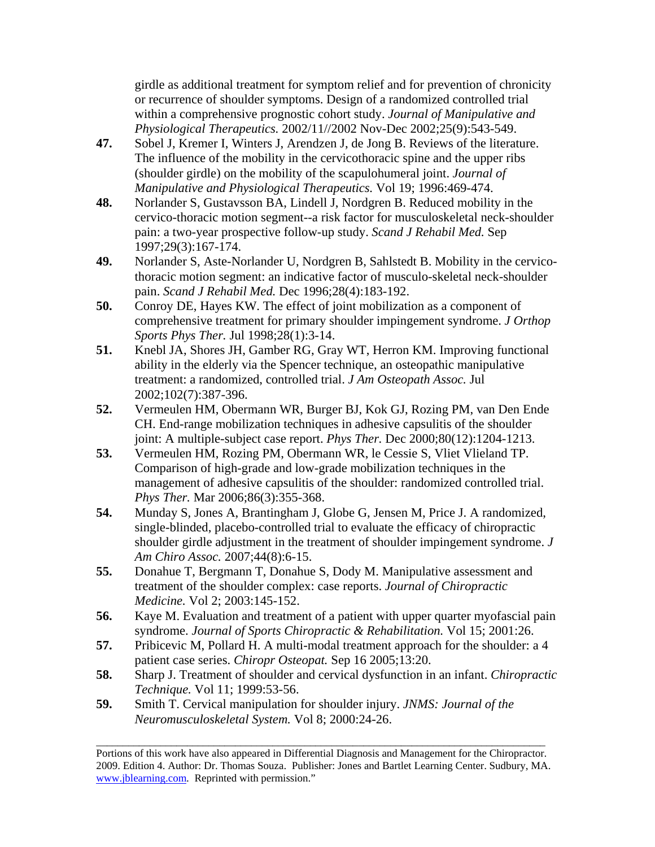girdle as additional treatment for symptom relief and for prevention of chronicity or recurrence of shoulder symptoms. Design of a randomized controlled trial within a comprehensive prognostic cohort study. *Journal of Manipulative and Physiological Therapeutics.* 2002/11//2002 Nov-Dec 2002;25(9):543-549.

- **47.** Sobel J, Kremer I, Winters J, Arendzen J, de Jong B. Reviews of the literature. The influence of the mobility in the cervicothoracic spine and the upper ribs (shoulder girdle) on the mobility of the scapulohumeral joint. *Journal of Manipulative and Physiological Therapeutics.* Vol 19; 1996:469-474.
- **48.** Norlander S, Gustavsson BA, Lindell J, Nordgren B. Reduced mobility in the cervico-thoracic motion segment--a risk factor for musculoskeletal neck-shoulder pain: a two-year prospective follow-up study. *Scand J Rehabil Med.* Sep 1997;29(3):167-174.
- **49.** Norlander S, Aste-Norlander U, Nordgren B, Sahlstedt B. Mobility in the cervicothoracic motion segment: an indicative factor of musculo-skeletal neck-shoulder pain. *Scand J Rehabil Med.* Dec 1996;28(4):183-192.
- **50.** Conroy DE, Hayes KW. The effect of joint mobilization as a component of comprehensive treatment for primary shoulder impingement syndrome. *J Orthop Sports Phys Ther.* Jul 1998;28(1):3-14.
- **51.** Knebl JA, Shores JH, Gamber RG, Gray WT, Herron KM. Improving functional ability in the elderly via the Spencer technique, an osteopathic manipulative treatment: a randomized, controlled trial. *J Am Osteopath Assoc.* Jul 2002;102(7):387-396.
- **52.** Vermeulen HM, Obermann WR, Burger BJ, Kok GJ, Rozing PM, van Den Ende CH. End-range mobilization techniques in adhesive capsulitis of the shoulder joint: A multiple-subject case report. *Phys Ther.* Dec 2000;80(12):1204-1213.
- **53.** Vermeulen HM, Rozing PM, Obermann WR, le Cessie S, Vliet Vlieland TP. Comparison of high-grade and low-grade mobilization techniques in the management of adhesive capsulitis of the shoulder: randomized controlled trial. *Phys Ther.* Mar 2006;86(3):355-368.
- **54.** Munday S, Jones A, Brantingham J, Globe G, Jensen M, Price J. A randomized, single-blinded, placebo-controlled trial to evaluate the efficacy of chiropractic shoulder girdle adjustment in the treatment of shoulder impingement syndrome. *J Am Chiro Assoc.* 2007;44(8):6-15.
- **55.** Donahue T, Bergmann T, Donahue S, Dody M. Manipulative assessment and treatment of the shoulder complex: case reports. *Journal of Chiropractic Medicine.* Vol 2; 2003:145-152.
- **56.** Kaye M. Evaluation and treatment of a patient with upper quarter myofascial pain syndrome. *Journal of Sports Chiropractic & Rehabilitation.* Vol 15; 2001:26.
- **57.** Pribicevic M, Pollard H. A multi-modal treatment approach for the shoulder: a 4 patient case series. *Chiropr Osteopat.* Sep 16 2005;13:20.
- **58.** Sharp J. Treatment of shoulder and cervical dysfunction in an infant. *Chiropractic Technique.* Vol 11; 1999:53-56.
- **59.** Smith T. Cervical manipulation for shoulder injury. *JNMS: Journal of the Neuromusculoskeletal System.* Vol 8; 2000:24-26.

Portions of this work have also appeared in Differential Diagnosis and Management for the Chiropractor. 2009. Edition 4. Author: Dr. Thomas Souza. Publisher: Jones and Bartlet Learning Center. Sudbury, MA. www.jblearning.com. Reprinted with permission."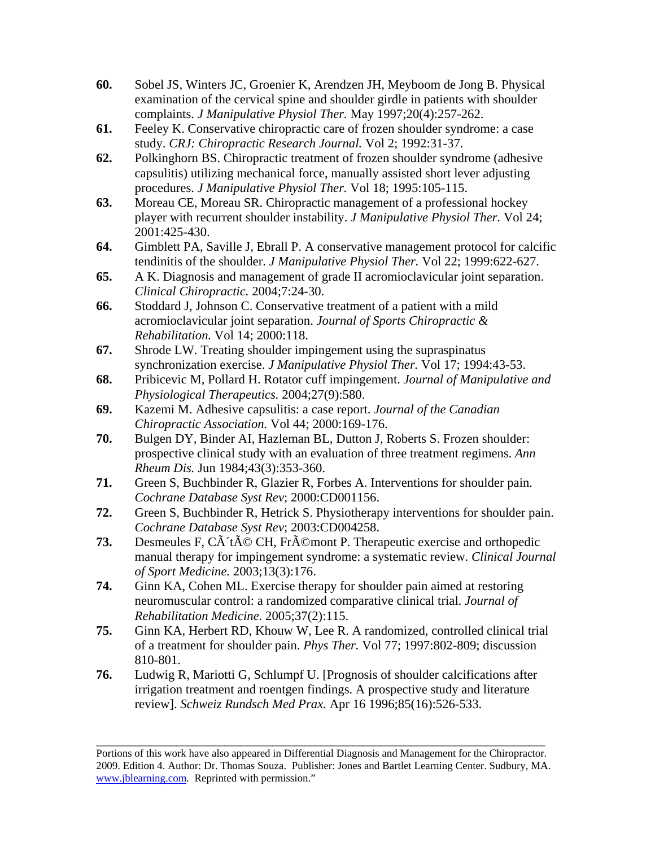- **60.** Sobel JS, Winters JC, Groenier K, Arendzen JH, Meyboom de Jong B. Physical examination of the cervical spine and shoulder girdle in patients with shoulder complaints. *J Manipulative Physiol Ther.* May 1997;20(4):257-262.
- **61.** Feeley K. Conservative chiropractic care of frozen shoulder syndrome: a case study. *CRJ: Chiropractic Research Journal.* Vol 2; 1992:31-37.
- **62.** Polkinghorn BS. Chiropractic treatment of frozen shoulder syndrome (adhesive capsulitis) utilizing mechanical force, manually assisted short lever adjusting procedures. *J Manipulative Physiol Ther.* Vol 18; 1995:105-115.
- **63.** Moreau CE, Moreau SR. Chiropractic management of a professional hockey player with recurrent shoulder instability. *J Manipulative Physiol Ther.* Vol 24; 2001:425-430.
- **64.** Gimblett PA, Saville J, Ebrall P. A conservative management protocol for calcific tendinitis of the shoulder. *J Manipulative Physiol Ther.* Vol 22; 1999:622-627.
- **65.** A K. Diagnosis and management of grade II acromioclavicular joint separation. *Clinical Chiropractic.* 2004;7:24-30.
- **66.** Stoddard J, Johnson C. Conservative treatment of a patient with a mild acromioclavicular joint separation. *Journal of Sports Chiropractic & Rehabilitation.* Vol 14; 2000:118.
- **67.** Shrode LW. Treating shoulder impingement using the supraspinatus synchronization exercise. *J Manipulative Physiol Ther.* Vol 17; 1994:43-53.
- **68.** Pribicevic M, Pollard H. Rotator cuff impingement. *Journal of Manipulative and Physiological Therapeutics.* 2004;27(9):580.
- **69.** Kazemi M. Adhesive capsulitis: a case report. *Journal of the Canadian Chiropractic Association.* Vol 44; 2000:169-176.
- **70.** Bulgen DY, Binder AI, Hazleman BL, Dutton J, Roberts S. Frozen shoulder: prospective clinical study with an evaluation of three treatment regimens. *Ann Rheum Dis.* Jun 1984;43(3):353-360.
- **71.** Green S, Buchbinder R, Glazier R, Forbes A. Interventions for shoulder pain. *Cochrane Database Syst Rev*; 2000:CD001156.
- **72.** Green S, Buchbinder R, Hetrick S. Physiotherapy interventions for shoulder pain. *Cochrane Database Syst Rev*; 2003:CD004258.
- **73.** Desmeules F,  $C\tilde{A}^{\dagger}$   $\tilde{A} \odot$  CH, Fr $\tilde{A} \odot$  mont P. Therapeutic exercise and orthopedic manual therapy for impingement syndrome: a systematic review. *Clinical Journal of Sport Medicine.* 2003;13(3):176.
- **74.** Ginn KA, Cohen ML. Exercise therapy for shoulder pain aimed at restoring neuromuscular control: a randomized comparative clinical trial. *Journal of Rehabilitation Medicine.* 2005;37(2):115.
- **75.** Ginn KA, Herbert RD, Khouw W, Lee R. A randomized, controlled clinical trial of a treatment for shoulder pain. *Phys Ther.* Vol 77; 1997:802-809; discussion 810-801.
- **76.** Ludwig R, Mariotti G, Schlumpf U. [Prognosis of shoulder calcifications after irrigation treatment and roentgen findings. A prospective study and literature review]. *Schweiz Rundsch Med Prax.* Apr 16 1996;85(16):526-533.

Portions of this work have also appeared in Differential Diagnosis and Management for the Chiropractor. 2009. Edition 4. Author: Dr. Thomas Souza. Publisher: Jones and Bartlet Learning Center. Sudbury, MA. www.jblearning.com. Reprinted with permission."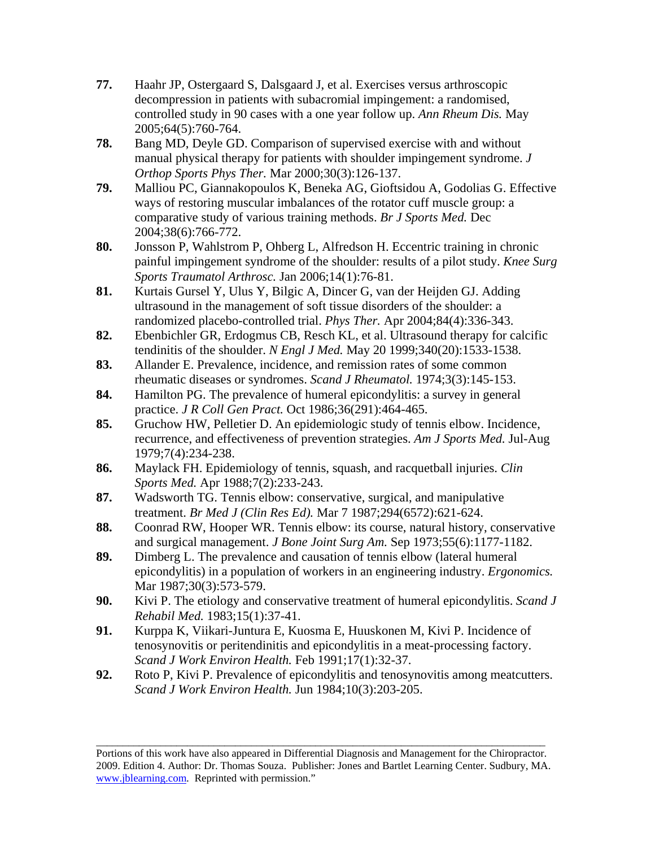- **77.** Haahr JP, Ostergaard S, Dalsgaard J, et al. Exercises versus arthroscopic decompression in patients with subacromial impingement: a randomised, controlled study in 90 cases with a one year follow up. *Ann Rheum Dis.* May 2005;64(5):760-764.
- **78.** Bang MD, Deyle GD. Comparison of supervised exercise with and without manual physical therapy for patients with shoulder impingement syndrome. *J Orthop Sports Phys Ther.* Mar 2000;30(3):126-137.
- **79.** Malliou PC, Giannakopoulos K, Beneka AG, Gioftsidou A, Godolias G. Effective ways of restoring muscular imbalances of the rotator cuff muscle group: a comparative study of various training methods. *Br J Sports Med.* Dec 2004;38(6):766-772.
- **80.** Jonsson P, Wahlstrom P, Ohberg L, Alfredson H. Eccentric training in chronic painful impingement syndrome of the shoulder: results of a pilot study. *Knee Surg Sports Traumatol Arthrosc.* Jan 2006;14(1):76-81.
- **81.** Kurtais Gursel Y, Ulus Y, Bilgic A, Dincer G, van der Heijden GJ. Adding ultrasound in the management of soft tissue disorders of the shoulder: a randomized placebo-controlled trial. *Phys Ther.* Apr 2004;84(4):336-343.
- **82.** Ebenbichler GR, Erdogmus CB, Resch KL, et al. Ultrasound therapy for calcific tendinitis of the shoulder. *N Engl J Med.* May 20 1999;340(20):1533-1538.
- **83.** Allander E. Prevalence, incidence, and remission rates of some common rheumatic diseases or syndromes. *Scand J Rheumatol.* 1974;3(3):145-153.
- **84.** Hamilton PG. The prevalence of humeral epicondylitis: a survey in general practice. *J R Coll Gen Pract.* Oct 1986;36(291):464-465.
- **85.** Gruchow HW, Pelletier D. An epidemiologic study of tennis elbow. Incidence, recurrence, and effectiveness of prevention strategies. *Am J Sports Med.* Jul-Aug 1979;7(4):234-238.
- **86.** Maylack FH. Epidemiology of tennis, squash, and racquetball injuries. *Clin Sports Med.* Apr 1988;7(2):233-243.
- **87.** Wadsworth TG. Tennis elbow: conservative, surgical, and manipulative treatment. *Br Med J (Clin Res Ed).* Mar 7 1987;294(6572):621-624.
- **88.** Coonrad RW, Hooper WR. Tennis elbow: its course, natural history, conservative and surgical management. *J Bone Joint Surg Am.* Sep 1973;55(6):1177-1182.
- **89.** Dimberg L. The prevalence and causation of tennis elbow (lateral humeral epicondylitis) in a population of workers in an engineering industry. *Ergonomics.*  Mar 1987;30(3):573-579.
- **90.** Kivi P. The etiology and conservative treatment of humeral epicondylitis. *Scand J Rehabil Med.* 1983;15(1):37-41.
- **91.** Kurppa K, Viikari-Juntura E, Kuosma E, Huuskonen M, Kivi P. Incidence of tenosynovitis or peritendinitis and epicondylitis in a meat-processing factory. *Scand J Work Environ Health.* Feb 1991;17(1):32-37.
- **92.** Roto P, Kivi P. Prevalence of epicondylitis and tenosynovitis among meatcutters. *Scand J Work Environ Health.* Jun 1984;10(3):203-205.

Portions of this work have also appeared in Differential Diagnosis and Management for the Chiropractor. 2009. Edition 4. Author: Dr. Thomas Souza. Publisher: Jones and Bartlet Learning Center. Sudbury, MA. www.jblearning.com. Reprinted with permission."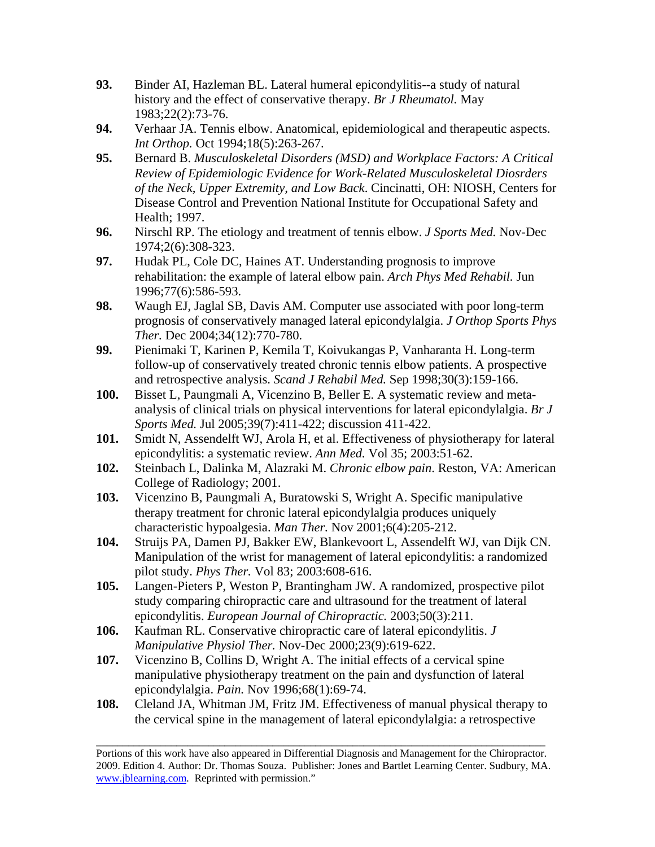- **93.** Binder AI, Hazleman BL. Lateral humeral epicondylitis--a study of natural history and the effect of conservative therapy. *Br J Rheumatol.* May 1983;22(2):73-76.
- **94.** Verhaar JA. Tennis elbow. Anatomical, epidemiological and therapeutic aspects. *Int Orthop.* Oct 1994;18(5):263-267.
- **95.** Bernard B. *Musculoskeletal Disorders (MSD) and Workplace Factors: A Critical Review of Epidemiologic Evidence for Work-Related Musculoskeletal Diosrders of the Neck, Upper Extremity, and Low Back*. Cincinatti, OH: NIOSH, Centers for Disease Control and Prevention National Institute for Occupational Safety and Health; 1997.
- **96.** Nirschl RP. The etiology and treatment of tennis elbow. *J Sports Med.* Nov-Dec 1974;2(6):308-323.
- **97.** Hudak PL, Cole DC, Haines AT. Understanding prognosis to improve rehabilitation: the example of lateral elbow pain. *Arch Phys Med Rehabil.* Jun 1996;77(6):586-593.
- **98.** Waugh EJ, Jaglal SB, Davis AM. Computer use associated with poor long-term prognosis of conservatively managed lateral epicondylalgia. *J Orthop Sports Phys Ther.* Dec 2004;34(12):770-780.
- **99.** Pienimaki T, Karinen P, Kemila T, Koivukangas P, Vanharanta H. Long-term follow-up of conservatively treated chronic tennis elbow patients. A prospective and retrospective analysis. *Scand J Rehabil Med.* Sep 1998;30(3):159-166.
- **100.** Bisset L, Paungmali A, Vicenzino B, Beller E. A systematic review and metaanalysis of clinical trials on physical interventions for lateral epicondylalgia. *Br J Sports Med.* Jul 2005;39(7):411-422; discussion 411-422.
- **101.** Smidt N, Assendelft WJ, Arola H, et al. Effectiveness of physiotherapy for lateral epicondylitis: a systematic review. *Ann Med.* Vol 35; 2003:51-62.
- **102.** Steinbach L, Dalinka M, Alazraki M. *Chronic elbow pain*. Reston, VA: American College of Radiology; 2001.
- **103.** Vicenzino B, Paungmali A, Buratowski S, Wright A. Specific manipulative therapy treatment for chronic lateral epicondylalgia produces uniquely characteristic hypoalgesia. *Man Ther.* Nov 2001;6(4):205-212.
- **104.** Struijs PA, Damen PJ, Bakker EW, Blankevoort L, Assendelft WJ, van Dijk CN. Manipulation of the wrist for management of lateral epicondylitis: a randomized pilot study. *Phys Ther.* Vol 83; 2003:608-616.
- **105.** Langen-Pieters P, Weston P, Brantingham JW. A randomized, prospective pilot study comparing chiropractic care and ultrasound for the treatment of lateral epicondylitis. *European Journal of Chiropractic.* 2003;50(3):211.
- **106.** Kaufman RL. Conservative chiropractic care of lateral epicondylitis. *J Manipulative Physiol Ther.* Nov-Dec 2000;23(9):619-622.
- **107.** Vicenzino B, Collins D, Wright A. The initial effects of a cervical spine manipulative physiotherapy treatment on the pain and dysfunction of lateral epicondylalgia. *Pain.* Nov 1996;68(1):69-74.
- **108.** Cleland JA, Whitman JM, Fritz JM. Effectiveness of manual physical therapy to the cervical spine in the management of lateral epicondylalgia: a retrospective

Portions of this work have also appeared in Differential Diagnosis and Management for the Chiropractor. 2009. Edition 4. Author: Dr. Thomas Souza. Publisher: Jones and Bartlet Learning Center. Sudbury, MA. www.jblearning.com. Reprinted with permission."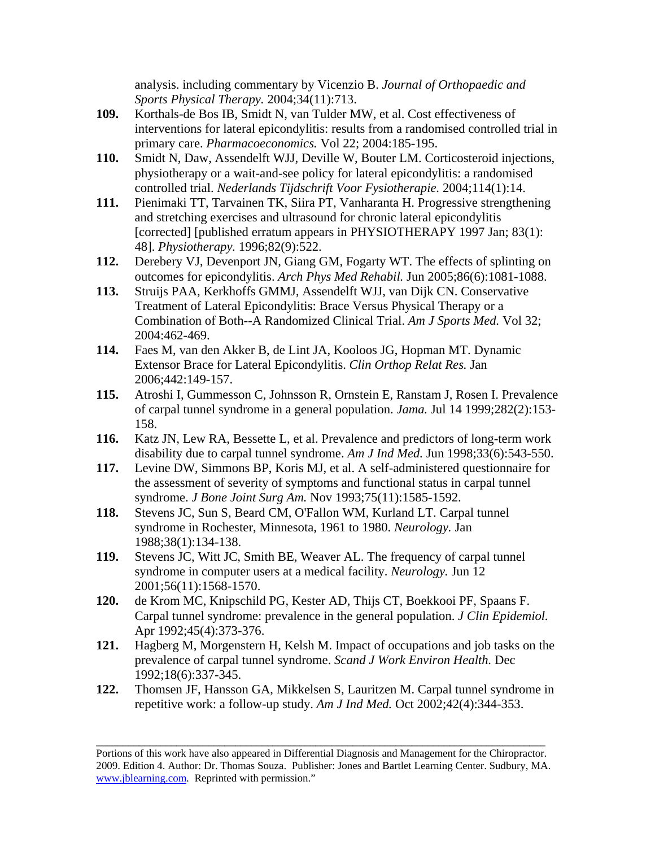analysis. including commentary by Vicenzio B. *Journal of Orthopaedic and Sports Physical Therapy.* 2004;34(11):713.

- **109.** Korthals-de Bos IB, Smidt N, van Tulder MW, et al. Cost effectiveness of interventions for lateral epicondylitis: results from a randomised controlled trial in primary care. *Pharmacoeconomics.* Vol 22; 2004:185-195.
- **110.** Smidt N, Daw, Assendelft WJJ, Deville W, Bouter LM. Corticosteroid injections, physiotherapy or a wait-and-see policy for lateral epicondylitis: a randomised controlled trial. *Nederlands Tijdschrift Voor Fysiotherapie.* 2004;114(1):14.
- **111.** Pienimaki TT, Tarvainen TK, Siira PT, Vanharanta H. Progressive strengthening and stretching exercises and ultrasound for chronic lateral epicondylitis [corrected] [published erratum appears in PHYSIOTHERAPY 1997 Jan; 83(1): 48]. *Physiotherapy.* 1996;82(9):522.
- **112.** Derebery VJ, Devenport JN, Giang GM, Fogarty WT. The effects of splinting on outcomes for epicondylitis. *Arch Phys Med Rehabil.* Jun 2005;86(6):1081-1088.
- **113.** Struijs PAA, Kerkhoffs GMMJ, Assendelft WJJ, van Dijk CN. Conservative Treatment of Lateral Epicondylitis: Brace Versus Physical Therapy or a Combination of Both--A Randomized Clinical Trial. *Am J Sports Med.* Vol 32; 2004:462-469.
- **114.** Faes M, van den Akker B, de Lint JA, Kooloos JG, Hopman MT. Dynamic Extensor Brace for Lateral Epicondylitis. *Clin Orthop Relat Res.* Jan 2006;442:149-157.
- **115.** Atroshi I, Gummesson C, Johnsson R, Ornstein E, Ranstam J, Rosen I. Prevalence of carpal tunnel syndrome in a general population. *Jama.* Jul 14 1999;282(2):153- 158.
- **116.** Katz JN, Lew RA, Bessette L, et al. Prevalence and predictors of long-term work disability due to carpal tunnel syndrome. *Am J Ind Med.* Jun 1998;33(6):543-550.
- **117.** Levine DW, Simmons BP, Koris MJ, et al. A self-administered questionnaire for the assessment of severity of symptoms and functional status in carpal tunnel syndrome. *J Bone Joint Surg Am.* Nov 1993;75(11):1585-1592.
- **118.** Stevens JC, Sun S, Beard CM, O'Fallon WM, Kurland LT. Carpal tunnel syndrome in Rochester, Minnesota, 1961 to 1980. *Neurology.* Jan 1988;38(1):134-138.
- **119.** Stevens JC, Witt JC, Smith BE, Weaver AL. The frequency of carpal tunnel syndrome in computer users at a medical facility. *Neurology.* Jun 12 2001;56(11):1568-1570.
- **120.** de Krom MC, Knipschild PG, Kester AD, Thijs CT, Boekkooi PF, Spaans F. Carpal tunnel syndrome: prevalence in the general population. *J Clin Epidemiol.*  Apr 1992;45(4):373-376.
- **121.** Hagberg M, Morgenstern H, Kelsh M. Impact of occupations and job tasks on the prevalence of carpal tunnel syndrome. *Scand J Work Environ Health.* Dec 1992;18(6):337-345.
- **122.** Thomsen JF, Hansson GA, Mikkelsen S, Lauritzen M. Carpal tunnel syndrome in repetitive work: a follow-up study. *Am J Ind Med.* Oct 2002;42(4):344-353.

Portions of this work have also appeared in Differential Diagnosis and Management for the Chiropractor. 2009. Edition 4. Author: Dr. Thomas Souza. Publisher: Jones and Bartlet Learning Center. Sudbury, MA. www.jblearning.com. Reprinted with permission."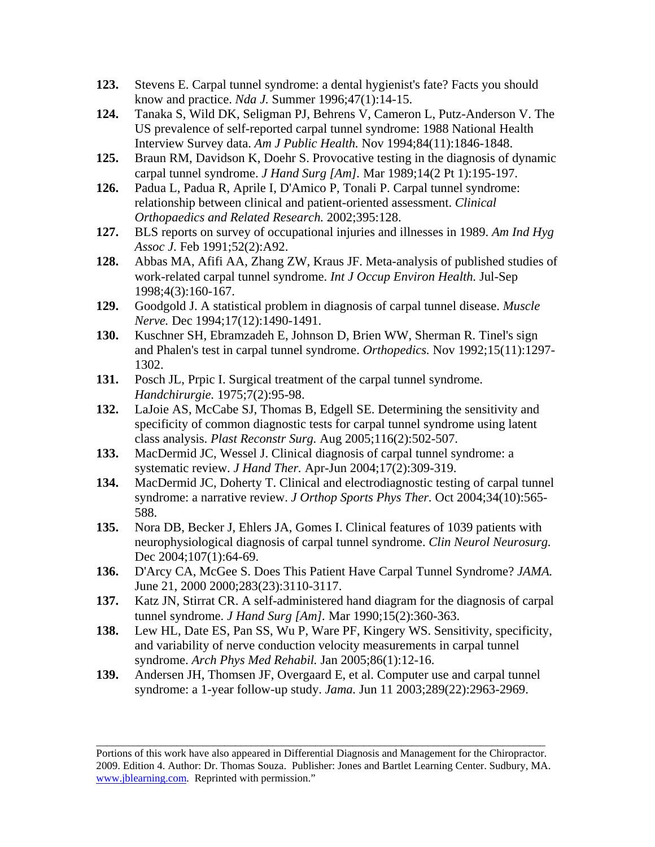- **123.** Stevens E. Carpal tunnel syndrome: a dental hygienist's fate? Facts you should know and practice. *Nda J.* Summer 1996;47(1):14-15.
- **124.** Tanaka S, Wild DK, Seligman PJ, Behrens V, Cameron L, Putz-Anderson V. The US prevalence of self-reported carpal tunnel syndrome: 1988 National Health Interview Survey data. *Am J Public Health.* Nov 1994;84(11):1846-1848.
- **125.** Braun RM, Davidson K, Doehr S. Provocative testing in the diagnosis of dynamic carpal tunnel syndrome. *J Hand Surg [Am].* Mar 1989;14(2 Pt 1):195-197.
- **126.** Padua L, Padua R, Aprile I, D'Amico P, Tonali P. Carpal tunnel syndrome: relationship between clinical and patient-oriented assessment. *Clinical Orthopaedics and Related Research.* 2002;395:128.
- **127.** BLS reports on survey of occupational injuries and illnesses in 1989. *Am Ind Hyg Assoc J.* Feb 1991;52(2):A92.
- **128.** Abbas MA, Afifi AA, Zhang ZW, Kraus JF. Meta-analysis of published studies of work-related carpal tunnel syndrome. *Int J Occup Environ Health.* Jul-Sep 1998;4(3):160-167.
- **129.** Goodgold J. A statistical problem in diagnosis of carpal tunnel disease. *Muscle Nerve.* Dec 1994;17(12):1490-1491.
- **130.** Kuschner SH, Ebramzadeh E, Johnson D, Brien WW, Sherman R. Tinel's sign and Phalen's test in carpal tunnel syndrome. *Orthopedics.* Nov 1992;15(11):1297- 1302.
- **131.** Posch JL, Prpic I. Surgical treatment of the carpal tunnel syndrome. *Handchirurgie.* 1975;7(2):95-98.
- **132.** LaJoie AS, McCabe SJ, Thomas B, Edgell SE. Determining the sensitivity and specificity of common diagnostic tests for carpal tunnel syndrome using latent class analysis. *Plast Reconstr Surg.* Aug 2005;116(2):502-507.
- **133.** MacDermid JC, Wessel J. Clinical diagnosis of carpal tunnel syndrome: a systematic review. *J Hand Ther.* Apr-Jun 2004;17(2):309-319.
- **134.** MacDermid JC, Doherty T. Clinical and electrodiagnostic testing of carpal tunnel syndrome: a narrative review. *J Orthop Sports Phys Ther.* Oct 2004;34(10):565- 588.
- **135.** Nora DB, Becker J, Ehlers JA, Gomes I. Clinical features of 1039 patients with neurophysiological diagnosis of carpal tunnel syndrome. *Clin Neurol Neurosurg.*  Dec 2004;107(1):64-69.
- **136.** D'Arcy CA, McGee S. Does This Patient Have Carpal Tunnel Syndrome? *JAMA.*  June 21, 2000 2000;283(23):3110-3117.
- **137.** Katz JN, Stirrat CR. A self-administered hand diagram for the diagnosis of carpal tunnel syndrome. *J Hand Surg [Am].* Mar 1990;15(2):360-363.
- **138.** Lew HL, Date ES, Pan SS, Wu P, Ware PF, Kingery WS. Sensitivity, specificity, and variability of nerve conduction velocity measurements in carpal tunnel syndrome. *Arch Phys Med Rehabil.* Jan 2005;86(1):12-16.
- **139.** Andersen JH, Thomsen JF, Overgaard E, et al. Computer use and carpal tunnel syndrome: a 1-year follow-up study. *Jama.* Jun 11 2003;289(22):2963-2969.

Portions of this work have also appeared in Differential Diagnosis and Management for the Chiropractor. 2009. Edition 4. Author: Dr. Thomas Souza. Publisher: Jones and Bartlet Learning Center. Sudbury, MA. www.jblearning.com. Reprinted with permission."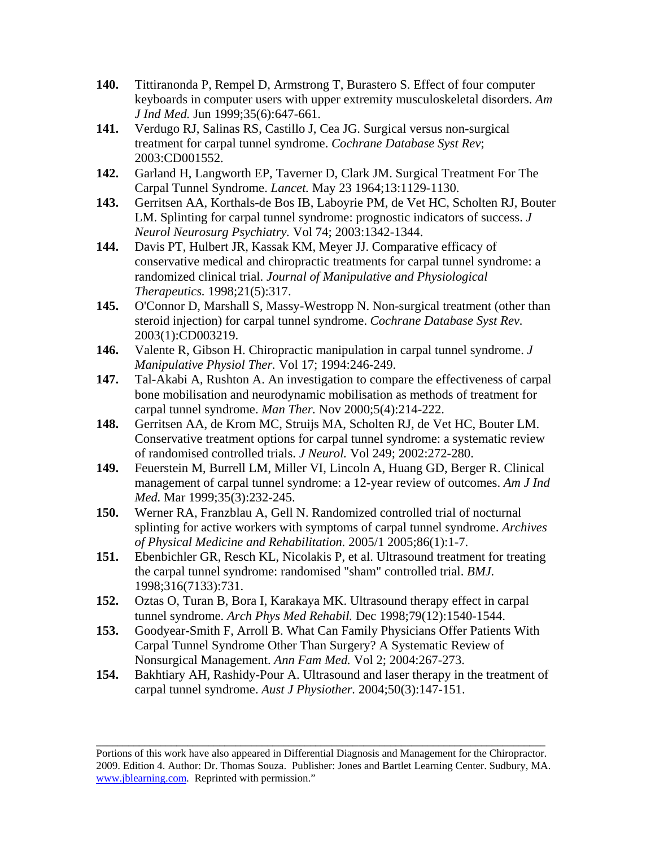- **140.** Tittiranonda P, Rempel D, Armstrong T, Burastero S. Effect of four computer keyboards in computer users with upper extremity musculoskeletal disorders. *Am J Ind Med.* Jun 1999;35(6):647-661.
- **141.** Verdugo RJ, Salinas RS, Castillo J, Cea JG. Surgical versus non-surgical treatment for carpal tunnel syndrome. *Cochrane Database Syst Rev*; 2003:CD001552.
- **142.** Garland H, Langworth EP, Taverner D, Clark JM. Surgical Treatment For The Carpal Tunnel Syndrome. *Lancet.* May 23 1964;13:1129-1130.
- **143.** Gerritsen AA, Korthals-de Bos IB, Laboyrie PM, de Vet HC, Scholten RJ, Bouter LM. Splinting for carpal tunnel syndrome: prognostic indicators of success. *J Neurol Neurosurg Psychiatry.* Vol 74; 2003:1342-1344.
- **144.** Davis PT, Hulbert JR, Kassak KM, Meyer JJ. Comparative efficacy of conservative medical and chiropractic treatments for carpal tunnel syndrome: a randomized clinical trial. *Journal of Manipulative and Physiological Therapeutics.* 1998;21(5):317.
- **145.** O'Connor D, Marshall S, Massy-Westropp N. Non-surgical treatment (other than steroid injection) for carpal tunnel syndrome. *Cochrane Database Syst Rev.*  2003(1):CD003219.
- **146.** Valente R, Gibson H. Chiropractic manipulation in carpal tunnel syndrome. *J Manipulative Physiol Ther.* Vol 17; 1994:246-249.
- **147.** Tal-Akabi A, Rushton A. An investigation to compare the effectiveness of carpal bone mobilisation and neurodynamic mobilisation as methods of treatment for carpal tunnel syndrome. *Man Ther.* Nov 2000;5(4):214-222.
- **148.** Gerritsen AA, de Krom MC, Struijs MA, Scholten RJ, de Vet HC, Bouter LM. Conservative treatment options for carpal tunnel syndrome: a systematic review of randomised controlled trials. *J Neurol.* Vol 249; 2002:272-280.
- **149.** Feuerstein M, Burrell LM, Miller VI, Lincoln A, Huang GD, Berger R. Clinical management of carpal tunnel syndrome: a 12-year review of outcomes. *Am J Ind Med.* Mar 1999;35(3):232-245.
- **150.** Werner RA, Franzblau A, Gell N. Randomized controlled trial of nocturnal splinting for active workers with symptoms of carpal tunnel syndrome. *Archives of Physical Medicine and Rehabilitation.* 2005/1 2005;86(1):1-7.
- **151.** Ebenbichler GR, Resch KL, Nicolakis P, et al. Ultrasound treatment for treating the carpal tunnel syndrome: randomised "sham" controlled trial. *BMJ.*  1998;316(7133):731.
- **152.** Oztas O, Turan B, Bora I, Karakaya MK. Ultrasound therapy effect in carpal tunnel syndrome. *Arch Phys Med Rehabil.* Dec 1998;79(12):1540-1544.
- **153.** Goodyear-Smith F, Arroll B. What Can Family Physicians Offer Patients With Carpal Tunnel Syndrome Other Than Surgery? A Systematic Review of Nonsurgical Management. *Ann Fam Med.* Vol 2; 2004:267-273.
- **154.** Bakhtiary AH, Rashidy-Pour A. Ultrasound and laser therapy in the treatment of carpal tunnel syndrome. *Aust J Physiother.* 2004;50(3):147-151.

Portions of this work have also appeared in Differential Diagnosis and Management for the Chiropractor. 2009. Edition 4. Author: Dr. Thomas Souza. Publisher: Jones and Bartlet Learning Center. Sudbury, MA. www.jblearning.com. Reprinted with permission."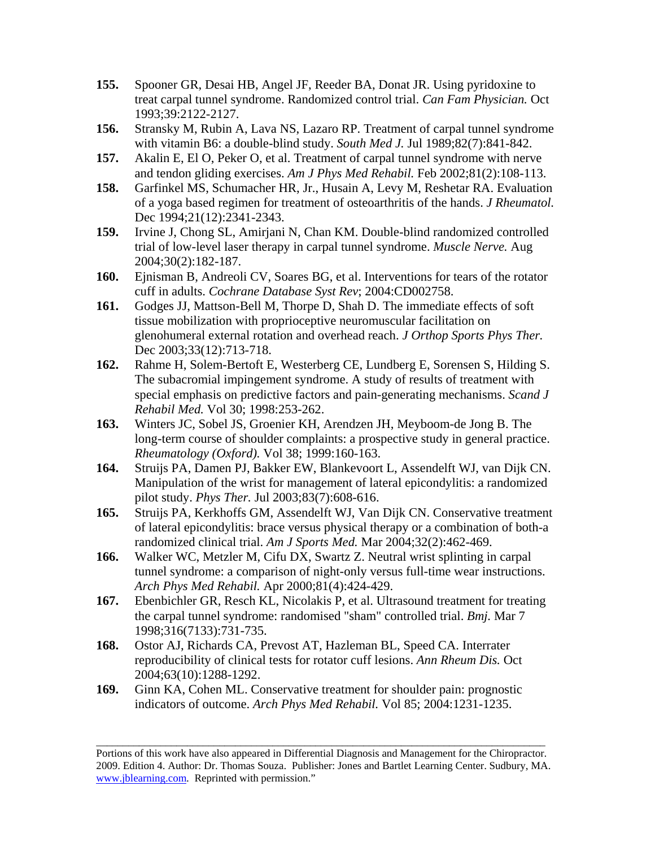- **155.** Spooner GR, Desai HB, Angel JF, Reeder BA, Donat JR. Using pyridoxine to treat carpal tunnel syndrome. Randomized control trial. *Can Fam Physician.* Oct 1993;39:2122-2127.
- **156.** Stransky M, Rubin A, Lava NS, Lazaro RP. Treatment of carpal tunnel syndrome with vitamin B6: a double-blind study. *South Med J.* Jul 1989;82(7):841-842.
- **157.** Akalin E, El O, Peker O, et al. Treatment of carpal tunnel syndrome with nerve and tendon gliding exercises. *Am J Phys Med Rehabil.* Feb 2002;81(2):108-113.
- **158.** Garfinkel MS, Schumacher HR, Jr., Husain A, Levy M, Reshetar RA. Evaluation of a yoga based regimen for treatment of osteoarthritis of the hands. *J Rheumatol.*  Dec 1994;21(12):2341-2343.
- **159.** Irvine J, Chong SL, Amirjani N, Chan KM. Double-blind randomized controlled trial of low-level laser therapy in carpal tunnel syndrome. *Muscle Nerve.* Aug 2004;30(2):182-187.
- **160.** Ejnisman B, Andreoli CV, Soares BG, et al. Interventions for tears of the rotator cuff in adults. *Cochrane Database Syst Rev*; 2004:CD002758.
- **161.** Godges JJ, Mattson-Bell M, Thorpe D, Shah D. The immediate effects of soft tissue mobilization with proprioceptive neuromuscular facilitation on glenohumeral external rotation and overhead reach. *J Orthop Sports Phys Ther.*  Dec 2003;33(12):713-718.
- **162.** Rahme H, Solem-Bertoft E, Westerberg CE, Lundberg E, Sorensen S, Hilding S. The subacromial impingement syndrome. A study of results of treatment with special emphasis on predictive factors and pain-generating mechanisms. *Scand J Rehabil Med.* Vol 30; 1998:253-262.
- **163.** Winters JC, Sobel JS, Groenier KH, Arendzen JH, Meyboom-de Jong B. The long-term course of shoulder complaints: a prospective study in general practice. *Rheumatology (Oxford).* Vol 38; 1999:160-163.
- **164.** Struijs PA, Damen PJ, Bakker EW, Blankevoort L, Assendelft WJ, van Dijk CN. Manipulation of the wrist for management of lateral epicondylitis: a randomized pilot study. *Phys Ther.* Jul 2003;83(7):608-616.
- **165.** Struijs PA, Kerkhoffs GM, Assendelft WJ, Van Dijk CN. Conservative treatment of lateral epicondylitis: brace versus physical therapy or a combination of both-a randomized clinical trial. *Am J Sports Med.* Mar 2004;32(2):462-469.
- **166.** Walker WC, Metzler M, Cifu DX, Swartz Z. Neutral wrist splinting in carpal tunnel syndrome: a comparison of night-only versus full-time wear instructions. *Arch Phys Med Rehabil.* Apr 2000;81(4):424-429.
- **167.** Ebenbichler GR, Resch KL, Nicolakis P, et al. Ultrasound treatment for treating the carpal tunnel syndrome: randomised "sham" controlled trial. *Bmj.* Mar 7 1998;316(7133):731-735.
- **168.** Ostor AJ, Richards CA, Prevost AT, Hazleman BL, Speed CA. Interrater reproducibility of clinical tests for rotator cuff lesions. *Ann Rheum Dis.* Oct 2004;63(10):1288-1292.
- **169.** Ginn KA, Cohen ML. Conservative treatment for shoulder pain: prognostic indicators of outcome. *Arch Phys Med Rehabil.* Vol 85; 2004:1231-1235.

Portions of this work have also appeared in Differential Diagnosis and Management for the Chiropractor. 2009. Edition 4. Author: Dr. Thomas Souza. Publisher: Jones and Bartlet Learning Center. Sudbury, MA. www.jblearning.com. Reprinted with permission."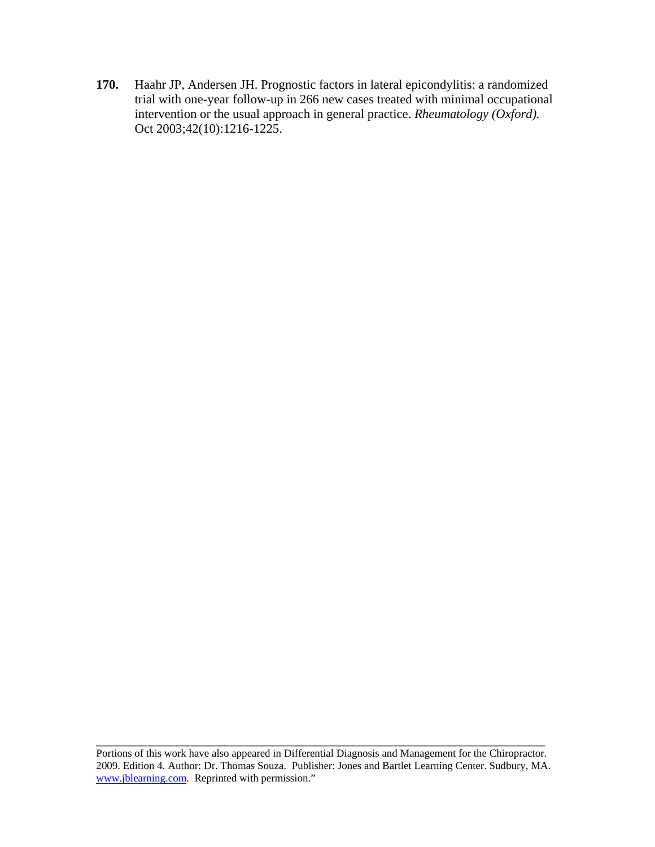**170.** Haahr JP, Andersen JH. Prognostic factors in lateral epicondylitis: a randomized trial with one-year follow-up in 266 new cases treated with minimal occupational intervention or the usual approach in general practice. *Rheumatology (Oxford).*  Oct 2003;42(10):1216-1225.

Portions of this work have also appeared in Differential Diagnosis and Management for the Chiropractor. 2009. Edition 4. Author: Dr. Thomas Souza. Publisher: Jones and Bartlet Learning Center. Sudbury, MA. www.jblearning.com. Reprinted with permission."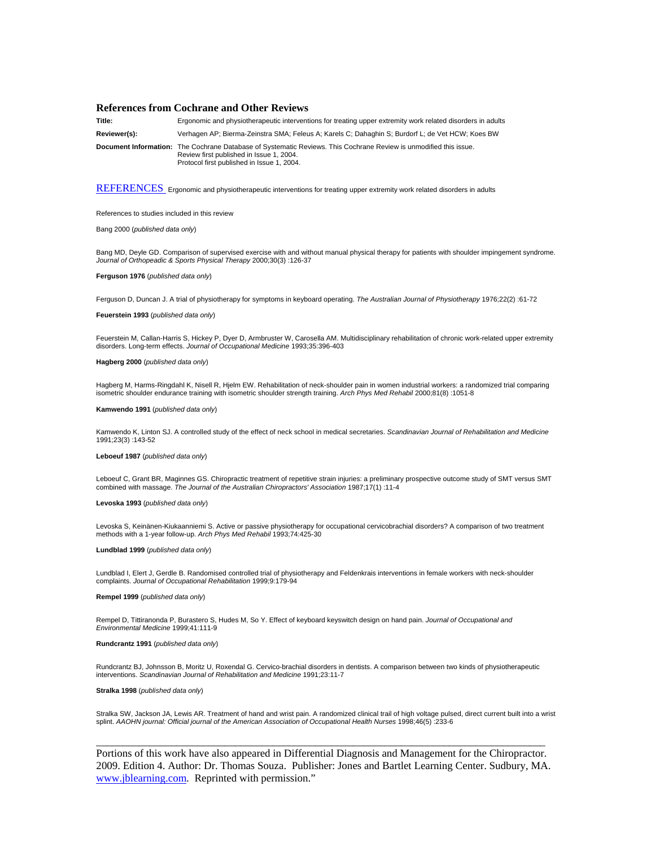# **References from Cochrane and Other Reviews**

**Title:** Ergonomic and physiotherapeutic interventions for treating upper extremity work related disorders in adults **Reviewer(s):** Verhagen AP; Bierma-Zeinstra SMA; Feleus A; Karels C; Dahaghin S; Burdorf L; de Vet HCW; Koes BW **Document Information:** The Cochrane Database of Systematic Reviews. This Cochrane Review is unmodified this issue. Review first published in Issue 1, 2004. Protocol first published in Issue 1, 2004.

REFERENCES Ergonomic and physiotherapeutic interventions for treating upper extremity work related disorders in adults

References to studies included in this review

Bang 2000 (*published data only*)

Bang MD, Deyle GD. Comparison of supervised exercise with and without manual physical therapy for patients with shoulder impingement syndrome. *Journal of Orthopeadic & Sports Physical Therapy* 2000;30(3) :126-37

#### **Ferguson 1976** (*published data only*)

Ferguson D, Duncan J. A trial of physiotherapy for symptoms in keyboard operating. *The Australian Journal of Physiotherapy* 1976;22(2) :61-72

**Feuerstein 1993** (*published data only*)

Feuerstein M, Callan-Harris S, Hickey P, Dyer D, Armbruster W, Carosella AM. Multidisciplinary rehabilitation of chronic work-related upper extremity disorders. Long-term effects. *Journal of Occupational Medicine* 1993;35:396-403

# **Hagberg 2000** (*published data only*)

Hagberg M, Harms-Ringdahl K, Nisell R, Hjelm EW. Rehabilitation of neck-shoulder pain in women industrial workers: a randomized trial comparing isometric shoulder endurance training with isometric shoulder strength training. *Arch Phys Med Rehabil* 2000;81(8) :1051-8

#### **Kamwendo 1991** (*published data only*)

Kamwendo K, Linton SJ. A controlled study of the effect of neck school in medical secretaries. *Scandinavian Journal of Rehabilitation and Medicine* 1991;23(3) :143-52

#### **Leboeuf 1987** (*published data only*)

Leboeuf C, Grant BR, Maginnes GS. Chiropractic treatment of repetitive strain injuries: a preliminary prospective outcome study of SMT versus SMT combined with massage. *The Journal of the Australian Chiropractors' Association* 1987;17(1) :11-4

#### **Levoska 1993** (*published data only*)

Levoska S, Keinänen-Kiukaanniemi S. Active or passive physiotherapy for occupational cervicobrachial disorders? A comparison of two treatment methods with a 1-year follow-up. *Arch Phys Med Rehabil* 1993;74:425-30

#### **Lundblad 1999** (*published data only*)

Lundblad I, Elert J, Gerdle B. Randomised controlled trial of physiotherapy and Feldenkrais interventions in female workers with neck-shoulder complaints. *Journal of Occupational Rehabilitation* 1999;9:179-94

### **Rempel 1999** (*published data only*)

Rempel D, Tittiranonda P, Burastero S, Hudes M, So Y. Effect of keyboard keyswitch design on hand pain. *Journal of Occupational and Environmental Medicine* 1999;41:111-9

#### **Rundcrantz 1991** (*published data only*)

Rundcrantz BJ, Johnsson B, Moritz U, Roxendal G. Cervico-brachial disorders in dentists. A comparison between two kinds of physiotherapeutic interventions. *Scandinavian Journal of Rehabilitation and Medicine* 1991;23:11-7

#### **Stralka 1998** (*published data only*)

Stralka SW, Jackson JA, Lewis AR. Treatment of hand and wrist pain. A randomized clinical trail of high voltage pulsed, direct current built into a wrist splint. *AAOHN journal: Official journal of the American Association of Occupational Health Nurses* 1998;46(5) :233-6

Portions of this work have also appeared in Differential Diagnosis and Management for the Chiropractor. 2009. Edition 4. Author: Dr. Thomas Souza. Publisher: Jones and Bartlet Learning Center. Sudbury, MA. www.jblearning.com. Reprinted with permission."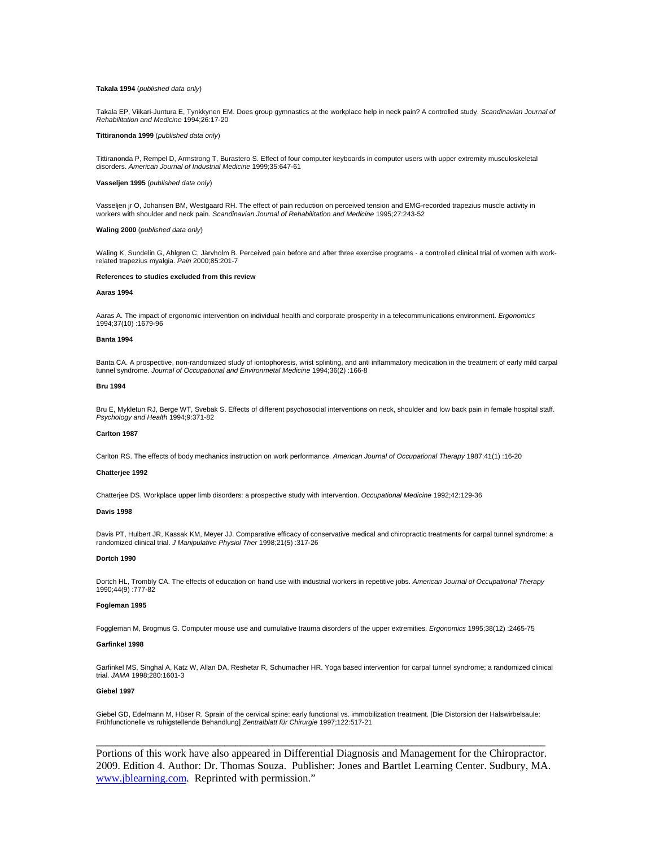#### **Takala 1994** (*published data only*)

Takala EP, Viikari-Juntura E, Tynkkynen EM. Does group gymnastics at the workplace help in neck pain? A controlled study. *Scandinavian Journal of Rehabilitation and Medicine* 1994;26:17-20

#### **Tittiranonda 1999** (*published data only*)

Tittiranonda P, Rempel D, Armstrong T, Burastero S. Effect of four computer keyboards in computer users with upper extremity musculoskeletal disorders. *American Journal of Industrial Medicine* 1999;35:647-61

#### **Vasseljen 1995** (*published data only*)

Vasseljen jr O, Johansen BM, Westgaard RH. The effect of pain reduction on perceived tension and EMG-recorded trapezius muscle activity in workers with shoulder and neck pain. *Scandinavian Journal of Rehabilitation and Medicine* 1995;27:243-52

# **Waling 2000** (*published data only*)

Waling K, Sundelin G, Ahlgren C, Järvholm B. Perceived pain before and after three exercise programs - a controlled clinical trial of women with workrelated trapezius myalgia. *Pain* 2000;85:201-7

#### **References to studies excluded from this review**

#### **Aaras 1994**

Aaras A. The impact of ergonomic intervention on individual health and corporate prosperity in a telecommunications environment. *Ergonomics* 1994;37(10) :1679-96

#### **Banta 1994**

Banta CA. A prospective, non-randomized study of iontophoresis, wrist splinting, and anti inflammatory medication in the treatment of early mild carpal tunnel syndrome. *Journal of Occupational and Environmetal Medicine* 1994;36(2) :166-8

# **Bru 1994**

Bru E, Mykletun RJ, Berge WT, Svebak S. Effects of different psychosocial interventions on neck, shoulder and low back pain in female hospital staff. *Psychology and Health* 1994;9:371-82

#### **Carlton 1987**

Carlton RS. The effects of body mechanics instruction on work performance. *American Journal of Occupational Therapy* 1987;41(1) :16-20

#### **Chatterjee 1992**

Chatterjee DS. Workplace upper limb disorders: a prospective study with intervention. *Occupational Medicine* 1992;42:129-36

#### **Davis 1998**

Davis PT, Hulbert JR, Kassak KM, Meyer JJ. Comparative efficacy of conservative medical and chiropractic treatments for carpal tunnel syndrome: a randomized clinical trial. *J Manipulative Physiol Ther* 1998;21(5) :317-26

#### **Dortch 1990**

Dortch HL, Trombly CA. The effects of education on hand use with industrial workers in repetitive jobs. *American Journal of Occupational Therapy* 1990;44(9) :777-82

#### **Fogleman 1995**

Foggleman M, Brogmus G. Computer mouse use and cumulative trauma disorders of the upper extremities. *Ergonomics* 1995;38(12) :2465-75

#### **Garfinkel 1998**

Garfinkel MS, Singhal A, Katz W, Allan DA, Reshetar R, Schumacher HR. Yoga based intervention for carpal tunnel syndrome; a randomized clinical trial. *JAMA* 1998;280:1601-3

#### **Giebel 1997**

Giebel GD, Edelmann M, Hüser R. Sprain of the cervical spine: early functional vs. immobilization treatment. [Die Distorsion der Halswirbelsaule: Frühfunctionelle vs ruhigstellende Behandlung] *Zentralblatt für Chirurgie* 1997;122:517-21

Portions of this work have also appeared in Differential Diagnosis and Management for the Chiropractor. 2009. Edition 4. Author: Dr. Thomas Souza. Publisher: Jones and Bartlet Learning Center. Sudbury, MA. www.jblearning.com. Reprinted with permission."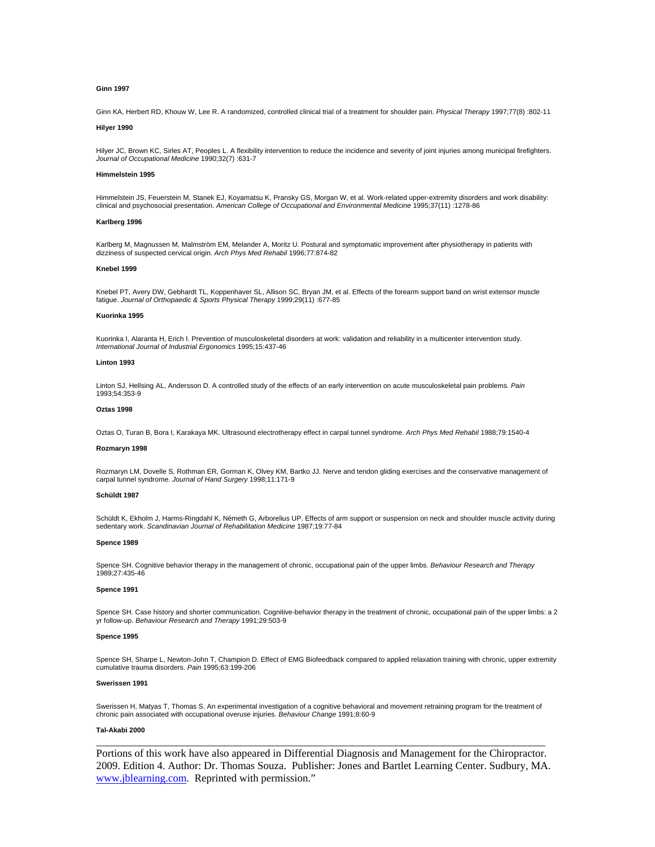#### **Ginn 1997**

Ginn KA, Herbert RD, Khouw W, Lee R. A randomized, controlled clinical trial of a treatment for shoulder pain. *Physical Therapy* 1997;77(8) :802-11

#### **Hilyer 1990**

Hilyer JC, Brown KC, Sirles AT, Peoples L. A flexibility intervention to reduce the incidence and severity of joint injuries among municipal firefighters. *Journal of Occupational Medicine* 1990;32(7) :631-7

### **Himmelstein 1995**

Himmelstein JS, Feuerstein M, Stanek EJ, Koyamatsu K, Pransky GS, Morgan W, et al. Work-related upper-extremity disorders and work disability: clinical and psychosocial presentation. *American College of Occupational and Environmental Medicine* 1995;37(11) :1278-86

#### **Karlberg 1996**

Karlberg M, Magnussen M, Malmström EM, Melander A, Moritz U. Postural and symptomatic improvement after physiotherapy in patients with dizziness of suspected cervical origin. *Arch Phys Med Rehabil* 1996;77:874-82

#### **Knebel 1999**

Knebel PT, Avery DW, Gebhardt TL, Koppenhaver SL, Allison SC, Bryan JM, et al. Effects of the forearm support band on wrist extensor muscle fatigue. *Journal of Orthopaedic & Sports Physical Therapy* 1999;29(11) :677-85

#### **Kuorinka 1995**

Kuorinka I, Alaranta H, Erich I. Prevention of musculoskeletal disorders at work: validation and reliability in a multicenter intervention study. *International Journal of Industrial Ergonomics* 1995;15:437-46

#### **Linton 1993**

Linton SJ, Hellsing AL, Andersson D. A controlled study of the effects of an early intervention on acute musculoskeletal pain problems. *Pain* 1993;54:353-9

#### **Oztas 1998**

Oztas O, Turan B, Bora I, Karakaya MK. Ultrasound electrotherapy effect in carpal tunnel syndrome. *Arch Phys Med Rehabil* 1988;79:1540-4

#### **Rozmaryn 1998**

Rozmaryn LM, Dovelle S, Rothman ER, Gorman K, Olvey KM, Bartko JJ. Nerve and tendon gliding exercises and the conservative management of carpal tunnel syndrome. *Journal of Hand Surgery* 1998;11:171-9

#### **Schüldt 1987**

Schüldt K, Ekholm J, Harms-Ringdahl K, Németh G, Arborelius UP. Effects of arm support or suspension on neck and shoulder muscle activity during sedentary work. *Scandinavian Journal of Rehabilitation Medicine* 1987;19:77-84

#### **Spence 1989**

Spence SH. Cognitive behavior therapy in the management of chronic, occupational pain of the upper limbs. *Behaviour Research and Therapy* 1989;27:435-46

#### **Spence 1991**

Spence SH. Case history and shorter communication. Cognitive-behavior therapy in the treatment of chronic, occupational pain of the upper limbs: a 2 yr follow-up. *Behaviour Research and Therapy* 1991;29:503-9

# **Spence 1995**

Spence SH, Sharpe L, Newton-John T, Champion D. Effect of EMG Biofeedback compared to applied relaxation training with chronic, upper extremity cumulative trauma disorders. *Pain* 1995;63:199-206

### **Swerissen 1991**

Swerissen H, Matyas T, Thomas S. An experimental investigation of a cognitive behavioral and movement retraining program for the treatment of chronic pain associated with occupational overuse injuries. *Behaviour Change* 1991;8:60-9

### **Tal-Akabi 2000**

Portions of this work have also appeared in Differential Diagnosis and Management for the Chiropractor. 2009. Edition 4. Author: Dr. Thomas Souza. Publisher: Jones and Bartlet Learning Center. Sudbury, MA. www.jblearning.com. Reprinted with permission."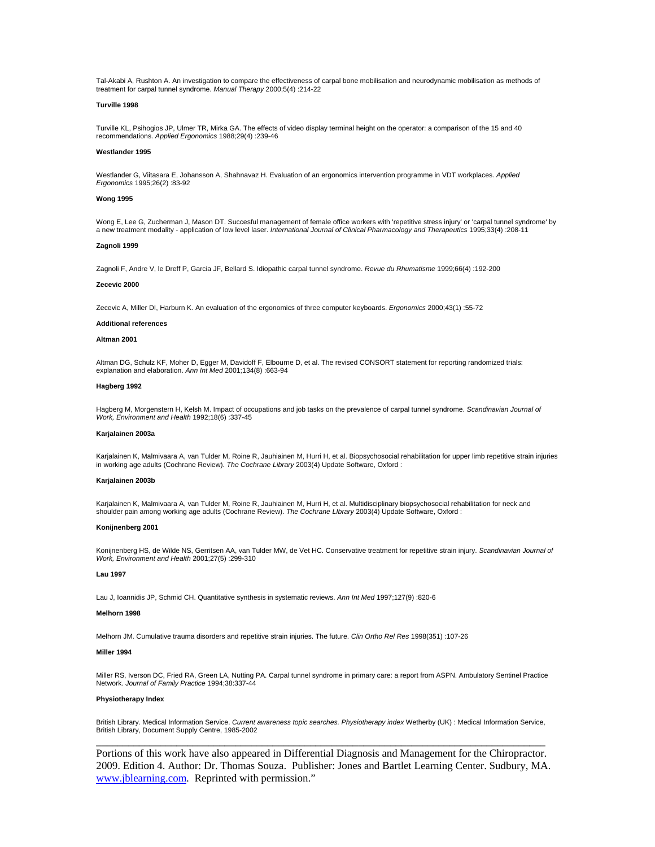Tal-Akabi A, Rushton A. An investigation to compare the effectiveness of carpal bone mobilisation and neurodynamic mobilisation as methods of treatment for carpal tunnel syndrome. *Manual Therapy* 2000;5(4) :214-22

# **Turville 1998**

Turville KL, Psihogios JP, Ulmer TR, Mirka GA. The effects of video display terminal height on the operator: a comparison of the 15 and 40 recommendations. *Applied Ergonomics* 1988;29(4) :239-46

#### **Westlander 1995**

Westlander G, Viitasara E, Johansson A, Shahnavaz H. Evaluation of an ergonomics intervention programme in VDT workplaces. *Applied Ergonomics* 1995;26(2) :83-92

#### **Wong 1995**

Wong E, Lee G, Zucherman J, Mason DT. Succesful management of female office workers with 'repetitive stress injury' or 'carpal tunnel syndrome' by a new treatment modality - application of low level laser. *International Journal of Clinical Pharmacology and Therapeutics* 1995;33(4) :208-11

### **Zagnoli 1999**

Zagnoli F, Andre V, le Dreff P, Garcia JF, Bellard S. Idiopathic carpal tunnel syndrome. *Revue du Rhumatisme* 1999;66(4) :192-200

#### **Zecevic 2000**

Zecevic A, Miller DI, Harburn K. An evaluation of the ergonomics of three computer keyboards. *Ergonomics* 2000;43(1) :55-72

#### **Additional references**

#### **Altman 2001**

Altman DG, Schulz KF, Moher D, Egger M, Davidoff F, Elbourne D, et al. The revised CONSORT statement for reporting randomized trials: explanation and elaboration. *Ann Int Med* 2001;134(8) :663-94

# **Hagberg 1992**

Hagberg M, Morgenstern H, Kelsh M. Impact of occupations and job tasks on the prevalence of carpal tunnel syndrome. *Scandinavian Journal of Work, Environment and Health* 1992;18(6) :337-45

#### **Karjalainen 2003a**

Karjalainen K, Malmivaara A, van Tulder M, Roine R, Jauhiainen M, Hurri H, et al. Biopsychosocial rehabilitation for upper limb repetitive strain injuries in working age adults (Cochrane Review). *The Cochrane Library* 2003(4) Update Software, Oxford :

#### **Karjalainen 2003b**

Karjalainen K, Malmivaara A, van Tulder M, Roine R, Jauhiainen M, Hurri H, et al. Multidisciplinary biopsychosocial rehabilitation for neck and shoulder pain among working age adults (Cochrane Review). *The Cochrane LIbrary* 2003(4) Update Software, Oxford :

# **Konijnenberg 2001**

Konijnenberg HS, de Wilde NS, Gerritsen AA, van Tulder MW, de Vet HC. Conservative treatment for repetitive strain injury. *Scandinavian Journal of Work, Environment and Health* 2001;27(5) :299-310

### **Lau 1997**

Lau J, Ioannidis JP, Schmid CH. Quantitative synthesis in systematic reviews. *Ann Int Med* 1997;127(9) :820-6

#### **Melhorn 1998**

Melhorn JM. Cumulative trauma disorders and repetitive strain injuries. The future. *Clin Ortho Rel Res* 1998(351) :107-26

# **Miller 1994**

Miller RS, Iverson DC, Fried RA, Green LA, Nutting PA. Carpal tunnel syndrome in primary care: a report from ASPN. Ambulatory Sentinel Practice Network. *Journal of Family Practice* 1994;38:337-44

# **Physiotherapy Index**

\_\_\_\_\_\_\_\_\_\_\_\_\_\_\_\_\_\_\_\_\_\_\_\_\_\_\_\_\_\_\_\_\_\_\_\_\_\_\_\_\_\_\_\_\_\_\_\_\_\_\_\_\_\_\_\_\_\_\_\_\_\_\_\_\_\_\_\_\_\_\_\_\_\_\_\_\_\_\_\_\_\_\_\_ British Library. Medical Information Service. *Current awareness topic searches. Physiotherapy index* Wetherby (UK) : Medical Information Service, British Library, Document Supply Centre, 1985-2002

Portions of this work have also appeared in Differential Diagnosis and Management for the Chiropractor. 2009. Edition 4. Author: Dr. Thomas Souza. Publisher: Jones and Bartlet Learning Center. Sudbury, MA. www.jblearning.com. Reprinted with permission."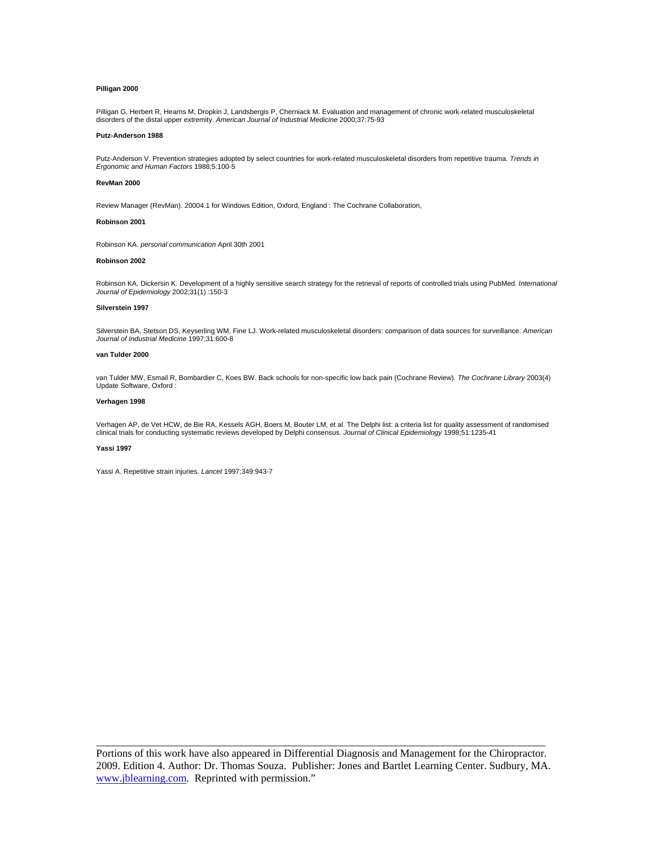### **Pilligan 2000**

Pilligan G, Herbert R, Hearns M, Dropkin J, Landsbergis P, Cherniack M. Evaluation and management of chronic work-related musculoskeletal disorders of the distal upper extremity. *American Journal of Industrial Medicine* 2000;37:75-93

#### **Putz-Anderson 1988**

Putz-Anderson V. Prevention strategies adopted by select countries for work-related musculoskeletal disorders from repetitive trauma. *Trends in Ergonomic and Human Factors* 1988;5:100-5

#### **RevMan 2000**

Review Manager (RevMan). 20004.1 for Windows Edition, Oxford, England : The Cochrane Collaboration,

### **Robinson 2001**

Robinson KA. *personal communication* April 30th 2001

### **Robinson 2002**

Robinson KA, Dickersin K. Development of a highly sensitive search strategy for the retrieval of reports of controlled trials using PubMed. *International Journal of Epidemiology* 2002;31(1) :150-3

#### **Silverstein 1997**

Silverstein BA, Stetson DS, Keyserling WM, Fine LJ. Work-related musculoskeletal disorders: comparison of data sources for surveillance. *American Journal of Industrial Medicine* 1997;31:600-8

#### **van Tulder 2000**

van Tulder MW, Esmail R, Bombardier C, Koes BW. Back schools for non-specific low back pain (Cochrane Review). *The Cochrane Library* 2003(4) Update Software, Oxford :

#### **Verhagen 1998**

Verhagen AP, de Vet HCW, de Bie RA, Kessels AGH, Boers M, Bouter LM, et al. The Delphi list: a criteria list for quality assessment of randomised clinical trials for conducting systematic reviews developed by Delphi consensus. *Journal of Clinical Epidemiology* 1998;51:1235-41

#### **Yassi 1997**

Yassi A. Repetitive strain injuries. *Lancet* 1997;349:943-7

Portions of this work have also appeared in Differential Diagnosis and Management for the Chiropractor. 2009. Edition 4. Author: Dr. Thomas Souza. Publisher: Jones and Bartlet Learning Center. Sudbury, MA. www.jblearning.com. Reprinted with permission."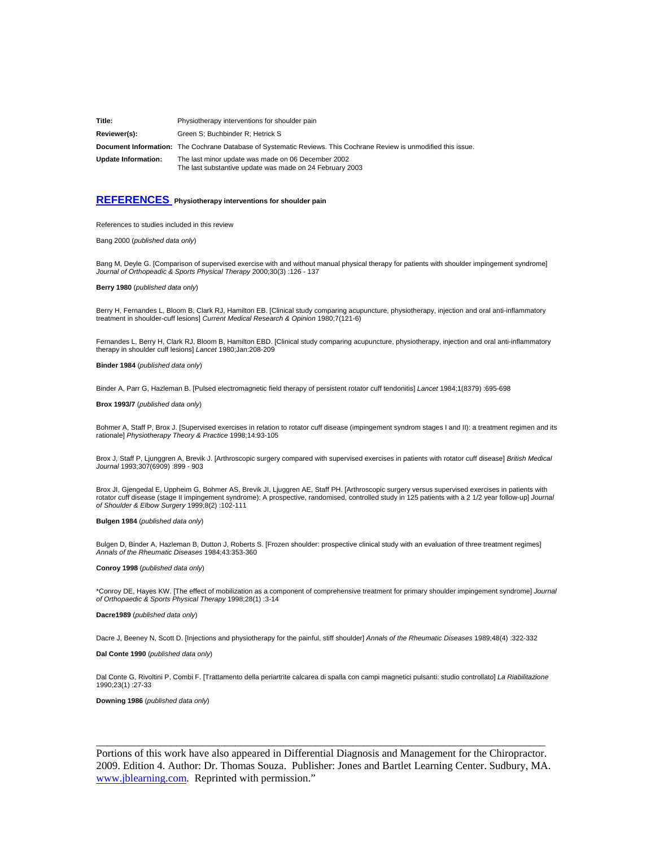**Title:** Physiotherapy interventions for shoulder pain **Reviewer(s):** Green S; Buchbinder R; Hetrick S **Document Information:** The Cochrane Database of Systematic Reviews. This Cochrane Review is unmodified this issue. **Update Information:** The last minor update was made on 06 December 2002 The last substantive update was made on 24 February 2003

# **REFERENCES Physiotherapy interventions for shoulder pain**

References to studies included in this review

Bang 2000 (*published data only*)

Bang M, Deyle G. [Comparison of supervised exercise with and without manual physical therapy for patients with shoulder impingement syndrome] *Journal of Orthopeadic & Sports Physical Therapy* 2000;30(3) :126 - 137

**Berry 1980** (*published data only*)

Berry H, Fernandes L, Bloom B, Clark RJ, Hamilton EB. [Clinical study comparing acupuncture, physiotherapy, injection and oral anti-inflammatory treatment in shoulder-cuff lesions] *Current Medical Research & Opinion* 1980;7(121-6)

Fernandes L, Berry H, Clark RJ, Bloom B, Hamilton EBD. [Clinical study comparing acupuncture, physiotherapy, injection and oral anti-inflammatory therapy in shoulder cuff lesions] *Lancet* 1980;Jan:208-209

**Binder 1984** (*published data only*)

Binder A, Parr G, Hazleman B. [Pulsed electromagnetic field therapy of persistent rotator cuff tendonitis] *Lancet* 1984;1(8379) :695-698

**Brox 1993/7** (*published data only*)

Bohmer A, Staff P, Brox J. [Supervised exercises in relation to rotator cuff disease (impingement syndrom stages I and II): a treatment regimen and its rationale] *Physiotherapy Theory & Practice* 1998;14:93-105

Brox J, Staff P, Ljunggren A, Brevik J. [Arthroscopic surgery compared with supervised exercises in patients with rotator cuff disease] *British Medical Journal* 1993;307(6909) :899 - 903

Brox JI, Gjengedal E, Uppheim G, Bohmer AS, Brevik JI, Ljuggren AE, Staff PH. [Arthroscopic surgery versus supervised exercises in patients with rotator cuff disease (stage II impingement syndrome): A prospective, randomised, controlled study in 125 patients with a 2 1/2 year follow-up] *Journal of Shoulder & Elbow Surgery* 1999;8(2) :102-111

**Bulgen 1984** (*published data only*)

Bulgen D, Binder A, Hazleman B, Dutton J, Roberts S. [Frozen shoulder: prospective clinical study with an evaluation of three treatment regimes] *Annals of the Rheumatic Diseases* 1984;43:353-360

#### **Conroy 1998** (*published data only*)

\*Conroy DE, Hayes KW. [The effect of mobilization as a component of comprehensive treatment for primary shoulder impingement syndrome] *Journal of Orthopaedic & Sports Physical Therapy* 1998;28(1) :3-14

**Dacre1989** (*published data only*)

Dacre J, Beeney N, Scott D. [Injections and physiotherapy for the painful, stiff shoulder] *Annals of the Rheumatic Diseases* 1989;48(4) :322-332

**Dal Conte 1990** (*published data only*)

Dal Conte G, Rivoltini P, Combi F. [Trattamento della periartrite calcarea di spalla con campi magnetici pulsanti: studio controllato] *La Riabilitazione* 1990;23(1) :27-33

**Downing 1986** (*published data only*)

Portions of this work have also appeared in Differential Diagnosis and Management for the Chiropractor. 2009. Edition 4. Author: Dr. Thomas Souza. Publisher: Jones and Bartlet Learning Center. Sudbury, MA. www.jblearning.com. Reprinted with permission."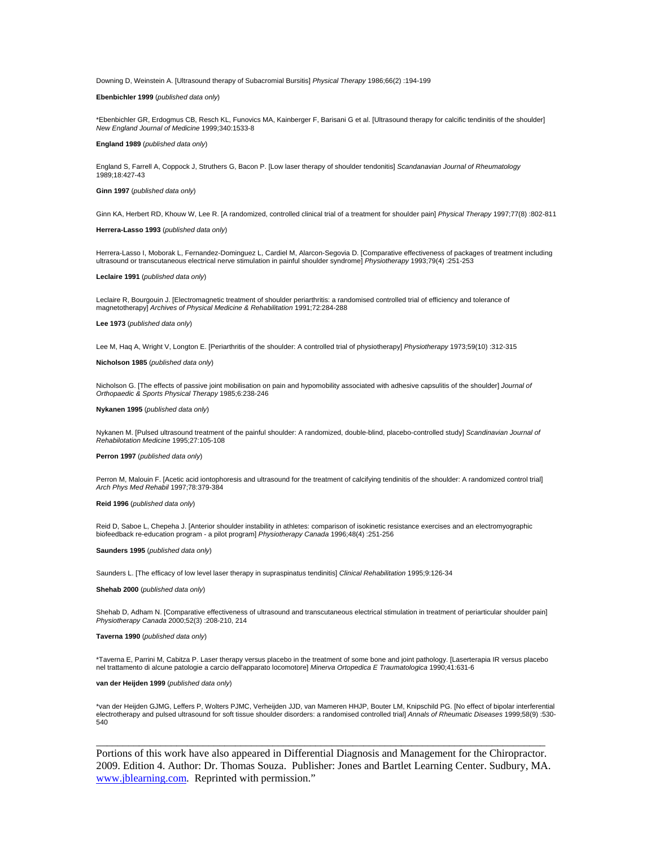Downing D, Weinstein A. [Ultrasound therapy of Subacromial Bursitis] *Physical Therapy* 1986;66(2) :194-199

#### **Ebenbichler 1999** (*published data only*)

\*Ebenbichler GR, Erdogmus CB, Resch KL, Funovics MA, Kainberger F, Barisani G et al. [Ultrasound therapy for calcific tendinitis of the shoulder] *New England Journal of Medicine* 1999;340:1533-8

### **England 1989** (*published data only*)

England S, Farrell A, Coppock J, Struthers G, Bacon P. [Low laser therapy of shoulder tendonitis] *Scandanavian Journal of Rheumatology* 1989;18:427-43

#### **Ginn 1997** (*published data only*)

Ginn KA, Herbert RD, Khouw W, Lee R. [A randomized, controlled clinical trial of a treatment for shoulder pain] *Physical Therapy* 1997;77(8) :802-811

#### **Herrera-Lasso 1993** (*published data only*)

Herrera-Lasso I, Moborak L, Fernandez-Dominguez L, Cardiel M, Alarcon-Segovia D. [Comparative effectiveness of packages of treatment including ultrasound or transcutaneous electrical nerve stimulation in painful shoulder syndrome] *Physiotherapy* 1993;79(4) :251-253

#### **Leclaire 1991** (*published data only*)

Leclaire R, Bourgouin J. [Electromagnetic treatment of shoulder periarthritis: a randomised controlled trial of efficiency and tolerance of magnetotherapy] *Archives of Physical Medicine & Rehabilitation* 1991;72:284-288

#### **Lee 1973** (*published data only*)

Lee M, Haq A, Wright V, Longton E. [Periarthritis of the shoulder: A controlled trial of physiotherapy] *Physiotherapy* 1973;59(10) :312-315

# **Nicholson 1985** (*published data only*)

Nicholson G. [The effects of passive joint mobilisation on pain and hypomobility associated with adhesive capsulitis of the shoulder] *Journal of Orthopaedic & Sports Physical Therapy* 1985;6:238-246

#### **Nykanen 1995** (*published data only*)

Nykanen M. [Pulsed ultrasound treatment of the painful shoulder: A randomized, double-blind, placebo-controlled study] *Scandinavian Journal of Rehabilotation Medicine* 1995;27:105-108

#### **Perron 1997** (*published data only*)

Perron M, Malouin F. [Acetic acid iontophoresis and ultrasound for the treatment of calcifying tendinitis of the shoulder: A randomized control trial] *Arch Phys Med Rehabil* 1997;78:379-384

#### **Reid 1996** (*published data only*)

Reid D, Saboe L, Chepeha J. [Anterior shoulder instability in athletes: comparison of isokinetic resistance exercises and an electromyographic<br>biofeedback re-education program - a pilot program] *Physiotherapy Canada* 1996

### **Saunders 1995** (*published data only*)

Saunders L. [The efficacy of low level laser therapy in supraspinatus tendinitis] *Clinical Rehabilitation* 1995;9:126-34

### **Shehab 2000** (*published data only*)

Shehab D, Adham N. [Comparative effectiveness of ultrasound and transcutaneous electrical stimulation in treatment of periarticular shoulder pain] *Physiotherapy Canada* 2000;52(3) :208-210, 214

# **Taverna 1990** (*published data only*)

\*Taverna E, Parrini M, Cabitza P. Laser therapy versus placebo in the treatment of some bone and joint pathology. [Laserterapia IR versus placebo nel trattamento di alcune patologie a carcio dell'apparato locomotore] *Minerva Ortopedica E Traumatologica* 1990;41:631-6

### **van der Heijden 1999** (*published data only*)

\*van der Heijden GJMG, Leffers P, Wolters PJMC, Verheijden JJD, van Mameren HHJP, Bouter LM, Knipschild PG. [No effect of bipolar interferential electrotherapy and pulsed ultrasound for soft tissue shoulder disorders: a randomised controlled trial] *Annals of Rheumatic Diseases* 1999;58(9) :530- 540

Portions of this work have also appeared in Differential Diagnosis and Management for the Chiropractor. 2009. Edition 4. Author: Dr. Thomas Souza. Publisher: Jones and Bartlet Learning Center. Sudbury, MA. www.jblearning.com. Reprinted with permission."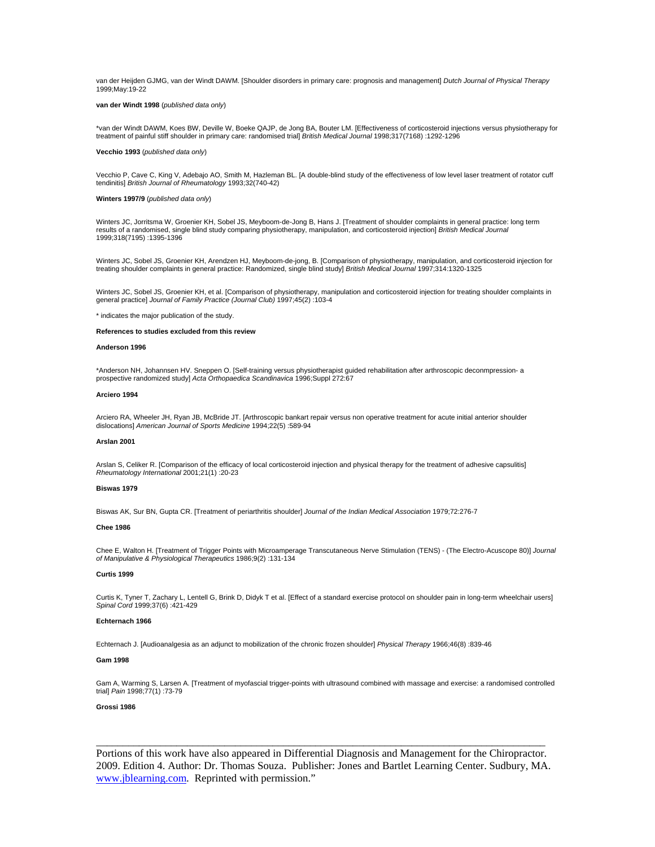van der Heijden GJMG, van der Windt DAWM. [Shoulder disorders in primary care: prognosis and management] *Dutch Journal of Physical Therapy* 1999;May:19-22

# **van der Windt 1998** (*published data only*)

\*van der Windt DAWM, Koes BW, Deville W, Boeke QAJP, de Jong BA, Bouter LM. [Effectiveness of corticosteroid injections versus physiotherapy for treatment of painful stiff shoulder in primary care: randomised trial] *British Medical Journal* 1998;317(7168) :1292-1296

#### **Vecchio 1993** (*published data only*)

Vecchio P, Cave C, King V, Adebajo AO, Smith M, Hazleman BL. [A double-blind study of the effectiveness of low level laser treatment of rotator cuff tendinitis] *British Journal of Rheumatology* 1993;32(740-42)

#### **Winters 1997/9** (*published data only*)

Winters JC, Jorritsma W, Groenier KH, Sobel JS, Meyboom-de-Jong B, Hans J. [Treatment of shoulder complaints in general practice: long term results of a randomised, single blind study comparing physiotherapy, manipulation, and corticosteroid injection] *British Medical Journal* 1999;318(7195) :1395-1396

Winters JC, Sobel JS, Groenier KH, Arendzen HJ, Meyboom-de-jong, B. [Comparison of physiotherapy, manipulation, and corticosteroid injection for treating shoulder complaints in general practice: Randomized, single blind study] *British Medical Journal* 1997;314:1320-1325

Winters JC, Sobel JS, Groenier KH, et al. [Comparison of physiotherapy, manipulation and corticosteroid injection for treating shoulder complaints in general practice] *Journal of Family Practice (Journal Club)* 1997;45(2) :103-4

\* indicates the major publication of the study.

#### **References to studies excluded from this review**

### **Anderson 1996**

\*Anderson NH, Johannsen HV. Sneppen O. [Self-training versus physiotherapist guided rehabilitation after arthroscopic deconmpression- a prospective randomized study] *Acta Orthopaedica Scandinavica* 1996;Suppl 272:67

#### **Arciero 1994**

Arciero RA, Wheeler JH, Ryan JB, McBride JT. [Arthroscopic bankart repair versus non operative treatment for acute initial anterior shoulder dislocations] *American Journal of Sports Medicine* 1994;22(5) :589-94

#### **Arslan 2001**

Arslan S, Celiker R. [Comparison of the efficacy of local corticosteroid injection and physical therapy for the treatment of adhesive capsulitis] *Rheumatology International* 2001;21(1) :20-23

#### **Biswas 1979**

Biswas AK, Sur BN, Gupta CR. [Treatment of periarthritis shoulder] *Journal of the Indian Medical Association* 1979;72:276-7

#### **Chee 1986**

Chee E, Walton H. [Treatment of Trigger Points with Microamperage Transcutaneous Nerve Stimulation (TENS) - (The Electro-Acuscope 80)] *Journal of Manipulative & Physiological Therapeutics* 1986;9(2) :131-134

### **Curtis 1999**

Curtis K, Tyner T, Zachary L, Lentell G, Brink D, Didyk T et al. [Effect of a standard exercise protocol on shoulder pain in long-term wheelchair users] *Spinal Cord* 1999;37(6) :421-429

# **Echternach 1966**

Echternach J. [Audioanalgesia as an adjunct to mobilization of the chronic frozen shoulder] *Physical Therapy* 1966;46(8) :839-46

#### **Gam 1998**

Gam A, Warming S, Larsen A. [Treatment of myofascial trigger-points with ultrasound combined with massage and exercise: a randomised controlled trial] *Pain* 1998;77(1) :73-79

#### **Grossi 1986**

Portions of this work have also appeared in Differential Diagnosis and Management for the Chiropractor. 2009. Edition 4. Author: Dr. Thomas Souza. Publisher: Jones and Bartlet Learning Center. Sudbury, MA. www.jblearning.com. Reprinted with permission."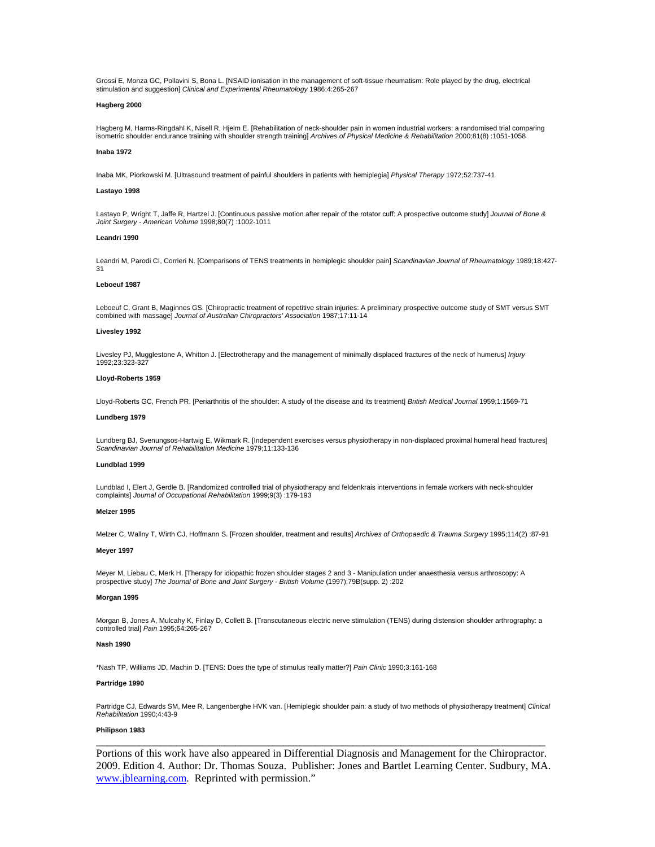Grossi E, Monza GC, Pollavini S, Bona L. [NSAID ionisation in the management of soft-tissue rheumatism: Role played by the drug, electrical stimulation and suggestion] *Clinical and Experimental Rheumatology* 1986;4:265-267

# **Hagberg 2000**

Hagberg M, Harms-Ringdahl K, Nisell R, Hjelm E. [Rehabilitation of neck-shoulder pain in women industrial workers: a randomised trial comparing isometric shoulder endurance training with shoulder strength training] *Archives of Physical Medicine & Rehabilitation* 2000;81(8) :1051-1058

#### **Inaba 1972**

Inaba MK, Piorkowski M. [Ultrasound treatment of painful shoulders in patients with hemiplegia] *Physical Therapy* 1972;52:737-41

#### **Lastayo 1998**

Lastayo P, Wright T, Jaffe R, Hartzel J. [Continuous passive motion after repair of the rotator cuff: A prospective outcome study] *Journal of Bone & Joint Surgery - American Volume* 1998;80(7) :1002-1011

#### **Leandri 1990**

Leandri M, Parodi CI, Corrieri N. [Comparisons of TENS treatments in hemiplegic shoulder pain] *Scandinavian Journal of Rheumatology* 1989;18:427- 31

#### **Leboeuf 1987**

Leboeuf C, Grant B, Maginnes GS. [Chiropractic treatment of repetitive strain injuries: A preliminary prospective outcome study of SMT versus SMT combined with massage] *Journal of Australian Chiropractors' Association* 1987;17:11-14

#### **Livesley 1992**

Livesley PJ, Mugglestone A, Whitton J. [Electrotherapy and the management of minimally displaced fractures of the neck of humerus] *Injury* 1992;23:323-327

#### **Lloyd-Roberts 1959**

Lloyd-Roberts GC, French PR. [Periarthritis of the shoulder: A study of the disease and its treatment] *British Medical Journal* 1959;1:1569-71

#### **Lundberg 1979**

Lundberg BJ, Svenungsos-Hartwig E, Wikmark R. [Independent exercises versus physiotherapy in non-displaced proximal humeral head fractures] *Scandinavian Journal of Rehabilitation Medicine* 1979;11:133-136

#### **Lundblad 1999**

Lundblad I, Elert J, Gerdle B. [Randomized controlled trial of physiotherapy and feldenkrais interventions in female workers with neck-shoulder complaints] *Journal of Occupational Rehabilitation* 1999;9(3) :179-193

#### **Melzer 1995**

Melzer C, Wallny T, Wirth CJ, Hoffmann S. [Frozen shoulder, treatment and results] *Archives of Orthopaedic & Trauma Surgery* 1995;114(2) :87-91

### **Meyer 1997**

Meyer M, Liebau C, Merk H. [Therapy for idiopathic frozen shoulder stages 2 and 3 - Manipulation under anaesthesia versus arthroscopy: A prospective study] *The Journal of Bone and Joint Surgery - British Volume* (1997);79B(supp. 2) :202

### **Morgan 1995**

Morgan B, Jones A, Mulcahy K, Finlay D, Collett B. [Transcutaneous electric nerve stimulation (TENS) during distension shoulder arthrography: a controlled trial] *Pain* 1995;64:265-267

### **Nash 1990**

\*Nash TP, Williams JD, Machin D. [TENS: Does the type of stimulus really matter?] *Pain Clinic* 1990;3:161-168

#### **Partridge 1990**

Partridge CJ, Edwards SM, Mee R, Langenberghe HVK van. [Hemiplegic shoulder pain: a study of two methods of physiotherapy treatment] *Clinical Rehabilitation* 1990;4:43-9

# **Philipson 1983**

Portions of this work have also appeared in Differential Diagnosis and Management for the Chiropractor. 2009. Edition 4. Author: Dr. Thomas Souza. Publisher: Jones and Bartlet Learning Center. Sudbury, MA. www.jblearning.com. Reprinted with permission."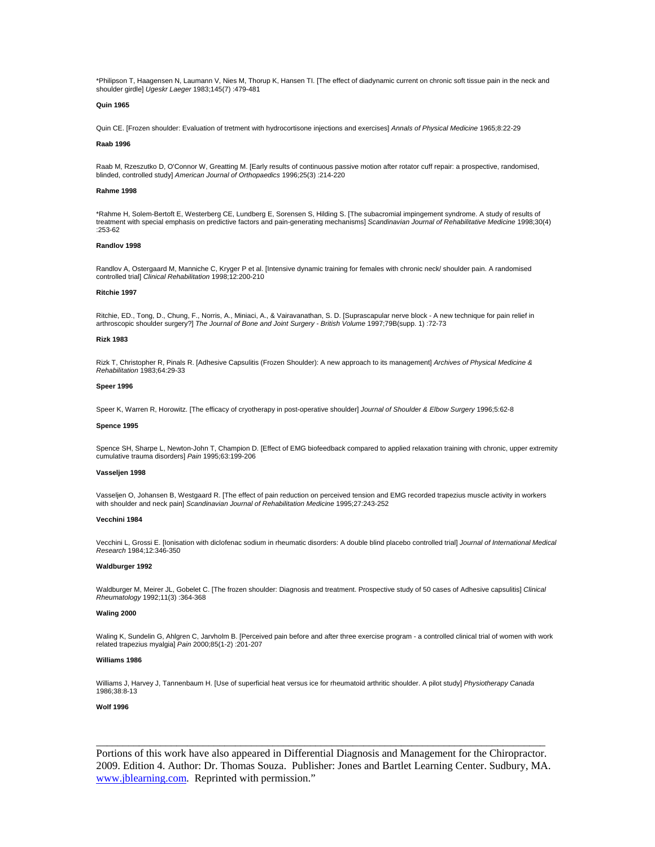\*Philipson T, Haagensen N, Laumann V, Nies M, Thorup K, Hansen TI. [The effect of diadynamic current on chronic soft tissue pain in the neck and shoulder girdle] *Ugeskr Laeger* 1983;145(7) :479-481

# **Quin 1965**

Quin CE. [Frozen shoulder: Evaluation of tretment with hydrocortisone injections and exercises] *Annals of Physical Medicine* 1965;8:22-29

#### **Raab 1996**

Raab M, Rzeszutko D, O'Connor W, Greatting M. [Early results of continuous passive motion after rotator cuff repair: a prospective, randomised, blinded, controlled study] *American Journal of Orthopaedics* 1996;25(3) :214-220

#### **Rahme 1998**

\*Rahme H, Solem-Bertoft E, Westerberg CE, Lundberg E, Sorensen S, Hilding S. [The subacromial impingement syndrome. A study of results of treatment with special emphasis on predictive factors and pain-generating mechanisms] *Scandinavian Journal of Rehabilitative Medicine* 1998;30(4) :253-62

# **Randlov 1998**

Randlov A, Ostergaard M, Manniche C, Kryger P et al. [Intensive dynamic training for females with chronic neck/ shoulder pain. A randomised controlled trial] *Clinical Rehabilitation* 1998;12:200-210

#### **Ritchie 1997**

Ritchie, ED., Tong, D., Chung, F., Norris, A., Miniaci, A., & Vairavanathan, S. D. [Suprascapular nerve block - A new technique for pain relief in arthroscopic shoulder surgery?] *The Journal of Bone and Joint Surgery - British Volume* 1997;79B(supp. 1) :72-73

#### **Rizk 1983**

Rizk T, Christopher R, Pinals R. [Adhesive Capsulitis (Frozen Shoulder): A new approach to its management] *Archives of Physical Medicine & Rehabilitation* 1983;64:29-33

# **Speer 1996**

Speer K, Warren R, Horowitz. [The efficacy of cryotherapy in post-operative shoulder] *Journal of Shoulder & Elbow Surgery* 1996;5:62-8

### **Spence 1995**

Spence SH, Sharpe L, Newton-John T, Champion D. [Effect of EMG biofeedback compared to applied relaxation training with chronic, upper extremity cumulative trauma disorders] *Pain* 1995;63:199-206

#### **Vasseljen 1998**

Vasseljen O, Johansen B, Westgaard R. [The effect of pain reduction on perceived tension and EMG recorded trapezius muscle activity in workers with shoulder and neck pain] *Scandinavian Journal of Rehabilitation Medicine* 1995;27:243-252

#### **Vecchini 1984**

Vecchini L, Grossi E. [Ionisation with diclofenac sodium in rheumatic disorders: A double blind placebo controlled trial] *Journal of International Medical Research* 1984;12:346-350

#### **Waldburger 1992**

Waldburger M, Meirer JL, Gobelet C. [The frozen shoulder: Diagnosis and treatment. Prospective study of 50 cases of Adhesive capsulitis] *Clinical Rheumatology* 1992;11(3) :364-368

# **Waling 2000**

Waling K, Sundelin G, Ahlgren C, Jarvholm B. [Perceived pain before and after three exercise program - a controlled clinical trial of women with work related trapezius myalgia] *Pain* 2000;85(1-2) :201-207

#### **Williams 1986**

Williams J, Harvey J, Tannenbaum H. [Use of superficial heat versus ice for rheumatoid arthritic shoulder. A pilot study] *Physiotherapy Canada* 1986;38:8-13

# **Wolf 1996**

Portions of this work have also appeared in Differential Diagnosis and Management for the Chiropractor. 2009. Edition 4. Author: Dr. Thomas Souza. Publisher: Jones and Bartlet Learning Center. Sudbury, MA. www.jblearning.com. Reprinted with permission."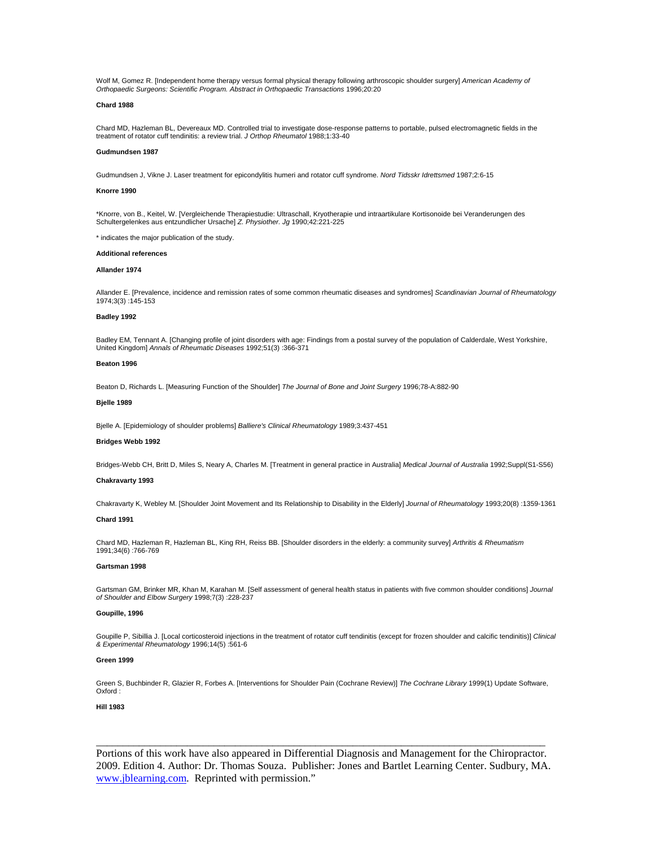Wolf M, Gomez R. [Independent home therapy versus formal physical therapy following arthroscopic shoulder surgery] *American Academy of Orthopaedic Surgeons: Scientific Program. Abstract in Orthopaedic Transactions* 1996;20:20

# **Chard 1988**

Chard MD, Hazleman BL, Devereaux MD. Controlled trial to investigate dose-response patterns to portable, pulsed electromagnetic fields in the treatment of rotator cuff tendinitis: a review trial. *J Orthop Rheumatol* 1988;1:33-40

#### **Gudmundsen 1987**

Gudmundsen J, Vikne J. Laser treatment for epicondylitis humeri and rotator cuff syndrome. *Nord Tidsskr Idrettsmed* 1987;2:6-15

#### **Knorre 1990**

\*Knorre, von B., Keitel, W. [Vergleichende Therapiestudie: Ultraschall, Kryotherapie und intraartikulare Kortisonoide bei Veranderungen des Schultergelenkes aus entzundlicher Ursache] *Z. Physiother. Jg* 1990;42:221-225

\* indicates the major publication of the study.

#### **Additional references**

#### **Allander 1974**

Allander E. [Prevalence, incidence and remission rates of some common rheumatic diseases and syndromes] *Scandinavian Journal of Rheumatology* 1974;3(3) :145-153

# **Badley 1992**

Badley EM, Tennant A. [Changing profile of joint disorders with age: Findings from a postal survey of the population of Calderdale, West Yorkshire, United Kingdom] *Annals of Rheumatic Diseases* 1992;51(3) :366-371

#### **Beaton 1996**

Beaton D, Richards L. [Measuring Function of the Shoulder] *The Journal of Bone and Joint Surgery* 1996;78-A:882-90

#### **Bjelle 1989**

Bjelle A. [Epidemiology of shoulder problems] *Balliere's Clinical Rheumatology* 1989;3:437-451

# **Bridges Webb 1992**

Bridges-Webb CH, Britt D, Miles S, Neary A, Charles M. [Treatment in general practice in Australia] *Medical Journal of Australia* 1992;Suppl(S1-S56)

# **Chakravarty 1993**

Chakravarty K, Webley M. [Shoulder Joint Movement and Its Relationship to Disability in the Elderly] *Journal of Rheumatology* 1993;20(8) :1359-1361

#### **Chard 1991**

Chard MD, Hazleman R, Hazleman BL, King RH, Reiss BB. [Shoulder disorders in the elderly: a community survey] *Arthritis & Rheumatism* 1991;34(6) :766-769

#### **Gartsman 1998**

Gartsman GM, Brinker MR, Khan M, Karahan M. [Self assessment of general health status in patients with five common shoulder conditions] *Journal of Shoulder and Elbow Surgery* 1998;7(3) :228-237

#### **Goupille, 1996**

Goupille P, Sibillia J. [Local corticosteroid injections in the treatment of rotator cuff tendinitis (except for frozen shoulder and calcific tendinitis)] *Clinical & Experimental Rheumatology* 1996;14(5) :561-6

#### **Green 1999**

Green S, Buchbinder R, Glazier R, Forbes A. [Interventions for Shoulder Pain (Cochrane Review)] *The Cochrane Library* 1999(1) Update Software, Oxford :

### **Hill 1983**

Portions of this work have also appeared in Differential Diagnosis and Management for the Chiropractor. 2009. Edition 4. Author: Dr. Thomas Souza. Publisher: Jones and Bartlet Learning Center. Sudbury, MA. www.jblearning.com. Reprinted with permission."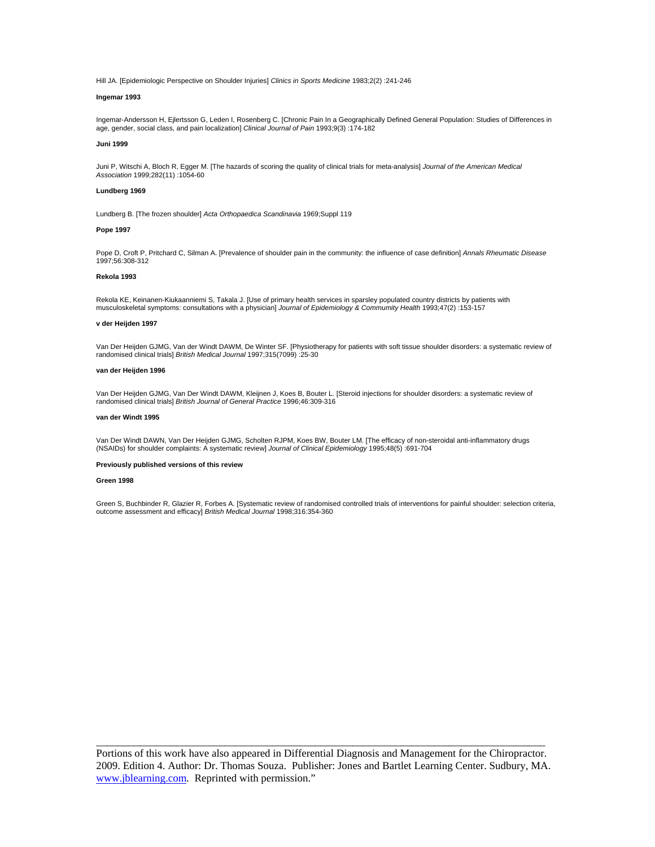Hill JA. [Epidemiologic Perspective on Shoulder Injuries] *Clinics in Sports Medicine* 1983;2(2) :241-246

#### **Ingemar 1993**

Ingemar-Andersson H, Ejlertsson G, Leden I, Rosenberg C. [Chronic Pain In a Geographically Defined General Population: Studies of Differences in age, gender, social class, and pain localization] *Clinical Journal of Pain* 1993;9(3) :174-182

### **Juni 1999**

Juni P, Witschi A, Bloch R, Egger M. [The hazards of scoring the quality of clinical trials for meta-analysis] *Journal of the American Medical Association* 1999;282(11) :1054-60

#### **Lundberg 1969**

Lundberg B. [The frozen shoulder] *Acta Orthopaedica Scandinavia* 1969;Suppl 119

# **Pope 1997**

Pope D, Croft P, Pritchard C, Silman A. [Prevalence of shoulder pain in the community: the influence of case definition] *Annals Rheumatic Disease* 1997;56:308-312

# **Rekola 1993**

Rekola KE, Keinanen-Kiukaanniemi S, Takala J. [Use of primary health services in sparsley populated country districts by patients with musculoskeletal symptoms: consultations with a physician] *Journal of Epidemiology & Commumity Health* 1993;47(2) :153-157

#### **v der Heijden 1997**

Van Der Heijden GJMG, Van der Windt DAWM, De Winter SF. [Physiotherapy for patients with soft tissue shoulder disorders: a systematic review of randomised clinical trials] *British Medical Journal* 1997;315(7099) :25-30

#### **van der Heijden 1996**

Van Der Heijden GJMG, Van Der Windt DAWM, Kleijnen J, Koes B, Bouter L. [Steroid injections for shoulder disorders: a systematic review of randomised clinical trials] *British Journal of General Practice* 1996;46:309-316

#### **van der Windt 1995**

Van Der Windt DAWN, Van Der Heijden GJMG, Scholten RJPM, Koes BW, Bouter LM. [The efficacy of non-steroidal anti-inflammatory drugs (NSAIDs) for shoulder complaints: A systematic review] *Journal of Clinical Epidemiology* 1995;48(5) :691-704

# **Previously published versions of this review**

#### **Green 1998**

Green S, Buchbinder R, Glazier R, Forbes A. [Systematic review of randomised controlled trials of interventions for painful shoulder: selection criteria, outcome assessment and efficacy] *British Medical Journal* 1998;316:354-360

Portions of this work have also appeared in Differential Diagnosis and Management for the Chiropractor. 2009. Edition 4. Author: Dr. Thomas Souza. Publisher: Jones and Bartlet Learning Center. Sudbury, MA. www.jblearning.com. Reprinted with permission."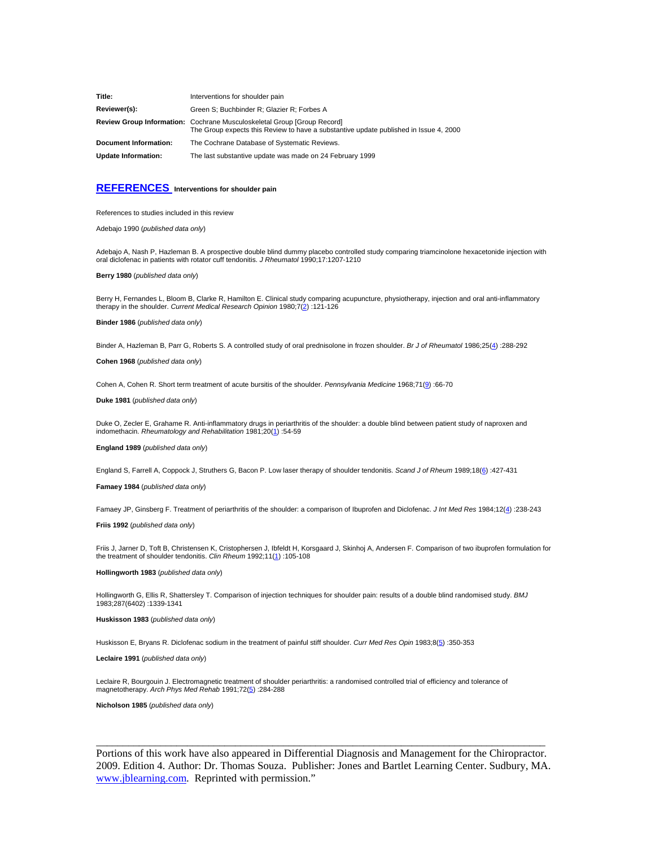| Title:                       | Interventions for shoulder pain                                                                                                                                  |
|------------------------------|------------------------------------------------------------------------------------------------------------------------------------------------------------------|
| Reviewer(s):                 | Green S; Buchbinder R; Glazier R; Forbes A                                                                                                                       |
|                              | Review Group Information: Cochrane Musculoskeletal Group [Group Record]<br>The Group expects this Review to have a substantive update published in Issue 4, 2000 |
| <b>Document Information:</b> | The Cochrane Database of Systematic Reviews.                                                                                                                     |
| <b>Update Information:</b>   | The last substantive update was made on 24 February 1999                                                                                                         |

# **REFERENCES Interventions for shoulder pain**

References to studies included in this review

Adebajo 1990 (*published data only*)

Adebajo A, Nash P, Hazleman B. A prospective double blind dummy placebo controlled study comparing triamcinolone hexacetonide injection with oral diclofenac in patients with rotator cuff tendonitis. *J Rheumatol* 1990;17:1207-1210

**Berry 1980** (*published data only*)

Berry H, Fernandes L, Bloom B, Clarke R, Hamilton E. Clinical study comparing acupuncture, physiotherapy, injection and oral anti-inflammatory therapy in the shoulder. *Current Medical Research Opinion* 1980;7(2) :121-126

**Binder 1986** (*published data only*)

Binder A, Hazleman B, Parr G, Roberts S. A controlled study of oral prednisolone in frozen shoulder. *Br J of Rheumatol* 1986;25(4) :288-292

**Cohen 1968** (*published data only*)

Cohen A, Cohen R. Short term treatment of acute bursitis of the shoulder. *Pennsylvania Medicine* 1968;71(9) :66-70

**Duke 1981** (*published data only*)

Duke O, Zecler E, Grahame R. Anti-inflammatory drugs in periarthritis of the shoulder: a double blind between patient study of naproxen and indomethacin. *Rheumatology and Rehabilitation* 1981;20(1) :54-59

**England 1989** (*published data only*)

England S, Farrell A, Coppock J, Struthers G, Bacon P. Low laser therapy of shoulder tendonitis. *Scand J of Rheum* 1989;18(6) :427-431

**Famaey 1984** (*published data only*)

Famaey JP, Ginsberg F. Treatment of periarthritis of the shoulder: a comparison of Ibuprofen and Diclofenac. *J Int Med Res* 1984;12(4) :238-243

**Friis 1992** (*published data only*)

Friis J, Jarner D, Toft B, Christensen K, Cristophersen J, Ibfeldt H, Korsgaard J, Skinhoj A, Andersen F. Comparison of two ibuprofen formulation for the treatment of shoulder tendonitis. *Clin Rheum* 1992;11(1) :105-108

**Hollingworth 1983** (*published data only*)

Hollingworth G, Ellis R, Shattersley T. Comparison of injection techniques for shoulder pain: results of a double blind randomised study. *BMJ* 1983;287(6402) :1339-1341

**Huskisson 1983** (*published data only*)

Huskisson E, Bryans R. Diclofenac sodium in the treatment of painful stiff shoulder. *Curr Med Res Opin* 1983;8(5) :350-353

**Leclaire 1991** (*published data only*)

Leclaire R, Bourgouin J. Electromagnetic treatment of shoulder periarthritis: a randomised controlled trial of efficiency and tolerance of magnetotherapy. *Arch Phys Med Rehab* 1991;72(5) :284-288

**Nicholson 1985** (*published data only*)

Portions of this work have also appeared in Differential Diagnosis and Management for the Chiropractor. 2009. Edition 4. Author: Dr. Thomas Souza. Publisher: Jones and Bartlet Learning Center. Sudbury, MA. www.jblearning.com. Reprinted with permission."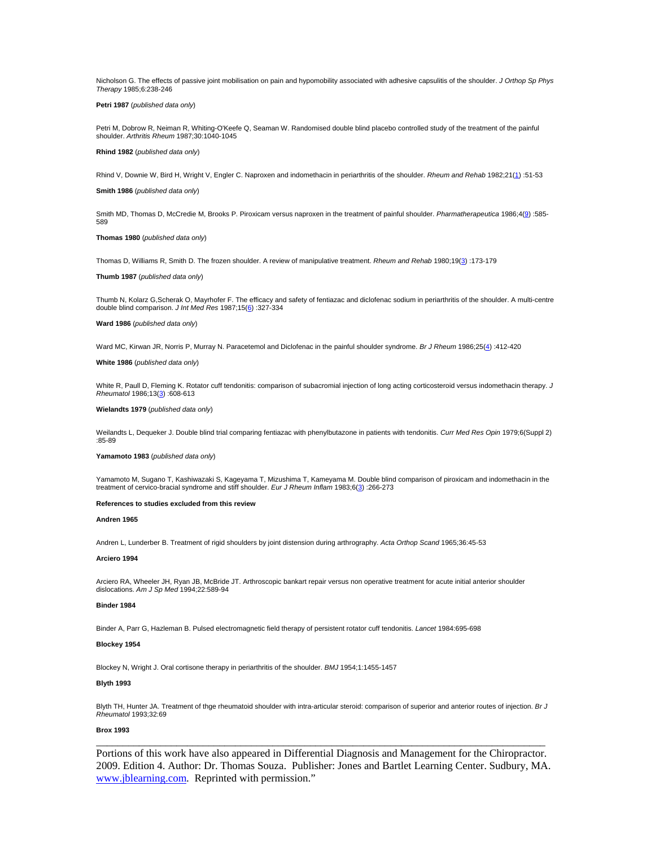Nicholson G. The effects of passive joint mobilisation on pain and hypomobility associated with adhesive capsulitis of the shoulder. *J Orthop Sp Phys Therapy* 1985;6:238-246

# **Petri 1987** (*published data only*)

Petri M, Dobrow R, Neiman R, Whiting-O'Keefe Q, Seaman W. Randomised double blind placebo controlled study of the treatment of the painful shoulder. *Arthritis Rheum* 1987;30:1040-1045

#### **Rhind 1982** (*published data only*)

Rhind V, Downie W, Bird H, Wright V, Engler C. Naproxen and indomethacin in periarthritis of the shoulder. *Rheum and Rehab* 1982;21(1) :51-53

#### **Smith 1986** (*published data only*)

Smith MD, Thomas D, McCredie M, Brooks P. Piroxicam versus naproxen in the treatment of painful shoulder. *Pharmatherapeutica* 1986;4(9) :585- 589

#### **Thomas 1980** (*published data only*)

Thomas D, Williams R, Smith D. The frozen shoulder. A review of manipulative treatment. *Rheum and Rehab* 1980;19(3) :173-179

#### **Thumb 1987** (*published data only*)

Thumb N, Kolarz G,Scherak O, Mayrhofer F. The efficacy and safety of fentiazac and diclofenac sodium in periarthritis of the shoulder. A multi-centre double blind comparison. *J Int Med Res* 1987;15(6) :327-334

#### **Ward 1986** (*published data only*)

Ward MC, Kirwan JR, Norris P, Murray N. Paracetemol and Diclofenac in the painful shoulder syndrome. *Br J Rheum* 1986;25(4) :412-420

# **White 1986** (*published data only*)

White R, Paull D, Fleming K. Rotator cuff tendonitis: comparison of subacromial injection of long acting corticosteroid versus indomethacin therapy. *J Rheumatol* 1986;13(3) :608-613

# **Wielandts 1979** (*published data only*)

Weilandts L, Dequeker J. Double blind trial comparing fentiazac with phenylbutazone in patients with tendonitis. *Curr Med Res Opin* 1979;6(Suppl 2) :85-89

#### **Yamamoto 1983** (*published data only*)

Yamamoto M, Sugano T, Kashiwazaki S, Kageyama T, Mizushima T, Kameyama M. Double blind comparison of piroxicam and indomethacin in the treatment of cervico-bracial syndrome and stiff shoulder. *Eur J Rheum Inflam* 1983;6(3) :266-273

#### **References to studies excluded from this review**

### **Andren 1965**

Andren L, Lunderber B. Treatment of rigid shoulders by joint distension during arthrography. *Acta Orthop Scand* 1965;36:45-53

#### **Arciero 1994**

Arciero RA, Wheeler JH, Ryan JB, McBride JT. Arthroscopic bankart repair versus non operative treatment for acute initial anterior shoulder dislocations. *Am J Sp Med* 1994;22:589-94

#### **Binder 1984**

Binder A, Parr G, Hazleman B. Pulsed electromagnetic field therapy of persistent rotator cuff tendonitis. *Lancet* 1984:695-698

# **Blockey 1954**

Blockey N, Wright J. Oral cortisone therapy in periarthritis of the shoulder. *BMJ* 1954;1:1455-1457

# **Blyth 1993**

Blyth TH, Hunter JA. Treatment of thge rheumatoid shoulder with intra-articular steroid: comparison of superior and anterior routes of injection. *Br J Rheumatol* 1993;32:69

# **Brox 1993**

Portions of this work have also appeared in Differential Diagnosis and Management for the Chiropractor. 2009. Edition 4. Author: Dr. Thomas Souza. Publisher: Jones and Bartlet Learning Center. Sudbury, MA. www.jblearning.com. Reprinted with permission."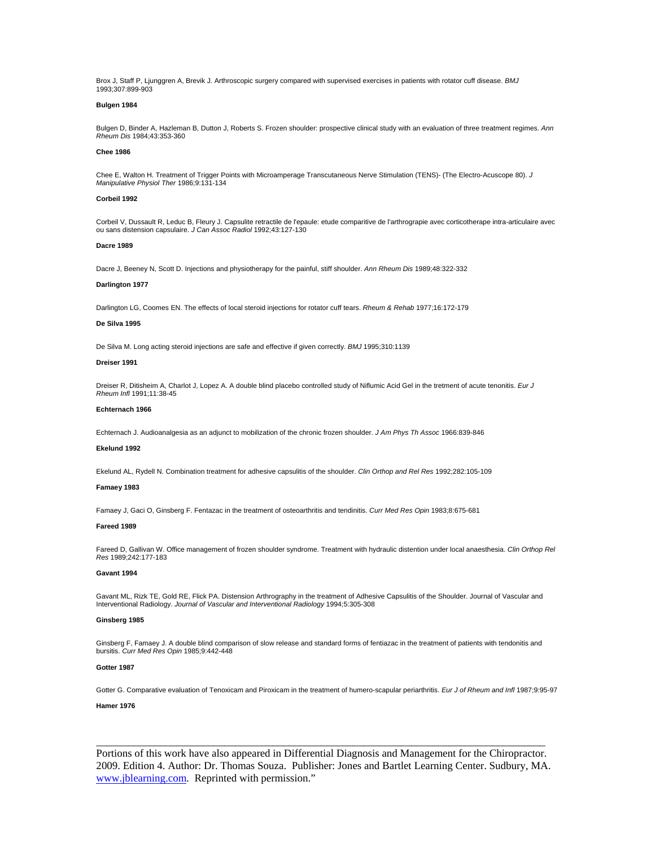Brox J, Staff P, Ljunggren A, Brevik J. Arthroscopic surgery compared with supervised exercises in patients with rotator cuff disease. *BMJ* 1993;307:899-903

# **Bulgen 1984**

Bulgen D, Binder A, Hazleman B, Dutton J, Roberts S. Frozen shoulder: prospective clinical study with an evaluation of three treatment regimes. *Ann Rheum Dis* 1984;43:353-360

#### **Chee 1986**

Chee E, Walton H. Treatment of Trigger Points with Microamperage Transcutaneous Nerve Stimulation (TENS)- (The Electro-Acuscope 80). *J Manipulative Physiol Ther* 1986;9:131-134

#### **Corbeil 1992**

Corbeil V, Dussault R, Leduc B, Fleury J. Capsulite retractile de l'epaule: etude comparitive de l'arthrograpie avec corticotherape intra-articulaire avec ou sans distension capsulaire. *J Can Assoc Radiol* 1992;43:127-130

### **Dacre 1989**

Dacre J, Beeney N, Scott D. Injections and physiotherapy for the painful, stiff shoulder. *Ann Rheum Dis* 1989;48:322-332

### **Darlington 1977**

Darlington LG, Coomes EN. The effects of local steroid injections for rotator cuff tears. *Rheum & Rehab* 1977;16:172-179

#### **De Silva 1995**

De Silva M. Long acting steroid injections are safe and effective if given correctly. *BMJ* 1995;310:1139

#### **Dreiser 1991**

Dreiser R, Ditisheim A, Charlot J, Lopez A. A double blind placebo controlled study of Niflumic Acid Gel in the tretment of acute tenonitis. *Eur J Rheum Infl* 1991;11:38-45

#### **Echternach 1966**

Echternach J. Audioanalgesia as an adjunct to mobilization of the chronic frozen shoulder. *J Am Phys Th Assoc* 1966:839-846

#### **Ekelund 1992**

Ekelund AL, Rydell N. Combination treatment for adhesive capsulitis of the shoulder. *Clin Orthop and Rel Res* 1992;282:105-109

#### **Famaey 1983**

Famaey J, Gaci O, Ginsberg F. Fentazac in the treatment of osteoarthritis and tendinitis. *Curr Med Res Opin* 1983;8:675-681

#### **Fareed 1989**

Fareed D, Gallivan W. Office management of frozen shoulder syndrome. Treatment with hydraulic distention under local anaesthesia. *Clin Orthop Rel Res* 1989;242:177-183

### **Gavant 1994**

Gavant ML, Rizk TE, Gold RE, Flick PA. Distension Arthrography in the treatment of Adhesive Capsulitis of the Shoulder. Journal of Vascular and Interventional Radiology. *Journal of Vascular and Interventional Radiology* 1994;5:305-308

#### **Ginsberg 1985**

Ginsberg F, Famaey J. A double blind comparison of slow release and standard forms of fentiazac in the treatment of patients with tendonitis and bursitis. *Curr Med Res Opin* 1985;9:442-448

#### **Gotter 1987**

Gotter G. Comparative evaluation of Tenoxicam and Piroxicam in the treatment of humero-scapular periarthritis. *Eur J of Rheum and Infl* 1987;9:95-97

# **Hamer 1976**

Portions of this work have also appeared in Differential Diagnosis and Management for the Chiropractor. 2009. Edition 4. Author: Dr. Thomas Souza. Publisher: Jones and Bartlet Learning Center. Sudbury, MA. www.jblearning.com. Reprinted with permission."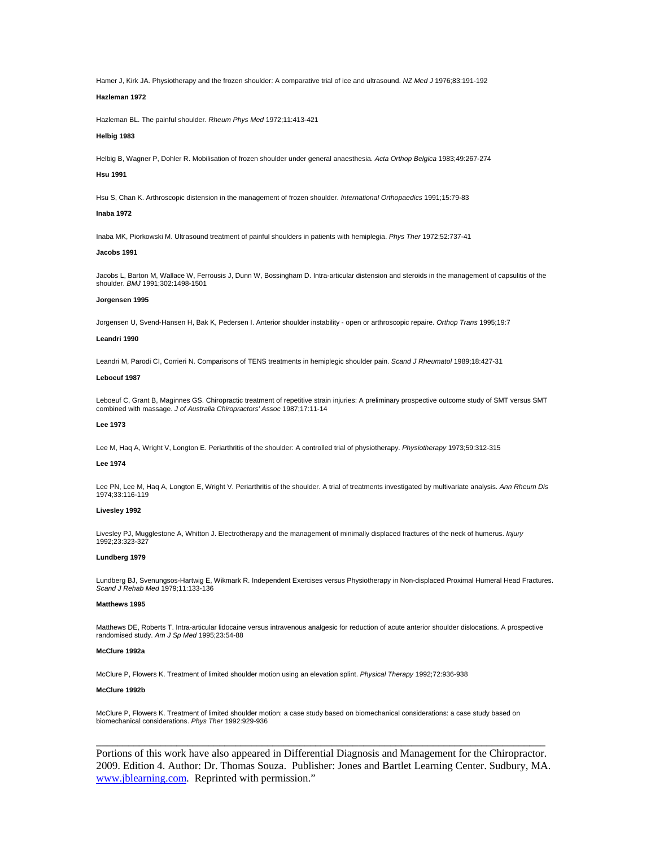Hamer J, Kirk JA. Physiotherapy and the frozen shoulder: A comparative trial of ice and ultrasound. *NZ Med J* 1976;83:191-192

# **Hazleman 1972**

Hazleman BL. The painful shoulder. *Rheum Phys Med* 1972;11:413-421

# **Helbig 1983**

Helbig B, Wagner P, Dohler R. Mobilisation of frozen shoulder under general anaesthesia. *Acta Orthop Belgica* 1983;49:267-274

# **Hsu 1991**

Hsu S, Chan K. Arthroscopic distension in the management of frozen shoulder. *International Orthopaedics* 1991;15:79-83

### **Inaba 1972**

Inaba MK, Piorkowski M. Ultrasound treatment of painful shoulders in patients with hemiplegia. *Phys Ther* 1972;52:737-41

### **Jacobs 1991**

Jacobs L, Barton M, Wallace W, Ferrousis J, Dunn W, Bossingham D. Intra-articular distension and steroids in the management of capsulitis of the shoulder. *BMJ* 1991;302:1498-1501

# **Jorgensen 1995**

Jorgensen U, Svend-Hansen H, Bak K, Pedersen I. Anterior shoulder instability - open or arthroscopic repaire. *Orthop Trans* 1995;19:7

### **Leandri 1990**

Leandri M, Parodi CI, Corrieri N. Comparisons of TENS treatments in hemiplegic shoulder pain. *Scand J Rheumatol* 1989;18:427-31

#### **Leboeuf 1987**

Leboeuf C, Grant B, Maginnes GS. Chiropractic treatment of repetitive strain injuries: A preliminary prospective outcome study of SMT versus SMT combined with massage. *J of Australia Chiropractors' Assoc* 1987;17:11-14

#### **Lee 1973**

Lee M, Haq A, Wright V, Longton E. Periarthritis of the shoulder: A controlled trial of physiotherapy. *Physiotherapy* 1973;59:312-315

# **Lee 1974**

Lee PN, Lee M, Haq A, Longton E, Wright V. Periarthritis of the shoulder. A trial of treatments investigated by multivariate analysis. *Ann Rheum Dis* 1974;33:116-119

### **Livesley 1992**

Livesley PJ, Mugglestone A, Whitton J. Electrotherapy and the management of minimally displaced fractures of the neck of humerus. *Injury* 1992;23:323-327

# **Lundberg 1979**

Lundberg BJ, Svenungsos-Hartwig E, Wikmark R. Independent Exercises versus Physiotherapy in Non-displaced Proximal Humeral Head Fractures. *Scand J Rehab Med* 1979;11:133-136

# **Matthews 1995**

Matthews DE, Roberts T. Intra-articular lidocaine versus intravenous analgesic for reduction of acute anterior shoulder dislocations. A prospective randomised study. *Am J Sp Med* 1995;23:54-88

### **McClure 1992a**

McClure P, Flowers K. Treatment of limited shoulder motion using an elevation splint. *Physical Therapy* 1992;72:936-938

#### **McClure 1992b**

McClure P, Flowers K. Treatment of limited shoulder motion: a case study based on biomechanical considerations: a case study based on biomechanical considerations. *Phys Ther* 1992:929-936

Portions of this work have also appeared in Differential Diagnosis and Management for the Chiropractor. 2009. Edition 4. Author: Dr. Thomas Souza. Publisher: Jones and Bartlet Learning Center. Sudbury, MA. www.jblearning.com. Reprinted with permission."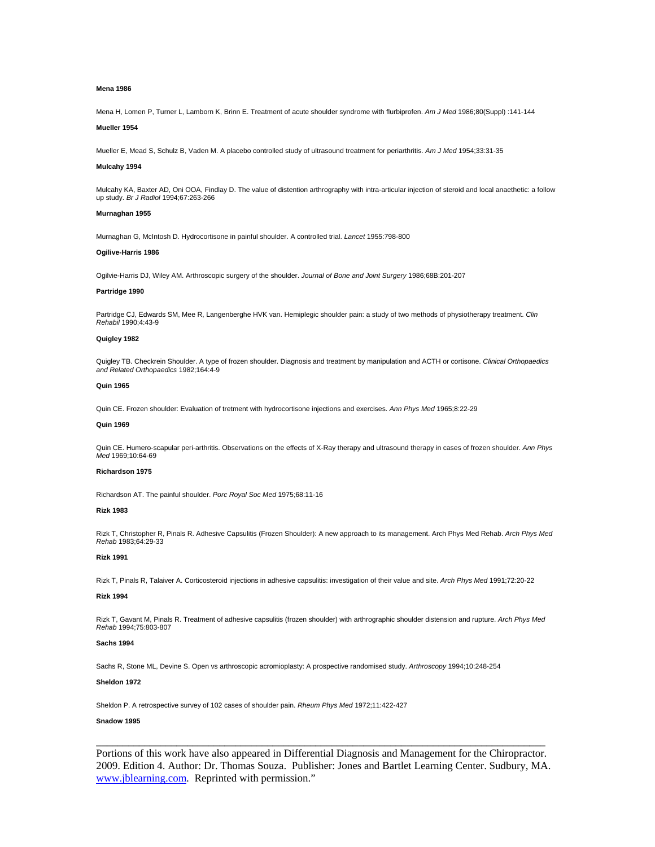#### **Mena 1986**

Mena H, Lomen P, Turner L, Lamborn K, Brinn E. Treatment of acute shoulder syndrome with flurbiprofen. *Am J Med* 1986;80(Suppl) :141-144

# **Mueller 1954**

Mueller E, Mead S, Schulz B, Vaden M. A placebo controlled study of ultrasound treatment for periarthritis. *Am J Med* 1954;33:31-35

#### **Mulcahy 1994**

Mulcahy KA, Baxter AD, Oni OOA, Findlay D. The value of distention arthrography with intra-articular injection of steroid and local anaethetic: a follow up study. *Br J Radiol* 1994;67:263-266

### **Murnaghan 1955**

Murnaghan G, McIntosh D. Hydrocortisone in painful shoulder. A controlled trial. *Lancet* 1955:798-800

### **Ogilive-Harris 1986**

Ogilvie-Harris DJ, Wiley AM. Arthroscopic surgery of the shoulder. *Journal of Bone and Joint Surgery* 1986;68B:201-207

# **Partridge 1990**

Partridge CJ, Edwards SM, Mee R, Langenberghe HVK van. Hemiplegic shoulder pain: a study of two methods of physiotherapy treatment. *Clin Rehabil* 1990;4:43-9

#### **Quigley 1982**

Quigley TB. Checkrein Shoulder. A type of frozen shoulder. Diagnosis and treatment by manipulation and ACTH or cortisone. *Clinical Orthopaedics and Related Orthopaedics* 1982;164:4-9

# **Quin 1965**

Quin CE. Frozen shoulder: Evaluation of tretment with hydrocortisone injections and exercises. *Ann Phys Med* 1965;8:22-29

# **Quin 1969**

Quin CE. Humero-scapular peri-arthritis. Observations on the effects of X-Ray therapy and ultrasound therapy in cases of frozen shoulder. *Ann Phys Med* 1969;10:64-69

### **Richardson 1975**

Richardson AT. The painful shoulder. *Porc Royal Soc Med* 1975;68:11-16

### **Rizk 1983**

Rizk T, Christopher R, Pinals R. Adhesive Capsulitis (Frozen Shoulder): A new approach to its management. Arch Phys Med Rehab. *Arch Phys Med Rehab* 1983;64:29-33

# **Rizk 1991**

Rizk T, Pinals R, Talaiver A. Corticosteroid injections in adhesive capsulitis: investigation of their value and site. *Arch Phys Med* 1991;72:20-22

# **Rizk 1994**

Rizk T, Gavant M, Pinals R. Treatment of adhesive capsulitis (frozen shoulder) with arthrographic shoulder distension and rupture. *Arch Phys Med Rehab* 1994;75:803-807

# **Sachs 1994**

Sachs R, Stone ML, Devine S. Open vs arthroscopic acromioplasty: A prospective randomised study. *Arthroscopy* 1994;10:248-254

### **Sheldon 1972**

Sheldon P. A retrospective survey of 102 cases of shoulder pain. *Rheum Phys Med* 1972;11:422-427

### **Snadow 1995**

Portions of this work have also appeared in Differential Diagnosis and Management for the Chiropractor. 2009. Edition 4. Author: Dr. Thomas Souza. Publisher: Jones and Bartlet Learning Center. Sudbury, MA. www.jblearning.com. Reprinted with permission."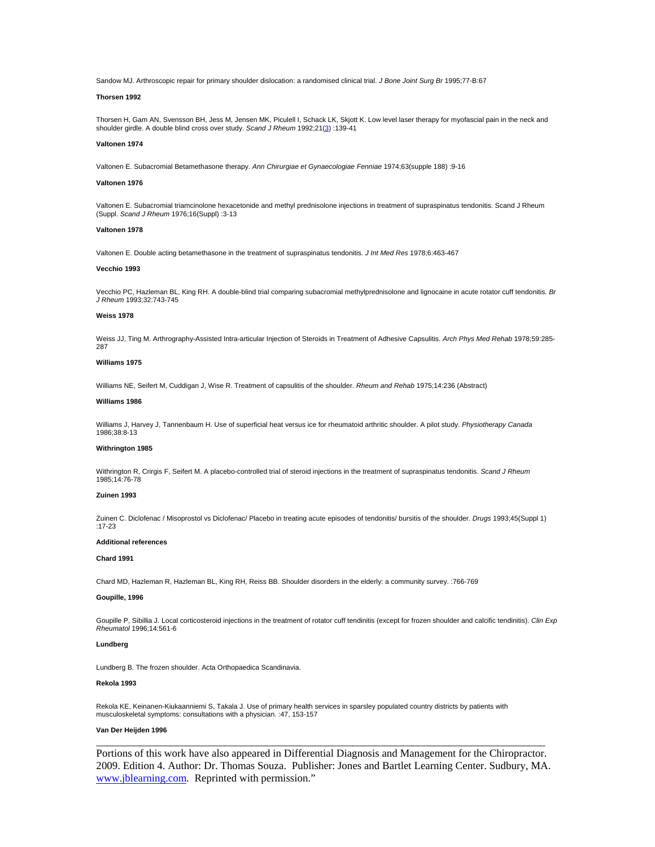Sandow MJ. Arthroscopic repair for primary shoulder dislocation: a randomised clinical trial. *J Bone Joint Surg Br* 1995;77-B:67

### **Thorsen 1992**

Thorsen H, Gam AN, Svensson BH, Jess M, Jensen MK, Piculell I, Schack LK, Skjott K. Low level laser therapy for myofascial pain in the neck and shoulder girdle. A double blind cross over study. *Scand J Rheum* 1992;21(3) :139-41

### **Valtonen 1974**

Valtonen E. Subacromial Betamethasone therapy. *Ann Chirurgiae et Gynaecologiae Fenniae* 1974;63(supple 188) :9-16

#### **Valtonen 1976**

Valtonen E. Subacromial triamcinolone hexacetonide and methyl prednisolone injections in treatment of supraspinatus tendonitis. Scand J Rheum (Suppl. *Scand J Rheum* 1976;16(Suppl) :3-13

# **Valtonen 1978**

Valtonen E. Double acting betamethasone in the treatment of supraspinatus tendonitis. *J Int Med Res* 1978;6:463-467

### **Vecchio 1993**

Vecchio PC, Hazleman BL, King RH. A double-blind trial comparing subacromial methylprednisolone and lignocaine in acute rotator cuff tendonitis. *Br J Rheum* 1993;32:743-745

# **Weiss 1978**

Weiss JJ, Ting M. Arthrography-Assisted Intra-articular Injection of Steroids in Treatment of Adhesive Capsulitis. *Arch Phys Med Rehab* 1978;59:285- 287

#### **Williams 1975**

Williams NE, Seifert M, Cuddigan J, Wise R. Treatment of capsulitis of the shoulder. *Rheum and Rehab* 1975;14:236 (Abstract)

#### **Williams 1986**

Williams J, Harvey J, Tannenbaum H. Use of superficial heat versus ice for rheumatoid arthritic shoulder. A pilot study. *Physiotherapy Canada* 1986;38:8-13

#### **Withrington 1985**

Withrington R, Crirgis F, Seifert M. A placebo-controlled trial of steroid injections in the treatment of supraspinatus tendonitis. *Scand J Rheum* 1985;14:76-78

#### **Zuinen 1993**

Zuinen C. Diclofenac / Misoprostol vs Diclofenac/ Placebo in treating acute episodes of tendonitis/ bursitis of the shoulder. *Drugs* 1993;45(Suppl 1) :17-23

#### **Additional references**

#### **Chard 1991**

Chard MD, Hazleman R, Hazleman BL, King RH, Reiss BB. Shoulder disorders in the elderly: a community survey. :766-769

# **Goupille, 1996**

Goupille P, Sibillia J. Local corticosteroid injections in the treatment of rotator cuff tendinitis (except for frozen shoulder and calcific tendinitis). *Clin Exp Rheumatol* 1996;14:561-6

### **Lundberg**

Lundberg B. The frozen shoulder. Acta Orthopaedica Scandinavia.

# **Rekola 1993**

Rekola KE, Keinanen-Kiukaanniemi S, Takala J. Use of primary health services in sparsley populated country districts by patients with musculoskeletal symptoms: consultations with a physician. :47, 153-157

### **Van Der Heijden 1996**

Portions of this work have also appeared in Differential Diagnosis and Management for the Chiropractor. 2009. Edition 4. Author: Dr. Thomas Souza. Publisher: Jones and Bartlet Learning Center. Sudbury, MA. www.jblearning.com. Reprinted with permission."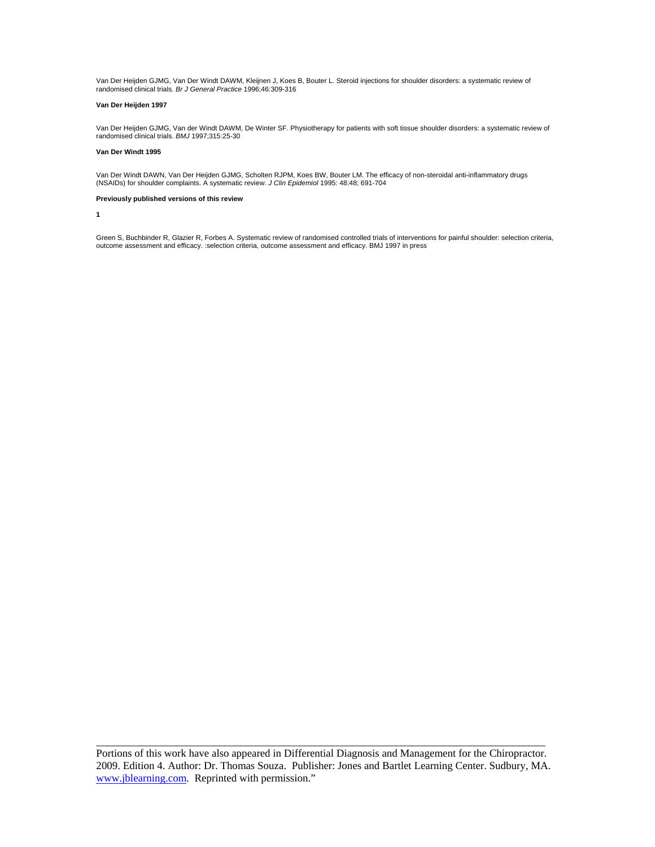Van Der Heijden GJMG, Van Der Windt DAWM, Kleijnen J, Koes B, Bouter L. Steroid injections for shoulder disorders: a systematic review of randomised clinical trials. *Br J General Practice* 1996;46:309-316

# **Van Der Heijden 1997**

Van Der Heijden GJMG, Van der Windt DAWM, De Winter SF. Physiotherapy for patients with soft tissue shoulder disorders: a systematic review of randomised clinical trials. *BMJ* 1997;315:25-30

# **Van Der Windt 1995**

Van Der Windt DAWN, Van Der Heijden GJMG, Scholten RJPM, Koes BW, Bouter LM. The efficacy of non-steroidal anti-inflammatory drugs (NSAIDs) for shoulder complaints. A systematic review. *J Clin Epidemiol* 1995: 48:48; 691-704

# **Previously published versions of this review**

**1**

Green S, Buchbinder R, Glazier R, Forbes A. Systematic review of randomised controlled trials of interventions for painful shoulder: selection criteria, outcome assessment and efficacy. :selection criteria, outcome assessment and efficacy. BMJ 1997 in press

Portions of this work have also appeared in Differential Diagnosis and Management for the Chiropractor. 2009. Edition 4. Author: Dr. Thomas Souza. Publisher: Jones and Bartlet Learning Center. Sudbury, MA. www.jblearning.com. Reprinted with permission."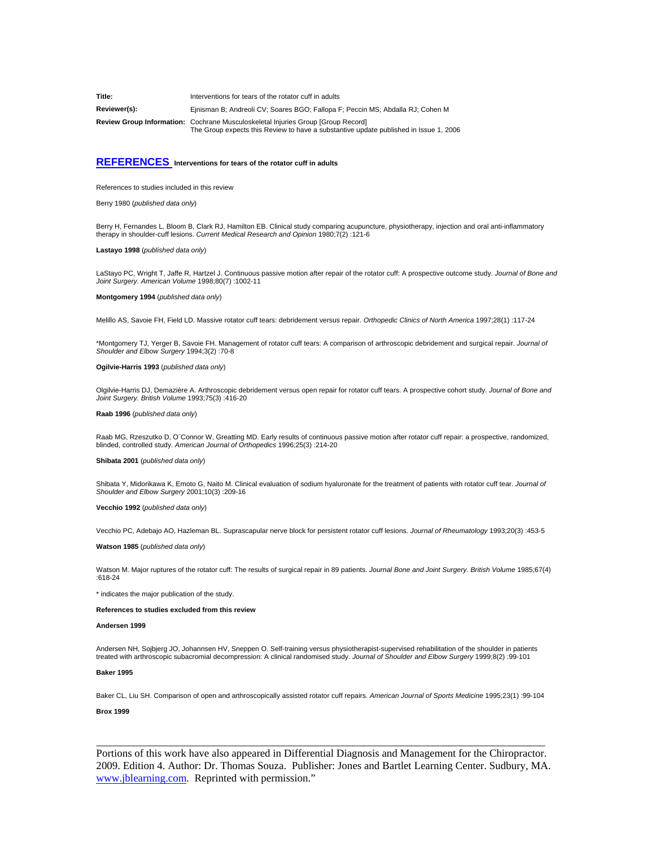**Title:** Interventions for tears of the rotator cuff in adults **Reviewer(s):** Ejnisman B; Andreoli CV; Soares BGO; Fallopa F; Peccin MS; Abdalla RJ; Cohen M **Review Group Information:** Cochrane Musculoskeletal Injuries Group [Group Record] The Group expects this Review to have a substantive update published in Issue 1, 2006

# **REFERENCES Interventions for tears of the rotator cuff in adults**

References to studies included in this review

Berry 1980 (*published data only*)

Berry H, Fernandes L, Bloom B, Clark RJ, Hamilton EB. Clinical study comparing acupuncture, physiotherapy, injection and oral anti-inflammatory therapy in shoulder-cuff lesions. *Current Medical Research and Opinion* 1980;7(2) :121-6

#### **Lastayo 1998** (*published data only*)

LaStayo PC, Wright T, Jaffe R, Hartzel J. Continuous passive motion after repair of the rotator cuff: A prospective outcome study. *Journal of Bone and Joint Surgery. American Volume* 1998;80(7) :1002-11

#### **Montgomery 1994** (*published data only*)

Melillo AS, Savoie FH, Field LD. Massive rotator cuff tears: debridement versus repair. *Orthopedic Clinics of North America* 1997;28(1) :117-24

\*Montgomery TJ, Yerger B, Savoie FH. Management of rotator cuff tears: A comparison of arthroscopic debridement and surgical repair. *Journal of Shoulder and Elbow Surgery* 1994;3(2) :70-8

#### **Ogilvie-Harris 1993** (*published data only*)

Olgilvie-Harris DJ, Demazière A. Arthroscopic debridement versus open repair for rotator cuff tears. A prospective cohort study. *Journal of Bone and Joint Surgery. British Volume* 1993;75(3) :416-20

#### **Raab 1996** (*published data only*)

Raab MG, Rzeszutko D, O´Connor W, Greatting MD. Early results of continuous passive motion after rotator cuff repair: a prospective, randomized, blinded, controlled study. *American Journal of Orthopedics* 1996;25(3) :214-20

#### **Shibata 2001** (*published data only*)

Shibata Y, Midorikawa K, Emoto G, Naito M. Clinical evaluation of sodium hyaluronate for the treatment of patients with rotator cuff tear. *Journal of Shoulder and Elbow Surgery* 2001;10(3) :209-16

#### **Vecchio 1992** (*published data only*)

Vecchio PC, Adebajo AO, Hazleman BL. Suprascapular nerve block for persistent rotator cuff lesions. *Journal of Rheumatology* 1993;20(3) :453-5

#### **Watson 1985** (*published data only*)

Watson M. Major ruptures of the rotator cuff: The results of surgical repair in 89 patients. *Journal Bone and Joint Surgery. British Volume* 1985;67(4) :618-24

\* indicates the major publication of the study.

#### **References to studies excluded from this review**

#### **Andersen 1999**

Andersen NH, Sojbjerg JO, Johannsen HV, Sneppen O. Self-training versus physiotherapist-supervised rehabilitation of the shoulder in patients treated with arthroscopic subacromial decompression: A clinical randomised study. *Journal of Shoulder and Elbow Surgery* 1999;8(2) :99-101

#### **Baker 1995**

Baker CL, Liu SH. Comparison of open and arthroscopically assisted rotator cuff repairs. *American Journal of Sports Medicine* 1995;23(1) :99-104

# **Brox 1999**

Portions of this work have also appeared in Differential Diagnosis and Management for the Chiropractor. 2009. Edition 4. Author: Dr. Thomas Souza. Publisher: Jones and Bartlet Learning Center. Sudbury, MA. www.jblearning.com. Reprinted with permission."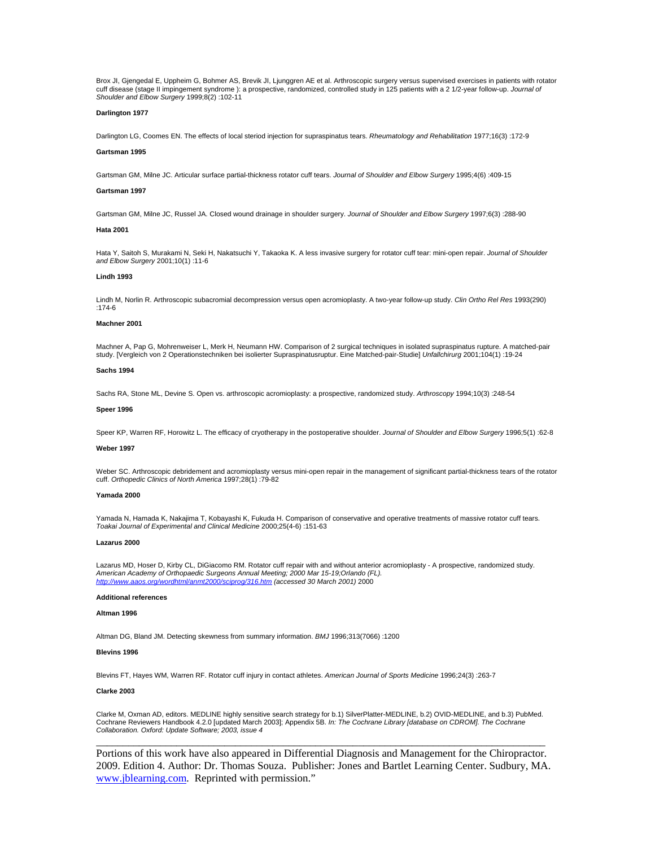Brox JI, Gjengedal E, Uppheim G, Bohmer AS, Brevik JI, Ljunggren AE et al. Arthroscopic surgery versus supervised exercises in patients with rotator cuff disease (stage II impingement syndrome ): a prospective, randomized, controlled study in 125 patients with a 2 1/2-year follow-up. *Journal of Shoulder and Elbow Surgery* 1999;8(2) :102-11

#### **Darlington 1977**

Darlington LG, Coomes EN. The effects of local steriod injection for supraspinatus tears. *Rheumatology and Rehabilitation* 1977;16(3) :172-9

#### **Gartsman 1995**

Gartsman GM, Milne JC. Articular surface partial-thickness rotator cuff tears. *Journal of Shoulder and Elbow Surgery* 1995;4(6) :409-15

#### **Gartsman 1997**

Gartsman GM, Milne JC, Russel JA. Closed wound drainage in shoulder surgery. *Journal of Shoulder and Elbow Surgery* 1997;6(3) :288-90

#### **Hata 2001**

Hata Y, Saitoh S, Murakami N, Seki H, Nakatsuchi Y, Takaoka K. A less invasive surgery for rotator cuff tear: mini-open repair. *Journal of Shoulder and Elbow Surgery* 2001;10(1) :11-6

# **Lindh 1993**

Lindh M, Norlin R. Arthroscopic subacromial decompression versus open acromioplasty. A two-year follow-up study. *Clin Ortho Rel Res* 1993(290) :174-6

#### **Machner 2001**

Machner A, Pap G, Mohrenweiser L, Merk H, Neumann HW. Comparison of 2 surgical techniques in isolated supraspinatus rupture. A matched-pair study. [Vergleich von 2 Operationstechniken bei isolierter Supraspinatusruptur. Eine Matched-pair-Studie] *Unfallchirurg* 2001;104(1) :19-24

### **Sachs 1994**

Sachs RA, Stone ML, Devine S. Open vs. arthroscopic acromioplasty: a prospective, randomized study. *Arthroscopy* 1994;10(3) :248-54

#### **Speer 1996**

Speer KP, Warren RF, Horowitz L. The efficacy of cryotherapy in the postoperative shoulder. *Journal of Shoulder and Elbow Surgery* 1996;5(1) :62-8

#### **Weber 1997**

Weber SC. Arthroscopic debridement and acromioplasty versus mini-open repair in the management of significant partial-thickness tears of the rotator cuff. *Orthopedic Clinics of North America* 1997;28(1) :79-82

#### **Yamada 2000**

Yamada N, Hamada K, Nakajima T, Kobayashi K, Fukuda H. Comparison of conservative and operative treatments of massive rotator cuff tears. *Toakai Journal of Experimental and Clinical Medicine* 2000;25(4-6) :151-63

#### **Lazarus 2000**

Lazarus MD, Hoser D, Kirby CL, DiGiacomo RM. Rotator cuff repair with and without anterior acromioplasty - A prospective, randomized study. *American Academy of Orthopaedic Surgeons Annual Meeting; 2000 Mar 15-19;Orlando (FL). http://www.aaos.org/wordhtml/anmt2000/sciprog/316.htm (accessed 30 March 2001)* 2000

#### **Additional references**

#### **Altman 1996**

Altman DG, Bland JM. Detecting skewness from summary information. *BMJ* 1996;313(7066) :1200

### **Blevins 1996**

Blevins FT, Hayes WM, Warren RF. Rotator cuff injury in contact athletes. *American Journal of Sports Medicine* 1996;24(3) :263-7

#### **Clarke 2003**

\_\_\_\_\_\_\_\_\_\_\_\_\_\_\_\_\_\_\_\_\_\_\_\_\_\_\_\_\_\_\_\_\_\_\_\_\_\_\_\_\_\_\_\_\_\_\_\_\_\_\_\_\_\_\_\_\_\_\_\_\_\_\_\_\_\_\_\_\_\_\_\_\_\_\_\_\_\_\_\_\_\_\_\_ Clarke M, Oxman AD, editors. MEDLINE highly sensitive search strategy for b.1) SilverPlatter-MEDLINE, b.2) OVID-MEDLINE, and b.3) PubMed. Cochrane Reviewers Handbook 4.2.0 [updated March 2003]; Appendix 5B. *In: The Cochrane Library [database on CDROM]. The Cochrane Collaboration. Oxford: Update Software; 2003, issue 4*

Portions of this work have also appeared in Differential Diagnosis and Management for the Chiropractor. 2009. Edition 4. Author: Dr. Thomas Souza. Publisher: Jones and Bartlet Learning Center. Sudbury, MA. www.jblearning.com. Reprinted with permission."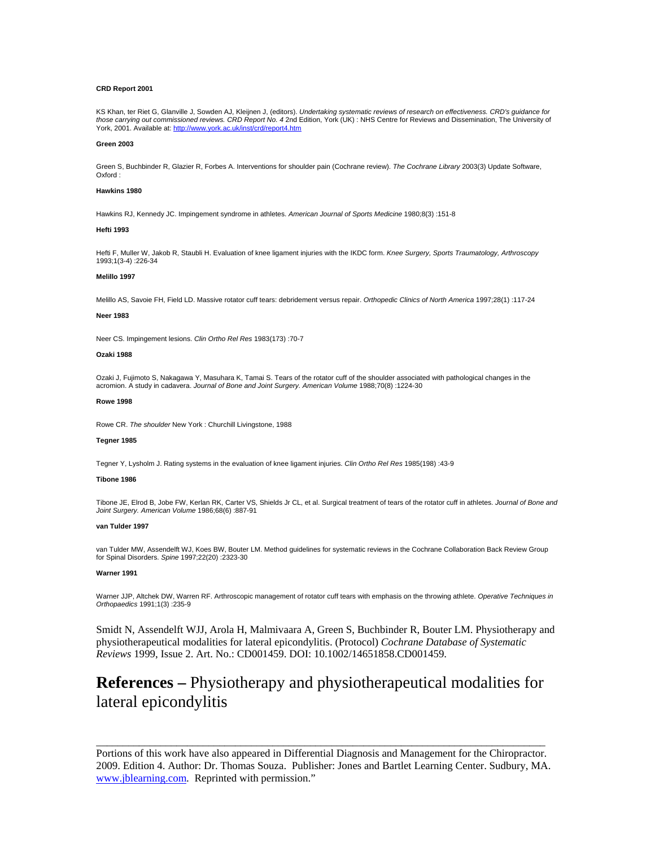#### **CRD Report 2001**

KS Khan, ter Riet G, Glanville J, Sowden AJ, Kleijnen J, (editors). *Undertaking systematic reviews of research on effectiveness. CRD's guidance for those carrying out commissioned reviews. CRD Report No. 4* 2nd Edition, York (UK) : NHS Centre for Reviews and Dissemination, The University of York, 2001. Available at: http://www.york.ac.uk/inst/crd/report4.htm

#### **Green 2003**

Green S, Buchbinder R, Glazier R, Forbes A. Interventions for shoulder pain (Cochrane review). *The Cochrane Library* 2003(3) Update Software, Oxford :

#### **Hawkins 1980**

Hawkins RJ, Kennedy JC. Impingement syndrome in athletes. *American Journal of Sports Medicine* 1980;8(3) :151-8

# **Hefti 1993**

Hefti F, Muller W, Jakob R, Staubli H. Evaluation of knee ligament injuries with the IKDC form. *Knee Surgery, Sports Traumatology, Arthroscopy* 1993;1(3-4) :226-34

# **Melillo 1997**

Melillo AS, Savoie FH, Field LD. Massive rotator cuff tears: debridement versus repair. *Orthopedic Clinics of North America* 1997;28(1) :117-24

## **Neer 1983**

Neer CS. Impingement lesions. *Clin Ortho Rel Res* 1983(173) :70-7

#### **Ozaki 1988**

Ozaki J, Fujimoto S, Nakagawa Y, Masuhara K, Tamai S. Tears of the rotator cuff of the shoulder associated with pathological changes in the acromion. A study in cadavera. *Journal of Bone and Joint Surgery. American Volume* 1988;70(8) :1224-30

#### **Rowe 1998**

Rowe CR. *The shoulder* New York : Churchill Livingstone, 1988

# **Tegner 1985**

Tegner Y, Lysholm J. Rating systems in the evaluation of knee ligament injuries. *Clin Ortho Rel Res* 1985(198) :43-9

#### **Tibone 1986**

Tibone JE, Elrod B, Jobe FW, Kerlan RK, Carter VS, Shields Jr CL, et al. Surgical treatment of tears of the rotator cuff in athletes. *Journal of Bone and Joint Surgery. American Volume* 1986;68(6) :887-91

# **van Tulder 1997**

van Tulder MW, Assendelft WJ, Koes BW, Bouter LM. Method guidelines for systematic reviews in the Cochrane Collaboration Back Review Group for Spinal Disorders. *Spine* 1997;22(20) :2323-30

# **Warner 1991**

Warner JJP, Altchek DW, Warren RF. Arthroscopic management of rotator cuff tears with emphasis on the throwing athlete. *Operative Techniques in Orthopaedics* 1991;1(3) :235-9

Smidt N, Assendelft WJJ, Arola H, Malmivaara A, Green S, Buchbinder R, Bouter LM. Physiotherapy and physiotherapeutical modalities for lateral epicondylitis. (Protocol) *Cochrane Database of Systematic Reviews* 1999, Issue 2. Art. No.: CD001459. DOI: 10.1002/14651858.CD001459.

# **References –** Physiotherapy and physiotherapeutical modalities for lateral epicondylitis

Portions of this work have also appeared in Differential Diagnosis and Management for the Chiropractor. 2009. Edition 4. Author: Dr. Thomas Souza. Publisher: Jones and Bartlet Learning Center. Sudbury, MA. www.jblearning.com. Reprinted with permission."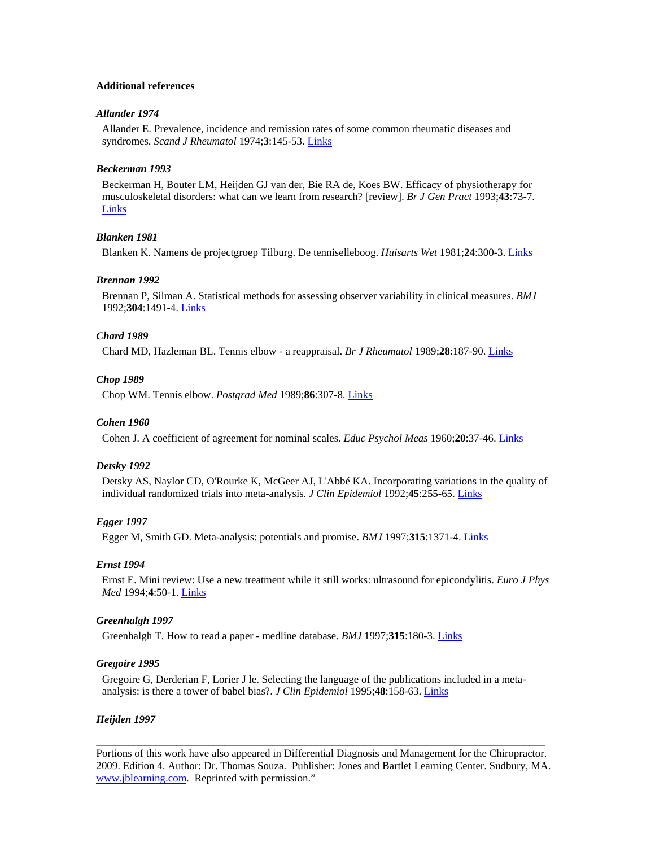# **Additional references**

# *Allander 1974*

 Allander E. Prevalence, incidence and remission rates of some common rheumatic diseases and syndromes. *Scand J Rheumatol* 1974;**3**:145-53. Links

# *Beckerman 1993*

 Beckerman H, Bouter LM, Heijden GJ van der, Bie RA de, Koes BW. Efficacy of physiotherapy for musculoskeletal disorders: what can we learn from research? [review]. *Br J Gen Pract* 1993;**43**:73-7. Links

# *Blanken 1981*

Blanken K. Namens de projectgroep Tilburg. De tenniselleboog. *Huisarts Wet* 1981;**24**:300-3. Links

# *Brennan 1992*

 Brennan P, Silman A. Statistical methods for assessing observer variability in clinical measures. *BMJ* 1992;**304**:1491-4. Links

# *Chard 1989*

Chard MD, Hazleman BL. Tennis elbow - a reappraisal. *Br J Rheumatol* 1989;**28**:187-90. Links

# *Chop 1989*

Chop WM. Tennis elbow. *Postgrad Med* 1989;**86**:307-8. Links

# *Cohen 1960*

Cohen J. A coefficient of agreement for nominal scales. *Educ Psychol Meas* 1960;**20**:37-46. Links

# *Detsky 1992*

 Detsky AS, Naylor CD, O'Rourke K, McGeer AJ, L'Abbé KA. Incorporating variations in the quality of individual randomized trials into meta-analysis. *J Clin Epidemiol* 1992;**45**:255-65. Links

# *Egger 1997*

Egger M, Smith GD. Meta-analysis: potentials and promise. *BMJ* 1997;**315**:1371-4. Links

# *Ernst 1994*

 Ernst E. Mini review: Use a new treatment while it still works: ultrasound for epicondylitis. *Euro J Phys Med* 1994;**4**:50-1. Links

# *Greenhalgh 1997*

Greenhalgh T. How to read a paper - medline database. *BMJ* 1997;**315**:180-3. Links

# *Gregoire 1995*

 Gregoire G, Derderian F, Lorier J le. Selecting the language of the publications included in a metaanalysis: is there a tower of babel bias?. *J Clin Epidemiol* 1995;**48**:158-63. Links

# *Heijden 1997*

Portions of this work have also appeared in Differential Diagnosis and Management for the Chiropractor. 2009. Edition 4. Author: Dr. Thomas Souza. Publisher: Jones and Bartlet Learning Center. Sudbury, MA. www.jblearning.com. Reprinted with permission."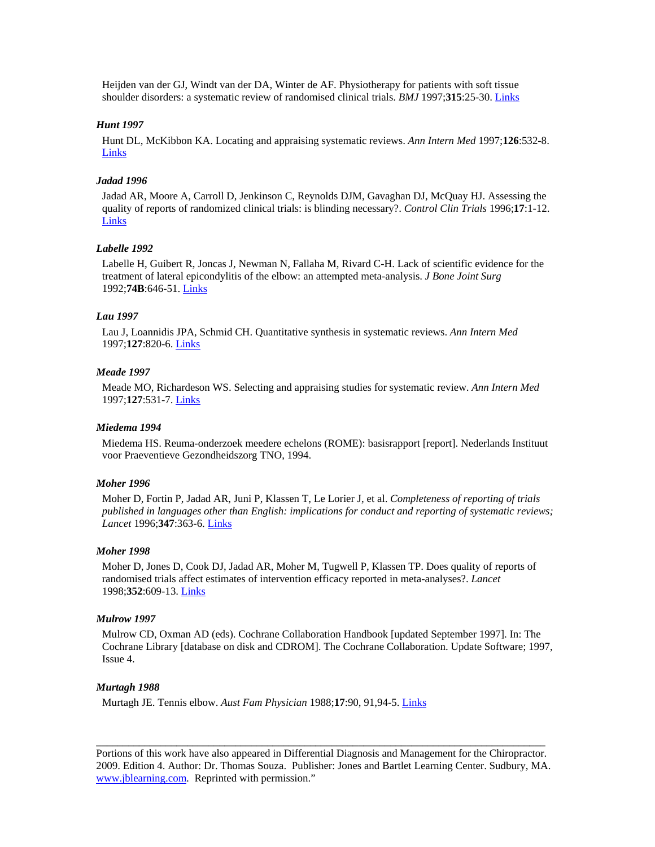Heijden van der GJ, Windt van der DA, Winter de AF. Physiotherapy for patients with soft tissue shoulder disorders: a systematic review of randomised clinical trials. *BMJ* 1997;**315**:25-30. Links

# *Hunt 1997*

 Hunt DL, McKibbon KA. Locating and appraising systematic reviews. *Ann Intern Med* 1997;**126**:532-8. Links

# *Jadad 1996*

 Jadad AR, Moore A, Carroll D, Jenkinson C, Reynolds DJM, Gavaghan DJ, McQuay HJ. Assessing the quality of reports of randomized clinical trials: is blinding necessary?. *Control Clin Trials* 1996;**17**:1-12. Links

# *Labelle 1992*

 Labelle H, Guibert R, Joncas J, Newman N, Fallaha M, Rivard C-H. Lack of scientific evidence for the treatment of lateral epicondylitis of the elbow: an attempted meta-analysis. *J Bone Joint Surg* 1992;**74B**:646-51. Links

# *Lau 1997*

 Lau J, Loannidis JPA, Schmid CH. Quantitative synthesis in systematic reviews. *Ann Intern Med* 1997;**127**:820-6. Links

# *Meade 1997*

 Meade MO, Richardeson WS. Selecting and appraising studies for systematic review. *Ann Intern Med* 1997;**127**:531-7. Links

# *Miedema 1994*

 Miedema HS. Reuma-onderzoek meedere echelons (ROME): basisrapport [report]. Nederlands Instituut voor Praeventieve Gezondheidszorg TNO, 1994.

# *Moher 1996*

 Moher D, Fortin P, Jadad AR, Juni P, Klassen T, Le Lorier J, et al. *Completeness of reporting of trials published in languages other than English: implications for conduct and reporting of systematic reviews; Lancet* 1996;**347**:363-6. Links

# *Moher 1998*

 Moher D, Jones D, Cook DJ, Jadad AR, Moher M, Tugwell P, Klassen TP. Does quality of reports of randomised trials affect estimates of intervention efficacy reported in meta-analyses?. *Lancet* 1998;**352**:609-13. Links

# *Mulrow 1997*

 Mulrow CD, Oxman AD (eds). Cochrane Collaboration Handbook [updated September 1997]. In: The Cochrane Library [database on disk and CDROM]. The Cochrane Collaboration. Update Software; 1997, Issue 4.

# *Murtagh 1988*

Murtagh JE. Tennis elbow. *Aust Fam Physician* 1988;**17**:90, 91,94-5. Links

Portions of this work have also appeared in Differential Diagnosis and Management for the Chiropractor. 2009. Edition 4. Author: Dr. Thomas Souza. Publisher: Jones and Bartlet Learning Center. Sudbury, MA. www.jblearning.com. Reprinted with permission."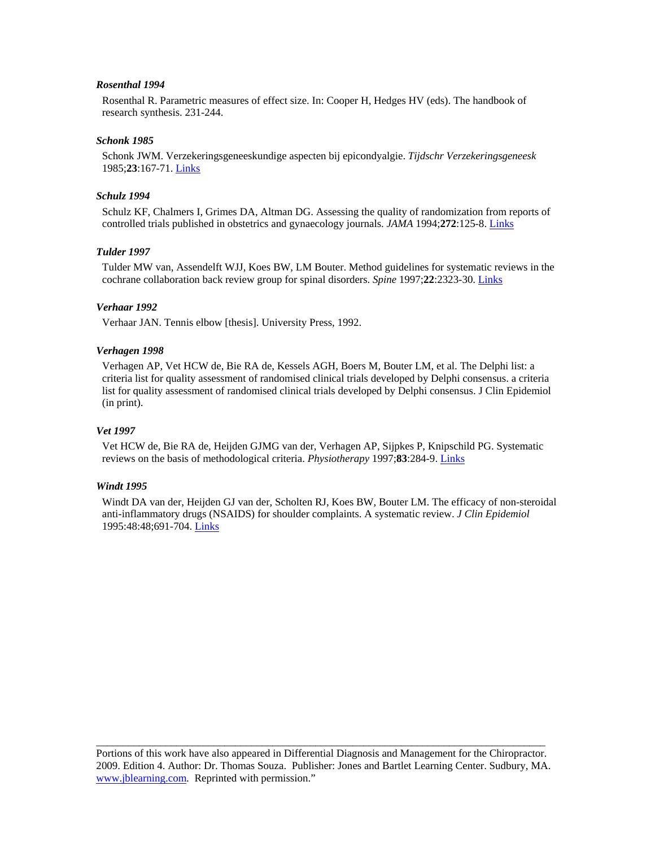# *Rosenthal 1994*

 Rosenthal R. Parametric measures of effect size. In: Cooper H, Hedges HV (eds). The handbook of research synthesis. 231-244.

# *Schonk 1985*

 Schonk JWM. Verzekeringsgeneeskundige aspecten bij epicondyalgie. *Tijdschr Verzekeringsgeneesk* 1985;**23**:167-71. Links

# *Schulz 1994*

 Schulz KF, Chalmers I, Grimes DA, Altman DG. Assessing the quality of randomization from reports of controlled trials published in obstetrics and gynaecology journals. *JAMA* 1994;**272**:125-8. Links

# *Tulder 1997*

 Tulder MW van, Assendelft WJJ, Koes BW, LM Bouter. Method guidelines for systematic reviews in the cochrane collaboration back review group for spinal disorders. *Spine* 1997;**22**:2323-30. Links

# *Verhaar 1992*

Verhaar JAN. Tennis elbow [thesis]. University Press, 1992.

# *Verhagen 1998*

 Verhagen AP, Vet HCW de, Bie RA de, Kessels AGH, Boers M, Bouter LM, et al. The Delphi list: a criteria list for quality assessment of randomised clinical trials developed by Delphi consensus. a criteria list for quality assessment of randomised clinical trials developed by Delphi consensus. J Clin Epidemiol (in print).

# *Vet 1997*

 Vet HCW de, Bie RA de, Heijden GJMG van der, Verhagen AP, Sijpkes P, Knipschild PG. Systematic reviews on the basis of methodological criteria. *Physiotherapy* 1997;**83**:284-9. Links

# *Windt 1995*

 Windt DA van der, Heijden GJ van der, Scholten RJ, Koes BW, Bouter LM. The efficacy of non-steroidal anti-inflammatory drugs (NSAIDS) for shoulder complaints. A systematic review. *J Clin Epidemiol* 1995:48:48;691-704. Links

Portions of this work have also appeared in Differential Diagnosis and Management for the Chiropractor. 2009. Edition 4. Author: Dr. Thomas Souza. Publisher: Jones and Bartlet Learning Center. Sudbury, MA. www.jblearning.com. Reprinted with permission."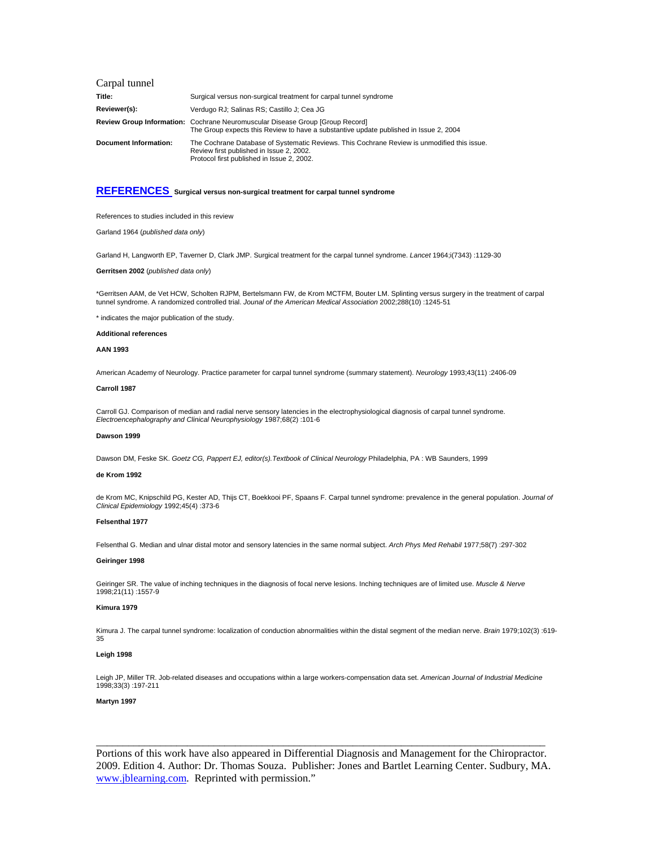| Carpal tunnel         |                                                                                                                                                                                       |
|-----------------------|---------------------------------------------------------------------------------------------------------------------------------------------------------------------------------------|
| Title:                | Surgical versus non-surgical treatment for carpal tunnel syndrome                                                                                                                     |
| Reviewer(s):          | Verdugo RJ; Salinas RS; Castillo J; Cea JG                                                                                                                                            |
|                       | <b>Review Group Information:</b> Cochrane Neuromuscular Disease Group [Group Record]<br>The Group expects this Review to have a substantive update published in Issue 2, 2004         |
| Document Information: | The Cochrane Database of Systematic Reviews. This Cochrane Review is unmodified this issue.<br>Review first published in Issue 2, 2002.<br>Protocol first published in Issue 2, 2002. |

# **REFERENCES Surgical versus non-surgical treatment for carpal tunnel syndrome**

References to studies included in this review

Garland 1964 (*published data only*)

Garland H, Langworth EP, Taverner D, Clark JMP. Surgical treatment for the carpal tunnel syndrome. *Lancet* 1964;i(7343) :1129-30

# **Gerritsen 2002** (*published data only*)

\*Gerritsen AAM, de Vet HCW, Scholten RJPM, Bertelsmann FW, de Krom MCTFM, Bouter LM. Splinting versus surgery in the treatment of carpal tunnel syndrome. A randomized controlled trial. *Jounal of the American Medical Association* 2002;288(10) :1245-51

\* indicates the major publication of the study.

### **Additional references**

#### **AAN 1993**

American Academy of Neurology. Practice parameter for carpal tunnel syndrome (summary statement). *Neurology* 1993;43(11) :2406-09

#### **Carroll 1987**

Carroll GJ. Comparison of median and radial nerve sensory latencies in the electrophysiological diagnosis of carpal tunnel syndrome. *Electroencephalography and Clinical Neurophysiology* 1987;68(2) :101-6

# **Dawson 1999**

Dawson DM, Feske SK. *Goetz CG, Pappert EJ, editor(s).Textbook of Clinical Neurology* Philadelphia, PA : WB Saunders, 1999

# **de Krom 1992**

de Krom MC, Knipschild PG, Kester AD, Thijs CT, Boekkooi PF, Spaans F. Carpal tunnel syndrome: prevalence in the general population. *Journal of Clinical Epidemiology* 1992;45(4) :373-6

### **Felsenthal 1977**

Felsenthal G. Median and ulnar distal motor and sensory latencies in the same normal subject. *Arch Phys Med Rehabil* 1977;58(7) :297-302

# **Geiringer 1998**

Geiringer SR. The value of inching techniques in the diagnosis of focal nerve lesions. Inching techniques are of limited use. *Muscle & Nerve* 1998;21(11) :1557-9

# **Kimura 1979**

Kimura J. The carpal tunnel syndrome: localization of conduction abnormalities within the distal segment of the median nerve. *Brain* 1979;102(3) :619-  $\frac{1}{35}$ 

#### **Leigh 1998**

Leigh JP, Miller TR. Job-related diseases and occupations within a large workers-compensation data set. *American Journal of Industrial Medicine* 1998;33(3) :197-211

#### **Martyn 1997**

Portions of this work have also appeared in Differential Diagnosis and Management for the Chiropractor. 2009. Edition 4. Author: Dr. Thomas Souza. Publisher: Jones and Bartlet Learning Center. Sudbury, MA. www.jblearning.com. Reprinted with permission."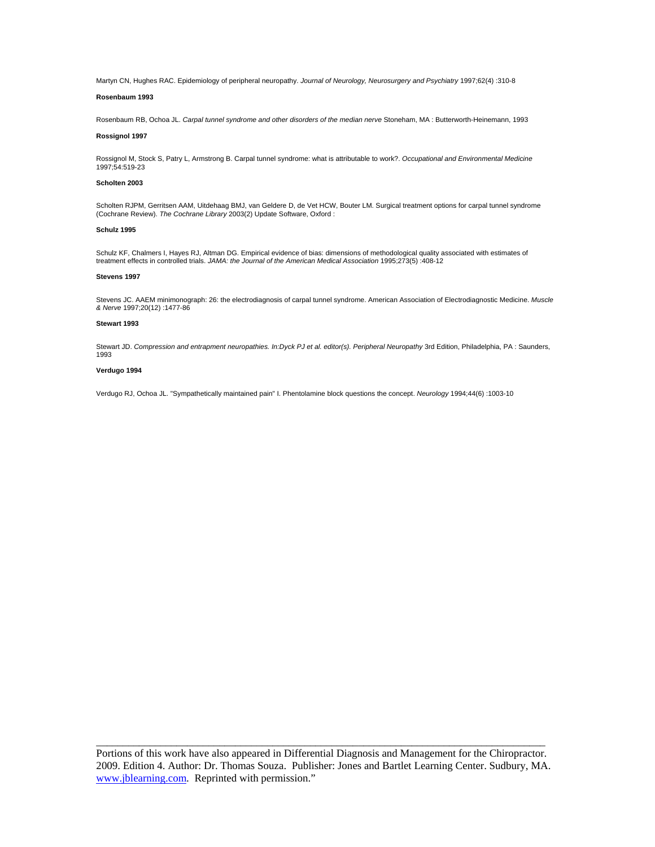Martyn CN, Hughes RAC. Epidemiology of peripheral neuropathy. *Journal of Neurology, Neurosurgery and Psychiatry* 1997;62(4) :310-8

# **Rosenbaum 1993**

Rosenbaum RB, Ochoa JL. *Carpal tunnel syndrome and other disorders of the median nerve* Stoneham, MA : Butterworth-Heinemann, 1993

# **Rossignol 1997**

Rossignol M, Stock S, Patry L, Armstrong B. Carpal tunnel syndrome: what is attributable to work?. *Occupational and Environmental Medicine* 1997;54:519-23

#### **Scholten 2003**

Scholten RJPM, Gerritsen AAM, Uitdehaag BMJ, van Geldere D, de Vet HCW, Bouter LM. Surgical treatment options for carpal tunnel syndrome (Cochrane Review). *The Cochrane Library* 2003(2) Update Software, Oxford :

### **Schulz 1995**

Schulz KF, Chalmers I, Hayes RJ, Altman DG. Empirical evidence of bias: dimensions of methodological quality associated with estimates of<br>treatment effects in controlled trials. *JAMA: the Journal of the American Medical A* 

# **Stevens 1997**

Stevens JC. AAEM minimonograph: 26: the electrodiagnosis of carpal tunnel syndrome. American Association of Electrodiagnostic Medicine. *Muscle & Nerve* 1997;20(12) :1477-86

#### **Stewart 1993**

Stewart JD. *Compression and entrapment neuropathies. In:Dyck PJ et al. editor(s). Peripheral Neuropathy* 3rd Edition, Philadelphia, PA : Saunders, 1993

# **Verdugo 1994**

Verdugo RJ, Ochoa JL. "Sympathetically maintained pain" I. Phentolamine block questions the concept. *Neurology* 1994;44(6) :1003-10

Portions of this work have also appeared in Differential Diagnosis and Management for the Chiropractor. 2009. Edition 4. Author: Dr. Thomas Souza. Publisher: Jones and Bartlet Learning Center. Sudbury, MA. www.jblearning.com. Reprinted with permission."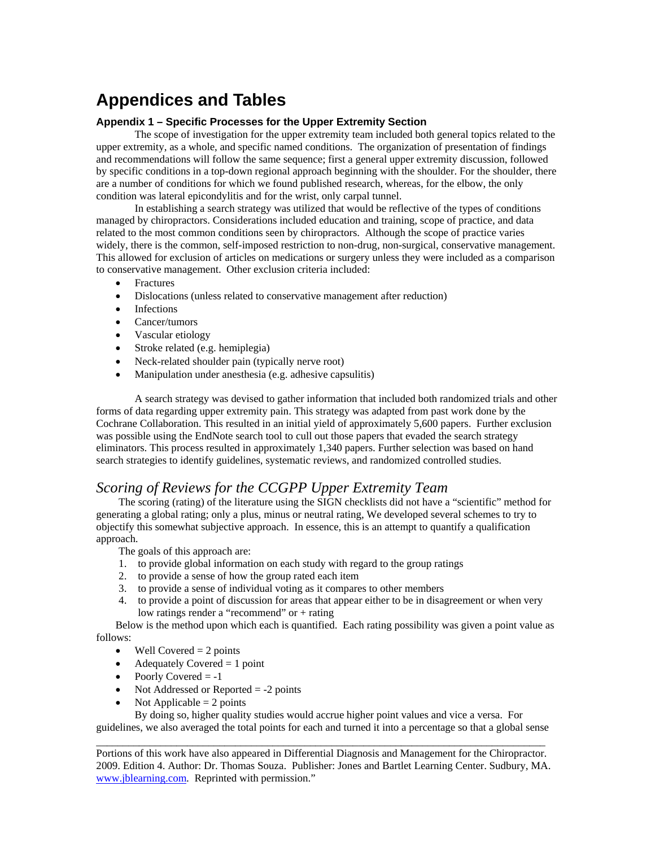# **Appendices and Tables**

# **Appendix 1 – Specific Processes for the Upper Extremity Section**

The scope of investigation for the upper extremity team included both general topics related to the upper extremity, as a whole, and specific named conditions. The organization of presentation of findings and recommendations will follow the same sequence; first a general upper extremity discussion, followed by specific conditions in a top-down regional approach beginning with the shoulder. For the shoulder, there are a number of conditions for which we found published research, whereas, for the elbow, the only condition was lateral epicondylitis and for the wrist, only carpal tunnel.

In establishing a search strategy was utilized that would be reflective of the types of conditions managed by chiropractors. Considerations included education and training, scope of practice, and data related to the most common conditions seen by chiropractors. Although the scope of practice varies widely, there is the common, self-imposed restriction to non-drug, non-surgical, conservative management. This allowed for exclusion of articles on medications or surgery unless they were included as a comparison to conservative management. Other exclusion criteria included:

- Fractures
- Dislocations (unless related to conservative management after reduction)
- Infections
- Cancer/tumors
- Vascular etiology
- Stroke related (e.g. hemiplegia)
- Neck-related shoulder pain (typically nerve root)
- Manipulation under anesthesia (e.g. adhesive capsulitis)

 A search strategy was devised to gather information that included both randomized trials and other forms of data regarding upper extremity pain. This strategy was adapted from past work done by the Cochrane Collaboration. This resulted in an initial yield of approximately 5,600 papers. Further exclusion was possible using the EndNote search tool to cull out those papers that evaded the search strategy eliminators. This process resulted in approximately 1,340 papers. Further selection was based on hand search strategies to identify guidelines, systematic reviews, and randomized controlled studies.

# *Scoring of Reviews for the CCGPP Upper Extremity Team*

The scoring (rating) of the literature using the SIGN checklists did not have a "scientific" method for generating a global rating; only a plus, minus or neutral rating, We developed several schemes to try to objectify this somewhat subjective approach. In essence, this is an attempt to quantify a qualification approach.

The goals of this approach are:

- 1. to provide global information on each study with regard to the group ratings
- 2. to provide a sense of how the group rated each item
- 3. to provide a sense of individual voting as it compares to other members
- 4. to provide a point of discussion for areas that appear either to be in disagreement or when very low ratings render a "recommend" or + rating

Below is the method upon which each is quantified. Each rating possibility was given a point value as follows:

- Well Covered  $= 2$  points
- Adequately Covered  $= 1$  point
- Poorly Covered  $= -1$
- Not Addressed or Reported  $= -2$  points
- Not Applicable  $= 2$  points

\_\_\_\_\_\_\_\_\_\_\_\_\_\_\_\_\_\_\_\_\_\_\_\_\_\_\_\_\_\_\_\_\_\_\_\_\_\_\_\_\_\_\_\_\_\_\_\_\_\_\_\_\_\_\_\_\_\_\_\_\_\_\_\_\_\_\_\_\_\_\_\_\_\_\_\_\_\_\_\_\_\_\_\_ By doing so, higher quality studies would accrue higher point values and vice a versa. For guidelines, we also averaged the total points for each and turned it into a percentage so that a global sense

Portions of this work have also appeared in Differential Diagnosis and Management for the Chiropractor. 2009. Edition 4. Author: Dr. Thomas Souza. Publisher: Jones and Bartlet Learning Center. Sudbury, MA. www.jblearning.com. Reprinted with permission."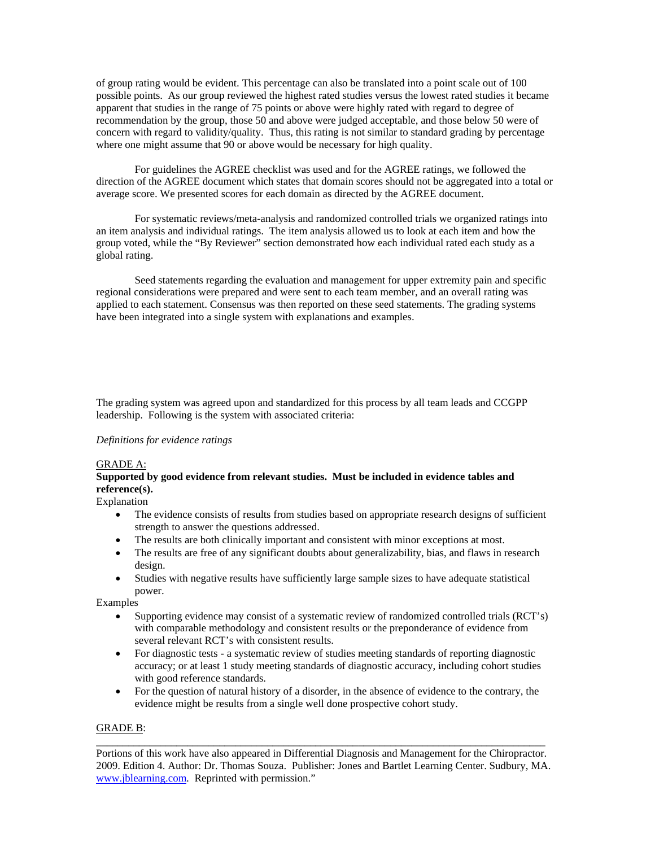of group rating would be evident. This percentage can also be translated into a point scale out of 100 possible points. As our group reviewed the highest rated studies versus the lowest rated studies it became apparent that studies in the range of 75 points or above were highly rated with regard to degree of recommendation by the group, those 50 and above were judged acceptable, and those below 50 were of concern with regard to validity/quality. Thus, this rating is not similar to standard grading by percentage where one might assume that 90 or above would be necessary for high quality.

For guidelines the AGREE checklist was used and for the AGREE ratings, we followed the direction of the AGREE document which states that domain scores should not be aggregated into a total or average score. We presented scores for each domain as directed by the AGREE document.

For systematic reviews/meta-analysis and randomized controlled trials we organized ratings into an item analysis and individual ratings. The item analysis allowed us to look at each item and how the group voted, while the "By Reviewer" section demonstrated how each individual rated each study as a global rating.

Seed statements regarding the evaluation and management for upper extremity pain and specific regional considerations were prepared and were sent to each team member, and an overall rating was applied to each statement. Consensus was then reported on these seed statements. The grading systems have been integrated into a single system with explanations and examples.

The grading system was agreed upon and standardized for this process by all team leads and CCGPP leadership. Following is the system with associated criteria:

#### *Definitions for evidence ratings*

#### GRADE A:

### **Supported by good evidence from relevant studies. Must be included in evidence tables and reference(s).**

Explanation

- The evidence consists of results from studies based on appropriate research designs of sufficient strength to answer the questions addressed.
- The results are both clinically important and consistent with minor exceptions at most.
- The results are free of any significant doubts about generalizability, bias, and flaws in research design.
- Studies with negative results have sufficiently large sample sizes to have adequate statistical power.

Examples

- Supporting evidence may consist of a systematic review of randomized controlled trials (RCT's) with comparable methodology and consistent results or the preponderance of evidence from several relevant RCT's with consistent results.
- For diagnostic tests a systematic review of studies meeting standards of reporting diagnostic accuracy; or at least 1 study meeting standards of diagnostic accuracy, including cohort studies with good reference standards.
- For the question of natural history of a disorder, in the absence of evidence to the contrary, the evidence might be results from a single well done prospective cohort study.

#### GRADE B:

Portions of this work have also appeared in Differential Diagnosis and Management for the Chiropractor. 2009. Edition 4. Author: Dr. Thomas Souza. Publisher: Jones and Bartlet Learning Center. Sudbury, MA. www.jblearning.com. Reprinted with permission."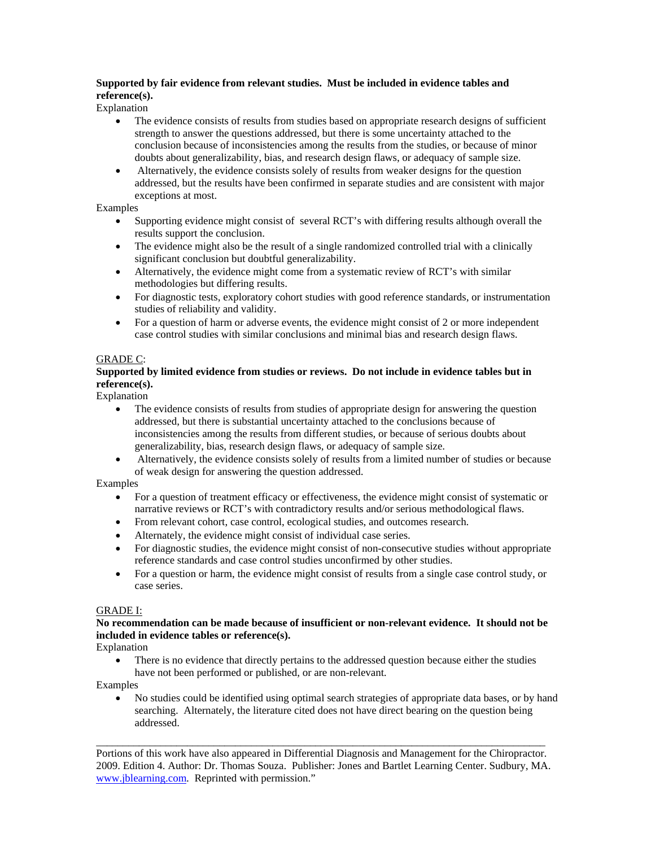## **Supported by fair evidence from relevant studies. Must be included in evidence tables and reference(s).**

Explanation

- The evidence consists of results from studies based on appropriate research designs of sufficient strength to answer the questions addressed, but there is some uncertainty attached to the conclusion because of inconsistencies among the results from the studies, or because of minor doubts about generalizability, bias, and research design flaws, or adequacy of sample size.
- Alternatively, the evidence consists solely of results from weaker designs for the question addressed, but the results have been confirmed in separate studies and are consistent with major exceptions at most.

### Examples

- Supporting evidence might consist of several RCT's with differing results although overall the results support the conclusion.
- The evidence might also be the result of a single randomized controlled trial with a clinically significant conclusion but doubtful generalizability.
- Alternatively, the evidence might come from a systematic review of RCT's with similar methodologies but differing results.
- For diagnostic tests, exploratory cohort studies with good reference standards, or instrumentation studies of reliability and validity.
- For a question of harm or adverse events, the evidence might consist of 2 or more independent case control studies with similar conclusions and minimal bias and research design flaws.

## GRADE C:

## **Supported by limited evidence from studies or reviews. Do not include in evidence tables but in reference(s).**

Explanation

- The evidence consists of results from studies of appropriate design for answering the question addressed, but there is substantial uncertainty attached to the conclusions because of inconsistencies among the results from different studies, or because of serious doubts about generalizability, bias, research design flaws, or adequacy of sample size.
- Alternatively, the evidence consists solely of results from a limited number of studies or because of weak design for answering the question addressed.

### Examples

- For a question of treatment efficacy or effectiveness, the evidence might consist of systematic or narrative reviews or RCT's with contradictory results and/or serious methodological flaws.
- From relevant cohort, case control, ecological studies, and outcomes research.
- Alternately, the evidence might consist of individual case series.
- For diagnostic studies, the evidence might consist of non-consecutive studies without appropriate reference standards and case control studies unconfirmed by other studies.
- For a question or harm, the evidence might consist of results from a single case control study, or case series.

### GRADE I:

### **No recommendation can be made because of insufficient or non-relevant evidence. It should not be included in evidence tables or reference(s).**

Explanation

There is no evidence that directly pertains to the addressed question because either the studies have not been performed or published, or are non-relevant.

Examples

• No studies could be identified using optimal search strategies of appropriate data bases, or by hand searching. Alternately, the literature cited does not have direct bearing on the question being addressed.

Portions of this work have also appeared in Differential Diagnosis and Management for the Chiropractor. 2009. Edition 4. Author: Dr. Thomas Souza. Publisher: Jones and Bartlet Learning Center. Sudbury, MA. www.jblearning.com. Reprinted with permission."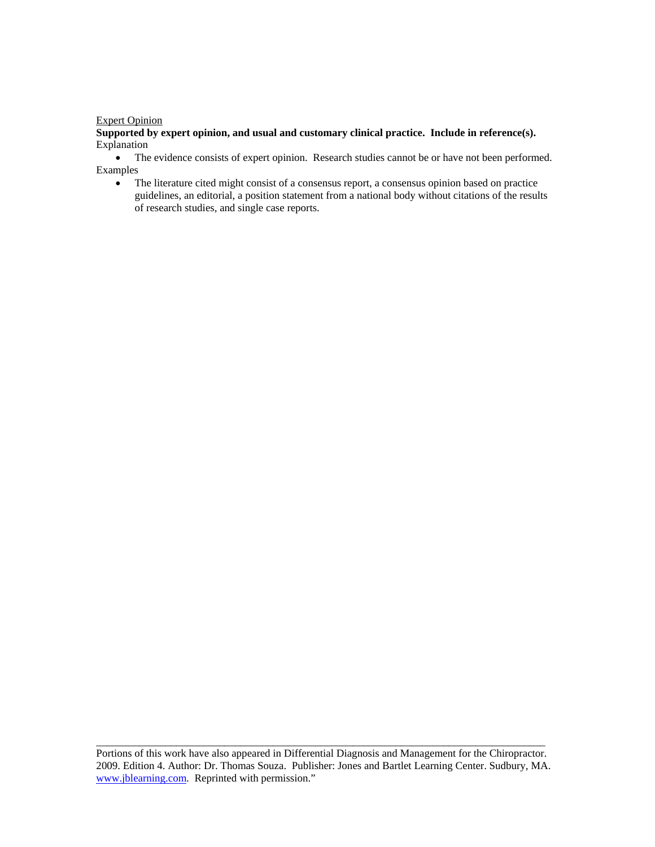#### Expert Opinion

**Supported by expert opinion, and usual and customary clinical practice. Include in reference(s).**  Explanation

• The evidence consists of expert opinion. Research studies cannot be or have not been performed. Examples

• The literature cited might consist of a consensus report, a consensus opinion based on practice guidelines, an editorial, a position statement from a national body without citations of the results of research studies, and single case reports.

Portions of this work have also appeared in Differential Diagnosis and Management for the Chiropractor. 2009. Edition 4. Author: Dr. Thomas Souza. Publisher: Jones and Bartlet Learning Center. Sudbury, MA. www.jblearning.com. Reprinted with permission."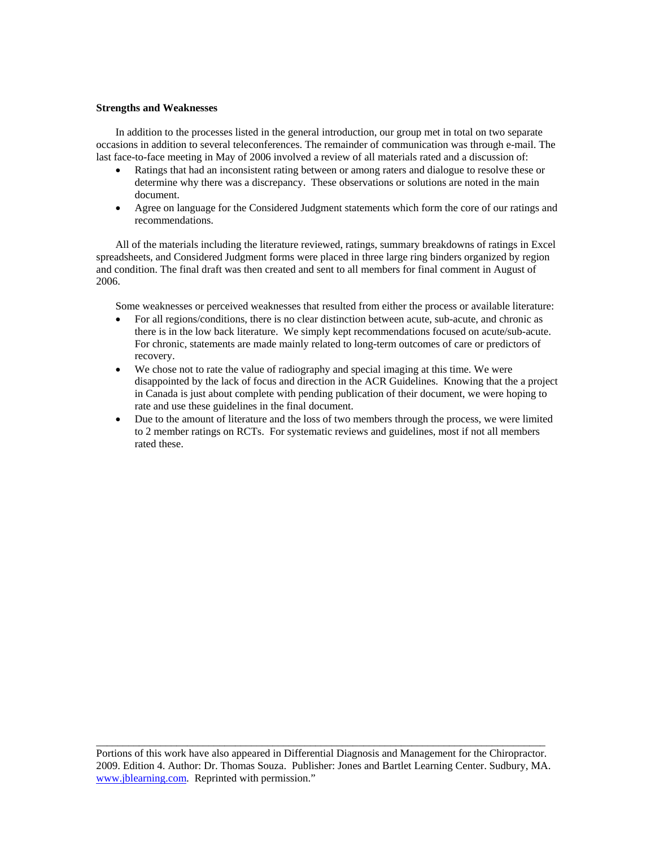#### **Strengths and Weaknesses**

In addition to the processes listed in the general introduction, our group met in total on two separate occasions in addition to several teleconferences. The remainder of communication was through e-mail. The last face-to-face meeting in May of 2006 involved a review of all materials rated and a discussion of:

- Ratings that had an inconsistent rating between or among raters and dialogue to resolve these or determine why there was a discrepancy. These observations or solutions are noted in the main document.
- Agree on language for the Considered Judgment statements which form the core of our ratings and recommendations.

All of the materials including the literature reviewed, ratings, summary breakdowns of ratings in Excel spreadsheets, and Considered Judgment forms were placed in three large ring binders organized by region and condition. The final draft was then created and sent to all members for final comment in August of 2006.

Some weaknesses or perceived weaknesses that resulted from either the process or available literature:

- For all regions/conditions, there is no clear distinction between acute, sub-acute, and chronic as there is in the low back literature. We simply kept recommendations focused on acute/sub-acute. For chronic, statements are made mainly related to long-term outcomes of care or predictors of recovery.
- We chose not to rate the value of radiography and special imaging at this time. We were disappointed by the lack of focus and direction in the ACR Guidelines. Knowing that the a project in Canada is just about complete with pending publication of their document, we were hoping to rate and use these guidelines in the final document.
- Due to the amount of literature and the loss of two members through the process, we were limited to 2 member ratings on RCTs. For systematic reviews and guidelines, most if not all members rated these.

Portions of this work have also appeared in Differential Diagnosis and Management for the Chiropractor. 2009. Edition 4. Author: Dr. Thomas Souza. Publisher: Jones and Bartlet Learning Center. Sudbury, MA. www.jblearning.com. Reprinted with permission."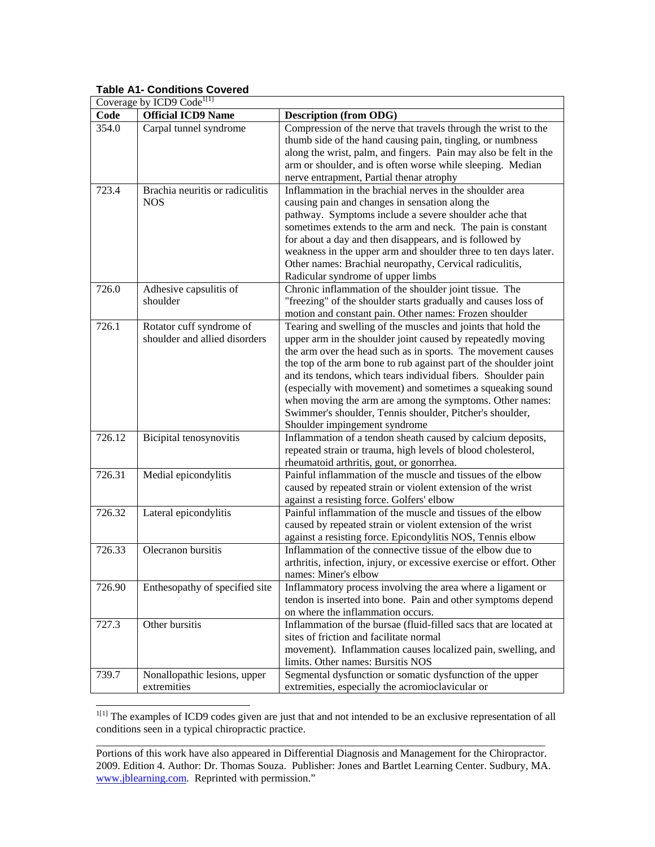$\overline{a}$ 

|        | Coverage by ICD9 Code <sup>1[1]</sup>                     |                                                                                                                                                                                                                                                                                                                                                                                                                                                                                                                                                          |
|--------|-----------------------------------------------------------|----------------------------------------------------------------------------------------------------------------------------------------------------------------------------------------------------------------------------------------------------------------------------------------------------------------------------------------------------------------------------------------------------------------------------------------------------------------------------------------------------------------------------------------------------------|
| Code   | <b>Official ICD9 Name</b>                                 | <b>Description (from ODG)</b>                                                                                                                                                                                                                                                                                                                                                                                                                                                                                                                            |
| 354.0  | Carpal tunnel syndrome                                    | Compression of the nerve that travels through the wrist to the<br>thumb side of the hand causing pain, tingling, or numbness<br>along the wrist, palm, and fingers. Pain may also be felt in the<br>arm or shoulder, and is often worse while sleeping. Median<br>nerve entrapment, Partial thenar atrophy                                                                                                                                                                                                                                               |
| 723.4  | Brachia neuritis or radiculitis<br><b>NOS</b>             | Inflammation in the brachial nerves in the shoulder area<br>causing pain and changes in sensation along the<br>pathway. Symptoms include a severe shoulder ache that<br>sometimes extends to the arm and neck. The pain is constant<br>for about a day and then disappears, and is followed by<br>weakness in the upper arm and shoulder three to ten days later.<br>Other names: Brachial neuropathy, Cervical radiculitis,<br>Radicular syndrome of upper limbs                                                                                        |
| 726.0  | Adhesive capsulitis of<br>shoulder                        | Chronic inflammation of the shoulder joint tissue. The<br>"freezing" of the shoulder starts gradually and causes loss of<br>motion and constant pain. Other names: Frozen shoulder                                                                                                                                                                                                                                                                                                                                                                       |
| 726.1  | Rotator cuff syndrome of<br>shoulder and allied disorders | Tearing and swelling of the muscles and joints that hold the<br>upper arm in the shoulder joint caused by repeatedly moving<br>the arm over the head such as in sports. The movement causes<br>the top of the arm bone to rub against part of the shoulder joint<br>and its tendons, which tears individual fibers. Shoulder pain<br>(especially with movement) and sometimes a squeaking sound<br>when moving the arm are among the symptoms. Other names:<br>Swimmer's shoulder, Tennis shoulder, Pitcher's shoulder,<br>Shoulder impingement syndrome |
| 726.12 | Bicipital tenosynovitis                                   | Inflammation of a tendon sheath caused by calcium deposits,<br>repeated strain or trauma, high levels of blood cholesterol,<br>rheumatoid arthritis, gout, or gonorrhea.                                                                                                                                                                                                                                                                                                                                                                                 |
| 726.31 | Medial epicondylitis                                      | Painful inflammation of the muscle and tissues of the elbow<br>caused by repeated strain or violent extension of the wrist<br>against a resisting force. Golfers' elbow                                                                                                                                                                                                                                                                                                                                                                                  |
| 726.32 | Lateral epicondylitis                                     | Painful inflammation of the muscle and tissues of the elbow<br>caused by repeated strain or violent extension of the wrist<br>against a resisting force. Epicondylitis NOS, Tennis elbow                                                                                                                                                                                                                                                                                                                                                                 |
| 726.33 | Olecranon bursitis                                        | Inflammation of the connective tissue of the elbow due to<br>arthritis, infection, injury, or excessive exercise or effort. Other<br>names: Miner's elbow                                                                                                                                                                                                                                                                                                                                                                                                |
| 726.90 | Enthesopathy of specified site                            | Inflammatory process involving the area where a ligament or<br>tendon is inserted into bone. Pain and other symptoms depend<br>on where the inflammation occurs.                                                                                                                                                                                                                                                                                                                                                                                         |
| 727.3  | Other bursitis                                            | Inflammation of the bursae (fluid-filled sacs that are located at<br>sites of friction and facilitate normal<br>movement). Inflammation causes localized pain, swelling, and<br>limits. Other names: Bursitis NOS                                                                                                                                                                                                                                                                                                                                        |
| 739.7  | Nonallopathic lesions, upper<br>extremities               | Segmental dysfunction or somatic dysfunction of the upper<br>extremities, especially the acromioclavicular or                                                                                                                                                                                                                                                                                                                                                                                                                                            |

\_\_\_\_\_\_\_\_\_\_\_\_\_\_\_\_\_\_\_\_\_\_\_\_\_\_\_\_\_\_\_\_\_\_\_\_\_\_\_\_\_\_\_\_\_\_\_\_\_\_\_\_\_\_\_\_\_\_\_\_\_\_\_\_\_\_\_\_\_\_\_\_\_\_\_\_\_\_\_\_\_\_\_\_ <sup>1[1]</sup> The examples of ICD9 codes given are just that and not intended to be an exclusive representation of all conditions seen in a typical chiropractic practice.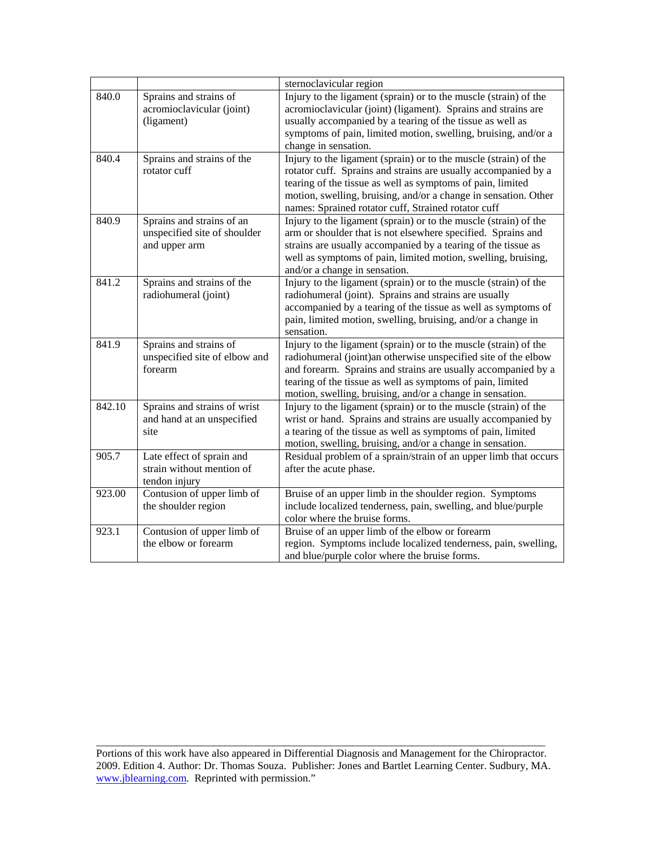|        |                                                                            | sternoclavicular region                                                                                                                                                                                                                                                                                                        |
|--------|----------------------------------------------------------------------------|--------------------------------------------------------------------------------------------------------------------------------------------------------------------------------------------------------------------------------------------------------------------------------------------------------------------------------|
| 840.0  | Sprains and strains of<br>acromioclavicular (joint)<br>(ligament)          | Injury to the ligament (sprain) or to the muscle (strain) of the<br>acromioclavicular (joint) (ligament). Sprains and strains are<br>usually accompanied by a tearing of the tissue as well as<br>symptoms of pain, limited motion, swelling, bruising, and/or a<br>change in sensation.                                       |
| 840.4  | Sprains and strains of the<br>rotator cuff                                 | Injury to the ligament (sprain) or to the muscle (strain) of the<br>rotator cuff. Sprains and strains are usually accompanied by a<br>tearing of the tissue as well as symptoms of pain, limited<br>motion, swelling, bruising, and/or a change in sensation. Other<br>names: Sprained rotator cuff, Strained rotator cuff     |
| 840.9  | Sprains and strains of an<br>unspecified site of shoulder<br>and upper arm | Injury to the ligament (sprain) or to the muscle (strain) of the<br>arm or shoulder that is not elsewhere specified. Sprains and<br>strains are usually accompanied by a tearing of the tissue as<br>well as symptoms of pain, limited motion, swelling, bruising,<br>and/or a change in sensation.                            |
| 841.2  | Sprains and strains of the<br>radiohumeral (joint)                         | Injury to the ligament (sprain) or to the muscle (strain) of the<br>radiohumeral (joint). Sprains and strains are usually<br>accompanied by a tearing of the tissue as well as symptoms of<br>pain, limited motion, swelling, bruising, and/or a change in<br>sensation.                                                       |
| 841.9  | Sprains and strains of<br>unspecified site of elbow and<br>forearm         | Injury to the ligament (sprain) or to the muscle (strain) of the<br>radiohumeral (joint)an otherwise unspecified site of the elbow<br>and forearm. Sprains and strains are usually accompanied by a<br>tearing of the tissue as well as symptoms of pain, limited<br>motion, swelling, bruising, and/or a change in sensation. |
| 842.10 | Sprains and strains of wrist<br>and hand at an unspecified<br>site         | Injury to the ligament (sprain) or to the muscle (strain) of the<br>wrist or hand. Sprains and strains are usually accompanied by<br>a tearing of the tissue as well as symptoms of pain, limited<br>motion, swelling, bruising, and/or a change in sensation.                                                                 |
| 905.7  | Late effect of sprain and<br>strain without mention of<br>tendon injury    | Residual problem of a sprain/strain of an upper limb that occurs<br>after the acute phase.                                                                                                                                                                                                                                     |
| 923.00 | Contusion of upper limb of<br>the shoulder region                          | Bruise of an upper limb in the shoulder region. Symptoms<br>include localized tenderness, pain, swelling, and blue/purple<br>color where the bruise forms.                                                                                                                                                                     |
| 923.1  | Contusion of upper limb of<br>the elbow or forearm                         | Bruise of an upper limb of the elbow or forearm<br>region. Symptoms include localized tenderness, pain, swelling,<br>and blue/purple color where the bruise forms.                                                                                                                                                             |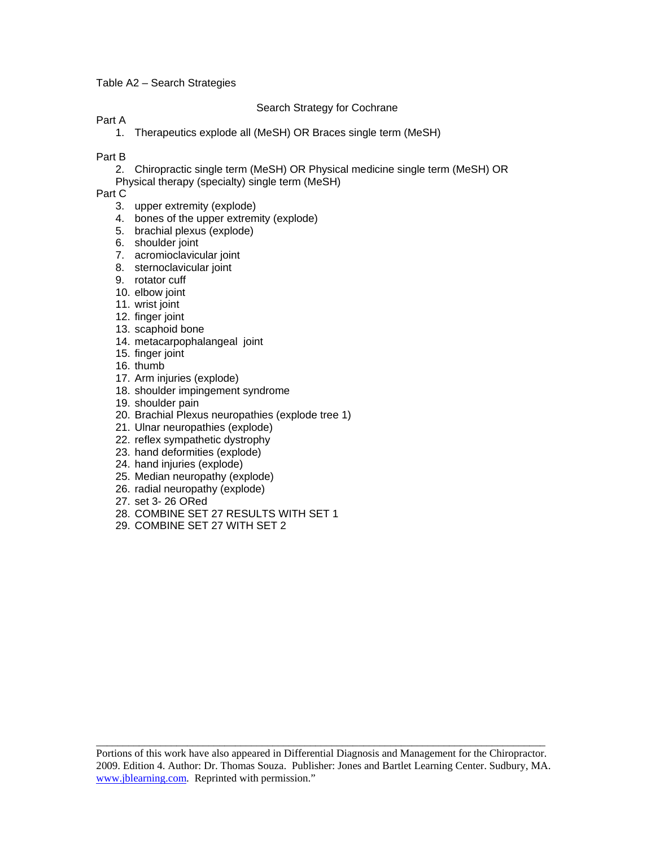### Table A2 – Search Strategies

### Search Strategy for Cochrane

Part A

1. Therapeutics explode all (MeSH) OR Braces single term (MeSH)

Part B

- 2. Chiropractic single term (MeSH) OR Physical medicine single term (MeSH) OR
- Physical therapy (specialty) single term (MeSH)
- Part C
	- 3. upper extremity (explode)
	- 4. bones of the upper extremity (explode)
	- 5. brachial plexus (explode)
	- 6. shoulder joint
	- 7. acromioclavicular joint
	- 8. sternoclavicular joint
	- 9. rotator cuff
	- 10. elbow joint
	- 11. wrist joint
	- 12. finger joint
	- 13. scaphoid bone
	- 14. metacarpophalangeal joint
	- 15. finger joint
	- 16. thumb
	- 17. Arm injuries (explode)
	- 18. shoulder impingement syndrome
	- 19. shoulder pain
	- 20. Brachial Plexus neuropathies (explode tree 1)
	- 21. Ulnar neuropathies (explode)
	- 22. reflex sympathetic dystrophy
	- 23. hand deformities (explode)
	- 24. hand injuries (explode)
	- 25. Median neuropathy (explode)
	- 26. radial neuropathy (explode)
	- 27. set 3- 26 ORed
	- 28. COMBINE SET 27 RESULTS WITH SET 1
	- 29. COMBINE SET 27 WITH SET 2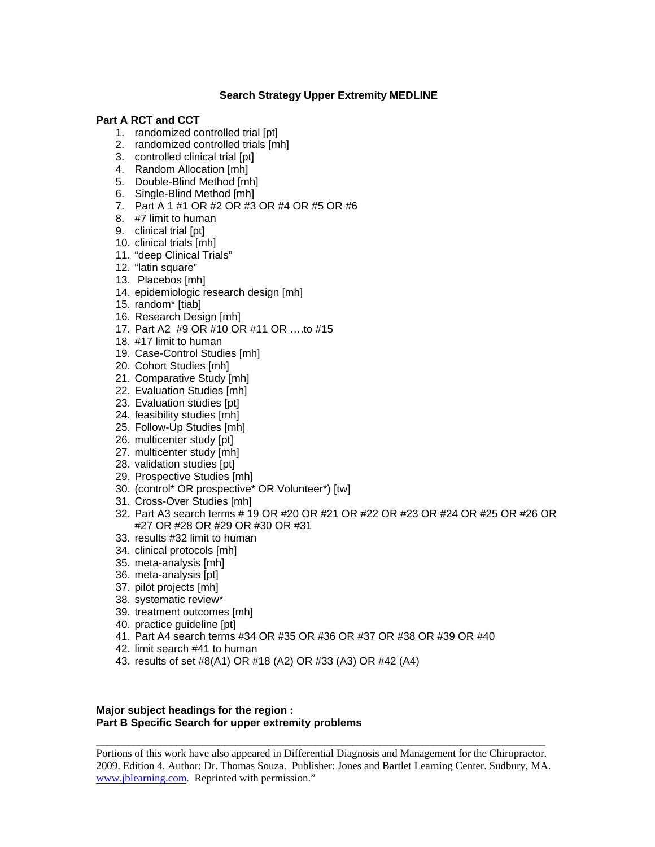### **Search Strategy Upper Extremity MEDLINE**

### **Part A RCT and CCT**

- 1. randomized controlled trial [pt]
- 2. randomized controlled trials [mh]
- 3. controlled clinical trial [pt]
- 4. Random Allocation [mh]
- 5. Double-Blind Method [mh]
- 6. Single-Blind Method [mh]
- 7. Part A 1 #1 OR #2 OR #3 OR #4 OR #5 OR #6
- 8. #7 limit to human
- 9. clinical trial [pt]
- 10. clinical trials [mh]
- 11. "deep Clinical Trials"
- 12. "latin square"
- 13. Placebos [mh]
- 14. epidemiologic research design [mh]
- 15. random\* [tiab]
- 16. Research Design [mh]
- 17. Part A2 #9 OR #10 OR #11 OR ….to #15
- 18. #17 limit to human
- 19. Case-Control Studies [mh]
- 20. Cohort Studies [mh]
- 21. Comparative Study [mh]
- 22. Evaluation Studies [mh]
- 23. Evaluation studies [pt]
- 24. feasibility studies [mh]
- 25. Follow-Up Studies [mh]
- 26. multicenter study [pt]
- 27. multicenter study [mh]
- 28. validation studies [pt]
- 29. Prospective Studies [mh]
- 30. (control\* OR prospective\* OR Volunteer\*) [tw]
- 31. Cross-Over Studies [mh]
- 32. Part A3 search terms # 19 OR #20 OR #21 OR #22 OR #23 OR #24 OR #25 OR #26 OR #27 OR #28 OR #29 OR #30 OR #31
- 33. results #32 limit to human
- 34. clinical protocols [mh]
- 35. meta-analysis [mh]
- 36. meta-analysis [pt]
- 37. pilot projects [mh]
- 38. systematic review\*
- 39. treatment outcomes [mh]
- 40. practice guideline [pt]
- 41. Part A4 search terms #34 OR #35 OR #36 OR #37 OR #38 OR #39 OR #40
- 42. limit search #41 to human
- 43. results of set #8(A1) OR #18 (A2) OR #33 (A3) OR #42 (A4)

### **Major subject headings for the region : Part B Specific Search for upper extremity problems**

Portions of this work have also appeared in Differential Diagnosis and Management for the Chiropractor. 2009. Edition 4. Author: Dr. Thomas Souza. Publisher: Jones and Bartlet Learning Center. Sudbury, MA. www.jblearning.com. Reprinted with permission."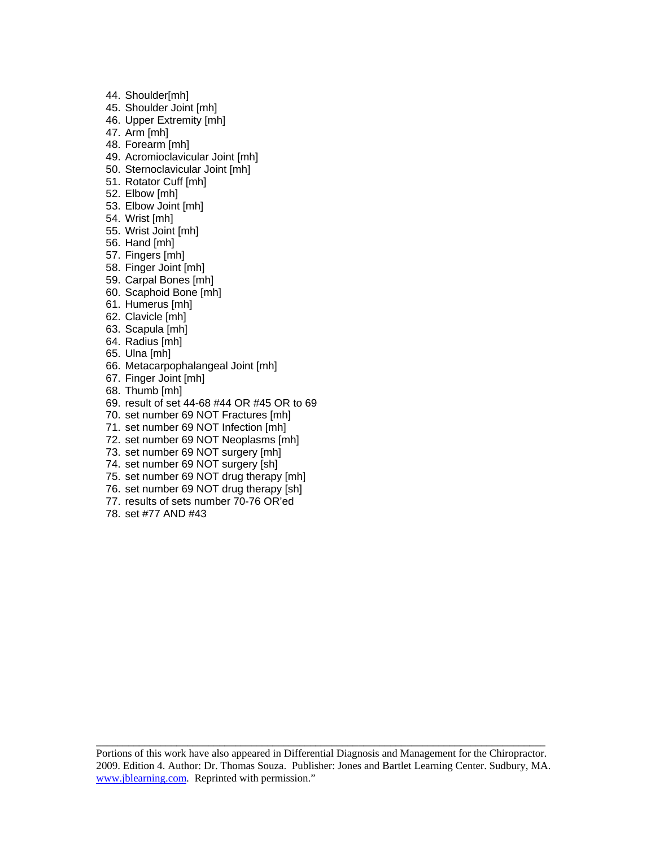- 44. Shoulder[mh]
- 45. Shoulder Joint [mh]
- 46. Upper Extremity [mh]
- 47. Arm [mh]
- 48. Forearm [mh]
- 49. Acromioclavicular Joint [mh]
- 50. Sternoclavicular Joint [mh]
- 51. Rotator Cuff [mh]
- 52. Elbow [mh]
- 53. Elbow Joint [mh]
- 54. Wrist [mh]
- 55. Wrist Joint [mh]
- 56. Hand [mh]
- 57. Fingers [mh]
- 58. Finger Joint [mh]
- 59. Carpal Bones [mh]
- 60. Scaphoid Bone [mh]
- 61. Humerus [mh]
- 62. Clavicle [mh]
- 63. Scapula [mh]
- 64. Radius [mh]
- 65. Ulna [mh]
- 66. Metacarpophalangeal Joint [mh]
- 67. Finger Joint [mh]
- 68. Thumb [mh]
- 69. result of set 44-68 #44 OR #45 OR to 69
- 70. set number 69 NOT Fractures [mh]
- 71. set number 69 NOT Infection [mh]
- 72. set number 69 NOT Neoplasms [mh]
- 73. set number 69 NOT surgery [mh]
- 74. set number 69 NOT surgery [sh]
- 75. set number 69 NOT drug therapy [mh]
- 76. set number 69 NOT drug therapy [sh]
- 77. results of sets number 70-76 OR'ed
- 78. set #77 AND #43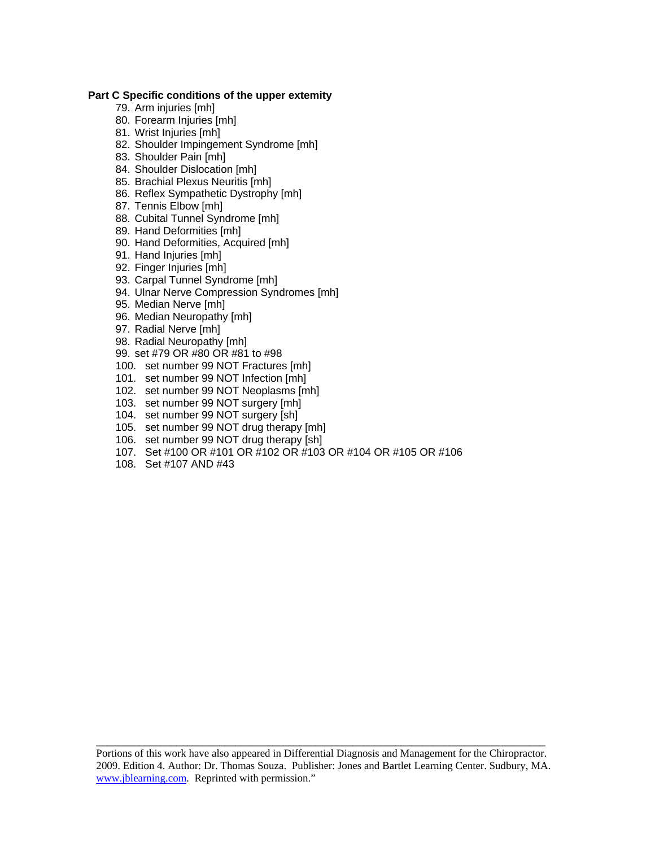#### **Part C Specific conditions of the upper extemity**

- 79. Arm injuries [mh]
- 80. Forearm Injuries [mh]
- 81. Wrist Injuries [mh]
- 82. Shoulder Impingement Syndrome [mh]
- 83. Shoulder Pain [mh]
- 84. Shoulder Dislocation [mh]
- 85. Brachial Plexus Neuritis [mh]
- 86. Reflex Sympathetic Dystrophy [mh]
- 87. Tennis Elbow [mh]
- 88. Cubital Tunnel Syndrome [mh]
- 89. Hand Deformities [mh]
- 90. Hand Deformities, Acquired [mh]
- 91. Hand Injuries [mh]
- 92. Finger Injuries [mh]
- 93. Carpal Tunnel Syndrome [mh]
- 94. Ulnar Nerve Compression Syndromes [mh]
- 95. Median Nerve [mh]
- 96. Median Neuropathy [mh]
- 97. Radial Nerve [mh]
- 98. Radial Neuropathy [mh]
- 99. set #79 OR #80 OR #81 to #98
- 100. set number 99 NOT Fractures [mh]
- 101. set number 99 NOT Infection [mh]
- 102. set number 99 NOT Neoplasms [mh]
- 103. set number 99 NOT surgery [mh]
- 104. set number 99 NOT surgery [sh]
- 105. set number 99 NOT drug therapy [mh]
- 106. set number 99 NOT drug therapy [sh]
- 107. Set #100 OR #101 OR #102 OR #103 OR #104 OR #105 OR #106
- 108. Set #107 AND #43

Portions of this work have also appeared in Differential Diagnosis and Management for the Chiropractor. 2009. Edition 4. Author: Dr. Thomas Souza. Publisher: Jones and Bartlet Learning Center. Sudbury, MA. www.jblearning.com. Reprinted with permission."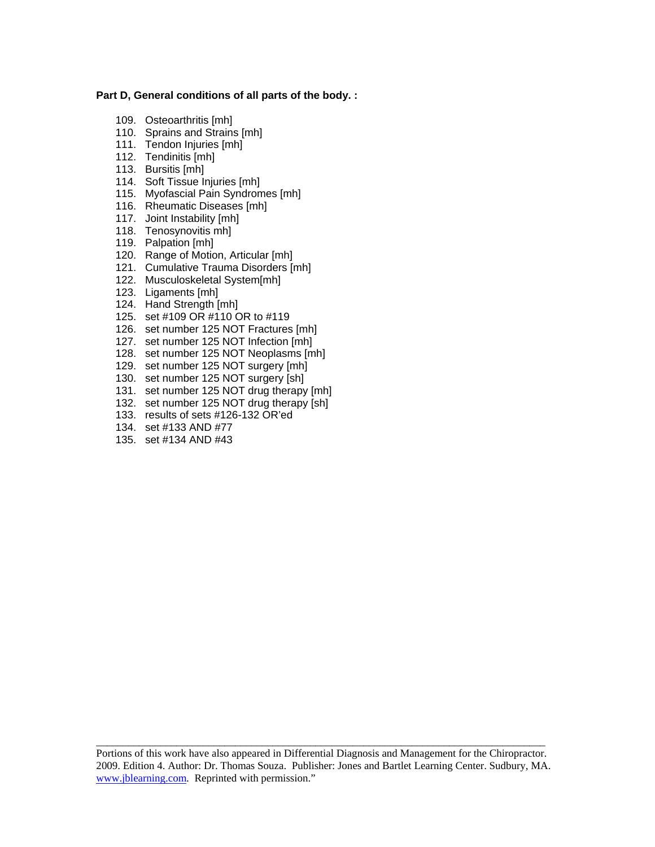#### **Part D, General conditions of all parts of the body. :**

- 109. Osteoarthritis [mh]
- 110. Sprains and Strains [mh]
- 111. Tendon Injuries [mh]
- 112. Tendinitis [mh]
- 113. Bursitis [mh]
- 114. Soft Tissue Injuries [mh]
- 115. Myofascial Pain Syndromes [mh]
- 116. Rheumatic Diseases [mh]
- 117. Joint Instability [mh]
- 118. Tenosynovitis mh]
- 119. Palpation [mh]
- 120. Range of Motion, Articular [mh]
- 121. Cumulative Trauma Disorders [mh]
- 122. Musculoskeletal System[mh]
- 123. Ligaments [mh]
- 124. Hand Strength [mh]
- 125. set #109 OR #110 OR to #119
- 126. set number 125 NOT Fractures [mh]
- 127. set number 125 NOT Infection [mh]
- 128. set number 125 NOT Neoplasms [mh]
- 129. set number 125 NOT surgery [mh]
- 130. set number 125 NOT surgery [sh]
- 131. set number 125 NOT drug therapy [mh]
- 132. set number 125 NOT drug therapy [sh]
- 133. results of sets #126-132 OR'ed
- 134. set #133 AND #77
- 135. set #134 AND #43

Portions of this work have also appeared in Differential Diagnosis and Management for the Chiropractor. 2009. Edition 4. Author: Dr. Thomas Souza. Publisher: Jones and Bartlet Learning Center. Sudbury, MA. www.jblearning.com. Reprinted with permission."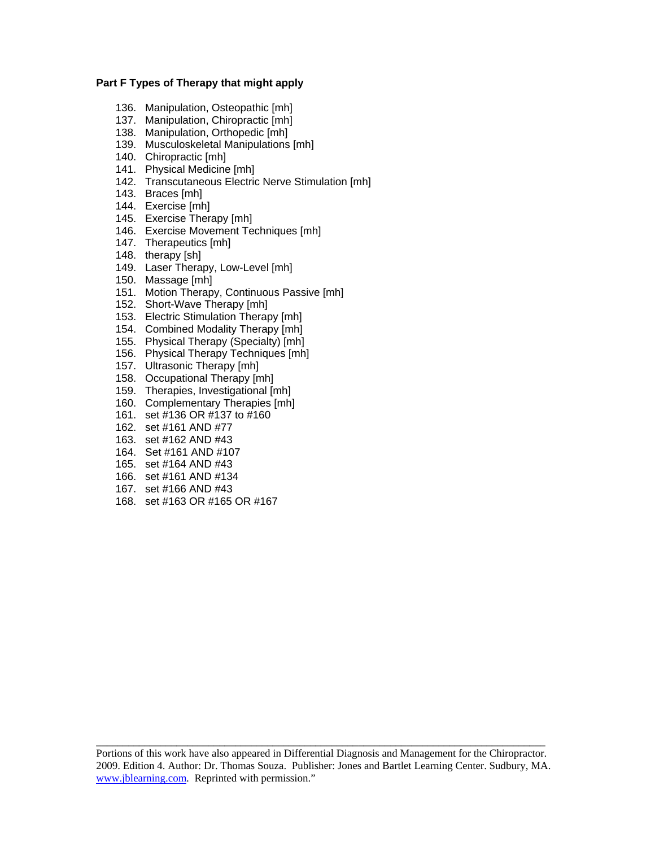## **Part F Types of Therapy that might apply**

- 136. Manipulation, Osteopathic [mh]
- 137. Manipulation, Chiropractic [mh]
- 138. Manipulation, Orthopedic [mh]
- 139. Musculoskeletal Manipulations [mh]
- 140. Chiropractic [mh]
- 141. Physical Medicine [mh]
- 142. Transcutaneous Electric Nerve Stimulation [mh]
- 143. Braces [mh]
- 144. Exercise [mh]
- 145. Exercise Therapy [mh]
- 146. Exercise Movement Techniques [mh]
- 147. Therapeutics [mh]
- 148. therapy [sh]
- 149. Laser Therapy, Low-Level [mh]
- 150. Massage [mh]
- 151. Motion Therapy, Continuous Passive [mh]
- 152. Short-Wave Therapy [mh]
- 153. Electric Stimulation Therapy [mh]
- 154. Combined Modality Therapy [mh]
- 155. Physical Therapy (Specialty) [mh]
- 156. Physical Therapy Techniques [mh]
- 157. Ultrasonic Therapy [mh]
- 158. Occupational Therapy [mh]
- 159. Therapies, Investigational [mh]
- 160. Complementary Therapies [mh]
- 161. set #136 OR #137 to #160
- 162. set #161 AND #77
- 163. set #162 AND #43
- 164. Set #161 AND #107
- 165. set #164 AND #43
- 166. set #161 AND #134
- 167. set #166 AND #43
- 168. set #163 OR #165 OR #167

Portions of this work have also appeared in Differential Diagnosis and Management for the Chiropractor. 2009. Edition 4. Author: Dr. Thomas Souza. Publisher: Jones and Bartlet Learning Center. Sudbury, MA. www.jblearning.com. Reprinted with permission."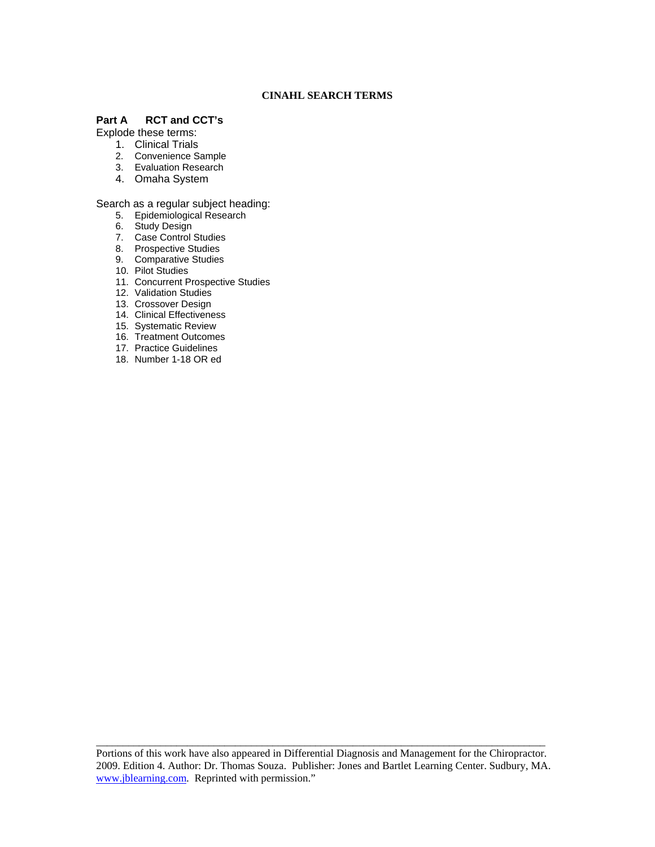### **CINAHL SEARCH TERMS**

# **Part A RCT and CCT's**

Explode these terms:

- 1. Clinical Trials
- 2. Convenience Sample
- 3. Evaluation Research
- 4. Omaha System

Search as a regular subject heading:

- 5. Epidemiological Research
- 6. Study Design
- 7. Case Control Studies
- 8. Prospective Studies
- 9. Comparative Studies
- 10. Pilot Studies
- 11. Concurrent Prospective Studies
- 12. Validation Studies
- 13. Crossover Design
- 14. Clinical Effectiveness
- 15. Systematic Review
- 16. Treatment Outcomes
- 17. Practice Guidelines
- 18. Number 1-18 OR ed

Portions of this work have also appeared in Differential Diagnosis and Management for the Chiropractor. 2009. Edition 4. Author: Dr. Thomas Souza. Publisher: Jones and Bartlet Learning Center. Sudbury, MA. www.jblearning.com. Reprinted with permission."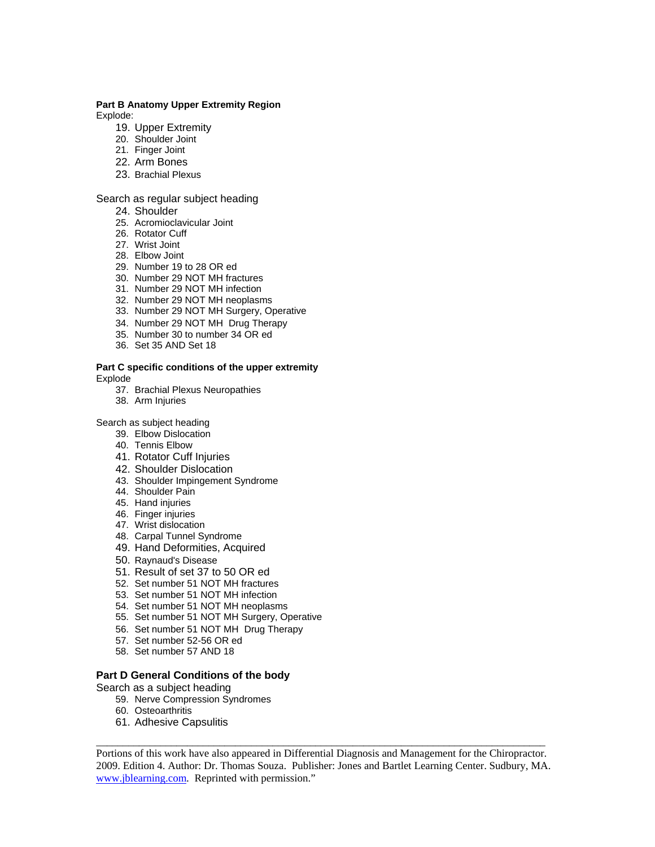#### **Part B Anatomy Upper Extremity Region**  Explode:

- 19. Upper Extremity 20. Shoulder Joint
- 21. Finger Joint
- 22. Arm Bones
- 23. Brachial Plexus

### Search as regular subject heading

- 24. Shoulder
- 25. Acromioclavicular Joint
- 26. Rotator Cuff
- 27. Wrist Joint
- 28. Elbow Joint
- 29. Number 19 to 28 OR ed
- 30. Number 29 NOT MH fractures
- 31. Number 29 NOT MH infection
- 32. Number 29 NOT MH neoplasms
- 33. Number 29 NOT MH Surgery, Operative
- 34. Number 29 NOT MH Drug Therapy
- 35. Number 30 to number 34 OR ed
- 36. Set 35 AND Set 18

### **Part C specific conditions of the upper extremity**

Explode

- 37. Brachial Plexus Neuropathies
- 38. Arm Injuries

## Search as subject heading

- 39. Elbow Dislocation
- 40. Tennis Elbow
- 41. Rotator Cuff Injuries
- 42. Shoulder Dislocation
- 43. Shoulder Impingement Syndrome
- 44. Shoulder Pain
- 45. Hand injuries
- 46. Finger injuries
- 47. Wrist dislocation
- 48. Carpal Tunnel Syndrome
- 49. Hand Deformities, Acquired
- 50. Raynaud's Disease
- 51. Result of set 37 to 50 OR ed
- 52. Set number 51 NOT MH fractures
- 53. Set number 51 NOT MH infection
- 54. Set number 51 NOT MH neoplasms
- 55. Set number 51 NOT MH Surgery, Operative
- 56. Set number 51 NOT MH Drug Therapy
- 57. Set number 52-56 OR ed
- 58. Set number 57 AND 18

#### **Part D General Conditions of the body**

Search as a subject heading

- 59. Nerve Compression Syndromes
- 60. Osteoarthritis
- 61. Adhesive Capsulitis

Portions of this work have also appeared in Differential Diagnosis and Management for the Chiropractor. 2009. Edition 4. Author: Dr. Thomas Souza. Publisher: Jones and Bartlet Learning Center. Sudbury, MA. www.jblearning.com. Reprinted with permission."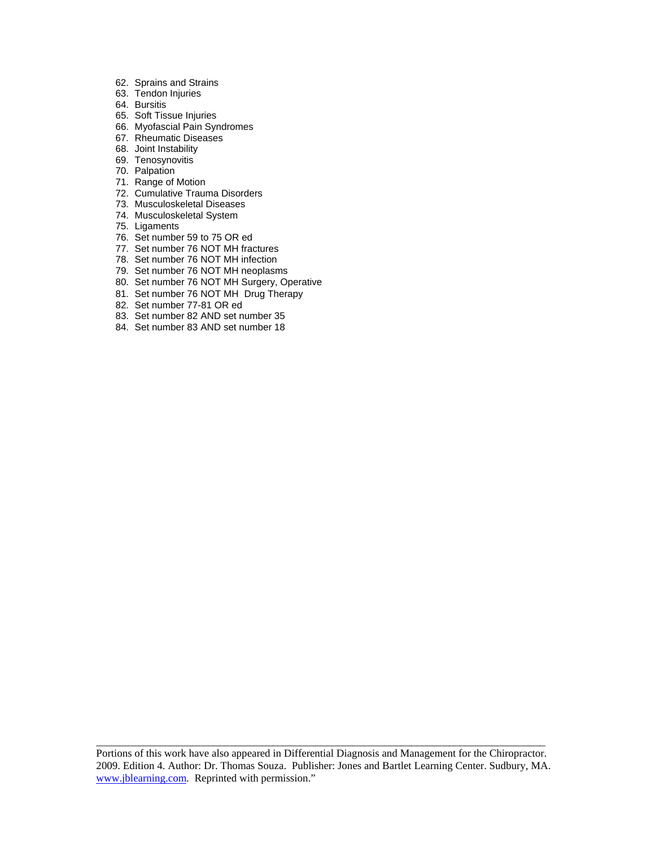- 62. Sprains and Strains
- 63. Tendon Injuries
- 64. Bursitis
- 65. Soft Tissue Injuries
- 66. Myofascial Pain Syndromes
- 67. Rheumatic Diseases
- 68. Joint Instability
- 69. Tenosynovitis
- 70. Palpation
- 71. Range of Motion
- 72. Cumulative Trauma Disorders
- 73. Musculoskeletal Diseases
- 74. Musculoskeletal System
- 75. Ligaments
- 76. Set number 59 to 75 OR ed
- 77. Set number 76 NOT MH fractures
- 78. Set number 76 NOT MH infection
- 79. Set number 76 NOT MH neoplasms
- 80. Set number 76 NOT MH Surgery, Operative
- 81. Set number 76 NOT MH Drug Therapy
- 82. Set number 77-81 OR ed
- 83. Set number 82 AND set number 35
- 84. Set number 83 AND set number 18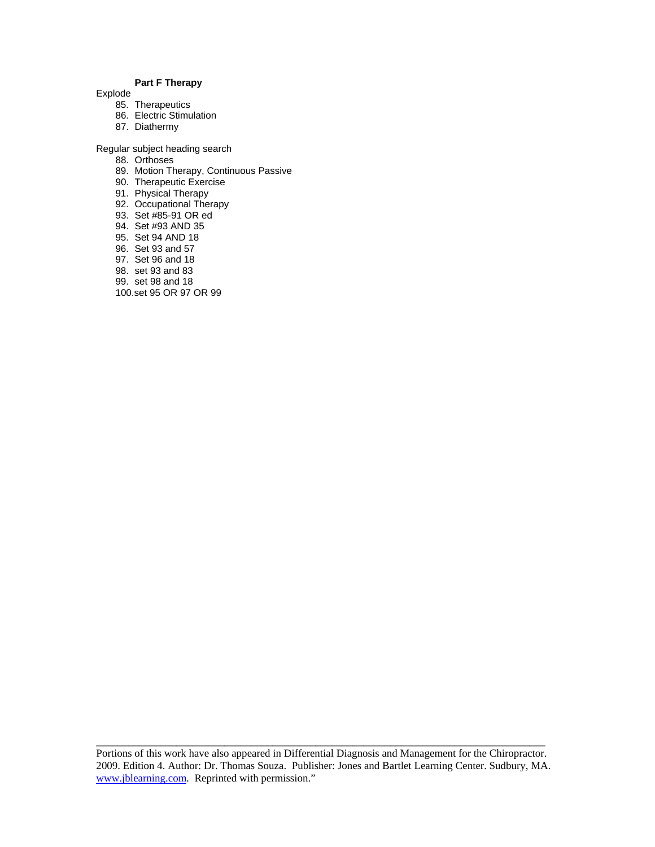### **Part F Therapy**

Explode

- 85. Therapeutics
- 86. Electric Stimulation
- 87. Diathermy

Regular subject heading search

- 88. Orthoses
- 89. Motion Therapy, Continuous Passive
- 90. Therapeutic Exercise
- 91. Physical Therapy
- 92. Occupational Therapy
- 93. Set #85-91 OR ed
- 94. Set #93 AND 35
- 95. Set 94 AND 18
- 96. Set 93 and 57
- 97. Set 96 and 18
- 98. set 93 and 83
- 99. set 98 and 18
- 100.set 95 OR 97 OR 99

Portions of this work have also appeared in Differential Diagnosis and Management for the Chiropractor. 2009. Edition 4. Author: Dr. Thomas Souza. Publisher: Jones and Bartlet Learning Center. Sudbury, MA. www.jblearning.com. Reprinted with permission."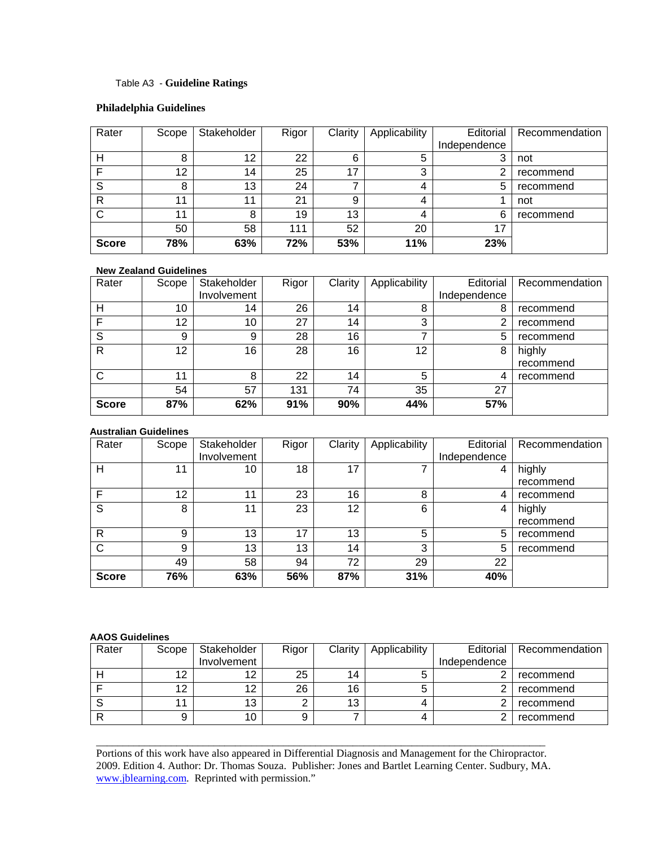# Table A3 - **Guideline Ratings**

### **Philadelphia Guidelines**

| Rater        | Scope | Stakeholder | Rigor | Clarity | Applicability | Editorial    | Recommendation |
|--------------|-------|-------------|-------|---------|---------------|--------------|----------------|
|              |       |             |       |         |               | Independence |                |
| н            | 8     | 12          | 22    | 6       | 5             | 3            | not            |
|              | 12    | 14          | 25    | 17      | 3             | ◠            | recommend      |
| S            | 8     | 13          | 24    |         | 4             | 5            | recommend      |
| R            | 11    | 11          | 21    | 9       | 4             |              | not            |
| C            | 11    | 8           | 19    | 13      | 4             | 6            | recommend      |
|              | 50    | 58          | 111   | 52      | 20            | . 7          |                |
| <b>Score</b> | 78%   | 63%         | 72%   | 53%     | 11%           | 23%          |                |

### **New Zealand Guidelines**

| Rater        | Scope | Stakeholder | Rigor | Clarity | Applicability | Editorial    | Recommendation |
|--------------|-------|-------------|-------|---------|---------------|--------------|----------------|
|              |       | Involvement |       |         |               | Independence |                |
| н            | 10    | 14          | 26    | 14      | 8             | 8            | recommend      |
| F            | 12    | 10          | 27    | 14      | 3             | ◠            | recommend      |
| S            | 9     | 9           | 28    | 16      | ⇁             | 5            | recommend      |
| R            | 12    | 16          | 28    | 16      | 12            | 8            | highly         |
|              |       |             |       |         |               |              | recommend      |
| C            | 11    | 8           | 22    | 14      | 5             | 4            | recommend      |
|              | 54    | 57          | 131   | 74      | 35            | 27           |                |
| <b>Score</b> | 87%   | 62%         | 91%   | 90%     | 44%           | 57%          |                |

#### **Australian Guidelines**

| Rater        | Scope | Stakeholder | Rigor | Clarity | Applicability | Editorial    | Recommendation |
|--------------|-------|-------------|-------|---------|---------------|--------------|----------------|
|              |       | Involvement |       |         |               | Independence |                |
| н            | 11    | 10          | 18    | 17      | ⇁             | 4            | highly         |
|              |       |             |       |         |               |              | recommend      |
| F            | 12    | 11          | 23    | 16      | 8             | 4            | recommend      |
| S            | 8     | 11          | 23    | 12      | 6             | 4            | highly         |
|              |       |             |       |         |               |              | recommend      |
| R            | 9     | 13          | 17    | 13      | 5             | 5            | recommend      |
| C            | 9     | 13          | 13    | 14      | 3             | 5            | recommend      |
|              | 49    | 58          | 94    | 72      | 29            | 22           |                |
| <b>Score</b> | 76%   | 63%         | 56%   | 87%     | 31%           | 40%          |                |

### **AAOS Guidelines**

| Rater | Scope | Stakeholder | Rigor | Clarity | Applicability | Editorial    | Recommendation |
|-------|-------|-------------|-------|---------|---------------|--------------|----------------|
|       |       | Involvement |       |         |               | Independence |                |
|       |       | 10          | 25    | 14      |               |              | recommend      |
|       |       | ィつ          | 26    | 16      | 5             |              | recommend      |
|       |       | 13          |       | 13      |               |              | recommend      |
|       |       | 10          |       |         |               |              | recommend      |

Portions of this work have also appeared in Differential Diagnosis and Management for the Chiropractor. 2009. Edition 4. Author: Dr. Thomas Souza. Publisher: Jones and Bartlet Learning Center. Sudbury, MA. www.jblearning.com. Reprinted with permission."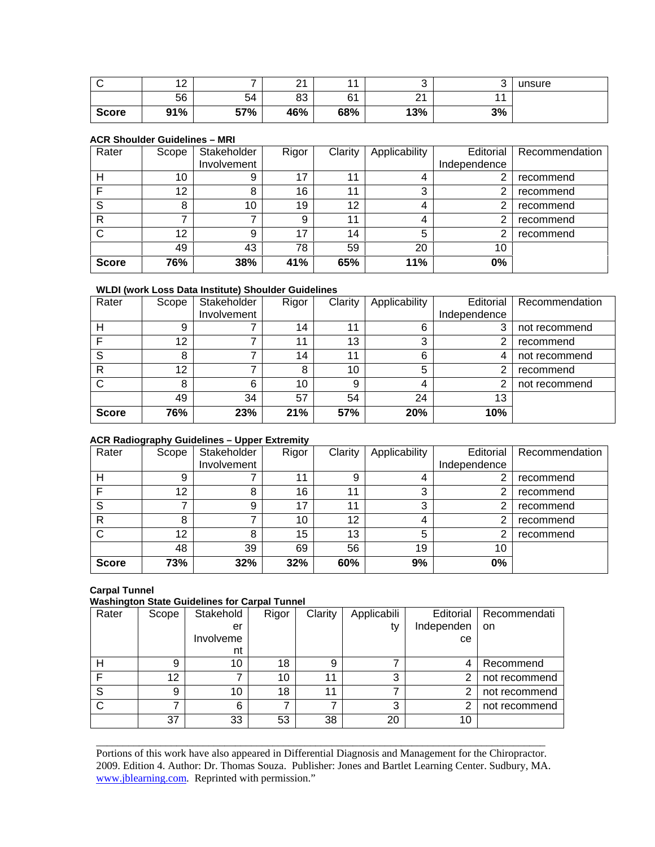|              | $\overline{ }$<br>. <u>. </u> |     | ິ<br><u>_</u> | ∣⊿       | ۰.          |    | unsure |
|--------------|-------------------------------|-----|---------------|----------|-------------|----|--------|
|              | 56                            | 54  | ററ<br>၀၁      | 61<br>וס | $\sim$<br>∼ |    |        |
| <b>Score</b> | 91%                           | 57% | 46%           | 68%      | 13%         | 3% |        |

#### **ACR Shoulder Guidelines – MRI**

| Rater        | Scope | Stakeholder | Rigor | Clarity | Applicability | Editorial    | Recommendation |
|--------------|-------|-------------|-------|---------|---------------|--------------|----------------|
|              |       | Involvement |       |         |               | Independence |                |
|              | 10    |             | 17    | 11      | 4             | ◠            | recommend      |
|              | 12    | 8           | 16    | 11      | 3             | റ            | recommend      |
| S            | 8     | 10          | 19    | 12      | 4             |              | recommend      |
| R            |       |             | 9     | 11      | 4             |              | recommend      |
| С            | 12    | 9           | 17    | 14      | 5             | ◠            | recommend      |
|              | 49    | 43          | 78    | 59      | 20            | 10           |                |
| <b>Score</b> | 76%   | 38%         | 41%   | 65%     | 11%           | 0%           |                |

## **WLDI (work Loss Data Institute) Shoulder Guidelines**

| Rater        | Scope | Stakeholder | Rigor | Clarity | Applicability | Editorial    | Recommendation |
|--------------|-------|-------------|-------|---------|---------------|--------------|----------------|
|              |       | Involvement |       |         |               | Independence |                |
|              | 9     |             | 14    | 11      | 6             | ⌒<br>J       | not recommend  |
|              | 12    |             | 11    | 13      | ົ             |              | recommend      |
| S            | 8     |             | 14    | 11      | 6             |              | not recommend  |
|              | 12    |             | 8     | 10      | 5             |              | recommend      |
| C            | 8     | 6           | 10    | 9       |               | ⌒            | not recommend  |
|              | 49    | 34          | 57    | 54      | 24            | 13           |                |
| <b>Score</b> | 76%   | 23%         | 21%   | 57%     | 20%           | 10%          |                |

### **ACR Radiography Guidelines – Upper Extremity**

| Rater        | Scope | Stakeholder | Rigor | Clarity | Applicability | Editorial    | Recommendation |
|--------------|-------|-------------|-------|---------|---------------|--------------|----------------|
|              |       | Involvement |       |         |               | Independence |                |
| н            | 9     |             | 11    | 9       | 4             | ◠            | recommend      |
|              | 12    |             | 16    | 11      | 2             | ົ            | recommend      |
| S            |       | 9           | 17    | 11      | 3             | ◠            | recommend      |
| R            | 8     |             | 10    | 12      | 4             | ◠            | recommend      |
| С            | 12    | 8           | 15    | 13      | 5             | ◠            | recommend      |
|              | 48    | 39          | 69    | 56      | 19            | 10           |                |
| <b>Score</b> | 73%   | 32%         | 32%   | 60%     | 9%            | 0%           |                |

### **Carpal Tunnel**

### **Washington State Guidelines for Carpal Tunnel**

| Rater | Scope | Stakehold | Rigor | Clarity | Applicabili | Editorial     | Recommendati  |
|-------|-------|-----------|-------|---------|-------------|---------------|---------------|
|       |       | er        |       |         | tv          | Independen    | on            |
|       |       | Involveme |       |         |             | <sub>ce</sub> |               |
|       |       | nt        |       |         |             |               |               |
| Н     | 9     | 10        | 18    | 9       |             | 4             | Recommend     |
| F     | 12    |           | 10    | 11      | 3           | ◠             | not recommend |
| S     | 9     | 10        | 18    | 11      | ⇁           | 2             | not recommend |
| С     |       | 6         |       | ⇁       | 3           | 2             | not recommend |
|       | 37    | 33        | 53    | 38      | 20          | 10            |               |

Portions of this work have also appeared in Differential Diagnosis and Management for the Chiropractor. 2009. Edition 4. Author: Dr. Thomas Souza. Publisher: Jones and Bartlet Learning Center. Sudbury, MA. www.jblearning.com. Reprinted with permission."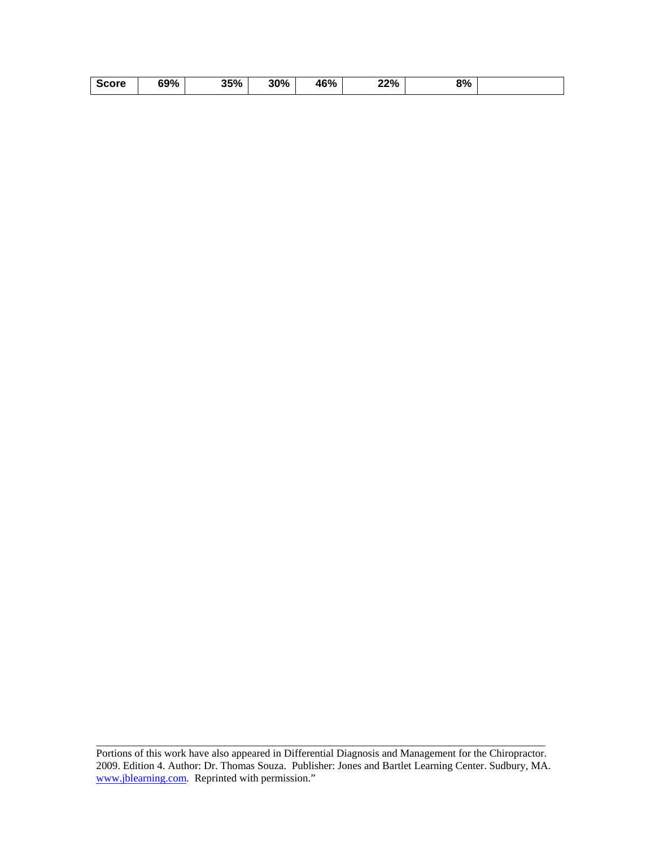| <b>Score</b> | 69% | 35% | 30% | 6%<br>40 | 22%<br>-- | 8% |  |
|--------------|-----|-----|-----|----------|-----------|----|--|
|              |     |     |     |          |           |    |  |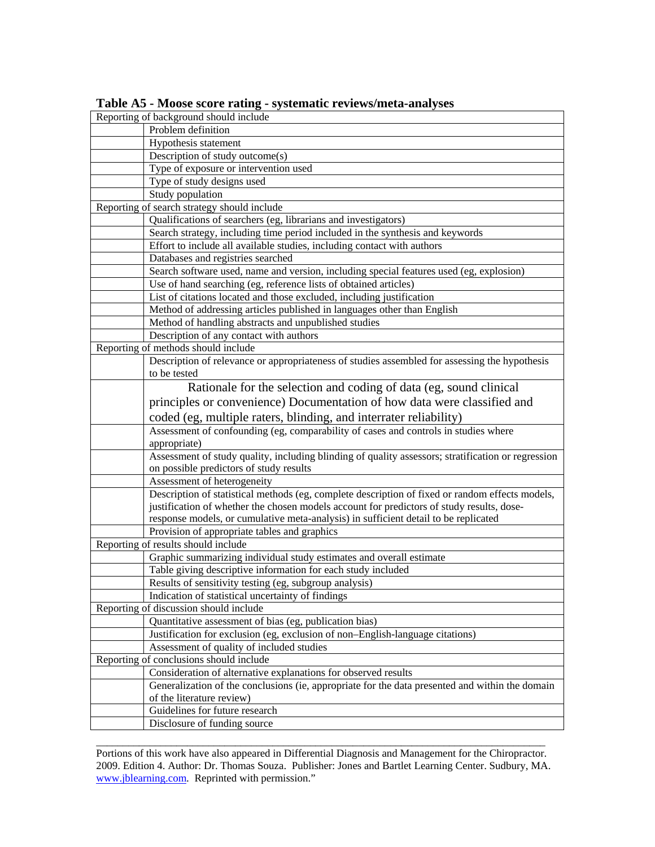| Reporting of background should include                                                             |
|----------------------------------------------------------------------------------------------------|
| Problem definition                                                                                 |
| Hypothesis statement                                                                               |
| Description of study outcome(s)                                                                    |
| Type of exposure or intervention used                                                              |
| Type of study designs used                                                                         |
| Study population                                                                                   |
| Reporting of search strategy should include                                                        |
| Qualifications of searchers (eg, librarians and investigators)                                     |
| Search strategy, including time period included in the synthesis and keywords                      |
| Effort to include all available studies, including contact with authors                            |
| Databases and registries searched                                                                  |
| Search software used, name and version, including special features used (eg, explosion)            |
| Use of hand searching (eg, reference lists of obtained articles)                                   |
| List of citations located and those excluded, including justification                              |
| Method of addressing articles published in languages other than English                            |
| Method of handling abstracts and unpublished studies                                               |
| Description of any contact with authors                                                            |
| Reporting of methods should include                                                                |
| Description of relevance or appropriateness of studies assembled for assessing the hypothesis      |
| to be tested                                                                                       |
| Rationale for the selection and coding of data (eg, sound clinical                                 |
| principles or convenience) Documentation of how data were classified and                           |
| coded (eg, multiple raters, blinding, and interrater reliability)                                  |
| Assessment of confounding (eg, comparability of cases and controls in studies where                |
| appropriate)                                                                                       |
| Assessment of study quality, including blinding of quality assessors; stratification or regression |
| on possible predictors of study results                                                            |
| Assessment of heterogeneity                                                                        |
| Description of statistical methods (eg, complete description of fixed or random effects models,    |
| justification of whether the chosen models account for predictors of study results, dose-          |
| response models, or cumulative meta-analysis) in sufficient detail to be replicated                |
| Provision of appropriate tables and graphics                                                       |
| Reporting of results should include                                                                |
| Graphic summarizing individual study estimates and overall estimate                                |
| Table giving descriptive information for each study included                                       |
| Results of sensitivity testing (eg, subgroup analysis)                                             |
| Indication of statistical uncertainty of findings                                                  |
| Reporting of discussion should include                                                             |
| Quantitative assessment of bias (eg, publication bias)                                             |
| Justification for exclusion (eg, exclusion of non-English-language citations)                      |
| Assessment of quality of included studies                                                          |
| Reporting of conclusions should include                                                            |
| Consideration of alternative explanations for observed results                                     |
| Generalization of the conclusions (ie, appropriate for the data presented and within the domain    |
| of the literature review)                                                                          |
| Guidelines for future research                                                                     |
| Disclosure of funding source                                                                       |

**Table A5 - Moose score rating - systematic reviews/meta-analyses**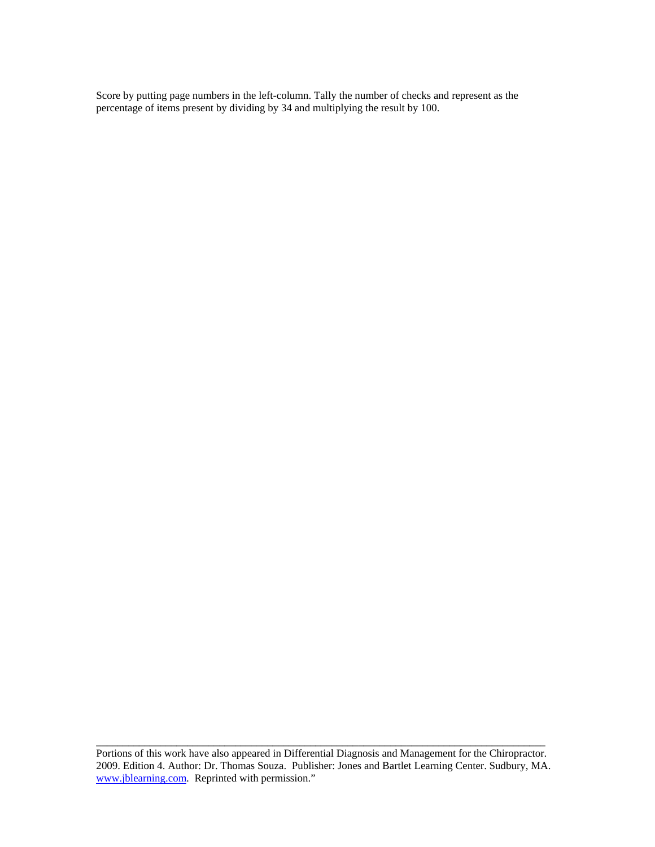Score by putting page numbers in the left-column. Tally the number of checks and represent as the percentage of items present by dividing by 34 and multiplying the result by 100.

Portions of this work have also appeared in Differential Diagnosis and Management for the Chiropractor. 2009. Edition 4. Author: Dr. Thomas Souza. Publisher: Jones and Bartlet Learning Center. Sudbury, MA. www.jblearning.com. Reprinted with permission."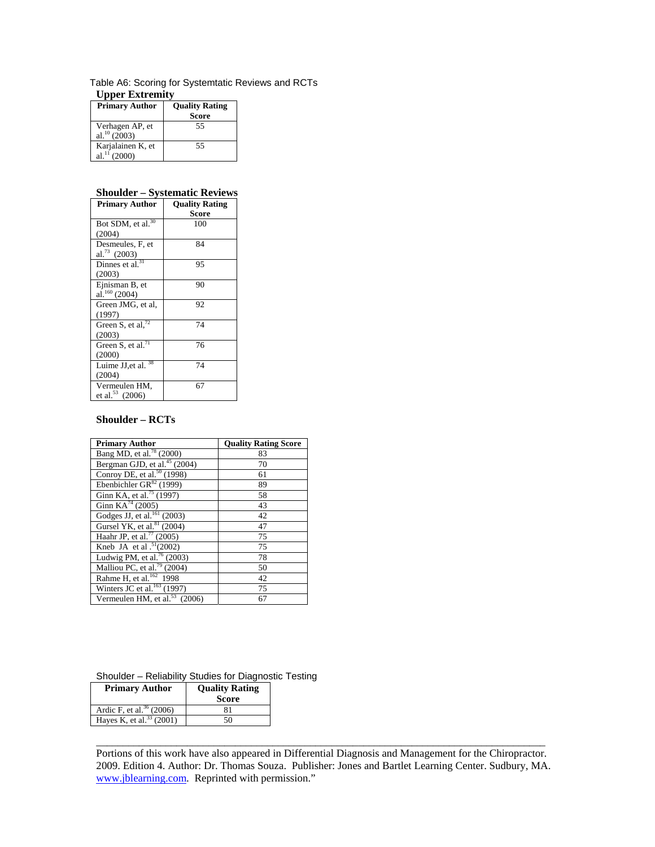### Table A6: Scoring for Systemtatic Reviews and RCTs **Upper Extremity**

| <b>Primary Author</b>                       | <b>Quality Rating</b><br><b>Score</b> |
|---------------------------------------------|---------------------------------------|
| Verhagen AP, et<br>al. <sup>10</sup> (2003) | 55                                    |
| Karjalainen K, et<br>al. $^{11}$ (2000)     | 55                                    |

| <b>Shoulder – Systematic Reviews</b> |  |
|--------------------------------------|--|
|                                      |  |

| <b>Primary Author</b>         | <b>Quality Rating</b> |
|-------------------------------|-----------------------|
|                               | Score                 |
| Bot SDM, et al. <sup>30</sup> | 100                   |
| (2004)                        |                       |
| Desmeules, F, et              | 84                    |
| al. <sup>73</sup> (2003)      |                       |
| Dinnes et al. <sup>31</sup>   | 95                    |
| (2003)                        |                       |
| Ejnisman B, et                | 90                    |
| $aL^{160}$ (2004)             |                       |
| Green JMG, et al,             | 92                    |
| (1997)                        |                       |
| Green S, et al, $72$          | 74                    |
| (2003)                        |                       |
| Green S, et al. <sup>71</sup> | 76                    |
| (2000)                        |                       |
| 38<br>Luime JJ, et al.        | 74                    |
| (2004)                        |                       |
| Vermeulen HM,                 | 67                    |
| et al. <sup>53</sup> (2006)   |                       |

### **Shoulder – RCTs**

| <b>Primary Author</b>                    | <b>Ouality Rating Score</b> |
|------------------------------------------|-----------------------------|
| Bang MD, et al. <sup>78</sup> (2000)     | 83                          |
| Bergman GJD, et al. <sup>45</sup> (2004) | 70                          |
| Conroy DE, et al. <sup>50</sup> (1998)   | 61                          |
| Ebenbichler GR <sup>82</sup> (1999)      | 89                          |
| Ginn KA, et al. <sup>75</sup> (1997)     | 58                          |
| Ginn $\overline{KA}^{74}$ (2005)         | 43                          |
| Godges JJ, et al. <sup>161</sup> (2003)  | 42                          |
| Gursel YK, et al. <sup>81</sup> (2004)   | 47                          |
| Haahr JP, et al. <sup>77</sup> (2005)    | 75                          |
| Kneb JA et al. $51(2002)$                | 75                          |
| Ludwig PM, et al. <sup>76</sup> (2003)   | 78                          |
| Malliou PC, et al. <sup>79</sup> (2004)  | 50                          |
| Rahme H, et al. <sup>162</sup> 1998      | 42                          |
| Winters JC et al. $^{163}$ (1997)        | 75                          |
| Vermeulen HM, et al. $53$ (2006)         | 67                          |

| Shoulder - Reliability Studies for Diagnostic Testing |  |  |
|-------------------------------------------------------|--|--|
|                                                       |  |  |

| <b>Primary Author</b>                | <b>Quality Rating</b><br><b>Score</b> |
|--------------------------------------|---------------------------------------|
| Ardic F, et al. <sup>36</sup> (2006) |                                       |
| Hayes K, et al. <sup>33</sup> (2001) | 50                                    |

Portions of this work have also appeared in Differential Diagnosis and Management for the Chiropractor. 2009. Edition 4. Author: Dr. Thomas Souza. Publisher: Jones and Bartlet Learning Center. Sudbury, MA. www.jblearning.com. Reprinted with permission."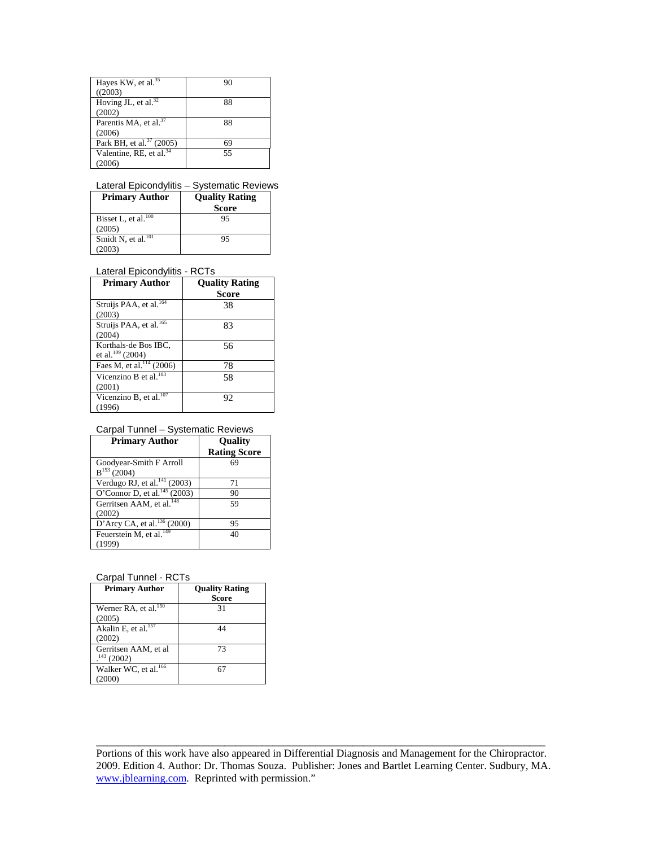| Hayes KW, et al. <sup>35</sup>       | 90 |
|--------------------------------------|----|
| ((2003)                              |    |
| Hoving JL, et al. $32$               | 88 |
| (2002)                               |    |
| Parentis MA, et al. <sup>37</sup>    | 88 |
| (2006)                               |    |
| Park BH, et al. <sup>37</sup> (2005) | 69 |
| Valentine, RE, et al. <sup>34</sup>  | 55 |
|                                      |    |

### Lateral Epicondylitis – Systematic Reviews

| <b>Primary Author</b>    | <b>Quality Rating</b> |  |
|--------------------------|-----------------------|--|
|                          | <b>Score</b>          |  |
| Bisset L, et al. $100$   | 95                    |  |
| (2005)                   |                       |  |
| Smidt N, et al. $^{101}$ | 95                    |  |
| 2003                     |                       |  |

#### Lateral Epicondylitis - RCTs

| <b>Primary Author</b>                                | <b>Quality Rating</b><br><b>Score</b> |
|------------------------------------------------------|---------------------------------------|
| Struijs PAA, et al. <sup>164</sup><br>(2003)         | 38                                    |
| Struijs PAA, et al. <sup>165</sup><br>(2004)         | 83                                    |
| Korthals-de Bos IBC,<br>et al. <sup>109</sup> (2004) | 56                                    |
| Faes M, et al. <sup>114</sup> (2006)                 | 78                                    |
| Vicenzino B et al. $103$<br>(2001)                   | 58                                    |
| Vicenzino B, et al. <sup>107</sup><br>(1996)         | 92                                    |

### Carpal Tunnel – Systematic Reviews

| <b>Primary Author</b>                             | <b>Ouality</b>      |
|---------------------------------------------------|---------------------|
|                                                   | <b>Rating Score</b> |
| Goodyear-Smith F Arroll                           | 69                  |
| $B^{153}$ (2004)                                  |                     |
| Verdugo RJ, et al. $^{141}$ (2003)                | 71                  |
| O'Connor D, et al. <sup>145</sup> (2003)          | 90                  |
| Gerritsen AAM, et al. <sup>148</sup>              | 59                  |
| (2002)                                            |                     |
| D'Arcy CA, et al. <sup>136</sup> (2000)           | 95                  |
| Feuerstein $\overline{M}$ , et al. <sup>149</sup> | 40                  |
| (1999)                                            |                     |

### Carpal Tunnel - RCTs

| <b>Primary Author</b>            | <b>Quality Rating</b><br>Score |
|----------------------------------|--------------------------------|
| Werner RA, et al. <sup>150</sup> | 31                             |
| (2005)                           |                                |
| Akalin E, et al. <sup>157</sup>  | 44                             |
| (2002)                           |                                |
| Gerritsen AAM, et al             | 73                             |
| $^{143}$ (2002)                  |                                |
| Walker WC, et al. <sup>166</sup> |                                |
|                                  |                                |

Portions of this work have also appeared in Differential Diagnosis and Management for the Chiropractor. 2009. Edition 4. Author: Dr. Thomas Souza. Publisher: Jones and Bartlet Learning Center. Sudbury, MA. www.jblearning.com. Reprinted with permission."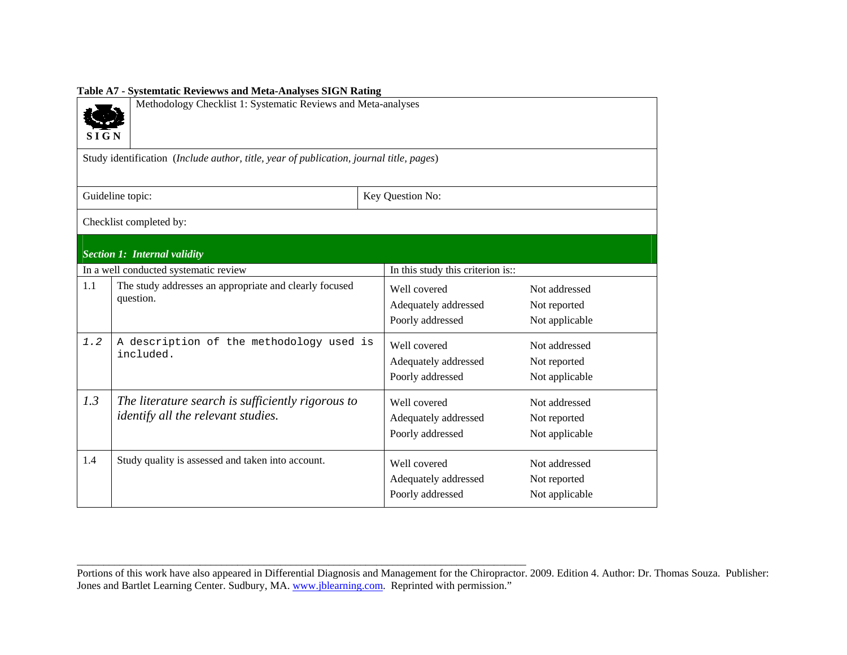| SIGN                                                                                    | Table A7 - Systemtatic Reviewws and Meta-Analyses SIGN Rating<br>Methodology Checklist 1: Systematic Reviews and Meta-analyses |                                                          |                                                 |  |  |  |  |  |  |
|-----------------------------------------------------------------------------------------|--------------------------------------------------------------------------------------------------------------------------------|----------------------------------------------------------|-------------------------------------------------|--|--|--|--|--|--|
| Study identification (Include author, title, year of publication, journal title, pages) |                                                                                                                                |                                                          |                                                 |  |  |  |  |  |  |
|                                                                                         | Guideline topic:<br>Key Question No:                                                                                           |                                                          |                                                 |  |  |  |  |  |  |
|                                                                                         | Checklist completed by:                                                                                                        |                                                          |                                                 |  |  |  |  |  |  |
|                                                                                         | <b>Section 1: Internal validity</b>                                                                                            |                                                          |                                                 |  |  |  |  |  |  |
|                                                                                         | In a well conducted systematic review                                                                                          | In this study this criterion is::                        |                                                 |  |  |  |  |  |  |
| 1.1                                                                                     | The study addresses an appropriate and clearly focused<br>question.                                                            | Well covered<br>Adequately addressed<br>Poorly addressed | Not addressed<br>Not reported<br>Not applicable |  |  |  |  |  |  |
| 1.2                                                                                     | A description of the methodology used is<br>included.                                                                          | Well covered<br>Adequately addressed<br>Poorly addressed | Not addressed<br>Not reported<br>Not applicable |  |  |  |  |  |  |
| 1.3                                                                                     | The literature search is sufficiently rigorous to<br>identify all the relevant studies.                                        | Well covered<br>Adequately addressed<br>Poorly addressed | Not addressed<br>Not reported<br>Not applicable |  |  |  |  |  |  |
| 1.4                                                                                     | Study quality is assessed and taken into account.                                                                              | Well covered<br>Adequately addressed<br>Poorly addressed | Not addressed<br>Not reported<br>Not applicable |  |  |  |  |  |  |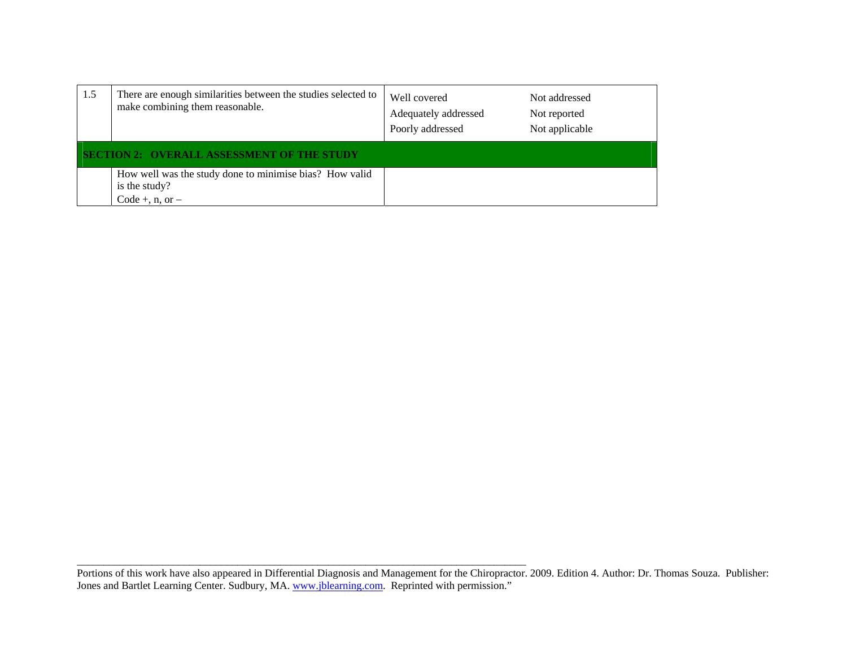| 1.5 | There are enough similarities between the studies selected to<br>make combining them reasonable. | Well covered<br>Adequately addressed<br>Poorly addressed | Not addressed<br>Not reported<br>Not applicable |  |
|-----|--------------------------------------------------------------------------------------------------|----------------------------------------------------------|-------------------------------------------------|--|
|     | <b>SECTION 2: OVERALL ASSESSMENT OF THE STUDY</b>                                                |                                                          |                                                 |  |
|     | How well was the study done to minimise bias? How valid<br>is the study?<br>Code +, $n$ , or -   |                                                          |                                                 |  |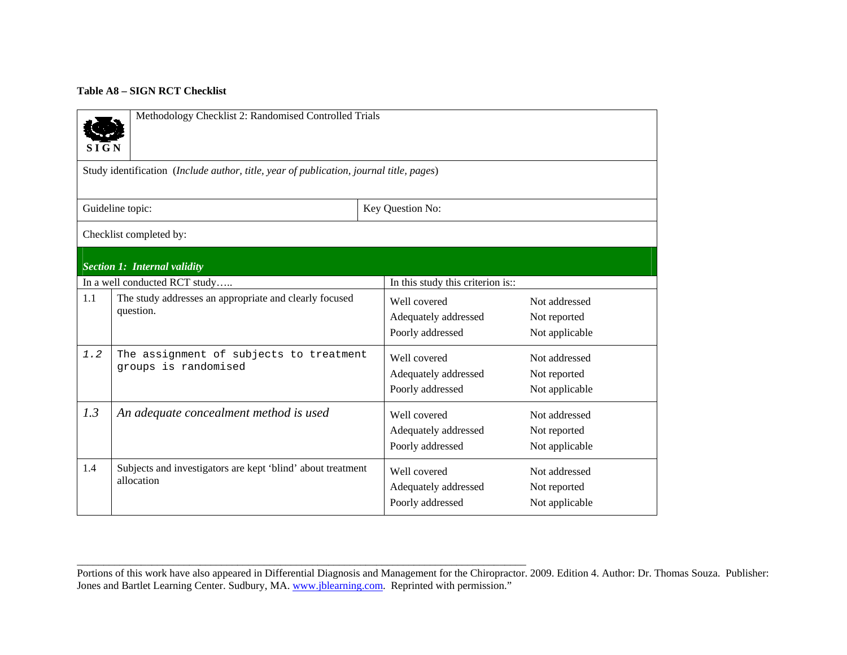### **Table A8 – SIGN RCT Checklist**

|                                                                                         | Methodology Checklist 2: Randomised Controlled Trials<br>8 I G N          |                                                          |                                                 |  |  |  |  |  |  |  |
|-----------------------------------------------------------------------------------------|---------------------------------------------------------------------------|----------------------------------------------------------|-------------------------------------------------|--|--|--|--|--|--|--|
| Study identification (Include author, title, year of publication, journal title, pages) |                                                                           |                                                          |                                                 |  |  |  |  |  |  |  |
|                                                                                         | Guideline topic:<br>Key Question No:                                      |                                                          |                                                 |  |  |  |  |  |  |  |
|                                                                                         | Checklist completed by:                                                   |                                                          |                                                 |  |  |  |  |  |  |  |
|                                                                                         | <b>Section 1: Internal validity</b>                                       |                                                          |                                                 |  |  |  |  |  |  |  |
|                                                                                         | In a well conducted RCT study                                             | In this study this criterion is::                        |                                                 |  |  |  |  |  |  |  |
| 1.1                                                                                     | The study addresses an appropriate and clearly focused<br>question.       | Well covered<br>Adequately addressed<br>Poorly addressed | Not addressed<br>Not reported<br>Not applicable |  |  |  |  |  |  |  |
| 1.2                                                                                     | The assignment of subjects to treatment<br>groups is randomised           | Well covered<br>Adequately addressed<br>Poorly addressed | Not addressed<br>Not reported<br>Not applicable |  |  |  |  |  |  |  |
| 1.3                                                                                     | An adequate concealment method is used                                    | Well covered<br>Adequately addressed<br>Poorly addressed | Not addressed<br>Not reported<br>Not applicable |  |  |  |  |  |  |  |
| 1.4                                                                                     | Subjects and investigators are kept 'blind' about treatment<br>allocation | Well covered<br>Adequately addressed<br>Poorly addressed | Not addressed<br>Not reported<br>Not applicable |  |  |  |  |  |  |  |

Portions of this work have also appeared in Differential Diagnosis and Management for the Chiropractor. 2009. Edition 4. Author: Dr. Thomas Souza. Publisher: Jones and Bartlet Learning Center. Sudbury, MA. www.jblearning.com. Reprinted with permission."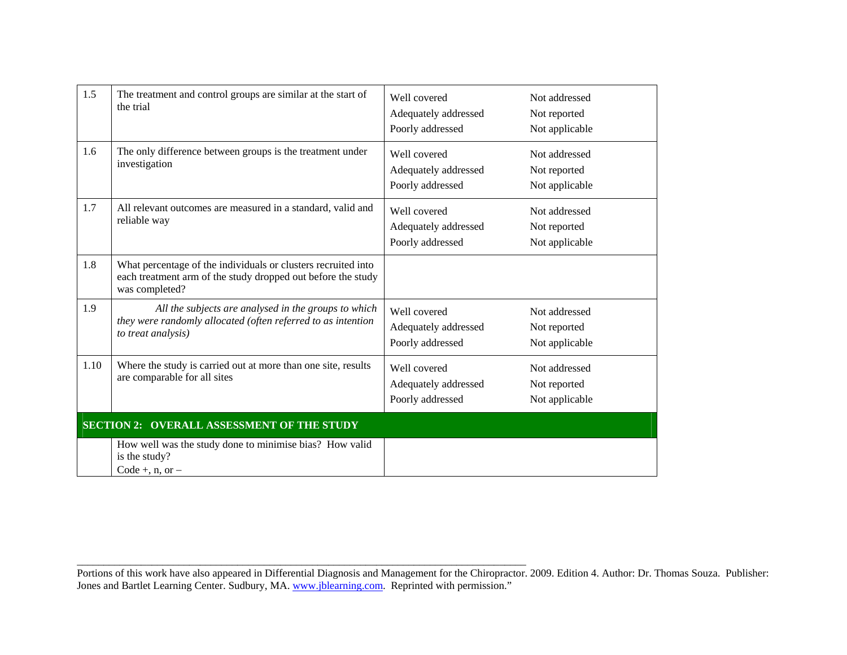| 1.5  | The treatment and control groups are similar at the start of<br>the trial                                                                       | Well covered<br>Adequately addressed<br>Poorly addressed | Not addressed<br>Not reported<br>Not applicable |
|------|-------------------------------------------------------------------------------------------------------------------------------------------------|----------------------------------------------------------|-------------------------------------------------|
| 1.6  | The only difference between groups is the treatment under<br>investigation                                                                      | Well covered<br>Adequately addressed<br>Poorly addressed | Not addressed<br>Not reported<br>Not applicable |
| 1.7  | All relevant outcomes are measured in a standard, valid and<br>reliable way                                                                     | Well covered<br>Adequately addressed<br>Poorly addressed | Not addressed<br>Not reported<br>Not applicable |
| 1.8  | What percentage of the individuals or clusters recruited into<br>each treatment arm of the study dropped out before the study<br>was completed? |                                                          |                                                 |
| 1.9  | All the subjects are analysed in the groups to which<br>they were randomly allocated (often referred to as intention<br>to treat analysis)      | Well covered<br>Adequately addressed<br>Poorly addressed | Not addressed<br>Not reported<br>Not applicable |
| 1.10 | Where the study is carried out at more than one site, results<br>are comparable for all sites                                                   | Well covered<br>Adequately addressed<br>Poorly addressed | Not addressed<br>Not reported<br>Not applicable |
|      | <b>SECTION 2: OVERALL ASSESSMENT OF THE STUDY</b>                                                                                               |                                                          |                                                 |
|      | How well was the study done to minimise bias? How valid<br>is the study?<br>Code $+$ , n, or $-$                                                |                                                          |                                                 |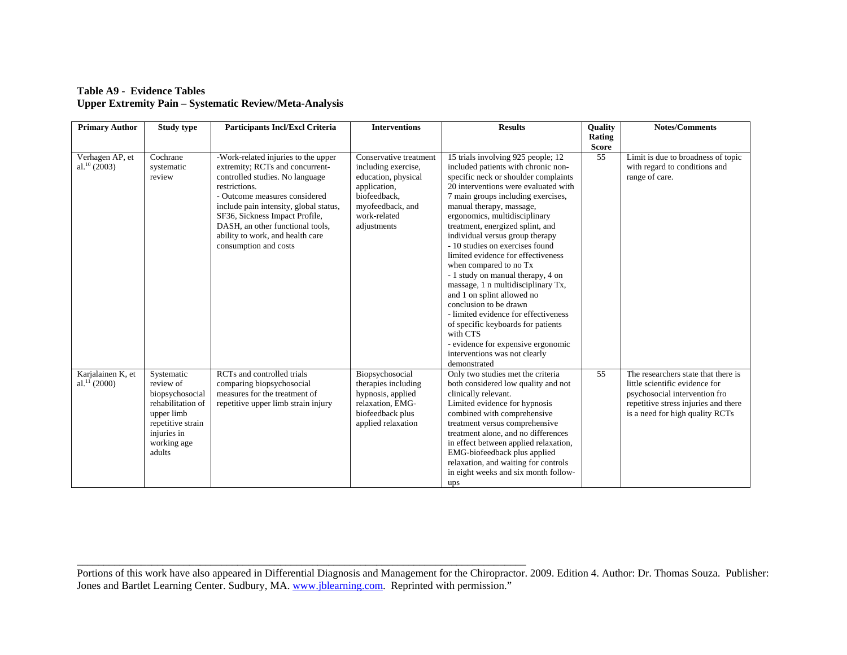### **Table A9 - Evidence Tables Upper Extremity Pain – Systematic Review/Meta-Analysis**

| <b>Primary Author</b>    | <b>Study type</b>                | <b>Participants Incl/Excl Criteria</b>                             | <b>Interventions</b>             | <b>Results</b>                                                | <b>Ouality</b> | <b>Notes/Comments</b>                |
|--------------------------|----------------------------------|--------------------------------------------------------------------|----------------------------------|---------------------------------------------------------------|----------------|--------------------------------------|
|                          |                                  |                                                                    |                                  |                                                               | Rating         |                                      |
|                          |                                  |                                                                    |                                  |                                                               | <b>Score</b>   |                                      |
| Verhagen AP, et          | Cochrane                         | -Work-related injuries to the upper                                | Conservative treatment           | 15 trials involving 925 people; 12                            | 55             | Limit is due to broadness of topic   |
| al. <sup>10</sup> (2003) | systematic                       | extremity; RCTs and concurrent-                                    | including exercise,              | included patients with chronic non-                           |                | with regard to conditions and        |
|                          | review                           | controlled studies. No language                                    | education, physical              | specific neck or shoulder complaints                          |                | range of care.                       |
|                          |                                  | restrictions.                                                      | application,                     | 20 interventions were evaluated with                          |                |                                      |
|                          |                                  | - Outcome measures considered                                      | biofeedback.                     | 7 main groups including exercises,                            |                |                                      |
|                          |                                  | include pain intensity, global status,                             | myofeedback, and<br>work-related | manual therapy, massage,<br>ergonomics, multidisciplinary     |                |                                      |
|                          |                                  | SF36, Sickness Impact Profile,<br>DASH, an other functional tools, | adjustments                      | treatment, energized splint, and                              |                |                                      |
|                          |                                  | ability to work, and health care                                   |                                  | individual versus group therapy                               |                |                                      |
|                          |                                  | consumption and costs                                              |                                  | - 10 studies on exercises found                               |                |                                      |
|                          |                                  |                                                                    |                                  | limited evidence for effectiveness                            |                |                                      |
|                          |                                  |                                                                    |                                  | when compared to no Tx                                        |                |                                      |
|                          |                                  |                                                                    |                                  | - 1 study on manual therapy, 4 on                             |                |                                      |
|                          |                                  |                                                                    |                                  | massage, 1 n multidisciplinary Tx,                            |                |                                      |
|                          |                                  |                                                                    |                                  | and 1 on splint allowed no                                    |                |                                      |
|                          |                                  |                                                                    |                                  | conclusion to be drawn                                        |                |                                      |
|                          |                                  |                                                                    |                                  | - limited evidence for effectiveness                          |                |                                      |
|                          |                                  |                                                                    |                                  | of specific keyboards for patients                            |                |                                      |
|                          |                                  |                                                                    |                                  | with CTS                                                      |                |                                      |
|                          |                                  |                                                                    |                                  | - evidence for expensive ergonomic                            |                |                                      |
|                          |                                  |                                                                    |                                  | interventions was not clearly                                 |                |                                      |
|                          |                                  |                                                                    |                                  | demonstrated                                                  |                |                                      |
| Karjalainen K, et        | Systematic                       | RCTs and controlled trials                                         | Biopsychosocial                  | Only two studies met the criteria                             | 55             | The researchers state that there is  |
| al. <sup>11</sup> (2000) | review of                        | comparing biopsychosocial                                          | therapies including              | both considered low quality and not                           |                | little scientific evidence for       |
|                          | biopsychosocial                  | measures for the treatment of                                      | hypnosis, applied                | clinically relevant.                                          |                | psychosocial intervention fro        |
|                          | rehabilitation of                | repetitive upper limb strain injury                                | relaxation, EMG-                 | Limited evidence for hypnosis                                 |                | repetitive stress injuries and there |
|                          | upper limb                       |                                                                    | biofeedback plus                 | combined with comprehensive<br>treatment versus comprehensive |                | is a need for high quality RCTs      |
|                          | repetitive strain<br>injuries in |                                                                    | applied relaxation               | treatment alone, and no differences                           |                |                                      |
|                          | working age                      |                                                                    |                                  | in effect between applied relaxation,                         |                |                                      |
|                          | adults                           |                                                                    |                                  | EMG-biofeedback plus applied                                  |                |                                      |
|                          |                                  |                                                                    |                                  | relaxation, and waiting for controls                          |                |                                      |
|                          |                                  |                                                                    |                                  | in eight weeks and six month follow-                          |                |                                      |
|                          |                                  |                                                                    |                                  | ups                                                           |                |                                      |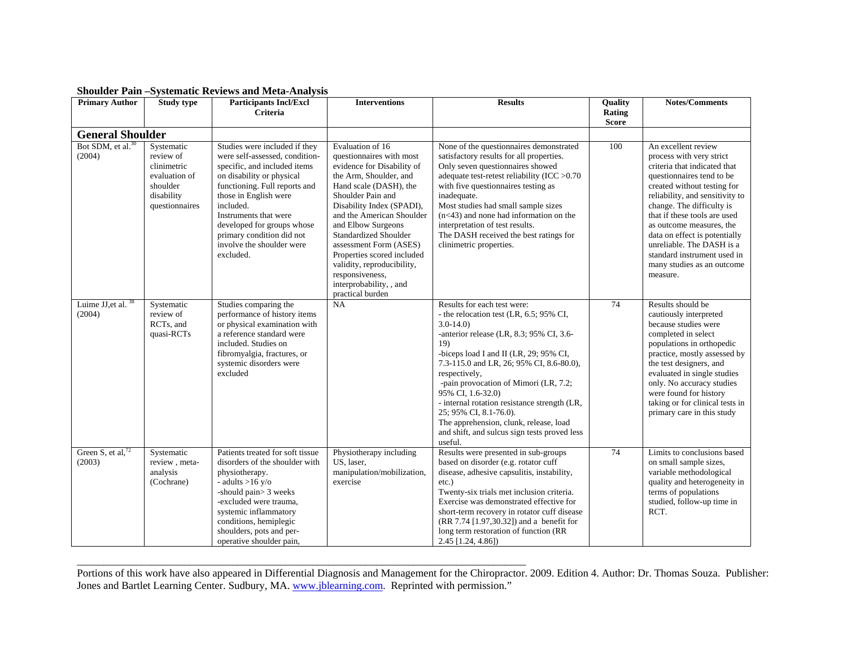| <b>Primary Author</b>                   | <b>Study type</b>                                                                                   | <b>Participants Incl/Excl</b><br>Criteria                                                                                                                                                                                                                                                                                         | <b>Interventions</b>                                                                                                                                                                                                                                                                                                                                                                                                        | <b>Results</b>                                                                                                                                                                                                                                                                                                                                                                                                                                                                                | Quality<br>Rating | <b>Notes/Comments</b>                                                                                                                                                                                                                                                                                                                                                                                          |
|-----------------------------------------|-----------------------------------------------------------------------------------------------------|-----------------------------------------------------------------------------------------------------------------------------------------------------------------------------------------------------------------------------------------------------------------------------------------------------------------------------------|-----------------------------------------------------------------------------------------------------------------------------------------------------------------------------------------------------------------------------------------------------------------------------------------------------------------------------------------------------------------------------------------------------------------------------|-----------------------------------------------------------------------------------------------------------------------------------------------------------------------------------------------------------------------------------------------------------------------------------------------------------------------------------------------------------------------------------------------------------------------------------------------------------------------------------------------|-------------------|----------------------------------------------------------------------------------------------------------------------------------------------------------------------------------------------------------------------------------------------------------------------------------------------------------------------------------------------------------------------------------------------------------------|
|                                         |                                                                                                     |                                                                                                                                                                                                                                                                                                                                   |                                                                                                                                                                                                                                                                                                                                                                                                                             |                                                                                                                                                                                                                                                                                                                                                                                                                                                                                               | <b>Score</b>      |                                                                                                                                                                                                                                                                                                                                                                                                                |
| <b>General Shoulder</b>                 |                                                                                                     |                                                                                                                                                                                                                                                                                                                                   |                                                                                                                                                                                                                                                                                                                                                                                                                             |                                                                                                                                                                                                                                                                                                                                                                                                                                                                                               |                   |                                                                                                                                                                                                                                                                                                                                                                                                                |
| Bot SDM, et al. <sup>30</sup><br>(2004) | Systematic<br>review of<br>clinimetric<br>evaluation of<br>shoulder<br>disability<br>questionnaires | Studies were included if they<br>were self-assessed, condition-<br>specific, and included items<br>on disability or physical<br>functioning. Full reports and<br>those in English were<br>included.<br>Instruments that were<br>developed for groups whose<br>primary condition did not<br>involve the shoulder were<br>excluded. | Evaluation of 16<br>questionnaires with most<br>evidence for Disability of<br>the Arm, Shoulder, and<br>Hand scale (DASH), the<br>Shoulder Pain and<br>Disability Index (SPADI),<br>and the American Shoulder<br>and Elbow Surgeons<br><b>Standardized Shoulder</b><br>assessment Form (ASES)<br>Properties scored included<br>validity, reproducibility,<br>responsiveness,<br>interprobability, , and<br>practical burden | None of the questionnaires demonstrated<br>satisfactory results for all properties.<br>Only seven questionnaires showed<br>adequate test-retest reliability (ICC > 0.70<br>with five questionnaires testing as<br>inadequate.<br>Most studies had small sample sizes<br>$(n<43)$ and none had information on the<br>interpretation of test results.<br>The DASH received the best ratings for<br>clinimetric properties.                                                                      | 100               | An excellent review<br>process with very strict<br>criteria that indicated that<br>questionnaires tend to be<br>created without testing for<br>reliability, and sensitivity to<br>change. The difficulty is<br>that if these tools are used<br>as outcome measures, the<br>data on effect is potentially<br>unreliable. The DASH is a<br>standard instrument used in<br>many studies as an outcome<br>measure. |
| Luime JJ, et al. $38$<br>(2004)         | Systematic<br>review of<br>RCTs, and<br>quasi-RCTs                                                  | Studies comparing the<br>performance of history items<br>or physical examination with<br>a reference standard were<br>included. Studies on<br>fibromyalgia, fractures, or<br>systemic disorders were<br>excluded                                                                                                                  | <b>NA</b>                                                                                                                                                                                                                                                                                                                                                                                                                   | Results for each test were:<br>- the relocation test (LR, 6.5; 95% CI,<br>$3.0 - 14.0$<br>-anterior release (LR, 8.3; 95% CI, 3.6-<br>19)<br>-biceps load I and II (LR, 29; 95% CI,<br>7.3-115.0 and LR, 26; 95% CI, 8.6-80.0),<br>respectively,<br>-pain provocation of Mimori (LR, 7.2;<br>95% CI, 1.6-32.0)<br>- internal rotation resistance strength (LR,<br>25; 95% CI, 8.1-76.0).<br>The apprehension, clunk, release, load<br>and shift, and sulcus sign tests proved less<br>useful. | 74                | Results should be<br>cautiously interpreted<br>because studies were<br>completed in select<br>populations in orthopedic<br>practice, mostly assessed by<br>the test designers, and<br>evaluated in single studies<br>only. No accuracy studies<br>were found for history<br>taking or for clinical tests in<br>primary care in this study                                                                      |
| Green S, et al, $72$<br>(2003)          | Systematic<br>review, meta-<br>analysis<br>(Cochrane)                                               | Patients treated for soft tissue<br>disorders of the shoulder with<br>physiotherapy.<br>- adults $>16$ y/o<br>-should pain> 3 weeks<br>-excluded were trauma,<br>systemic inflammatory<br>conditions, hemiplegic<br>shoulders, pots and per-<br>operative shoulder pain,                                                          | Physiotherapy including<br>US, laser,<br>manipulation/mobilization,<br>exercise                                                                                                                                                                                                                                                                                                                                             | Results were presented in sub-groups<br>based on disorder (e.g. rotator cuff<br>disease, adhesive capsulitis, instability,<br>$etc.$ )<br>Twenty-six trials met inclusion criteria.<br>Exercise was demonstrated effective for<br>short-term recovery in rotator cuff disease<br>(RR 7.74 [1.97,30.32]) and a benefit for<br>long term restoration of function (RR<br>$2.45$ [1.24, 4.86])                                                                                                    | 74                | Limits to conclusions based<br>on small sample sizes,<br>variable methodological<br>quality and heterogeneity in<br>terms of populations<br>studied, follow-up time in<br>RCT.                                                                                                                                                                                                                                 |

## **Shoulder Pain –Systematic Reviews and Meta-Analysis**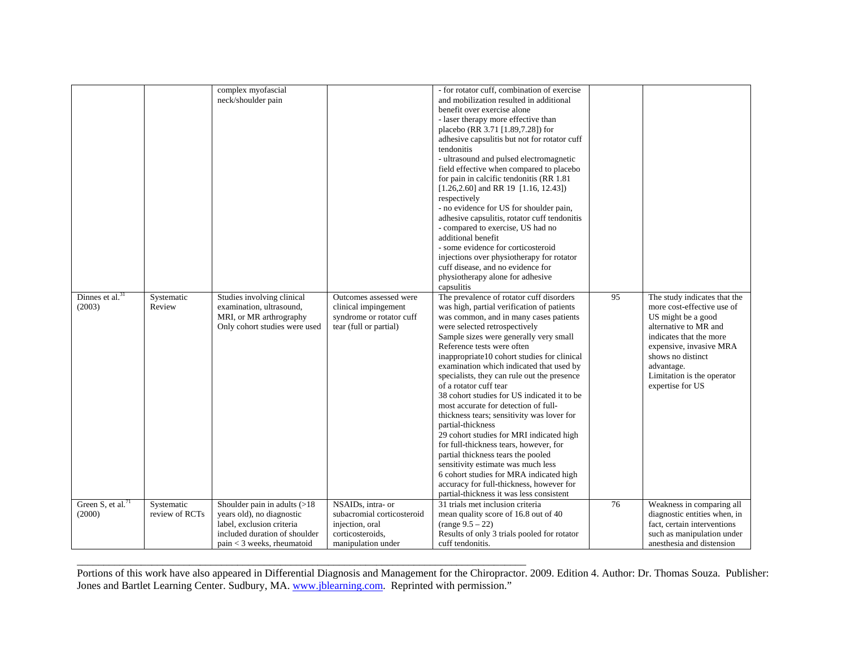| Dinnes et al. $31$<br>(2003)                | Systematic<br>Review | complex myofascial<br>neck/shoulder pain<br>Studies involving clinical<br>examination, ultrasound,<br>MRI, or MR arthrography<br>Only cohort studies were used | Outcomes assessed were<br>clinical impingement<br>syndrome or rotator cuff<br>tear (full or partial) | - for rotator cuff, combination of exercise<br>and mobilization resulted in additional<br>benefit over exercise alone<br>- laser therapy more effective than<br>placebo (RR 3.71 [1.89,7.28]) for<br>adhesive capsulitis but not for rotator cuff<br>tendonitis<br>- ultrasound and pulsed electromagnetic<br>field effective when compared to placebo<br>for pain in calcific tendonitis (RR 1.81<br>$[1.26, 2.60]$ and RR 19 $[1.16, 12.43]$<br>respectively<br>- no evidence for US for shoulder pain,<br>adhesive capsulitis, rotator cuff tendonitis<br>- compared to exercise, US had no<br>additional benefit<br>- some evidence for corticosteroid<br>injections over physiotherapy for rotator<br>cuff disease, and no evidence for<br>physiotherapy alone for adhesive<br>capsulitis<br>The prevalence of rotator cuff disorders<br>was high, partial verification of patients<br>was common, and in many cases patients<br>were selected retrospectively<br>Sample sizes were generally very small<br>Reference tests were often<br>inappropriate10 cohort studies for clinical<br>examination which indicated that used by<br>specialists, they can rule out the presence<br>of a rotator cuff tear<br>38 cohort studies for US indicated it to be<br>most accurate for detection of full-<br>thickness tears; sensitivity was lover for<br>partial-thickness<br>29 cohort studies for MRI indicated high<br>for full-thickness tears, however, for<br>partial thickness tears the pooled<br>sensitivity estimate was much less<br>6 cohort studies for MRA indicated high<br>accuracy for full-thickness, however for | 95 | The study indicates that the<br>more cost-effective use of<br>US might be a good<br>alternative to MR and<br>indicates that the more<br>expensive, invasive MRA<br>shows no distinct<br>advantage.<br>Limitation is the operator<br>expertise for US |
|---------------------------------------------|----------------------|----------------------------------------------------------------------------------------------------------------------------------------------------------------|------------------------------------------------------------------------------------------------------|------------------------------------------------------------------------------------------------------------------------------------------------------------------------------------------------------------------------------------------------------------------------------------------------------------------------------------------------------------------------------------------------------------------------------------------------------------------------------------------------------------------------------------------------------------------------------------------------------------------------------------------------------------------------------------------------------------------------------------------------------------------------------------------------------------------------------------------------------------------------------------------------------------------------------------------------------------------------------------------------------------------------------------------------------------------------------------------------------------------------------------------------------------------------------------------------------------------------------------------------------------------------------------------------------------------------------------------------------------------------------------------------------------------------------------------------------------------------------------------------------------------------------------------------------------------------------------------------------------------------------------|----|------------------------------------------------------------------------------------------------------------------------------------------------------------------------------------------------------------------------------------------------------|
| Green $\overline{S}$ , et al. <sup>71</sup> | Systematic           | Shoulder pain in adults $(>18$                                                                                                                                 | NSAIDs, intra- or                                                                                    | partial-thickness it was less consistent<br>31 trials met inclusion criteria                                                                                                                                                                                                                                                                                                                                                                                                                                                                                                                                                                                                                                                                                                                                                                                                                                                                                                                                                                                                                                                                                                                                                                                                                                                                                                                                                                                                                                                                                                                                                       | 76 | Weakness in comparing all                                                                                                                                                                                                                            |
| (2000)                                      | review of RCTs       | years old), no diagnostic<br>label, exclusion criteria<br>included duration of shoulder<br>$pain < 3$ weeks, rheumatoid                                        | subacromial corticosteroid<br>injection, oral<br>corticosteroids,<br>manipulation under              | mean quality score of 16.8 out of 40<br>$(range 9.5 - 22)$<br>Results of only 3 trials pooled for rotator<br>cuff tendonitis.                                                                                                                                                                                                                                                                                                                                                                                                                                                                                                                                                                                                                                                                                                                                                                                                                                                                                                                                                                                                                                                                                                                                                                                                                                                                                                                                                                                                                                                                                                      |    | diagnostic entities when, in<br>fact, certain interventions<br>such as manipulation under<br>anesthesia and distension                                                                                                                               |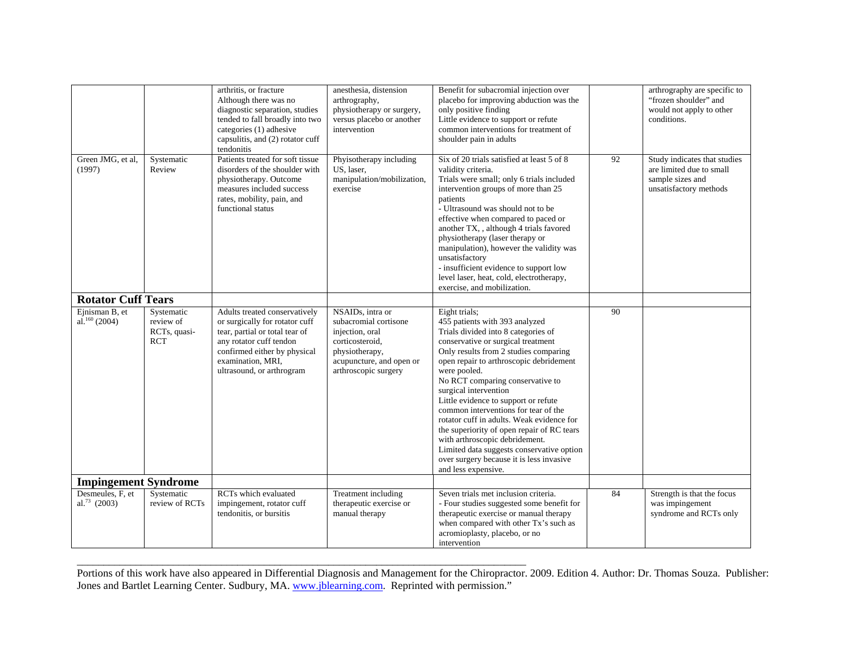|                                              |                                                       | arthritis, or fracture<br>Although there was no<br>diagnostic separation, studies<br>tended to fall broadly into two<br>categories (1) adhesive<br>capsulitis, and (2) rotator cuff<br>tendonitis              | anesthesia, distension<br>arthrography,<br>physiotherapy or surgery,<br>versus placebo or another<br>intervention                                     | Benefit for subacromial injection over<br>placebo for improving abduction was the<br>only positive finding<br>Little evidence to support or refute<br>common interventions for treatment of<br>shoulder pain in adults                                                                                                                                                                                                                                                                                                                                                                                                     |                 | arthrography are specific to<br>"frozen shoulder" and<br>would not apply to other<br>conditions.       |
|----------------------------------------------|-------------------------------------------------------|----------------------------------------------------------------------------------------------------------------------------------------------------------------------------------------------------------------|-------------------------------------------------------------------------------------------------------------------------------------------------------|----------------------------------------------------------------------------------------------------------------------------------------------------------------------------------------------------------------------------------------------------------------------------------------------------------------------------------------------------------------------------------------------------------------------------------------------------------------------------------------------------------------------------------------------------------------------------------------------------------------------------|-----------------|--------------------------------------------------------------------------------------------------------|
| Green JMG, et al,<br>(1997)                  | Systematic<br>Review                                  | Patients treated for soft tissue<br>disorders of the shoulder with<br>physiotherapy. Outcome<br>measures included success<br>rates, mobility, pain, and<br>functional status                                   | Phyisotherapy including<br>US, laser,<br>manipulation/mobilization,<br>exercise                                                                       | Six of 20 trials satisfied at least 5 of 8<br>validity criteria.<br>Trials were small; only 6 trials included<br>intervention groups of more than 25<br>patients<br>- Ultrasound was should not to be<br>effective when compared to paced or<br>another TX, , although 4 trials favored<br>physiotherapy (laser therapy or<br>manipulation), however the validity was<br>unsatisfactory<br>- insufficient evidence to support low<br>level laser, heat, cold, electrotherapy,<br>exercise, and mobilization.                                                                                                               | 92              | Study indicates that studies<br>are limited due to small<br>sample sizes and<br>unsatisfactory methods |
| <b>Rotator Cuff Tears</b>                    |                                                       |                                                                                                                                                                                                                |                                                                                                                                                       |                                                                                                                                                                                                                                                                                                                                                                                                                                                                                                                                                                                                                            |                 |                                                                                                        |
| Ejnisman B, et<br>$aL^{160}$ (2004)          | Systematic<br>review of<br>RCTs, quasi-<br><b>RCT</b> | Adults treated conservatively<br>or surgically for rotator cuff<br>tear, partial or total tear of<br>any rotator cuff tendon<br>confirmed either by physical<br>examination, MRI,<br>ultrasound, or arthrogram | NSAIDs, intra or<br>subacromial cortisone<br>injection, oral<br>corticosteroid,<br>physiotherapy,<br>acupuncture, and open or<br>arthroscopic surgery | Eight trials;<br>455 patients with 393 analyzed<br>Trials divided into 8 categories of<br>conservative or surgical treatment<br>Only results from 2 studies comparing<br>open repair to arthroscopic debridement<br>were pooled.<br>No RCT comparing conservative to<br>surgical intervention<br>Little evidence to support or refute<br>common interventions for tear of the<br>rotator cuff in adults. Weak evidence for<br>the superiority of open repair of RC tears<br>with arthroscopic debridement.<br>Limited data suggests conservative option<br>over surgery because it is less invasive<br>and less expensive. | $\overline{90}$ |                                                                                                        |
| <b>Impingement Syndrome</b>                  |                                                       |                                                                                                                                                                                                                |                                                                                                                                                       |                                                                                                                                                                                                                                                                                                                                                                                                                                                                                                                                                                                                                            |                 |                                                                                                        |
| Desmeules, F. et<br>al. <sup>73</sup> (2003) | Systematic<br>review of RCTs                          | RCTs which evaluated<br>impingement, rotator cuff<br>tendonitis, or bursitis                                                                                                                                   | Treatment including<br>therapeutic exercise or<br>manual therapy                                                                                      | Seven trials met inclusion criteria.<br>- Four studies suggested some benefit for<br>therapeutic exercise or manual therapy<br>when compared with other Tx's such as<br>acromioplasty, placebo, or no<br>intervention                                                                                                                                                                                                                                                                                                                                                                                                      | 84              | Strength is that the focus<br>was impingement<br>syndrome and RCTs only                                |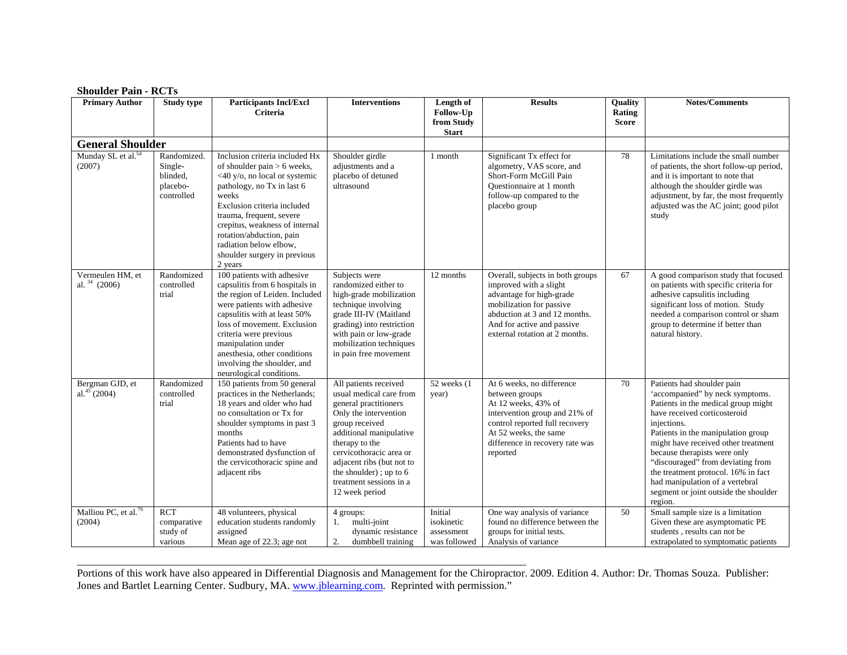| <b>Primary Author</b>                      | <b>Study type</b>                                            | <b>Participants Incl/Excl</b><br>Criteria                                                                                                                                                                                                                                                                                               | <b>Interventions</b>                                                                                                                                                                                                                                                                             | Length of<br>Follow-Up<br>from Study<br><b>Start</b> | <b>Results</b>                                                                                                                                                                                                      | Quality<br>Rating<br><b>Score</b> | <b>Notes/Comments</b>                                                                                                                                                                                                                                                                                                                                                                                                               |
|--------------------------------------------|--------------------------------------------------------------|-----------------------------------------------------------------------------------------------------------------------------------------------------------------------------------------------------------------------------------------------------------------------------------------------------------------------------------------|--------------------------------------------------------------------------------------------------------------------------------------------------------------------------------------------------------------------------------------------------------------------------------------------------|------------------------------------------------------|---------------------------------------------------------------------------------------------------------------------------------------------------------------------------------------------------------------------|-----------------------------------|-------------------------------------------------------------------------------------------------------------------------------------------------------------------------------------------------------------------------------------------------------------------------------------------------------------------------------------------------------------------------------------------------------------------------------------|
| <b>General Shoulder</b>                    |                                                              |                                                                                                                                                                                                                                                                                                                                         |                                                                                                                                                                                                                                                                                                  |                                                      |                                                                                                                                                                                                                     |                                   |                                                                                                                                                                                                                                                                                                                                                                                                                                     |
| Munday SL et al. <sup>54</sup><br>(2007)   | Randomized.<br>Single-<br>blinded,<br>placebo-<br>controlled | Inclusion criteria included Hx<br>of shoulder pain $> 6$ weeks,<br><40 y/o, no local or systemic<br>pathology, no Tx in last 6<br>weeks<br>Exclusion criteria included<br>trauma, frequent, severe<br>crepitus, weakness of internal<br>rotation/abduction, pain<br>radiation below elbow,<br>shoulder surgery in previous<br>2 years   | Shoulder girdle<br>adjustments and a<br>placebo of detuned<br>ultrasound                                                                                                                                                                                                                         | 1 month                                              | Significant Tx effect for<br>algometry, VAS score, and<br>Short-Form McGill Pain<br>Questionnaire at 1 month<br>follow-up compared to the<br>placebo group                                                          | 78                                | Limitations include the small number<br>of patients, the short follow-up period,<br>and it is important to note that<br>although the shoulder girdle was<br>adjustment, by far, the most frequently<br>adjusted was the AC joint; good pilot<br>study                                                                                                                                                                               |
| Vermeulen HM, et<br>al. $34$ (2006)        | Randomized<br>controlled<br>trial                            | 100 patients with adhesive<br>capsulitis from 6 hospitals in<br>the region of Leiden. Included<br>were patients with adhesive<br>capsulitis with at least 50%<br>loss of movement. Exclusion<br>criteria were previous<br>manipulation under<br>anesthesia, other conditions<br>involving the shoulder, and<br>neurological conditions. | Subjects were<br>randomized either to<br>high-grade mobilization<br>technique involving<br>grade III-IV (Maitland<br>grading) into restriction<br>with pain or low-grade<br>mobilization techniques<br>in pain free movement                                                                     | 12 months                                            | Overall, subjects in both groups<br>improved with a slight<br>advantage for high-grade<br>mobilization for passive<br>abduction at 3 and 12 months.<br>And for active and passive<br>external rotation at 2 months. | 67                                | A good comparison study that focused<br>on patients with specific criteria for<br>adhesive capsulitis including<br>significant loss of motion. Study<br>needed a comparison control or sham<br>group to determine if better than<br>natural history.                                                                                                                                                                                |
| Bergman GJD, et<br>al. $45$ (2004)         | Randomized<br>controlled<br>trial                            | 150 patients from 50 general<br>practices in the Netherlands;<br>18 years and older who had<br>no consultation or Tx for<br>shoulder symptoms in past 3<br>months<br>Patients had to have<br>demonstrated dysfunction of<br>the cervicothoracic spine and<br>adjacent ribs                                                              | All patients received<br>usual medical care from<br>general practitioners<br>Only the intervention<br>group received<br>additional manipulative<br>therapy to the<br>cervicothoracic area or<br>adjacent ribs (but not to<br>the shoulder); up to 6<br>treatment sessions in a<br>12 week period | 52 weeks (1<br>year)                                 | At 6 weeks, no difference<br>between groups<br>At 12 weeks, 43% of<br>intervention group and 21% of<br>control reported full recovery<br>At 52 weeks, the same<br>difference in recovery rate was<br>reported       | 70                                | Patients had shoulder pain<br>'accompanied" by neck symptoms.<br>Patients in the medical group might<br>have received corticosteroid<br>injections.<br>Patients in the manipulation group<br>might have received other treatment<br>because therapists were only<br>"discouraged" from deviating from<br>the treatment protocol. 16% in fact<br>had manipulation of a vertebral<br>segment or joint outside the shoulder<br>region. |
| Malliou PC, et al. <sup>79</sup><br>(2004) | <b>RCT</b><br>comparative<br>study of<br>various             | 48 volunteers, physical<br>education students randomly<br>assigned<br>Mean age of 22.3; age not                                                                                                                                                                                                                                         | 4 groups:<br>multi-joint<br>1.<br>dynamic resistance<br>2.<br>dumbbell training                                                                                                                                                                                                                  | Initial<br>isokinetic<br>assessment<br>was followed  | One way analysis of variance<br>found no difference between the<br>groups for initial tests.<br>Analysis of variance                                                                                                | 50                                | Small sample size is a limitation<br>Given these are asymptomatic PE<br>students, results can not be<br>extrapolated to symptomatic patients                                                                                                                                                                                                                                                                                        |

#### **Shoulder Pain - RCTs**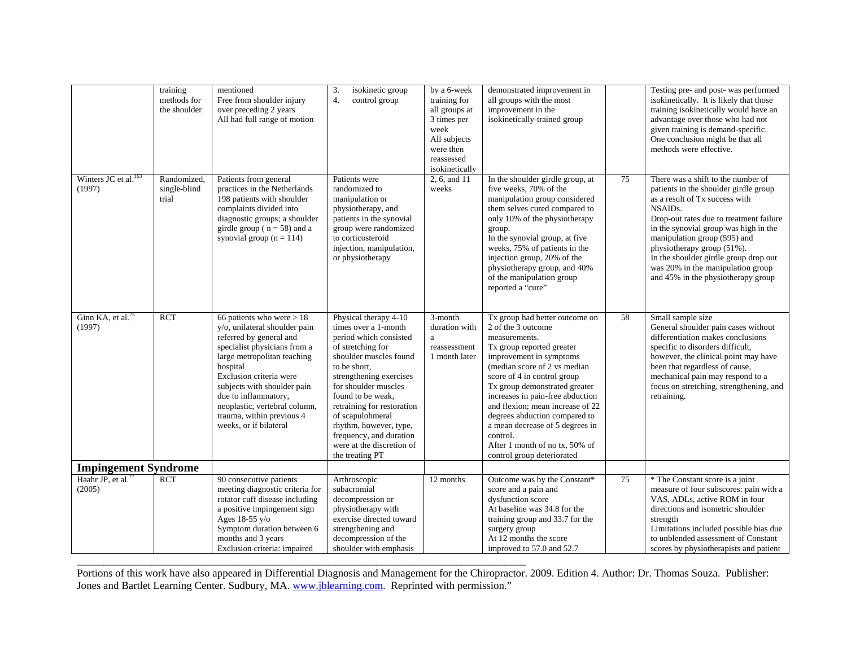|                                            | training<br>methods for<br>the shoulder | mentioned<br>Free from shoulder injury<br>over preceding 2 years<br>All had full range of motion                                                                                                                                                                                                                                             | 3.<br>isokinetic group<br>4.<br>control group                                                                                                                                                                                                                                                                                                                         | by a 6-week<br>training for<br>all groups at<br>3 times per<br>week<br>All subjects<br>were then<br>reassessed<br>isokinetically | demonstrated improvement in<br>all groups with the most<br>improvement in the<br>isokinetically-trained group                                                                                                                                                                                                                                                                                                                                         |                 | Testing pre- and post- was performed<br>isokinetically. It is likely that those<br>training isokinetically would have an<br>advantage over those who had not<br>given training is demand-specific.<br>One conclusion might be that all<br>methods were effective.                                                                                                                                           |
|--------------------------------------------|-----------------------------------------|----------------------------------------------------------------------------------------------------------------------------------------------------------------------------------------------------------------------------------------------------------------------------------------------------------------------------------------------|-----------------------------------------------------------------------------------------------------------------------------------------------------------------------------------------------------------------------------------------------------------------------------------------------------------------------------------------------------------------------|----------------------------------------------------------------------------------------------------------------------------------|-------------------------------------------------------------------------------------------------------------------------------------------------------------------------------------------------------------------------------------------------------------------------------------------------------------------------------------------------------------------------------------------------------------------------------------------------------|-----------------|-------------------------------------------------------------------------------------------------------------------------------------------------------------------------------------------------------------------------------------------------------------------------------------------------------------------------------------------------------------------------------------------------------------|
| Winters JC et al. <sup>163</sup><br>(1997) | Randomized.<br>single-blind<br>trial    | Patients from general<br>practices in the Netherlands<br>198 patients with shoulder<br>complaints divided into<br>diagnostic groups; a shoulder<br>girdle group ( $n = 58$ ) and a<br>synovial group $(n = 114)$                                                                                                                             | Patients were<br>randomized to<br>manipulation or<br>physiotherapy, and<br>patients in the synovial<br>group were randomized<br>to corticosteroid<br>injection, manipulation,<br>or physiotherapy                                                                                                                                                                     | 2, 6, and 11<br>weeks                                                                                                            | In the shoulder girdle group, at<br>five weeks, 70% of the<br>manipulation group considered<br>them selves cured compared to<br>only 10% of the physiotherapy<br>group.<br>In the synovial group, at five<br>weeks, 75% of patients in the<br>injection group, 20% of the<br>physiotherapy group, and 40%<br>of the manipulation group<br>reported a "cure"                                                                                           | $\overline{75}$ | There was a shift to the number of<br>patients in the shoulder girdle group<br>as a result of Tx success with<br>NSAID <sub>s</sub> .<br>Drop-out rates due to treatment failure<br>in the synovial group was high in the<br>manipulation group (595) and<br>physiotherapy group (51%).<br>In the shoulder girdle group drop out<br>was 20% in the manipulation group<br>and 45% in the physiotherapy group |
| Ginn KA, et al. <sup>75</sup><br>(1997)    | $\overline{RCT}$                        | 66 patients who were $> 18$<br>y/o, unilateral shoulder pain<br>referred by general and<br>specialist physicians from a<br>large metropolitan teaching<br>hospital<br>Exclusion criteria were<br>subjects with shoulder pain<br>due to inflammatory,<br>neoplastic, vertebral column,<br>trauma, within previous 4<br>weeks, or if bilateral | Physical therapy 4-10<br>times over a 1-month<br>period which consisted<br>of stretching for<br>shoulder muscles found<br>to be short.<br>strengthening exercises<br>for shoulder muscles<br>found to be weak,<br>retraining for restoration<br>of scapulohmeral<br>rhythm, however, type,<br>frequency, and duration<br>were at the discretion of<br>the treating PT | 3-month<br>duration with<br>a<br>reassessment<br>1 month later                                                                   | Tx group had better outcome on<br>2 of the 3 outcome<br>measurements.<br>Tx group reported greater<br>improvement in symptoms<br>(median score of 2 vs median<br>score of 4 in control group<br>Tx group demonstrated greater<br>increases in pain-free abduction<br>and flexion; mean increase of 22<br>degrees abduction compared to<br>a mean decrease of 5 degrees in<br>control.<br>After 1 month of no tx, 50% of<br>control group deteriorated | 58              | Small sample size<br>General shoulder pain cases without<br>differentiation makes conclusions<br>specific to disorders difficult,<br>however, the clinical point may have<br>been that regardless of cause,<br>mechanical pain may respond to a<br>focus on stretching, strengthening, and<br>retraining.                                                                                                   |
| <b>Impingement Syndrome</b>                |                                         |                                                                                                                                                                                                                                                                                                                                              |                                                                                                                                                                                                                                                                                                                                                                       |                                                                                                                                  |                                                                                                                                                                                                                                                                                                                                                                                                                                                       |                 |                                                                                                                                                                                                                                                                                                                                                                                                             |
| Haahr JP, et al. <sup>77</sup><br>(2005)   | RCT                                     | 90 consecutive patients<br>meeting diagnostic criteria for<br>rotator cuff disease including<br>a positive impingement sign<br>Ages 18-55 y/o<br>Symptom duration between 6<br>months and 3 years<br>Exclusion criteria: impaired                                                                                                            | Arthroscopic<br>subacromial<br>decompression or<br>physiotherapy with<br>exercise directed toward<br>strengthening and<br>decompression of the<br>shoulder with emphasis                                                                                                                                                                                              | 12 months                                                                                                                        | Outcome was by the Constant*<br>score and a pain and<br>dysfunction score<br>At baseline was 34.8 for the<br>training group and 33.7 for the<br>surgery group<br>At 12 months the score<br>improved to 57.0 and 52.7                                                                                                                                                                                                                                  | 75              | * The Constant score is a joint<br>measure of four subscores: pain with a<br>VAS, ADLs, active ROM in four<br>directions and isometric shoulder<br>strength<br>Limitations included possible bias due<br>to unblended assessment of Constant<br>scores by physiotherapists and patient                                                                                                                      |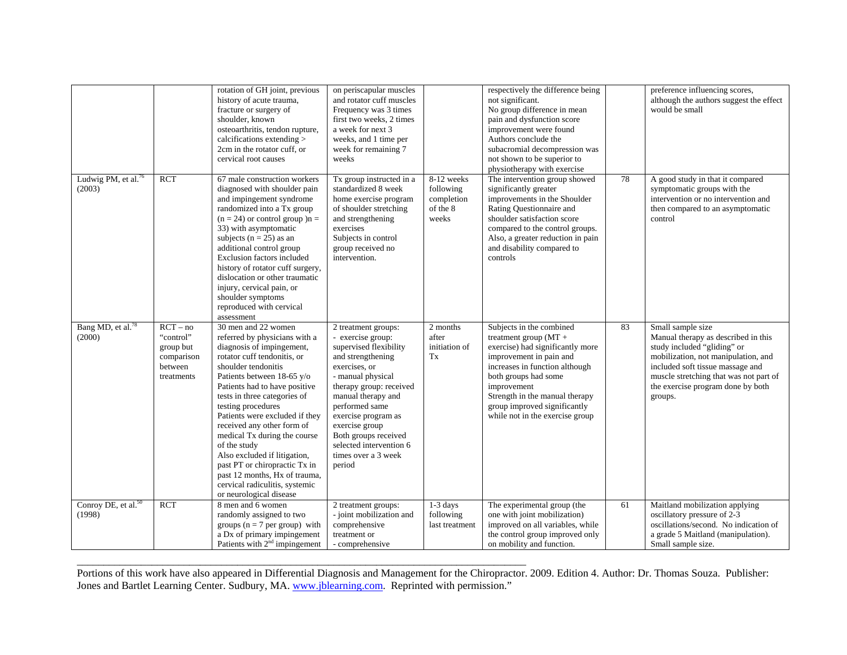|                                           |                                                                             | rotation of GH joint, previous<br>history of acute trauma,<br>fracture or surgery of<br>shoulder, known<br>osteoarthritis, tendon rupture,<br>calcifications extending $>$<br>2cm in the rotator cuff, or<br>cervical root causes                                                                                                                                                                                                                                                                                                           | on periscapular muscles<br>and rotator cuff muscles<br>Frequency was 3 times<br>first two weeks, 2 times<br>a week for next 3<br>weeks, and 1 time per<br>week for remaining 7<br>weeks                                                                                                                                       |                                                            | respectively the difference being<br>not significant.<br>No group difference in mean<br>pain and dysfunction score<br>improvement were found<br>Authors conclude the<br>subacromial decompression was<br>not shown to be superior to<br>physiotherapy with exercise                              |    | preference influencing scores,<br>although the authors suggest the effect<br>would be small                                                                                                                                                                  |
|-------------------------------------------|-----------------------------------------------------------------------------|---------------------------------------------------------------------------------------------------------------------------------------------------------------------------------------------------------------------------------------------------------------------------------------------------------------------------------------------------------------------------------------------------------------------------------------------------------------------------------------------------------------------------------------------|-------------------------------------------------------------------------------------------------------------------------------------------------------------------------------------------------------------------------------------------------------------------------------------------------------------------------------|------------------------------------------------------------|--------------------------------------------------------------------------------------------------------------------------------------------------------------------------------------------------------------------------------------------------------------------------------------------------|----|--------------------------------------------------------------------------------------------------------------------------------------------------------------------------------------------------------------------------------------------------------------|
| Ludwig PM, et al. <sup>76</sup><br>(2003) | <b>RCT</b>                                                                  | 67 male construction workers<br>diagnosed with shoulder pain<br>and impingement syndrome<br>randomized into a Tx group<br>$(n = 24)$ or control group $)n =$<br>33) with asymptomatic<br>subjects ( $n = 25$ ) as an<br>additional control group<br><b>Exclusion factors included</b><br>history of rotator cuff surgery,<br>dislocation or other traumatic<br>injury, cervical pain, or<br>shoulder symptoms<br>reproduced with cervical<br>assessment                                                                                     | Tx group instructed in a<br>standardized 8 week<br>home exercise program<br>of shoulder stretching<br>and strengthening<br>exercises<br>Subjects in control<br>group received no<br>intervention.                                                                                                                             | 8-12 weeks<br>following<br>completion<br>of the 8<br>weeks | The intervention group showed<br>significantly greater<br>improvements in the Shoulder<br>Rating Questionnaire and<br>shoulder satisfaction score<br>compared to the control groups.<br>Also, a greater reduction in pain<br>and disability compared to<br>controls                              | 78 | A good study in that it compared<br>symptomatic groups with the<br>intervention or no intervention and<br>then compared to an asymptomatic<br>control                                                                                                        |
| Bang MD, et al. <sup>78</sup><br>(2000)   | $RCT - no$<br>"control"<br>group but<br>comparison<br>between<br>treatments | 30 men and 22 women<br>referred by physicians with a<br>diagnosis of impingement,<br>rotator cuff tendonitis, or<br>shoulder tendonitis<br>Patients between 18-65 y/o<br>Patients had to have positive<br>tests in three categories of<br>testing procedures<br>Patients were excluded if they<br>received any other form of<br>medical Tx during the course<br>of the study<br>Also excluded if litigation,<br>past PT or chiropractic Tx in<br>past 12 months, Hx of trauma,<br>cervical radiculitis, systemic<br>or neurological disease | 2 treatment groups:<br>- exercise group:<br>supervised flexibility<br>and strengthening<br>exercises, or<br>- manual physical<br>therapy group: received<br>manual therapy and<br>performed same<br>exercise program as<br>exercise group<br>Both groups received<br>selected intervention 6<br>times over a 3 week<br>period | 2 months<br>after<br>initiation of<br>Tx                   | Subjects in the combined<br>treatment group $(MT +$<br>exercise) had significantly more<br>improvement in pain and<br>increases in function although<br>both groups had some<br>improvement<br>Strength in the manual therapy<br>group improved significantly<br>while not in the exercise group | 83 | Small sample size<br>Manual therapy as described in this<br>study included "gliding" or<br>mobilization, not manipulation, and<br>included soft tissue massage and<br>muscle stretching that was not part of<br>the exercise program done by both<br>groups. |
| Conroy DE, et al. <sup>50</sup><br>(1998) | <b>RCT</b>                                                                  | 8 men and 6 women<br>randomly assigned to two<br>groups ( $n = 7$ per group) with<br>a Dx of primary impingement<br>Patients with 2 <sup>nd</sup> impingement                                                                                                                                                                                                                                                                                                                                                                               | 2 treatment groups:<br>- joint mobilization and<br>comprehensive<br>treatment or<br>- comprehensive                                                                                                                                                                                                                           | 1-3 days<br>following<br>last treatment                    | The experimental group (the<br>one with joint mobilization)<br>improved on all variables, while<br>the control group improved only<br>on mobility and function.                                                                                                                                  | 61 | Maitland mobilization applying<br>oscillatory pressure of 2-3<br>oscillations/second. No indication of<br>a grade 5 Maitland (manipulation).<br>Small sample size.                                                                                           |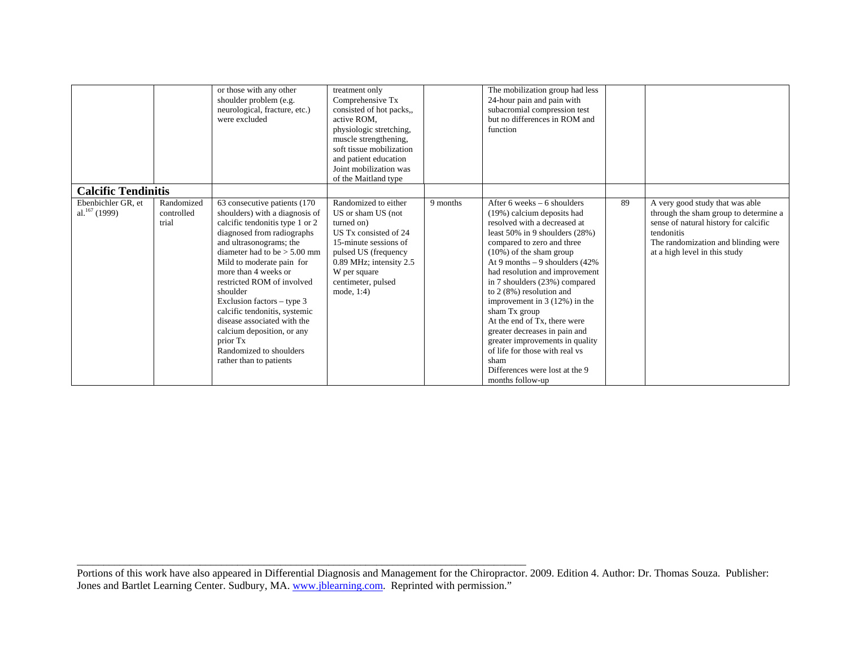|                                                 |                                   | or those with any other<br>shoulder problem (e.g.<br>neurological, fracture, etc.)<br>were excluded                                                                                                                                                                                                                                                                                                                                                                                          | treatment only<br>Comprehensive Tx<br>consisted of hot packs,<br>active ROM.<br>physiologic stretching,<br>muscle strengthening,<br>soft tissue mobilization<br>and patient education<br>Joint mobilization was<br>of the Maitland type |          | The mobilization group had less<br>24-hour pain and pain with<br>subacromial compression test<br>but no differences in ROM and<br>function                                                                                                                                                                                                                                                                                                                                                                                                                                                 |    |                                                                                                                                                                                                         |
|-------------------------------------------------|-----------------------------------|----------------------------------------------------------------------------------------------------------------------------------------------------------------------------------------------------------------------------------------------------------------------------------------------------------------------------------------------------------------------------------------------------------------------------------------------------------------------------------------------|-----------------------------------------------------------------------------------------------------------------------------------------------------------------------------------------------------------------------------------------|----------|--------------------------------------------------------------------------------------------------------------------------------------------------------------------------------------------------------------------------------------------------------------------------------------------------------------------------------------------------------------------------------------------------------------------------------------------------------------------------------------------------------------------------------------------------------------------------------------------|----|---------------------------------------------------------------------------------------------------------------------------------------------------------------------------------------------------------|
| <b>Calcific Tendinitis</b>                      |                                   |                                                                                                                                                                                                                                                                                                                                                                                                                                                                                              |                                                                                                                                                                                                                                         |          |                                                                                                                                                                                                                                                                                                                                                                                                                                                                                                                                                                                            |    |                                                                                                                                                                                                         |
| Ebenbichler GR, et<br>al. <sup>167</sup> (1999) | Randomized<br>controlled<br>trial | 63 consecutive patients (170)<br>shoulders) with a diagnosis of<br>calcific tendonitis type 1 or 2<br>diagnosed from radiographs<br>and ultrasonograms; the<br>diameter had to be $> 5.00$ mm<br>Mild to moderate pain for<br>more than 4 weeks or<br>restricted ROM of involved<br>shoulder<br>Exclusion factors $-$ type 3<br>calcific tendonitis, systemic<br>disease associated with the<br>calcium deposition, or any<br>prior Tx<br>Randomized to shoulders<br>rather than to patients | Randomized to either<br>US or sham US (not<br>turned on)<br>US Tx consisted of 24<br>15-minute sessions of<br>pulsed US (frequency<br>0.89 MHz; intensity 2.5<br>W per square<br>centimeter, pulsed<br>mode, $1:4$ )                    | 9 months | After 6 weeks $-6$ shoulders<br>(19%) calcium deposits had<br>resolved with a decreased at<br>least $50\%$ in 9 shoulders $(28\%)$<br>compared to zero and three<br>$(10\%)$ of the sham group<br>At 9 months $-9$ shoulders (42%)<br>had resolution and improvement<br>in 7 shoulders (23%) compared<br>to $2(8\%)$ resolution and<br>improvement in $3(12%)$ in the<br>sham Tx group<br>At the end of Tx, there were<br>greater decreases in pain and<br>greater improvements in quality<br>of life for those with real vs<br>sham<br>Differences were lost at the 9<br>months follow-up | 89 | A very good study that was able<br>through the sham group to determine a<br>sense of natural history for calcific<br>tendonitis<br>The randomization and blinding were<br>at a high level in this study |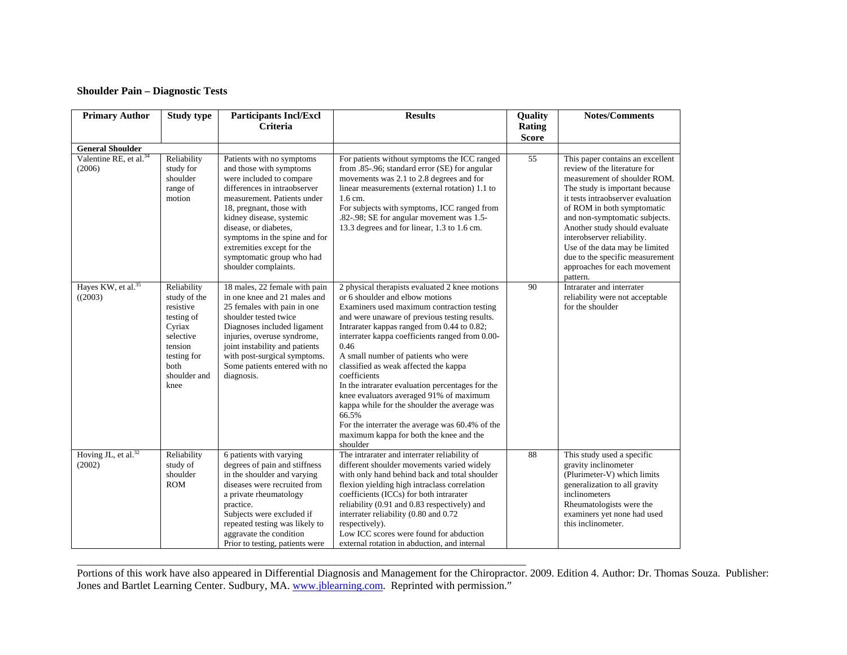# **Shoulder Pain – Diagnostic Tests**

| <b>Primary Author</b>                        | <b>Study type</b>                                                                                                                       | <b>Participants Incl/Excl</b><br>Criteria                                                                                                                                                                                                                                                                                                            | <b>Results</b>                                                                                                                                                                                                                                                                                                                                                                                                                                                                                                                                                                                                                                               | Quality                | <b>Notes/Comments</b>                                                                                                                                                                                                                                                                                                                                                                                                  |
|----------------------------------------------|-----------------------------------------------------------------------------------------------------------------------------------------|------------------------------------------------------------------------------------------------------------------------------------------------------------------------------------------------------------------------------------------------------------------------------------------------------------------------------------------------------|--------------------------------------------------------------------------------------------------------------------------------------------------------------------------------------------------------------------------------------------------------------------------------------------------------------------------------------------------------------------------------------------------------------------------------------------------------------------------------------------------------------------------------------------------------------------------------------------------------------------------------------------------------------|------------------------|------------------------------------------------------------------------------------------------------------------------------------------------------------------------------------------------------------------------------------------------------------------------------------------------------------------------------------------------------------------------------------------------------------------------|
|                                              |                                                                                                                                         |                                                                                                                                                                                                                                                                                                                                                      |                                                                                                                                                                                                                                                                                                                                                                                                                                                                                                                                                                                                                                                              | Rating<br><b>Score</b> |                                                                                                                                                                                                                                                                                                                                                                                                                        |
| <b>General Shoulder</b>                      |                                                                                                                                         |                                                                                                                                                                                                                                                                                                                                                      |                                                                                                                                                                                                                                                                                                                                                                                                                                                                                                                                                                                                                                                              |                        |                                                                                                                                                                                                                                                                                                                                                                                                                        |
| Valentine RE, et al. <sup>34</sup><br>(2006) | Reliability<br>study for<br>shoulder<br>range of<br>motion                                                                              | Patients with no symptoms<br>and those with symptoms<br>were included to compare<br>differences in intraobserver<br>measurement. Patients under<br>18, pregnant, those with<br>kidney disease, systemic<br>disease, or diabetes,<br>symptoms in the spine and for<br>extremities except for the<br>symptomatic group who had<br>shoulder complaints. | For patients without symptoms the ICC ranged<br>from .85-.96; standard error (SE) for angular<br>movements was 2.1 to 2.8 degrees and for<br>linear measurements (external rotation) 1.1 to<br>1.6 cm.<br>For subjects with symptoms, ICC ranged from<br>.82-.98; SE for angular movement was 1.5-<br>13.3 degrees and for linear, 1.3 to 1.6 cm.                                                                                                                                                                                                                                                                                                            | 55                     | This paper contains an excellent<br>review of the literature for<br>measurement of shoulder ROM.<br>The study is important because<br>it tests intraobserver evaluation<br>of ROM in both symptomatic<br>and non-symptomatic subjects.<br>Another study should evaluate<br>interobserver reliability.<br>Use of the data may be limited<br>due to the specific measurement<br>approaches for each movement<br>pattern. |
| Hayes KW, et al. <sup>35</sup><br>((2003)    | Reliability<br>study of the<br>resistive<br>testing of<br>Cyriax<br>selective<br>tension<br>testing for<br>both<br>shoulder and<br>knee | 18 males, 22 female with pain<br>in one knee and 21 males and<br>25 females with pain in one<br>shoulder tested twice<br>Diagnoses included ligament<br>injuries, overuse syndrome,<br>joint instability and patients<br>with post-surgical symptoms.<br>Some patients entered with no<br>diagnosis.                                                 | 2 physical therapists evaluated 2 knee motions<br>or 6 shoulder and elbow motions<br>Examiners used maximum contraction testing<br>and were unaware of previous testing results.<br>Intrarater kappas ranged from 0.44 to 0.82;<br>interrater kappa coefficients ranged from 0.00-<br>0.46<br>A small number of patients who were<br>classified as weak affected the kappa<br>coefficients<br>In the intrarater evaluation percentages for the<br>knee evaluators averaged 91% of maximum<br>kappa while for the shoulder the average was<br>66.5%<br>For the interrater the average was 60.4% of the<br>maximum kappa for both the knee and the<br>shoulder | 90                     | Intrarater and interrater<br>reliability were not acceptable<br>for the shoulder                                                                                                                                                                                                                                                                                                                                       |
| Hoving JL, et al. <sup>32</sup><br>(2002)    | Reliability<br>study of<br>shoulder<br><b>ROM</b>                                                                                       | 6 patients with varying<br>degrees of pain and stiffness<br>in the shoulder and varying<br>diseases were recruited from<br>a private rheumatology<br>practice.<br>Subjects were excluded if<br>repeated testing was likely to<br>aggravate the condition<br>Prior to testing, patients were                                                          | The intrarater and interrater reliability of<br>different shoulder movements varied widely<br>with only hand behind back and total shoulder<br>flexion yielding high intraclass correlation<br>coefficients (ICCs) for both intrarater<br>reliability (0.91 and 0.83 respectively) and<br>interrater reliability (0.80 and 0.72<br>respectively).<br>Low ICC scores were found for abduction<br>external rotation in abduction, and internal                                                                                                                                                                                                                 | 88                     | This study used a specific<br>gravity inclinometer<br>(Plurimeter-V) which limits<br>generalization to all gravity<br>inclinometers<br>Rheumatologists were the<br>examiners yet none had used<br>this inclinometer.                                                                                                                                                                                                   |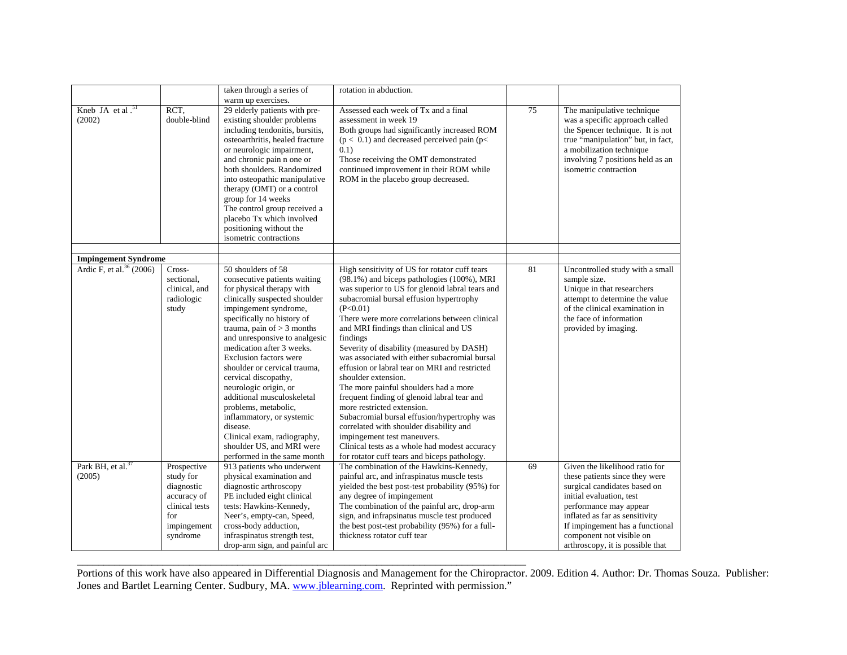|                                         |                                                                                                           | taken through a series of                                                                                                                                                                                                                                                                                                                                                                                                                                                                                                                                                         | rotation in abduction.                                                                                                                                                                                                                                                                                                                                                                                                                                                                                                                                                                                                                                                                                                                                                                                                            |    |                                                                                                                                                                                                                                                                                             |
|-----------------------------------------|-----------------------------------------------------------------------------------------------------------|-----------------------------------------------------------------------------------------------------------------------------------------------------------------------------------------------------------------------------------------------------------------------------------------------------------------------------------------------------------------------------------------------------------------------------------------------------------------------------------------------------------------------------------------------------------------------------------|-----------------------------------------------------------------------------------------------------------------------------------------------------------------------------------------------------------------------------------------------------------------------------------------------------------------------------------------------------------------------------------------------------------------------------------------------------------------------------------------------------------------------------------------------------------------------------------------------------------------------------------------------------------------------------------------------------------------------------------------------------------------------------------------------------------------------------------|----|---------------------------------------------------------------------------------------------------------------------------------------------------------------------------------------------------------------------------------------------------------------------------------------------|
|                                         |                                                                                                           | warm up exercises.                                                                                                                                                                                                                                                                                                                                                                                                                                                                                                                                                                |                                                                                                                                                                                                                                                                                                                                                                                                                                                                                                                                                                                                                                                                                                                                                                                                                                   |    |                                                                                                                                                                                                                                                                                             |
| Kneb JA et al. <sup>51</sup><br>(2002)  | RCT.<br>double-blind                                                                                      | 29 elderly patients with pre-<br>existing shoulder problems<br>including tendonitis, bursitis,<br>osteoarthritis, healed fracture<br>or neurologic impairment,<br>and chronic pain n one or<br>both shoulders. Randomized<br>into osteopathic manipulative<br>therapy (OMT) or a control<br>group for 14 weeks<br>The control group received a<br>placebo Tx which involved<br>positioning without the<br>isometric contractions                                                                                                                                                  | Assessed each week of Tx and a final<br>assessment in week 19<br>Both groups had significantly increased ROM<br>$(p < 0.1)$ and decreased perceived pain (p<<br>0.1)<br>Those receiving the OMT demonstrated<br>continued improvement in their ROM while<br>ROM in the placebo group decreased.                                                                                                                                                                                                                                                                                                                                                                                                                                                                                                                                   | 75 | The manipulative technique<br>was a specific approach called<br>the Spencer technique. It is not<br>true "manipulation" but, in fact,<br>a mobilization technique<br>involving 7 positions held as an<br>isometric contraction                                                              |
| <b>Impingement Syndrome</b>             |                                                                                                           |                                                                                                                                                                                                                                                                                                                                                                                                                                                                                                                                                                                   |                                                                                                                                                                                                                                                                                                                                                                                                                                                                                                                                                                                                                                                                                                                                                                                                                                   |    |                                                                                                                                                                                                                                                                                             |
| Ardic F, et al. <sup>36</sup> (2006)    | Cross-<br>sectional,<br>clinical, and<br>radiologic<br>study                                              | 50 shoulders of 58<br>consecutive patients waiting<br>for physical therapy with<br>clinically suspected shoulder<br>impingement syndrome,<br>specifically no history of<br>trauma, pain of $> 3$ months<br>and unresponsive to analgesic<br>medication after 3 weeks.<br><b>Exclusion factors were</b><br>shoulder or cervical trauma,<br>cervical discopathy,<br>neurologic origin, or<br>additional musculoskeletal<br>problems, metabolic,<br>inflammatory, or systemic<br>disease.<br>Clinical exam, radiography,<br>shoulder US, and MRI were<br>performed in the same month | High sensitivity of US for rotator cuff tears<br>(98.1%) and biceps pathologies (100%), MRI<br>was superior to US for glenoid labral tears and<br>subacromial bursal effusion hypertrophy<br>(P<0.01)<br>There were more correlations between clinical<br>and MRI findings than clinical and US<br>findings<br>Severity of disability (measured by DASH)<br>was associated with either subacromial bursal<br>effusion or labral tear on MRI and restricted<br>shoulder extension.<br>The more painful shoulders had a more<br>frequent finding of glenoid labral tear and<br>more restricted extension.<br>Subacromial bursal effusion/hypertrophy was<br>correlated with shoulder disability and<br>impingement test maneuvers.<br>Clinical tests as a whole had modest accuracy<br>for rotator cuff tears and biceps pathology. | 81 | Uncontrolled study with a small<br>sample size.<br>Unique in that researchers<br>attempt to determine the value<br>of the clinical examination in<br>the face of information<br>provided by imaging.                                                                                        |
| Park BH, et al. <sup>37</sup><br>(2005) | Prospective<br>study for<br>diagnostic<br>accuracy of<br>clinical tests<br>for<br>impingement<br>syndrome | 913 patients who underwent<br>physical examination and<br>diagnostic arthroscopy<br>PE included eight clinical<br>tests: Hawkins-Kennedy,<br>Neer's, empty-can, Speed,<br>cross-body adduction,<br>infraspinatus strength test,<br>drop-arm sign, and painful arc                                                                                                                                                                                                                                                                                                                 | The combination of the Hawkins-Kennedy,<br>painful arc, and infraspinatus muscle tests<br>yielded the best post-test probability (95%) for<br>any degree of impingement<br>The combination of the painful arc, drop-arm<br>sign, and infrapsinatus muscle test produced<br>the best post-test probability (95%) for a full-<br>thickness rotator cuff tear                                                                                                                                                                                                                                                                                                                                                                                                                                                                        | 69 | Given the likelihood ratio for<br>these patients since they were<br>surgical candidates based on<br>initial evaluation, test<br>performance may appear<br>inflated as far as sensitivity<br>If impingement has a functional<br>component not visible on<br>arthroscopy, it is possible that |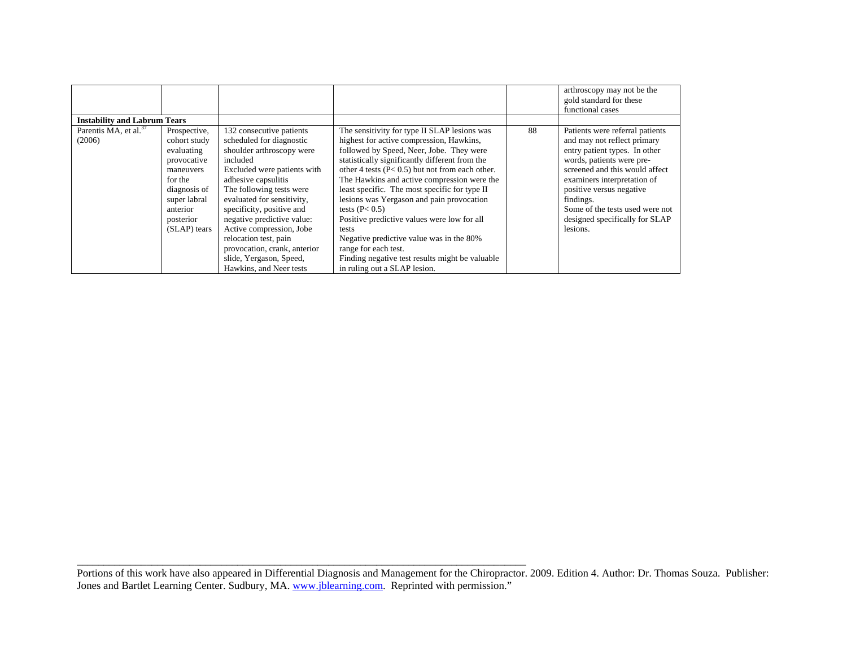|                                     |                                                                                                                                                            |                                                                                                                                                                                                                                                                                                                                                                                                                     |                                                                                                                                                                                                                                                                                                                                                                                                                                                                                                                                                                                                                                |    | arthroscopy may not be the<br>gold standard for these<br>functional cases                                                                                                                                                                                                                                               |
|-------------------------------------|------------------------------------------------------------------------------------------------------------------------------------------------------------|---------------------------------------------------------------------------------------------------------------------------------------------------------------------------------------------------------------------------------------------------------------------------------------------------------------------------------------------------------------------------------------------------------------------|--------------------------------------------------------------------------------------------------------------------------------------------------------------------------------------------------------------------------------------------------------------------------------------------------------------------------------------------------------------------------------------------------------------------------------------------------------------------------------------------------------------------------------------------------------------------------------------------------------------------------------|----|-------------------------------------------------------------------------------------------------------------------------------------------------------------------------------------------------------------------------------------------------------------------------------------------------------------------------|
| <b>Instability and Labrum Tears</b> |                                                                                                                                                            |                                                                                                                                                                                                                                                                                                                                                                                                                     |                                                                                                                                                                                                                                                                                                                                                                                                                                                                                                                                                                                                                                |    |                                                                                                                                                                                                                                                                                                                         |
| Parentis MA, et al. $37$<br>(2006)  | Prospective,<br>cohort study<br>evaluating<br>provocative<br>maneuvers<br>for the<br>diagnosis of<br>super labral<br>anterior<br>posterior<br>(SLAP) tears | 132 consecutive patients<br>scheduled for diagnostic<br>shoulder arthroscopy were<br>included<br>Excluded were patients with<br>adhesive capsulitis<br>The following tests were<br>evaluated for sensitivity,<br>specificity, positive and<br>negative predictive value:<br>Active compression, Jobe<br>relocation test, pain<br>provocation, crank, anterior<br>slide, Yergason, Speed,<br>Hawkins, and Neer tests | The sensitivity for type II SLAP lesions was<br>highest for active compression, Hawkins,<br>followed by Speed, Neer, Jobe. They were<br>statistically significantly different from the<br>other 4 tests ( $P < 0.5$ ) but not from each other.<br>The Hawkins and active compression were the<br>least specific. The most specific for type II<br>lesions was Yergason and pain provocation<br>tests $(P< 0.5)$<br>Positive predictive values were low for all<br>tests<br>Negative predictive value was in the 80%<br>range for each test.<br>Finding negative test results might be valuable<br>in ruling out a SLAP lesion. | 88 | Patients were referral patients<br>and may not reflect primary<br>entry patient types. In other<br>words, patients were pre-<br>screened and this would affect<br>examiners interpretation of<br>positive versus negative<br>findings.<br>Some of the tests used were not<br>designed specifically for SLAP<br>lesions. |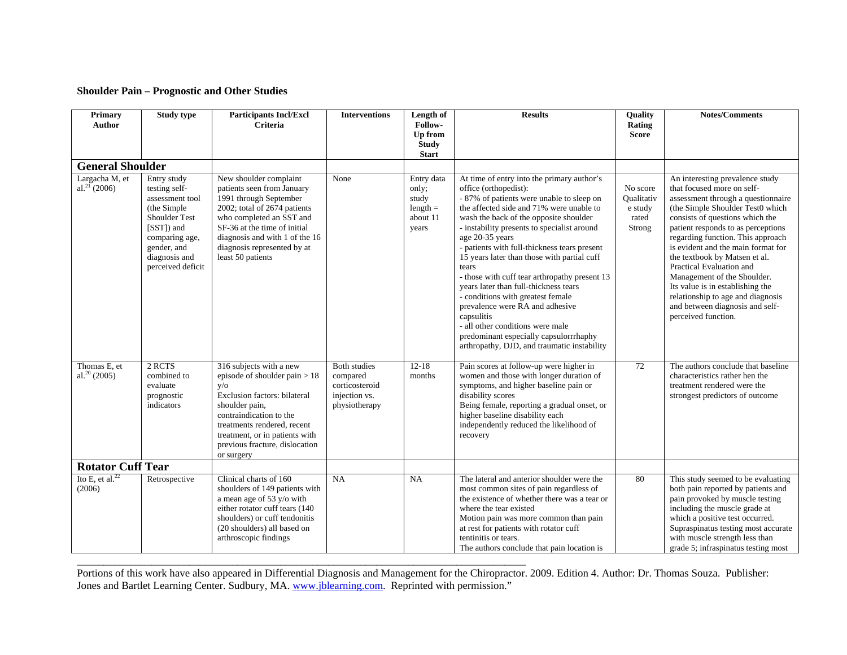# **Shoulder Pain – Prognostic and Other Studies**

| <b>Primary</b><br><b>Author</b>      | <b>Study type</b>                                                                                                                                                            | <b>Participants Incl/Excl</b><br><b>Criteria</b>                                                                                                                                                                                                                 | <b>Interventions</b>                                                                | Length of<br>Follow-<br>Up from<br><b>Study</b><br><b>Start</b> | <b>Results</b>                                                                                                                                                                                                                                                                                                                                                                                                                                                                                                                                                                                                                                                                                | <b>Ouality</b><br>Rating<br><b>Score</b>             | <b>Notes/Comments</b>                                                                                                                                                                                                                                                                                                                                                                                                                                                                                                      |
|--------------------------------------|------------------------------------------------------------------------------------------------------------------------------------------------------------------------------|------------------------------------------------------------------------------------------------------------------------------------------------------------------------------------------------------------------------------------------------------------------|-------------------------------------------------------------------------------------|-----------------------------------------------------------------|-----------------------------------------------------------------------------------------------------------------------------------------------------------------------------------------------------------------------------------------------------------------------------------------------------------------------------------------------------------------------------------------------------------------------------------------------------------------------------------------------------------------------------------------------------------------------------------------------------------------------------------------------------------------------------------------------|------------------------------------------------------|----------------------------------------------------------------------------------------------------------------------------------------------------------------------------------------------------------------------------------------------------------------------------------------------------------------------------------------------------------------------------------------------------------------------------------------------------------------------------------------------------------------------------|
| <b>General Shoulder</b>              |                                                                                                                                                                              |                                                                                                                                                                                                                                                                  |                                                                                     |                                                                 |                                                                                                                                                                                                                                                                                                                                                                                                                                                                                                                                                                                                                                                                                               |                                                      |                                                                                                                                                                                                                                                                                                                                                                                                                                                                                                                            |
| Largacha M, et<br>al. $^{21}$ (2006) | Entry study<br>testing self-<br>assessment tool<br>(the Simple)<br><b>Shoulder Test</b><br>[SST]) and<br>comparing age,<br>gender, and<br>diagnosis and<br>perceived deficit | New shoulder complaint<br>patients seen from January<br>1991 through September<br>2002; total of 2674 patients<br>who completed an SST and<br>SF-36 at the time of initial<br>diagnosis and with 1 of the 16<br>diagnosis represented by at<br>least 50 patients | None                                                                                | Entry data<br>only:<br>study<br>$length =$<br>about 11<br>years | At time of entry into the primary author's<br>office (orthopedist):<br>- 87% of patients were unable to sleep on<br>the affected side and 71% were unable to<br>wash the back of the opposite shoulder<br>- instability presents to specialist around<br>age 20-35 years<br>- patients with full-thickness tears present<br>15 years later than those with partial cuff<br>tears<br>- those with cuff tear arthropathy present 13<br>years later than full-thickness tears<br>- conditions with greatest female<br>prevalence were RA and adhesive<br>capsulitis<br>- all other conditions were male<br>predominant especially capsulorrrhaphy<br>arthropathy, DJD, and traumatic instability | No score<br>Qualitativ<br>e study<br>rated<br>Strong | An interesting prevalence study<br>that focused more on self-<br>assessment through a questionnaire<br>(the Simple Shoulder Test0 which<br>consists of questions which the<br>patient responds to as perceptions<br>regarding function. This approach<br>is evident and the main format for<br>the textbook by Matsen et al.<br>Practical Evaluation and<br>Management of the Shoulder.<br>Its value is in establishing the<br>relationship to age and diagnosis<br>and between diagnosis and self-<br>perceived function. |
| Thomas E, et<br>al. $20(2005)$       | 2 RCTS<br>combined to<br>evaluate<br>prognostic<br>indicators                                                                                                                | 316 subjects with a new<br>episode of shoulder pain $> 18$<br>V/O<br>Exclusion factors: bilateral<br>shoulder pain,<br>contraindication to the<br>treatments rendered, recent<br>treatment, or in patients with<br>previous fracture, dislocation<br>or surgery  | <b>Both studies</b><br>compared<br>corticosteroid<br>injection vs.<br>physiotherapy | $12 - 18$<br>months                                             | Pain scores at follow-up were higher in<br>women and those with longer duration of<br>symptoms, and higher baseline pain or<br>disability scores<br>Being female, reporting a gradual onset, or<br>higher baseline disability each<br>independently reduced the likelihood of<br>recovery                                                                                                                                                                                                                                                                                                                                                                                                     | 72                                                   | The authors conclude that baseline<br>characteristics rather hen the<br>treatment rendered were the<br>strongest predictors of outcome                                                                                                                                                                                                                                                                                                                                                                                     |
| <b>Rotator Cuff Tear</b>             |                                                                                                                                                                              |                                                                                                                                                                                                                                                                  |                                                                                     |                                                                 |                                                                                                                                                                                                                                                                                                                                                                                                                                                                                                                                                                                                                                                                                               |                                                      |                                                                                                                                                                                                                                                                                                                                                                                                                                                                                                                            |
| Ito E, et al. $^{22}$<br>(2006)      | Retrospective                                                                                                                                                                | Clinical charts of 160<br>shoulders of 149 patients with<br>a mean age of 53 y/o with<br>either rotator cuff tears (140<br>shoulders) or cuff tendonitis<br>(20 shoulders) all based on<br>arthroscopic findings                                                 | NA                                                                                  | NA                                                              | The lateral and anterior shoulder were the<br>most common sites of pain regardless of<br>the existence of whether there was a tear or<br>where the tear existed<br>Motion pain was more common than pain<br>at rest for patients with rotator cuff<br>tentinitis or tears.<br>The authors conclude that pain location is                                                                                                                                                                                                                                                                                                                                                                      | 80                                                   | This study seemed to be evaluating<br>both pain reported by patients and<br>pain provoked by muscle testing<br>including the muscle grade at<br>which a positive test occurred.<br>Supraspinatus testing most accurate<br>with muscle strength less than<br>grade 5; infraspinatus testing most                                                                                                                                                                                                                            |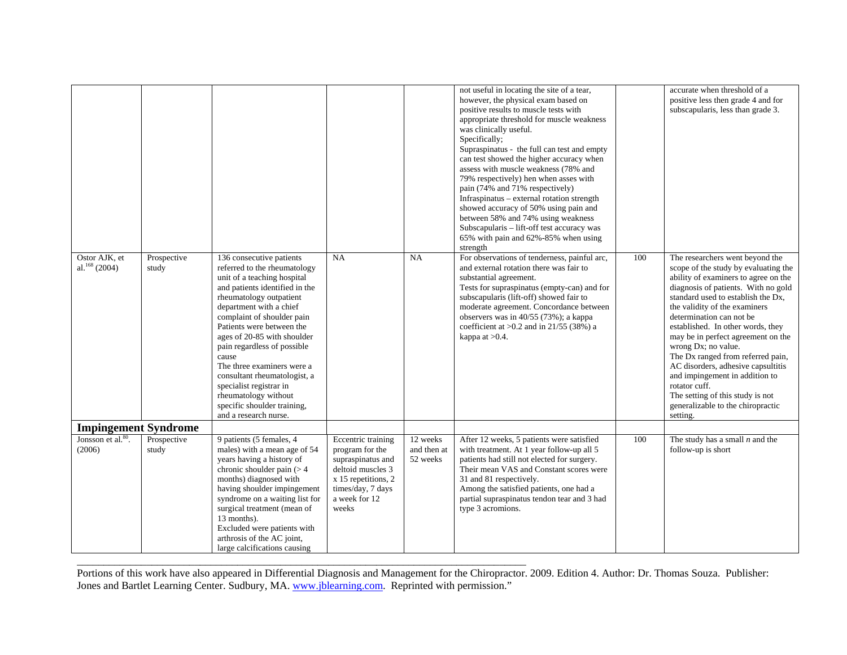|                                |             |                                                            |                     |             | not useful in locating the site of a tear,   |     | accurate when threshold of a         |
|--------------------------------|-------------|------------------------------------------------------------|---------------------|-------------|----------------------------------------------|-----|--------------------------------------|
|                                |             |                                                            |                     |             | however, the physical exam based on          |     | positive less then grade 4 and for   |
|                                |             |                                                            |                     |             | positive results to muscle tests with        |     | subscapularis, less than grade 3.    |
|                                |             |                                                            |                     |             | appropriate threshold for muscle weakness    |     |                                      |
|                                |             |                                                            |                     |             | was clinically useful.                       |     |                                      |
|                                |             |                                                            |                     |             | Specifically;                                |     |                                      |
|                                |             |                                                            |                     |             | Supraspinatus - the full can test and empty  |     |                                      |
|                                |             |                                                            |                     |             | can test showed the higher accuracy when     |     |                                      |
|                                |             |                                                            |                     |             | assess with muscle weakness (78% and         |     |                                      |
|                                |             |                                                            |                     |             | 79% respectively) hen when asses with        |     |                                      |
|                                |             |                                                            |                     |             | pain (74% and 71% respectively)              |     |                                      |
|                                |             |                                                            |                     |             | Infraspinatus - external rotation strength   |     |                                      |
|                                |             |                                                            |                     |             | showed accuracy of 50% using pain and        |     |                                      |
|                                |             |                                                            |                     |             | between 58% and 74% using weakness           |     |                                      |
|                                |             |                                                            |                     |             | Subscapularis – lift-off test accuracy was   |     |                                      |
|                                |             |                                                            |                     |             | 65% with pain and 62%-85% when using         |     |                                      |
|                                |             |                                                            |                     |             | strength                                     |     |                                      |
| Ostor AJK, et                  | Prospective | 136 consecutive patients                                   | NA                  | <b>NA</b>   | For observations of tenderness, painful arc, | 100 | The researchers went beyond the      |
| al. $168$ (2004)               | study       | referred to the rheumatology                               |                     |             | and external rotation there was fair to      |     | scope of the study by evaluating the |
|                                |             | unit of a teaching hospital                                |                     |             | substantial agreement.                       |     | ability of examiners to agree on the |
|                                |             | and patients identified in the                             |                     |             | Tests for supraspinatus (empty-can) and for  |     | diagnosis of patients. With no gold  |
|                                |             | rheumatology outpatient                                    |                     |             | subscapularis (lift-off) showed fair to      |     | standard used to establish the Dx,   |
|                                |             | department with a chief                                    |                     |             | moderate agreement. Concordance between      |     | the validity of the examiners        |
|                                |             | complaint of shoulder pain                                 |                     |             | observers was in 40/55 (73%); a kappa        |     | determination can not be             |
|                                |             | Patients were between the                                  |                     |             | coefficient at $>0.2$ and in 21/55 (38%) a   |     | established. In other words, they    |
|                                |             | ages of 20-85 with shoulder                                |                     |             | kappa at $>0.4$ .                            |     | may be in perfect agreement on the   |
|                                |             | pain regardless of possible                                |                     |             |                                              |     | wrong Dx; no value.                  |
|                                |             | cause                                                      |                     |             |                                              |     | The Dx ranged from referred pain,    |
|                                |             | The three examiners were a                                 |                     |             |                                              |     | AC disorders, adhesive capsultitis   |
|                                |             | consultant rheumatologist, a                               |                     |             |                                              |     | and impingement in addition to       |
|                                |             | specialist registrar in                                    |                     |             |                                              |     | rotator cuff.                        |
|                                |             | rheumatology without                                       |                     |             |                                              |     | The setting of this study is not     |
|                                |             | specific shoulder training,                                |                     |             |                                              |     | generalizable to the chiropractic    |
|                                |             | and a research nurse.                                      |                     |             |                                              |     | setting.                             |
| <b>Impingement Syndrome</b>    |             |                                                            |                     |             |                                              |     |                                      |
| Jonsson et al. <sup>80</sup> . | Prospective | 9 patients (5 females, 4                                   | Eccentric training  | 12 weeks    | After 12 weeks, 5 patients were satisfied    | 100 | The study has a small $n$ and the    |
| (2006)                         | study       | males) with a mean age of 54                               | program for the     | and then at | with treatment. At 1 year follow-up all 5    |     | follow-up is short                   |
|                                |             | years having a history of                                  | supraspinatus and   | 52 weeks    | patients had still not elected for surgery.  |     |                                      |
|                                |             | chronic shoulder pain $($ > 4                              | deltoid muscles 3   |             | Their mean VAS and Constant scores were      |     |                                      |
|                                |             | months) diagnosed with                                     | x 15 repetitions, 2 |             | 31 and 81 respectively.                      |     |                                      |
|                                |             | having shoulder impingement                                | times/day, 7 days   |             | Among the satisfied patients, one had a      |     |                                      |
|                                |             | syndrome on a waiting list for                             | a week for 12       |             | partial supraspinatus tendon tear and 3 had  |     |                                      |
|                                |             | surgical treatment (mean of                                | weeks               |             | type 3 acromions.                            |     |                                      |
|                                |             | 13 months).                                                |                     |             |                                              |     |                                      |
|                                |             | Excluded were patients with                                |                     |             |                                              |     |                                      |
|                                |             | arthrosis of the AC joint,<br>large calcifications causing |                     |             |                                              |     |                                      |
|                                |             |                                                            |                     |             |                                              |     |                                      |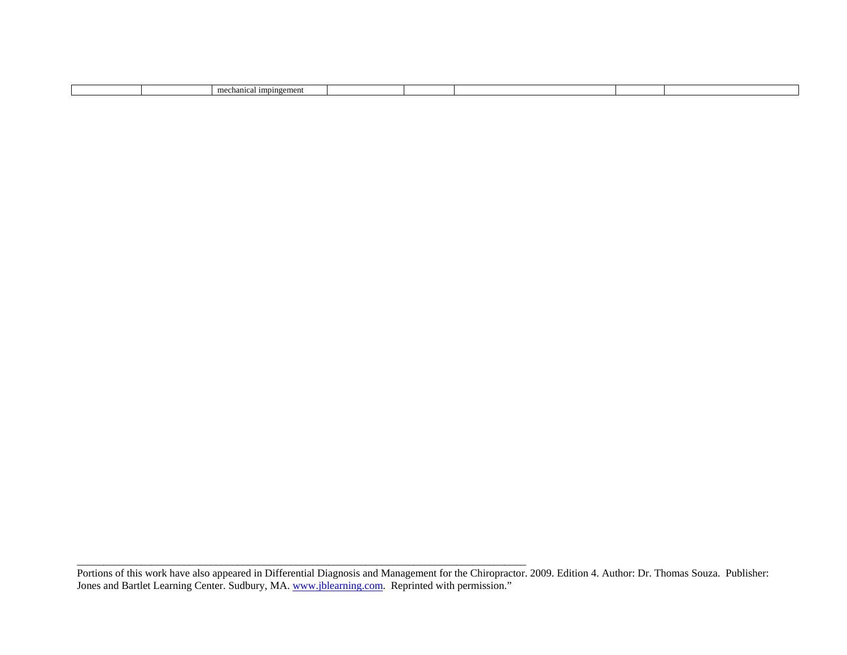|  | ma<br>l impingement<br>$\alpha + \alpha$<br>namcai<br>111 U |  |  |  |
|--|-------------------------------------------------------------|--|--|--|

Portions of this work have also appeared in Differential Diagnosis and Management for the Chiropractor. 2009. Edition 4. Author: Dr. Thomas Souza. Publisher: Jones and Bartlet Learning Center. Sudbury, MA. www.jblearning.com. Reprinted with permission."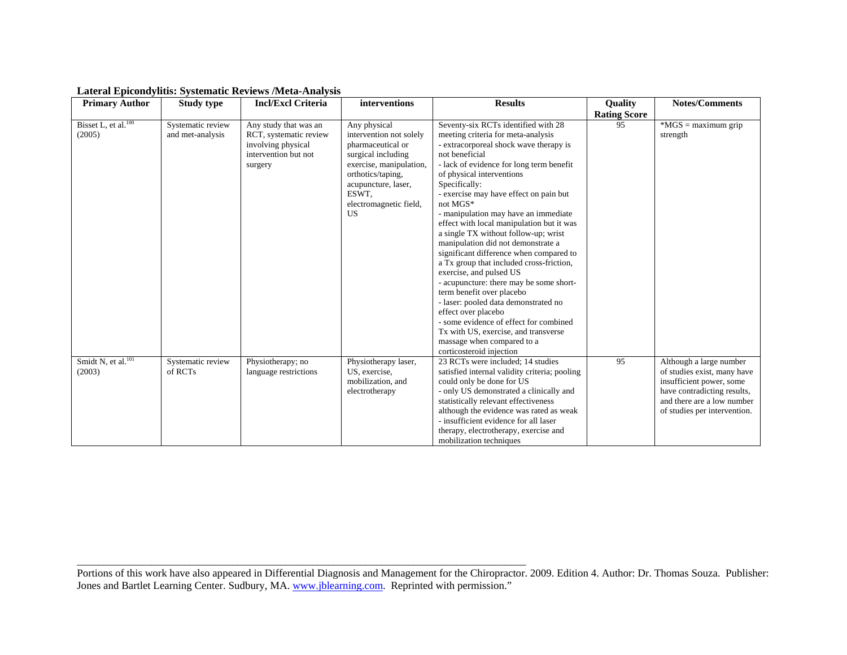| <b>Primary Author</b>                       | <b>Study type</b>                     | <b>Incl/Excl Criteria</b>                                                                                | interventions                                                                                                                                                                                      | <b>Results</b>                                                                                                                                                                                                                                                                                                                                                                                                                                                                                                                                                                                                                                                                                                                                                                                                                                                | <b>Ouality</b>      | <b>Notes/Comments</b>                                                                                                                                                           |
|---------------------------------------------|---------------------------------------|----------------------------------------------------------------------------------------------------------|----------------------------------------------------------------------------------------------------------------------------------------------------------------------------------------------------|---------------------------------------------------------------------------------------------------------------------------------------------------------------------------------------------------------------------------------------------------------------------------------------------------------------------------------------------------------------------------------------------------------------------------------------------------------------------------------------------------------------------------------------------------------------------------------------------------------------------------------------------------------------------------------------------------------------------------------------------------------------------------------------------------------------------------------------------------------------|---------------------|---------------------------------------------------------------------------------------------------------------------------------------------------------------------------------|
|                                             |                                       |                                                                                                          |                                                                                                                                                                                                    |                                                                                                                                                                                                                                                                                                                                                                                                                                                                                                                                                                                                                                                                                                                                                                                                                                                               | <b>Rating Score</b> |                                                                                                                                                                                 |
| Bisset L, et al. <sup>100</sup><br>(2005)   | Systematic review<br>and met-analysis | Any study that was an<br>RCT, systematic review<br>involving physical<br>intervention but not<br>surgery | Any physical<br>intervention not solely<br>pharmaceutical or<br>surgical including<br>exercise, manipulation,<br>orthotics/taping,<br>acupuncture, laser,<br>ESWT.<br>electromagnetic field,<br>US | Seventy-six RCTs identified with 28<br>meeting criteria for meta-analysis<br>- extracorporeal shock wave therapy is<br>not beneficial<br>- lack of evidence for long term benefit<br>of physical interventions<br>Specifically:<br>- exercise may have effect on pain but<br>not MGS*<br>- manipulation may have an immediate<br>effect with local manipulation but it was<br>a single TX without follow-up; wrist<br>manipulation did not demonstrate a<br>significant difference when compared to<br>a Tx group that included cross-friction,<br>exercise, and pulsed US<br>- acupuncture: there may be some short-<br>term benefit over placebo<br>- laser: pooled data demonstrated no<br>effect over placebo<br>- some evidence of effect for combined<br>Tx with US, exercise, and transverse<br>massage when compared to a<br>corticosteroid injection | 95                  | $*MGS =$ maximum grip<br>strength                                                                                                                                               |
| Smidt $N$ , et al. <sup>101</sup><br>(2003) | Systematic review<br>of RCTs          | Physiotherapy; no<br>language restrictions                                                               | Physiotherapy laser,<br>US, exercise,<br>mobilization, and<br>electrotherapy                                                                                                                       | 23 RCTs were included; 14 studies<br>satisfied internal validity criteria; pooling<br>could only be done for US<br>- only US demonstrated a clinically and<br>statistically relevant effectiveness<br>although the evidence was rated as weak<br>- insufficient evidence for all laser<br>therapy, electrotherapy, exercise and<br>mobilization techniques                                                                                                                                                                                                                                                                                                                                                                                                                                                                                                    | 95                  | Although a large number<br>of studies exist, many have<br>insufficient power, some<br>have contradicting results,<br>and there are a low number<br>of studies per intervention. |

## **Lateral Epicondylitis: Systematic Reviews /Meta-Analysis**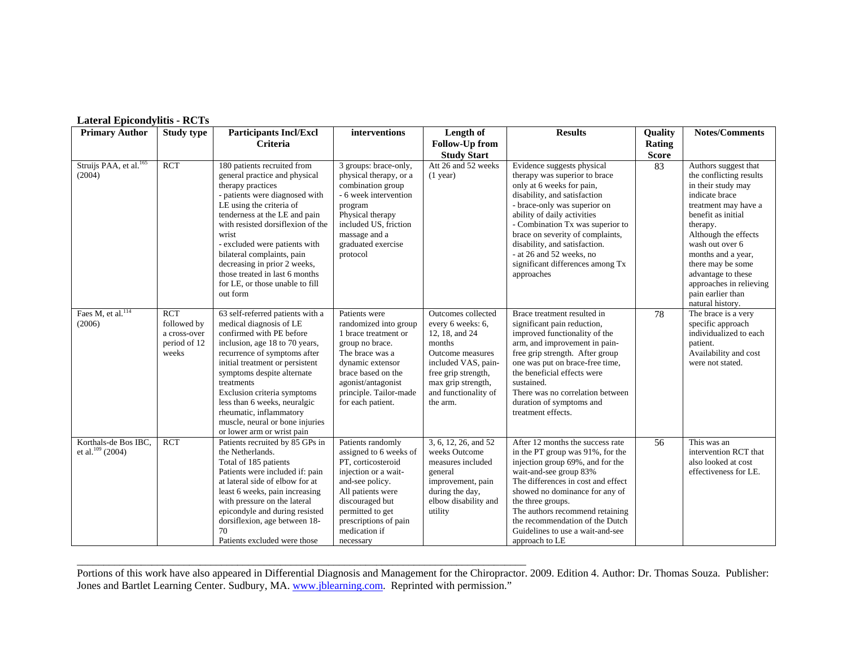| <b>Primary Author</b>                                | <b>Study type</b>                                                  | <b>Participants Incl/Excl</b>                                                                                                                                                                                                                                                                                                                                                                                  | interventions                                                                                                                                                                                                                   | Length of                                                                                                                                                                                       | <b>Results</b>                                                                                                                                                                                                                                                                                                                                                                 | Quality      | <b>Notes/Comments</b>                                                                                                                                                                                                                                                                                                             |
|------------------------------------------------------|--------------------------------------------------------------------|----------------------------------------------------------------------------------------------------------------------------------------------------------------------------------------------------------------------------------------------------------------------------------------------------------------------------------------------------------------------------------------------------------------|---------------------------------------------------------------------------------------------------------------------------------------------------------------------------------------------------------------------------------|-------------------------------------------------------------------------------------------------------------------------------------------------------------------------------------------------|--------------------------------------------------------------------------------------------------------------------------------------------------------------------------------------------------------------------------------------------------------------------------------------------------------------------------------------------------------------------------------|--------------|-----------------------------------------------------------------------------------------------------------------------------------------------------------------------------------------------------------------------------------------------------------------------------------------------------------------------------------|
|                                                      |                                                                    | Criteria                                                                                                                                                                                                                                                                                                                                                                                                       |                                                                                                                                                                                                                                 | Follow-Up from                                                                                                                                                                                  |                                                                                                                                                                                                                                                                                                                                                                                | Rating       |                                                                                                                                                                                                                                                                                                                                   |
|                                                      |                                                                    |                                                                                                                                                                                                                                                                                                                                                                                                                |                                                                                                                                                                                                                                 | <b>Study Start</b>                                                                                                                                                                              |                                                                                                                                                                                                                                                                                                                                                                                | <b>Score</b> |                                                                                                                                                                                                                                                                                                                                   |
| Struijs PAA, et al. <sup>165</sup><br>(2004)         | <b>RCT</b>                                                         | 180 patients recruited from<br>general practice and physical<br>therapy practices<br>- patients were diagnosed with<br>LE using the criteria of<br>tenderness at the LE and pain<br>with resisted dorsiflexion of the<br>wrist<br>- excluded were patients with<br>bilateral complaints, pain<br>decreasing in prior 2 weeks,<br>those treated in last 6 months<br>for LE, or those unable to fill<br>out form | 3 groups: brace-only,<br>physical therapy, or a<br>combination group<br>- 6 week intervention<br>program<br>Physical therapy<br>included US, friction<br>massage and a<br>graduated exercise<br>protocol                        | Att 26 and 52 weeks<br>$(1$ year)                                                                                                                                                               | Evidence suggests physical<br>therapy was superior to brace<br>only at 6 weeks for pain,<br>disability, and satisfaction<br>- brace-only was superior on<br>ability of daily activities<br>- Combination Tx was superior to<br>brace on severity of complaints,<br>disability, and satisfaction.<br>- at 26 and 52 weeks, no<br>significant differences among Tx<br>approaches | 83           | Authors suggest that<br>the conflicting results<br>in their study may<br>indicate brace<br>treatment may have a<br>benefit as initial<br>therapy.<br>Although the effects<br>wash out over 6<br>months and a year,<br>there may be some<br>advantage to these<br>approaches in relieving<br>pain earlier than<br>natural history. |
| Faes M, et al. <sup>114</sup><br>(2006)              | <b>RCT</b><br>followed by<br>a cross-over<br>period of 12<br>weeks | 63 self-referred patients with a<br>medical diagnosis of LE<br>confirmed with PE before<br>inclusion, age 18 to 70 years,<br>recurrence of symptoms after<br>initial treatment or persistent<br>symptoms despite alternate<br>treatments<br>Exclusion criteria symptoms<br>less than 6 weeks, neuralgic<br>rheumatic, inflammatory<br>muscle, neural or bone injuries<br>or lower arm or wrist pain            | Patients were<br>randomized into group<br>1 brace treatment or<br>group no brace.<br>The brace was a<br>dynamic extensor<br>brace based on the<br>agonist/antagonist<br>principle. Tailor-made<br>for each patient.             | Outcomes collected<br>every 6 weeks: 6,<br>12, 18, and 24<br>months<br>Outcome measures<br>included VAS, pain-<br>free grip strength,<br>max grip strength,<br>and functionality of<br>the arm. | Brace treatment resulted in<br>significant pain reduction,<br>improved functionality of the<br>arm, and improvement in pain-<br>free grip strength. After group<br>one was put on brace-free time,<br>the beneficial effects were<br>sustained.<br>There was no correlation between<br>duration of symptoms and<br>treatment effects.                                          | 78           | The brace is a very<br>specific approach<br>individualized to each<br>patient.<br>Availability and cost<br>were not stated.                                                                                                                                                                                                       |
| Korthals-de Bos IBC,<br>et al. <sup>109</sup> (2004) | <b>RCT</b>                                                         | Patients recruited by 85 GPs in<br>the Netherlands.<br>Total of 185 patients<br>Patients were included if: pain<br>at lateral side of elbow for at<br>least 6 weeks, pain increasing<br>with pressure on the lateral<br>epicondyle and during resisted<br>dorsiflexion, age between 18-<br>70<br>Patients excluded were those                                                                                  | Patients randomly<br>assigned to 6 weeks of<br>PT, corticosteroid<br>injection or a wait-<br>and-see policy.<br>All patients were<br>discouraged but<br>permitted to get<br>prescriptions of pain<br>medication if<br>necessary | 3, 6, 12, 26, and 52<br>weeks Outcome<br>measures included<br>general<br>improvement, pain<br>during the day,<br>elbow disability and<br>utility                                                | After 12 months the success rate<br>in the PT group was 91%, for the<br>injection group 69%, and for the<br>wait-and-see group 83%<br>The differences in cost and effect<br>showed no dominance for any of<br>the three groups.<br>The authors recommend retaining<br>the recommendation of the Dutch<br>Guidelines to use a wait-and-see<br>approach to LE                    | 56           | This was an<br>intervention RCT that<br>also looked at cost<br>effectiveness for LE.                                                                                                                                                                                                                                              |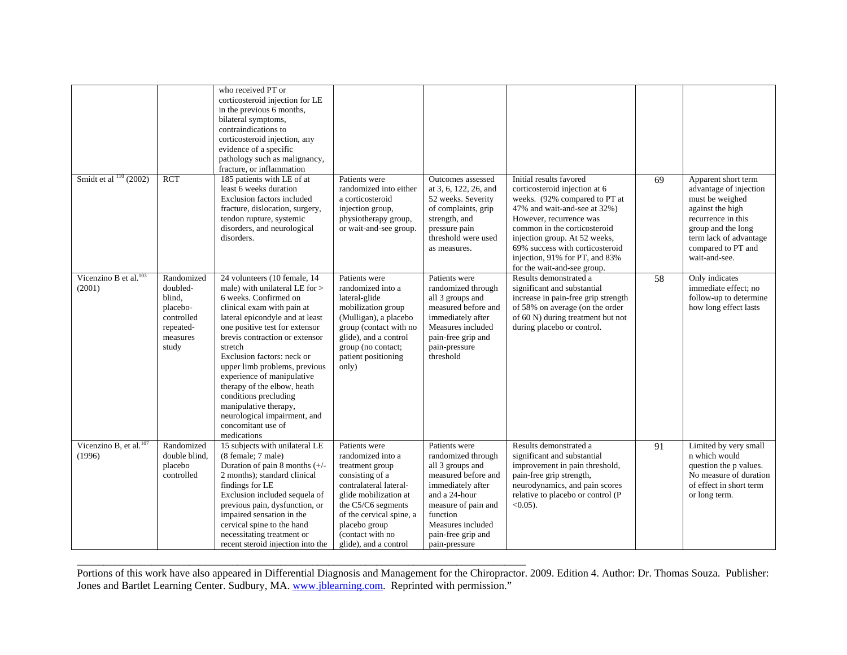|                                              |                                                                                              | who received PT or<br>corticosteroid injection for LE<br>in the previous 6 months,<br>bilateral symptoms,<br>contraindications to<br>corticosteroid injection, any<br>evidence of a specific<br>pathology such as malignancy,<br>fracture, or inflammation                                                                                                                                                                                                                                   |                                                                                                                                                                                                                                             |                                                                                                                                                                                                                     |                                                                                                                                                                                                                                                                                                                           |    |                                                                                                                                                                                                   |
|----------------------------------------------|----------------------------------------------------------------------------------------------|----------------------------------------------------------------------------------------------------------------------------------------------------------------------------------------------------------------------------------------------------------------------------------------------------------------------------------------------------------------------------------------------------------------------------------------------------------------------------------------------|---------------------------------------------------------------------------------------------------------------------------------------------------------------------------------------------------------------------------------------------|---------------------------------------------------------------------------------------------------------------------------------------------------------------------------------------------------------------------|---------------------------------------------------------------------------------------------------------------------------------------------------------------------------------------------------------------------------------------------------------------------------------------------------------------------------|----|---------------------------------------------------------------------------------------------------------------------------------------------------------------------------------------------------|
| Smidt et al $^{110}$ (2002)                  | <b>RCT</b>                                                                                   | 185 patients with LE of at<br>least 6 weeks duration<br><b>Exclusion factors included</b><br>fracture, dislocation, surgery,<br>tendon rupture, systemic<br>disorders, and neurological<br>disorders.                                                                                                                                                                                                                                                                                        | Patients were<br>randomized into either<br>a corticosteroid<br>injection group,<br>physiotherapy group,<br>or wait-and-see group.                                                                                                           | Outcomes assessed<br>at 3, 6, 122, 26, and<br>52 weeks. Severity<br>of complaints, grip<br>strength, and<br>pressure pain<br>threshold were used<br>as measures.                                                    | Initial results favored<br>corticosteroid injection at 6<br>weeks. (92% compared to PT at<br>47% and wait-and-see at 32%)<br>However, recurrence was<br>common in the corticosteroid<br>injection group. At 52 weeks,<br>69% success with corticosteroid<br>injection, 91% for PT, and 83%<br>for the wait-and-see group. | 69 | Apparent short term<br>advantage of injection<br>must be weighed<br>against the high<br>recurrence in this<br>group and the long<br>term lack of advantage<br>compared to PT and<br>wait-and-see. |
| Vicenzino B et al. <sup>103</sup><br>(2001)  | Randomized<br>doubled-<br>blind,<br>placebo-<br>controlled<br>repeated-<br>measures<br>study | 24 volunteers (10 female, 14<br>male) with unilateral LE for $>$<br>6 weeks. Confirmed on<br>clinical exam with pain at<br>lateral epicondyle and at least<br>one positive test for extensor<br>brevis contraction or extensor<br>stretch<br>Exclusion factors: neck or<br>upper limb problems, previous<br>experience of manipulative<br>therapy of the elbow, heath<br>conditions precluding<br>manipulative therapy,<br>neurological impairment, and<br>concomitant use of<br>medications | Patients were<br>randomized into a<br>lateral-glide<br>mobilization group<br>(Mulligan), a placebo<br>group (contact with no<br>glide), and a control<br>group (no contact;<br>patient positioning<br>only)                                 | Patients were<br>randomized through<br>all 3 groups and<br>measured before and<br>immediately after<br>Measures included<br>pain-free grip and<br>pain-pressure<br>threshold                                        | Results demonstrated a<br>significant and substantial<br>increase in pain-free grip strength<br>of 58% on average (on the order<br>of 60 N) during treatment but not<br>during placebo or control.                                                                                                                        | 58 | Only indicates<br>immediate effect; no<br>follow-up to determine<br>how long effect lasts                                                                                                         |
| Vicenzino B, et al. <sup>107</sup><br>(1996) | Randomized<br>double blind,<br>placebo<br>controlled                                         | 15 subjects with unilateral LE<br>(8 female; 7 male)<br>Duration of pain 8 months $(+/-)$<br>2 months); standard clinical<br>findings for LE<br>Exclusion included sequela of<br>previous pain, dysfunction, or<br>impaired sensation in the<br>cervical spine to the hand<br>necessitating treatment or<br>recent steroid injection into the                                                                                                                                                | Patients were<br>randomized into a<br>treatment group<br>consisting of a<br>contralateral lateral-<br>glide mobilization at<br>the C5/C6 segments<br>of the cervical spine, a<br>placebo group<br>(contact with no<br>glide), and a control | Patients were<br>randomized through<br>all 3 groups and<br>measured before and<br>immediately after<br>and a 24-hour<br>measure of pain and<br>function<br>Measures included<br>pain-free grip and<br>pain-pressure | Results demonstrated a<br>significant and substantial<br>improvement in pain threshold,<br>pain-free grip strength,<br>neurodynamics, and pain scores<br>relative to placebo or control (P<br>$<0.05$ ).                                                                                                                  | 91 | Limited by very small<br>n which would<br>question the p values.<br>No measure of duration<br>of effect in short term<br>or long term.                                                            |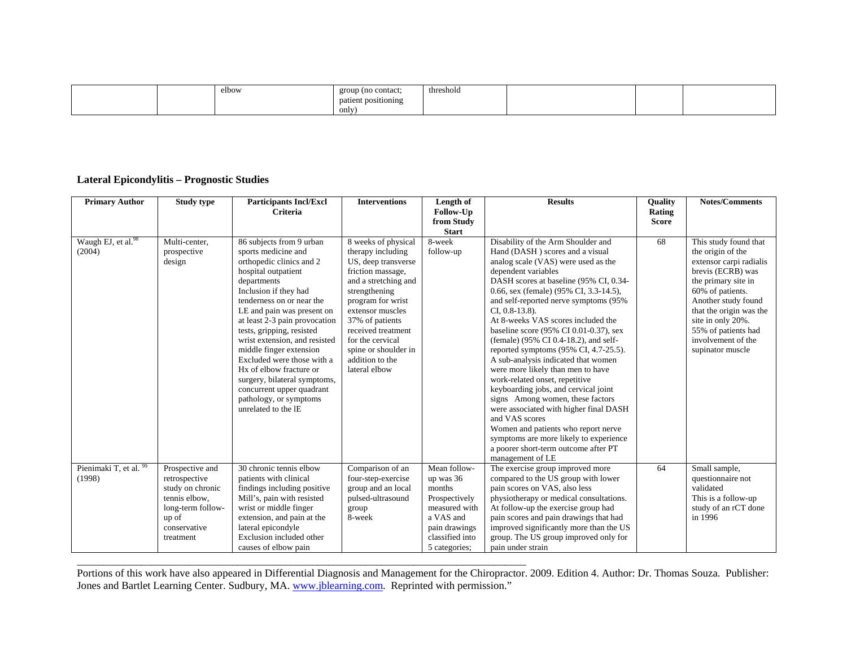| elbow | group<br>) (no contact<br>* positioning<br>patie<br>only | threshola |  |  |  |
|-------|----------------------------------------------------------|-----------|--|--|--|
|-------|----------------------------------------------------------|-----------|--|--|--|

# **Lateral Epicondylitis – Prognostic Studies**

| <b>Primary Author</b>                    | <b>Study type</b>                                                                                                                | <b>Participants Incl/Excl</b><br><b>Criteria</b>                                                                                                                                                                                                                                                                                                                                                                                                                                                       | <b>Interventions</b>                                                                                                                                                                                                                                                                            | Length of<br>Follow-Up<br>from Study<br><b>Start</b>                                                                                    | <b>Results</b>                                                                                                                                                                                                                                                                                                                                                                                                                                                                                                                                                                                                                                                                                                                                                                                                                                              | Quality<br>Rating<br><b>Score</b> | <b>Notes/Comments</b>                                                                                                                                                                                                                                                         |
|------------------------------------------|----------------------------------------------------------------------------------------------------------------------------------|--------------------------------------------------------------------------------------------------------------------------------------------------------------------------------------------------------------------------------------------------------------------------------------------------------------------------------------------------------------------------------------------------------------------------------------------------------------------------------------------------------|-------------------------------------------------------------------------------------------------------------------------------------------------------------------------------------------------------------------------------------------------------------------------------------------------|-----------------------------------------------------------------------------------------------------------------------------------------|-------------------------------------------------------------------------------------------------------------------------------------------------------------------------------------------------------------------------------------------------------------------------------------------------------------------------------------------------------------------------------------------------------------------------------------------------------------------------------------------------------------------------------------------------------------------------------------------------------------------------------------------------------------------------------------------------------------------------------------------------------------------------------------------------------------------------------------------------------------|-----------------------------------|-------------------------------------------------------------------------------------------------------------------------------------------------------------------------------------------------------------------------------------------------------------------------------|
| Waugh EJ, et al. <sup>98</sup><br>(2004) | Multi-center,<br>prospective<br>design                                                                                           | 86 subjects from 9 urban<br>sports medicine and<br>orthopedic clinics and 2<br>hospital outpatient<br>departments<br>Inclusion if they had<br>tenderness on or near the<br>LE and pain was present on<br>at least 2-3 pain provocation<br>tests, gripping, resisted<br>wrist extension, and resisted<br>middle finger extension<br>Excluded were those with a<br>Hx of elbow fracture or<br>surgery, bilateral symptoms,<br>concurrent upper quadrant<br>pathology, or symptoms<br>unrelated to the IE | 8 weeks of physical<br>therapy including<br>US, deep transverse<br>friction massage,<br>and a stretching and<br>strengthening<br>program for wrist<br>extensor muscles<br>37% of patients<br>received treatment<br>for the cervical<br>spine or shoulder in<br>addition to the<br>lateral elbow | 8-week<br>follow-up                                                                                                                     | Disability of the Arm Shoulder and<br>Hand (DASH) scores and a visual<br>analog scale (VAS) were used as the<br>dependent variables<br>DASH scores at baseline (95% CI, 0.34-<br>0.66, sex (female) (95% CI, 3.3-14.5),<br>and self-reported nerve symptoms (95%)<br>$CI, 0.8-13.8$ ).<br>At 8-weeks VAS scores included the<br>baseline score (95% CI 0.01-0.37), sex<br>(female) (95% CI 0.4-18.2), and self-<br>reported symptoms (95% CI, 4.7-25.5).<br>A sub-analysis indicated that women<br>were more likely than men to have<br>work-related onset, repetitive<br>keyboarding jobs, and cervical joint<br>signs Among women, these factors<br>were associated with higher final DASH<br>and VAS scores<br>Women and patients who report nerve<br>symptoms are more likely to experience<br>a poorer short-term outcome after PT<br>management of LE | 68                                | This study found that<br>the origin of the<br>extensor carpi radialis<br>brevis (ECRB) was<br>the primary site in<br>60% of patients.<br>Another study found<br>that the origin was the<br>site in only 20%.<br>55% of patients had<br>involvement of the<br>supinator muscle |
| Pienimaki T, et al. 99<br>(1998)         | Prospective and<br>retrospective<br>study on chronic<br>tennis elbow,<br>long-term follow-<br>up of<br>conservative<br>treatment | 30 chronic tennis elbow<br>patients with clinical<br>findings including positive<br>Mill's, pain with resisted<br>wrist or middle finger<br>extension, and pain at the<br>lateral epicondyle<br>Exclusion included other<br>causes of elbow pain                                                                                                                                                                                                                                                       | Comparison of an<br>four-step-exercise<br>group and an local<br>pulsed-ultrasound<br>group<br>8-week                                                                                                                                                                                            | Mean follow-<br>up was 36<br>months<br>Prospectively<br>measured with<br>a VAS and<br>pain drawings<br>classified into<br>5 categories; | The exercise group improved more<br>compared to the US group with lower<br>pain scores on VAS, also less<br>physiotherapy or medical consultations.<br>At follow-up the exercise group had<br>pain scores and pain drawings that had<br>improved significantly more than the US<br>group. The US group improved only for<br>pain under strain                                                                                                                                                                                                                                                                                                                                                                                                                                                                                                               | 64                                | Small sample,<br>questionnaire not<br>validated<br>This is a follow-up<br>study of an rCT done<br>in 1996                                                                                                                                                                     |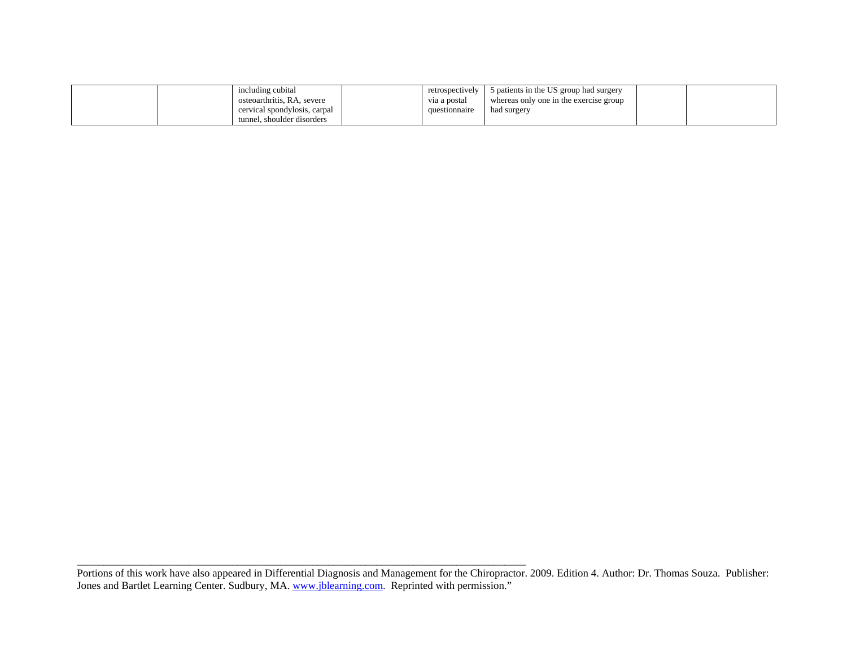|  | including cubital            | retrospectively | 5 patients in the US group had surgery |  |
|--|------------------------------|-----------------|----------------------------------------|--|
|  | osteoarthritis, RA, severe   | via a postal    | whereas only one in the exercise group |  |
|  | cervical spondylosis, carpal | questionnaire   | had surgery                            |  |
|  | tunnel, shoulder disorders   |                 |                                        |  |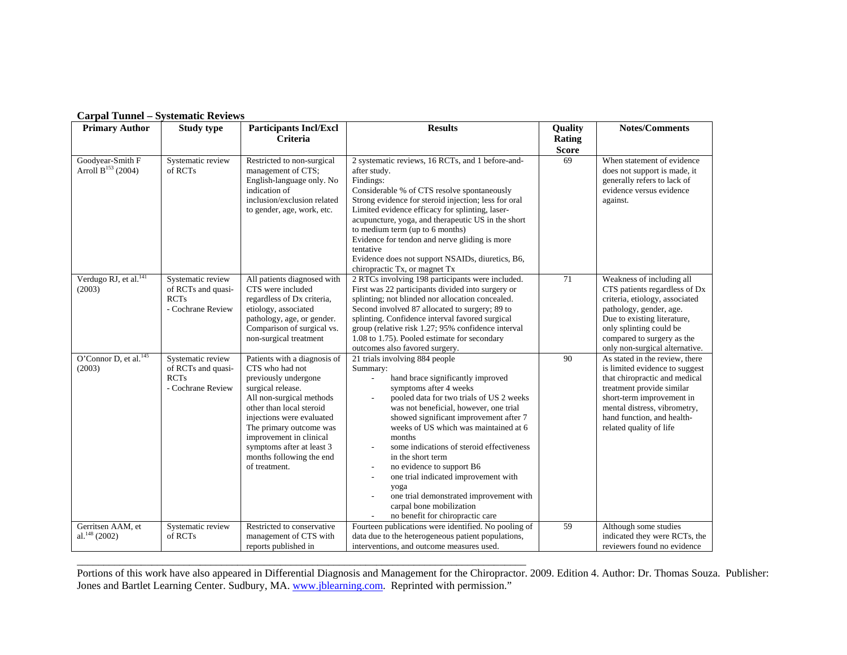| <b>Primary Author</b>                          | <b>Study type</b>                                                           | <b>Participants Incl/Excl</b><br><b>Criteria</b>                                                                                                                                                                                                                                                                  | <b>Results</b>                                                                                                                                                                                                                                                                                                                                                                                                                                                                                                                                                                                                 | Quality<br>Rating | <b>Notes/Comments</b>                                                                                                                                                                                                                                |
|------------------------------------------------|-----------------------------------------------------------------------------|-------------------------------------------------------------------------------------------------------------------------------------------------------------------------------------------------------------------------------------------------------------------------------------------------------------------|----------------------------------------------------------------------------------------------------------------------------------------------------------------------------------------------------------------------------------------------------------------------------------------------------------------------------------------------------------------------------------------------------------------------------------------------------------------------------------------------------------------------------------------------------------------------------------------------------------------|-------------------|------------------------------------------------------------------------------------------------------------------------------------------------------------------------------------------------------------------------------------------------------|
|                                                |                                                                             |                                                                                                                                                                                                                                                                                                                   |                                                                                                                                                                                                                                                                                                                                                                                                                                                                                                                                                                                                                | <b>Score</b>      |                                                                                                                                                                                                                                                      |
| Goodyear-Smith F<br>Arroll $B^{153}$ (2004)    | Systematic review<br>of RCTs                                                | Restricted to non-surgical<br>management of CTS;<br>English-language only. No<br>indication of<br>inclusion/exclusion related<br>to gender, age, work, etc.                                                                                                                                                       | 2 systematic reviews, 16 RCTs, and 1 before-and-<br>after study.<br>Findings:<br>Considerable % of CTS resolve spontaneously<br>Strong evidence for steroid injection; less for oral<br>Limited evidence efficacy for splinting, laser-<br>acupuncture, yoga, and therapeutic US in the short<br>to medium term (up to 6 months)<br>Evidence for tendon and nerve gliding is more<br>tentative<br>Evidence does not support NSAIDs, diuretics, B6,<br>chiropractic Tx, or magnet Tx                                                                                                                            | 69                | When statement of evidence<br>does not support is made, it<br>generally refers to lack of<br>evidence versus evidence<br>against.                                                                                                                    |
| Verdugo RJ, et al. <sup>141</sup><br>(2003)    | Systematic review<br>of RCTs and quasi-<br><b>RCTs</b><br>- Cochrane Review | All patients diagnosed with<br>CTS were included<br>regardless of Dx criteria,<br>etiology, associated<br>pathology, age, or gender.<br>Comparison of surgical vs.<br>non-surgical treatment                                                                                                                      | 2 RTCs involving 198 participants were included.<br>First was 22 participants divided into surgery or<br>splinting; not blinded nor allocation concealed.<br>Second involved 87 allocated to surgery; 89 to<br>splinting. Confidence interval favored surgical<br>group (relative risk 1.27; 95% confidence interval<br>1.08 to 1.75). Pooled estimate for secondary<br>outcomes also favored surgery.                                                                                                                                                                                                         | 71                | Weakness of including all<br>CTS patients regardless of Dx<br>criteria, etiology, associated<br>pathology, gender, age.<br>Due to existing literature,<br>only splinting could be<br>compared to surgery as the<br>only non-surgical alternative.    |
| O'Connor D, et al. <sup>145</sup><br>(2003)    | Systematic review<br>of RCTs and quasi-<br><b>RCTs</b><br>- Cochrane Review | Patients with a diagnosis of<br>CTS who had not<br>previously undergone<br>surgical release.<br>All non-surgical methods<br>other than local steroid<br>injections were evaluated<br>The primary outcome was<br>improvement in clinical<br>symptoms after at least 3<br>months following the end<br>of treatment. | 21 trials involving 884 people<br>Summary:<br>hand brace significantly improved<br>$\overline{\phantom{a}}$<br>symptoms after 4 weeks<br>pooled data for two trials of US 2 weeks<br>was not beneficial, however, one trial<br>showed significant improvement after 7<br>weeks of US which was maintained at 6<br>months<br>some indications of steroid effectiveness<br>in the short term<br>no evidence to support B6<br>one trial indicated improvement with<br>$\overline{\phantom{a}}$<br>yoga<br>one trial demonstrated improvement with<br>carpal bone mobilization<br>no benefit for chiropractic care | 90                | As stated in the review, there<br>is limited evidence to suggest<br>that chiropractic and medical<br>treatment provide similar<br>short-term improvement in<br>mental distress, vibrometry,<br>hand function, and health-<br>related quality of life |
| Gerritsen AAM, et<br>al. <sup>148</sup> (2002) | Systematic review<br>of RCTs                                                | Restricted to conservative<br>management of CTS with<br>reports published in                                                                                                                                                                                                                                      | Fourteen publications were identified. No pooling of<br>data due to the heterogeneous patient populations,<br>interventions, and outcome measures used.                                                                                                                                                                                                                                                                                                                                                                                                                                                        | 59                | Although some studies<br>indicated they were RCTs, the<br>reviewers found no evidence                                                                                                                                                                |

# **Carpal Tunnel – Systematic Reviews**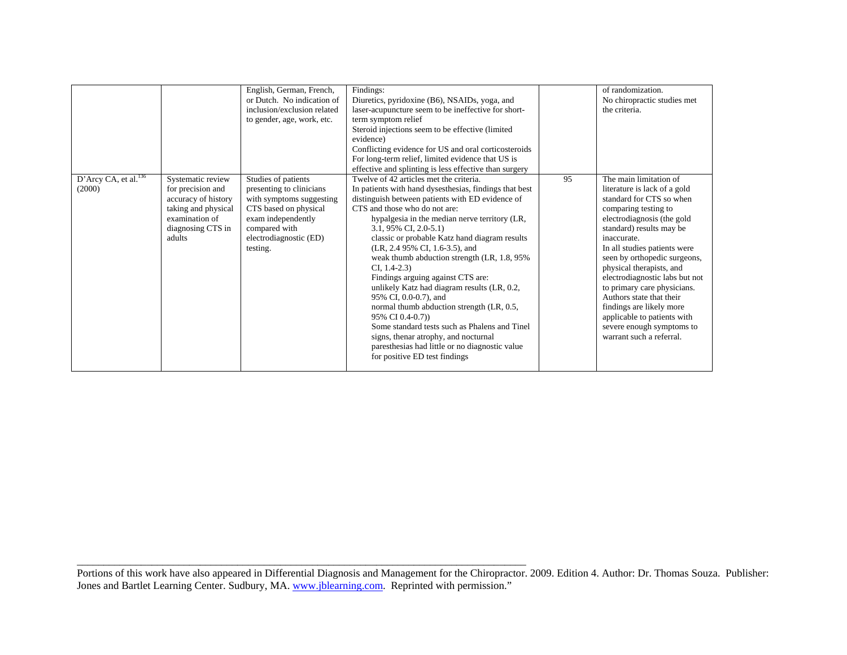|                                            |                                                                                                                                       | English, German, French,<br>or Dutch. No indication of<br>inclusion/exclusion related<br>to gender, age, work, etc.                                                               | Findings:<br>Diuretics, pyridoxine (B6), NSAIDs, yoga, and<br>laser-acupuncture seem to be ineffective for short-<br>term symptom relief<br>Steroid injections seem to be effective (limited<br>evidence)<br>Conflicting evidence for US and oral corticosteroids<br>For long-term relief, limited evidence that US is<br>effective and splinting is less effective than surgery                                                                                                                                                                                                                                                                                                                                                                                                     |    | of randomization.<br>No chiropractic studies met<br>the criteria.                                                                                                                                                                                                                                                                                                                                                                                                                                |
|--------------------------------------------|---------------------------------------------------------------------------------------------------------------------------------------|-----------------------------------------------------------------------------------------------------------------------------------------------------------------------------------|--------------------------------------------------------------------------------------------------------------------------------------------------------------------------------------------------------------------------------------------------------------------------------------------------------------------------------------------------------------------------------------------------------------------------------------------------------------------------------------------------------------------------------------------------------------------------------------------------------------------------------------------------------------------------------------------------------------------------------------------------------------------------------------|----|--------------------------------------------------------------------------------------------------------------------------------------------------------------------------------------------------------------------------------------------------------------------------------------------------------------------------------------------------------------------------------------------------------------------------------------------------------------------------------------------------|
| D'Arcy CA, et al. <sup>136</sup><br>(2000) | Systematic review<br>for precision and<br>accuracy of history<br>taking and physical<br>examination of<br>diagnosing CTS in<br>adults | Studies of patients<br>presenting to clinicians<br>with symptoms suggesting<br>CTS based on physical<br>exam independently<br>compared with<br>electrodiagnostic (ED)<br>testing. | Twelve of 42 articles met the criteria.<br>In patients with hand dysesthesias, findings that best<br>distinguish between patients with ED evidence of<br>CTS and those who do not are:<br>hypalgesia in the median nerve territory (LR,<br>$3.1,95\%$ CI, $2.0-5.1$ )<br>classic or probable Katz hand diagram results<br>(LR, 2.4 95% CI, 1.6-3.5), and<br>weak thumb abduction strength (LR, 1.8, 95%)<br>$CI, 1.4-2.3)$<br>Findings arguing against CTS are:<br>unlikely Katz had diagram results (LR, 0.2,<br>95% CI, 0.0-0.7), and<br>normal thumb abduction strength (LR, 0.5,<br>95% CI 0.4-0.7))<br>Some standard tests such as Phalens and Tinel<br>signs, thenar atrophy, and nocturnal<br>paresthesias had little or no diagnostic value<br>for positive ED test findings | 95 | The main limitation of<br>literature is lack of a gold<br>standard for CTS so when<br>comparing testing to<br>electrodiagnosis (the gold<br>standard) results may be<br>inaccurate.<br>In all studies patients were<br>seen by orthopedic surgeons,<br>physical therapists, and<br>electrodiagnostic labs but not<br>to primary care physicians.<br>Authors state that their<br>findings are likely more<br>applicable to patients with<br>severe enough symptoms to<br>warrant such a referral. |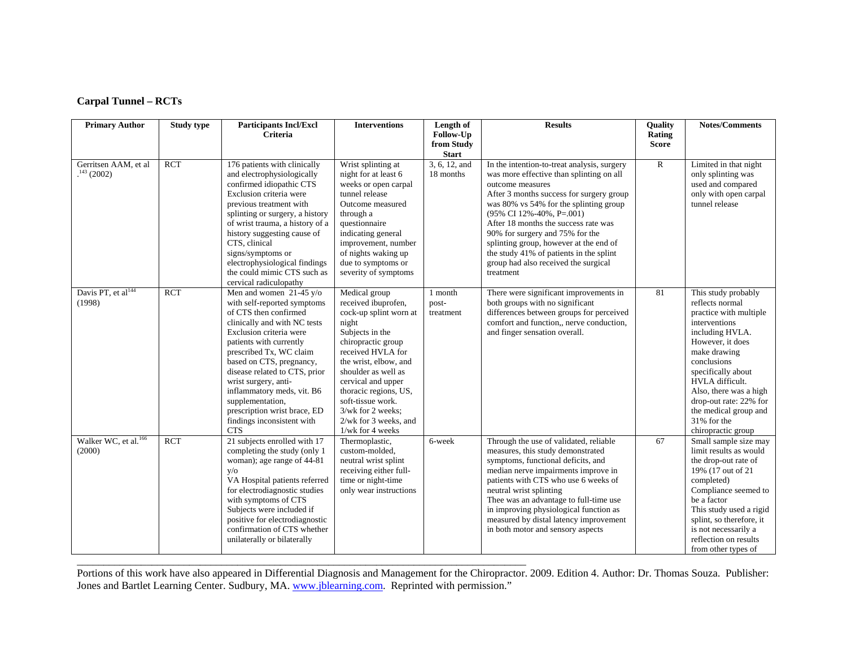# **Carpal Tunnel – RCTs**

| <b>Primary Author</b>                        | Study type       | <b>Participants Incl/Excl</b><br>Criteria                                                                                                                                                                                                                                                                                                                                                                           | <b>Interventions</b>                                                                                                                                                                                                                                                                                                        | Length of<br>Follow-Up<br>from Study<br><b>Start</b> | <b>Results</b>                                                                                                                                                                                                                                                                                                                                                                                                                                                                | Quality<br>Rating<br><b>Score</b> | <b>Notes/Comments</b>                                                                                                                                                                                                                                                                                              |
|----------------------------------------------|------------------|---------------------------------------------------------------------------------------------------------------------------------------------------------------------------------------------------------------------------------------------------------------------------------------------------------------------------------------------------------------------------------------------------------------------|-----------------------------------------------------------------------------------------------------------------------------------------------------------------------------------------------------------------------------------------------------------------------------------------------------------------------------|------------------------------------------------------|-------------------------------------------------------------------------------------------------------------------------------------------------------------------------------------------------------------------------------------------------------------------------------------------------------------------------------------------------------------------------------------------------------------------------------------------------------------------------------|-----------------------------------|--------------------------------------------------------------------------------------------------------------------------------------------------------------------------------------------------------------------------------------------------------------------------------------------------------------------|
| Gerritsen AAM, et al<br>$.^{\rm 143}$ (2002) | <b>RCT</b>       | 176 patients with clinically<br>and electrophysiologically<br>confirmed idiopathic CTS<br>Exclusion criteria were<br>previous treatment with<br>splinting or surgery, a history<br>of wrist trauma, a history of a<br>history suggesting cause of<br>CTS, clinical<br>signs/symptoms or<br>electrophysiological findings<br>the could mimic CTS such as<br>cervical radiculopathy                                   | Wrist splinting at<br>night for at least 6<br>weeks or open carpal<br>tunnel release<br>Outcome measured<br>through a<br>questionnaire<br>indicating general<br>improvement, number<br>of nights waking up<br>due to symptoms or<br>severity of symptoms                                                                    | 3, 6, 12, and<br>18 months                           | In the intention-to-treat analysis, surgery<br>was more effective than splinting on all<br>outcome measures<br>After 3 months success for surgery group<br>was 80% vs 54% for the splinting group<br>$(95\% \text{ CI } 12\% - 40\%, \text{ P} = 0.001)$<br>After 18 months the success rate was<br>90% for surgery and 75% for the<br>splinting group, however at the end of<br>the study 41% of patients in the splint<br>group had also received the surgical<br>treatment | $\mathbb{R}$                      | Limited in that night<br>only splinting was<br>used and compared<br>only with open carpal<br>tunnel release                                                                                                                                                                                                        |
| Davis PT, et al <sup>144</sup><br>(1998)     | $\overline{RCT}$ | Men and women 21-45 y/o<br>with self-reported symptoms<br>of CTS then confirmed<br>clinically and with NC tests<br>Exclusion criteria were<br>patients with currently<br>prescribed Tx, WC claim<br>based on CTS, pregnancy,<br>disease related to CTS, prior<br>wrist surgery, anti-<br>inflammatory meds, vit. B6<br>supplementation,<br>prescription wrist brace, ED<br>findings inconsistent with<br><b>CTS</b> | Medical group<br>received ibuprofen,<br>cock-up splint worn at<br>night<br>Subjects in the<br>chiropractic group<br>received HVLA for<br>the wrist, elbow, and<br>shoulder as well as<br>cervical and upper<br>thoracic regions, US,<br>soft-tissue work.<br>3/wk for 2 weeks;<br>2/wk for 3 weeks, and<br>1/wk for 4 weeks | 1 month<br>post-<br>treatment                        | There were significant improvements in<br>both groups with no significant<br>differences between groups for perceived<br>comfort and function,, nerve conduction,<br>and finger sensation overall.                                                                                                                                                                                                                                                                            | 81                                | This study probably<br>reflects normal<br>practice with multiple<br>interventions<br>including HVLA.<br>However, it does<br>make drawing<br>conclusions<br>specifically about<br>HVLA difficult.<br>Also, there was a high<br>drop-out rate: 22% for<br>the medical group and<br>31% for the<br>chiropractic group |
| Walker WC, et al. <sup>166</sup><br>(2000)   | <b>RCT</b>       | 21 subjects enrolled with 17<br>completing the study (only 1<br>woman); age range of 44-81<br>$y/\sigma$<br>VA Hospital patients referred<br>for electrodiagnostic studies<br>with symptoms of CTS<br>Subjects were included if<br>positive for electrodiagnostic<br>confirmation of CTS whether<br>unilaterally or bilaterally                                                                                     | Thermoplastic,<br>custom-molded,<br>neutral wrist splint<br>receiving either full-<br>time or night-time<br>only wear instructions                                                                                                                                                                                          | 6-week                                               | Through the use of validated, reliable<br>measures, this study demonstrated<br>symptoms, functional deficits, and<br>median nerve impairments improve in<br>patients with CTS who use 6 weeks of<br>neutral wrist splinting<br>Thee was an advantage to full-time use<br>in improving physiological function as<br>measured by distal latency improvement<br>in both motor and sensory aspects                                                                                | 67                                | Small sample size may<br>limit results as would<br>the drop-out rate of<br>19% (17 out of 21)<br>completed)<br>Compliance seemed to<br>be a factor<br>This study used a rigid<br>splint, so therefore, it<br>is not necessarily a<br>reflection on results<br>from other types of                                  |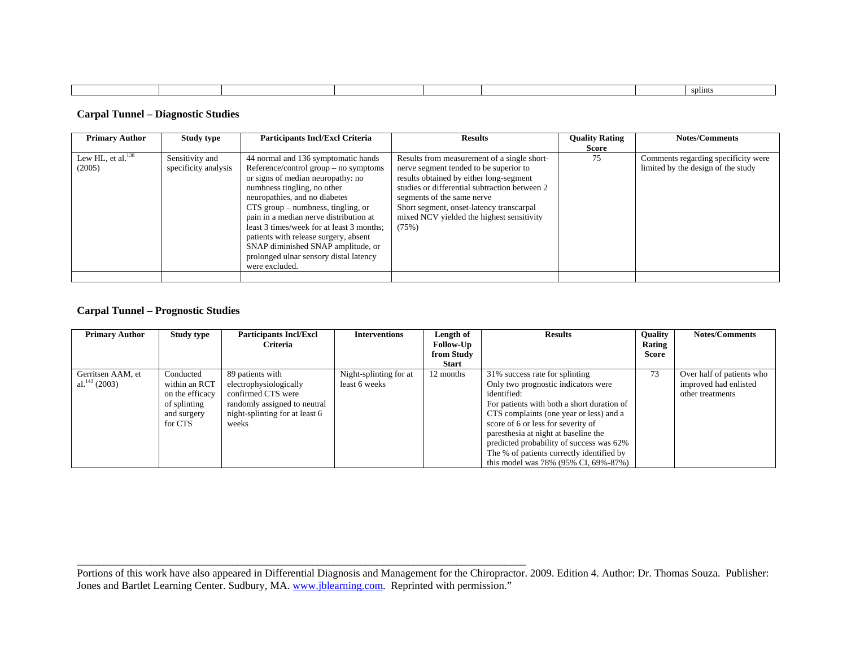|  |  |  | splints |
|--|--|--|---------|
|  |  |  |         |

# **Carpal Tunnel – Diagnostic Studies**

| <b>Primary Author</b>             | <b>Study type</b>                       | <b>Participants Incl/Excl Criteria</b>                                                                                                                                                                                                                                                                                                                                                                                                                        | <b>Results</b>                                                                                                                                                                                                                                                                                                    | <b>Quality Rating</b><br>Score | <b>Notes/Comments</b>                                                     |
|-----------------------------------|-----------------------------------------|---------------------------------------------------------------------------------------------------------------------------------------------------------------------------------------------------------------------------------------------------------------------------------------------------------------------------------------------------------------------------------------------------------------------------------------------------------------|-------------------------------------------------------------------------------------------------------------------------------------------------------------------------------------------------------------------------------------------------------------------------------------------------------------------|--------------------------------|---------------------------------------------------------------------------|
| Lew HL, et al. $^{138}$<br>(2005) | Sensitivity and<br>specificity analysis | 44 normal and 136 symptomatic hands<br>Reference/control group $-$ no symptoms<br>or signs of median neuropathy: no<br>numbness tingling, no other<br>neuropathies, and no diabetes<br>$CTS$ group – numbness, tingling, or<br>pain in a median nerve distribution at<br>least 3 times/week for at least 3 months:<br>patients with release surgery, absent<br>SNAP diminished SNAP amplitude, or<br>prolonged ulnar sensory distal latency<br>were excluded. | Results from measurement of a single short-<br>nerve segment tended to be superior to<br>results obtained by either long-segment<br>studies or differential subtraction between 2<br>segments of the same nerve<br>Short segment, onset-latency transcarpal<br>mixed NCV yielded the highest sensitivity<br>(75%) | 75                             | Comments regarding specificity were<br>limited by the design of the study |
|                                   |                                         |                                                                                                                                                                                                                                                                                                                                                                                                                                                               |                                                                                                                                                                                                                                                                                                                   |                                |                                                                           |

# **Carpal Tunnel – Prognostic Studies**

| <b>Primary Author</b>     | Study type                                                                 | <b>Participants Incl/Excl</b><br><b>Criteria</b>                                                                        | <b>Interventions</b>   | Length of<br>Follow-Up<br>from Study | <b>Results</b>                                                                                                                                                                                                                                                                                                     | <b>Quality</b><br>Rating<br><b>Score</b> | <b>Notes/Comments</b>                     |
|---------------------------|----------------------------------------------------------------------------|-------------------------------------------------------------------------------------------------------------------------|------------------------|--------------------------------------|--------------------------------------------------------------------------------------------------------------------------------------------------------------------------------------------------------------------------------------------------------------------------------------------------------------------|------------------------------------------|-------------------------------------------|
| Gerritsen AAM, et         | Conducted                                                                  | 89 patients with                                                                                                        | Night-splinting for at | <b>Start</b><br>12 months            | 31% success rate for splinting                                                                                                                                                                                                                                                                                     | 73                                       | Over half of patients who                 |
| al. <sup>143</sup> (2003) | within an RCT<br>on the efficacy<br>of splinting<br>and surgery<br>for CTS | electrophysiologically<br>confirmed CTS were<br>randomly assigned to neutral<br>night-splinting for at least 6<br>weeks | least 6 weeks          |                                      | Only two prognostic indicators were<br>identified:<br>For patients with both a short duration of<br>CTS complaints (one year or less) and a<br>score of 6 or less for severity of<br>paresthesia at night at baseline the<br>predicted probability of success was 62%<br>The % of patients correctly identified by |                                          | improved had enlisted<br>other treatments |

Portions of this work have also appeared in Differential Diagnosis and Management for the Chiropractor. 2009. Edition 4. Author: Dr. Thomas Souza. Publisher: Jones and Bartlet Learning Center. Sudbury, MA. www.jblearning.com. Reprinted with permission."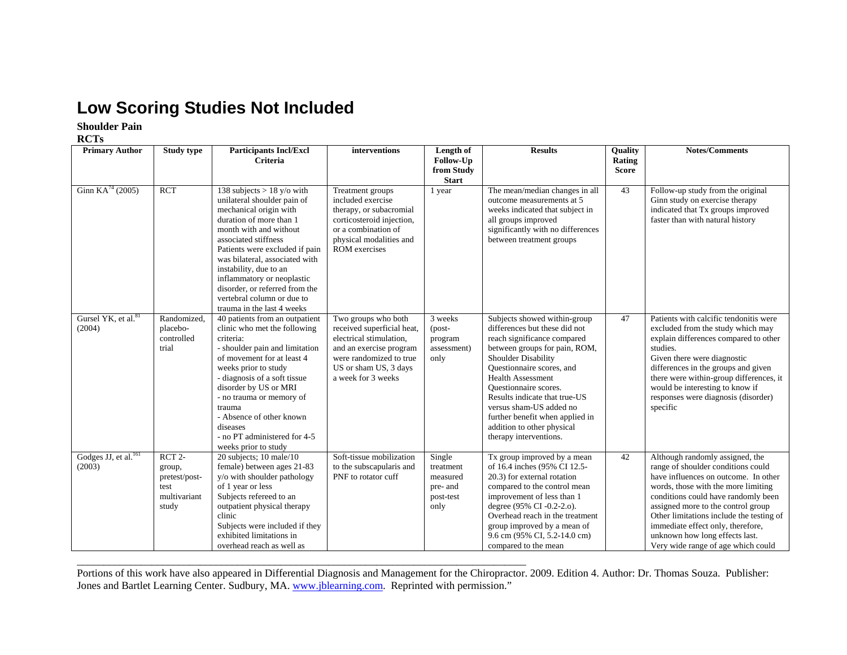# **Low Scoring Studies Not Included**

### **Shoulder Pain**

### **RCTs**

| <b>Primary Author</b>                      | <b>Study type</b>                                                              | <b>Participants Incl/Excl</b><br><b>Criteria</b>                                                                                                                                                                                                                                                                                                                                             | interventions                                                                                                                                                                     | Length of<br>Follow-Up<br>from Study<br><b>Start</b>             | <b>Results</b>                                                                                                                                                                                                                                                                                                                                                                                | Quality<br>Rating<br><b>Score</b> | <b>Notes/Comments</b>                                                                                                                                                                                                                                                                                                                                                                      |
|--------------------------------------------|--------------------------------------------------------------------------------|----------------------------------------------------------------------------------------------------------------------------------------------------------------------------------------------------------------------------------------------------------------------------------------------------------------------------------------------------------------------------------------------|-----------------------------------------------------------------------------------------------------------------------------------------------------------------------------------|------------------------------------------------------------------|-----------------------------------------------------------------------------------------------------------------------------------------------------------------------------------------------------------------------------------------------------------------------------------------------------------------------------------------------------------------------------------------------|-----------------------------------|--------------------------------------------------------------------------------------------------------------------------------------------------------------------------------------------------------------------------------------------------------------------------------------------------------------------------------------------------------------------------------------------|
| Ginn $\text{KA}^{74}$ (2005)               | <b>RCT</b>                                                                     | 138 subjects $> 18$ y/o with<br>unilateral shoulder pain of<br>mechanical origin with<br>duration of more than 1<br>month with and without<br>associated stiffness<br>Patients were excluded if pain<br>was bilateral, associated with<br>instability, due to an<br>inflammatory or neoplastic<br>disorder, or referred from the<br>vertebral column or due to<br>trauma in the last 4 weeks | Treatment groups<br>included exercise<br>therapy, or subacromial<br>corticosteroid injection,<br>or a combination of<br>physical modalities and<br><b>ROM</b> exercises           | 1 year                                                           | The mean/median changes in all<br>outcome measurements at 5<br>weeks indicated that subject in<br>all groups improved<br>significantly with no differences<br>between treatment groups                                                                                                                                                                                                        | 43                                | Follow-up study from the original<br>Ginn study on exercise therapy<br>indicated that Tx groups improved<br>faster than with natural history                                                                                                                                                                                                                                               |
| Gursel YK, et al. <sup>81</sup><br>(2004)  | Randomized,<br>placebo-<br>controlled<br>trial                                 | 40 patients from an outpatient<br>clinic who met the following<br>criteria:<br>- shoulder pain and limitation<br>of movement for at least 4<br>weeks prior to study<br>- diagnosis of a soft tissue<br>disorder by US or MRI<br>- no trauma or memory of<br>trauma<br>- Absence of other known<br>diseases<br>- no PT administered for 4-5<br>weeks prior to study                           | Two groups who both<br>received superficial heat,<br>electrical stimulation,<br>and an exercise program<br>were randomized to true<br>US or sham US, 3 days<br>a week for 3 weeks | 3 weeks<br>$(post-$<br>program<br>assessment)<br>only            | Subjects showed within-group<br>differences but these did not<br>reach significance compared<br>between groups for pain, ROM,<br>Shoulder Disability<br>Questionnaire scores, and<br><b>Health Assessment</b><br>Questionnaire scores.<br>Results indicate that true-US<br>versus sham-US added no<br>further benefit when applied in<br>addition to other physical<br>therapy interventions. | 47                                | Patients with calcific tendonitis were<br>excluded from the study which may<br>explain differences compared to other<br>studies.<br>Given there were diagnostic<br>differences in the groups and given<br>there were within-group differences, it<br>would be interesting to know if<br>responses were diagnosis (disorder)<br>specific                                                    |
| Godges JJ, et al. <sup>161</sup><br>(2003) | RCT <sub>2</sub> -<br>group,<br>pretest/post-<br>test<br>multivariant<br>study | 20 subjects; 10 male/10<br>female) between ages 21-83<br>y/o with shoulder pathology<br>of 1 year or less<br>Subjects refereed to an<br>outpatient physical therapy<br>clinic<br>Subjects were included if they<br>exhibited limitations in<br>overhead reach as well as                                                                                                                     | Soft-tissue mobilization<br>to the subscapularis and<br>PNF to rotator cuff                                                                                                       | Single<br>treatment<br>measured<br>pre- and<br>post-test<br>only | Tx group improved by a mean<br>of 16.4 inches (95% CI 12.5-<br>20.3) for external rotation<br>compared to the control mean<br>improvement of less than 1<br>degree (95% CI -0.2-2.0).<br>Overhead reach in the treatment<br>group improved by a mean of<br>9.6 cm (95% CI, 5.2-14.0 cm)<br>compared to the mean                                                                               | 42                                | Although randomly assigned, the<br>range of shoulder conditions could<br>have influences on outcome. In other<br>words, those with the more limiting<br>conditions could have randomly been<br>assigned more to the control group<br>Other limitations include the testing of<br>immediate effect only, therefore,<br>unknown how long effects last.<br>Very wide range of age which could |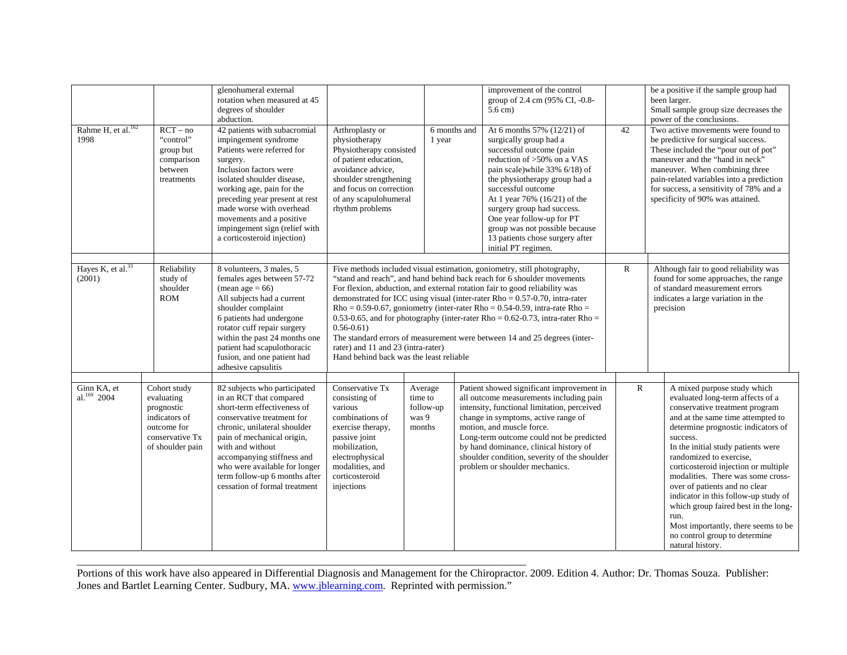| Rahme H, et al. <sup>162</sup><br>1998  | $RCT - no$<br>"control"<br>group but<br>comparison<br>between<br>treatments                                     | glenohumeral external<br>rotation when measured at 45<br>degrees of shoulder<br>abduction.<br>42 patients with subacromial<br>impingement syndrome<br>Patients were referred for<br>surgery.<br>Inclusion factors were<br>isolated shoulder disease,<br>working age, pain for the<br>preceding year present at rest<br>made worse with overhead<br>movements and a positive<br>impingement sign (relief with<br>a corticosteroid injection) | Arthroplasty or<br>physiotherapy<br>Physiotherapy consisted<br>of patient education,<br>avoidance advice,<br>shoulder strengthening<br>and focus on correction<br>of any scapulohumeral<br>rhythm problems                                                                                                                                                                                                                                                                                                                                                                                                                                                              | 1 year                                             | 6 months and | improvement of the control<br>group of 2.4 cm (95% CI, -0.8-<br>$5.6$ cm)<br>At 6 months 57% (12/21) of<br>surgically group had a<br>successful outcome (pain<br>reduction of >50% on a VAS<br>pain scale) while 33% 6/18) of<br>the physiotherapy group had a<br>successful outcome<br>At 1 year 76% (16/21) of the<br>surgery group had success.<br>One year follow-up for PT<br>group was not possible because<br>13 patients chose surgery after<br>initial PT regimen. | 42                                                                                                                                                                 | be a positive if the sample group had<br>been larger.<br>Small sample group size decreases the<br>power of the conclusions.<br>Two active movements were found to<br>be predictive for surgical success.<br>These included the "pour out of pot"<br>maneuver and the "hand in neck"<br>maneuver. When combining three<br>pain-related variables into a prediction<br>for success, a sensitivity of 78% and a<br>specificity of 90% was attained.                                                                                                            |
|-----------------------------------------|-----------------------------------------------------------------------------------------------------------------|---------------------------------------------------------------------------------------------------------------------------------------------------------------------------------------------------------------------------------------------------------------------------------------------------------------------------------------------------------------------------------------------------------------------------------------------|-------------------------------------------------------------------------------------------------------------------------------------------------------------------------------------------------------------------------------------------------------------------------------------------------------------------------------------------------------------------------------------------------------------------------------------------------------------------------------------------------------------------------------------------------------------------------------------------------------------------------------------------------------------------------|----------------------------------------------------|--------------|-----------------------------------------------------------------------------------------------------------------------------------------------------------------------------------------------------------------------------------------------------------------------------------------------------------------------------------------------------------------------------------------------------------------------------------------------------------------------------|--------------------------------------------------------------------------------------------------------------------------------------------------------------------|-------------------------------------------------------------------------------------------------------------------------------------------------------------------------------------------------------------------------------------------------------------------------------------------------------------------------------------------------------------------------------------------------------------------------------------------------------------------------------------------------------------------------------------------------------------|
| Hayes K, et al. <sup>33</sup><br>(2001) | Reliability<br>study of<br>shoulder<br><b>ROM</b>                                                               | 8 volunteers, 3 males, 5<br>females ages between 57-72<br>(mean age $= 66$ )<br>All subjects had a current<br>shoulder complaint<br>6 patients had undergone<br>rotator cuff repair surgery<br>within the past 24 months one<br>patient had scapulothoracic<br>fusion, and one patient had<br>adhesive capsulitis                                                                                                                           | Five methods included visual estimation, goniometry, still photography,<br>"stand and reach", and hand behind back reach for 6 shoulder movements<br>For flexion, abduction, and external rotation fair to good reliability was<br>demonstrated for ICC using visual (inter-rater Rho = $0.57$ - $0.70$ , intra-rater<br>Rho = 0.59-0.67, goniometry (inter-rater Rho = 0.54-0.59, intra-rate Rho =<br>0.53-0.65, and for photography (inter-rater Rho = $0.62$ -0.73, intra-rater Rho =<br>$0.56 - 0.61$<br>The standard errors of measurement were between 14 and 25 degrees (inter-<br>rater) and 11 and 23 (intra-rater)<br>Hand behind back was the least reliable |                                                    |              | $\mathbf R$                                                                                                                                                                                                                                                                                                                                                                                                                                                                 | Although fair to good reliability was<br>found for some approaches, the range<br>of standard measurement errors<br>indicates a large variation in the<br>precision |                                                                                                                                                                                                                                                                                                                                                                                                                                                                                                                                                             |
| Ginn KA, et<br>al. <sup>169</sup> 2004  | Cohort study<br>evaluating<br>prognostic<br>indicators of<br>outcome for<br>conservative Tx<br>of shoulder pain | 82 subjects who participated<br>in an RCT that compared<br>short-term effectiveness of<br>conservative treatment for<br>chronic, unilateral shoulder<br>pain of mechanical origin,<br>with and without<br>accompanying stiffness and<br>who were available for longer<br>term follow-up 6 months after<br>cessation of formal treatment                                                                                                     | Conservative Tx<br>consisting of<br>various<br>combinations of<br>exercise therapy,<br>passive joint<br>mobilization,<br>electrophysical<br>modalities, and<br>corticosteroid<br>injections                                                                                                                                                                                                                                                                                                                                                                                                                                                                             | Average<br>time to<br>follow-up<br>was 9<br>months |              | Patient showed significant improvement in<br>all outcome measurements including pain<br>intensity, functional limitation, perceived<br>change in symptoms, active range of<br>motion, and muscle force.<br>Long-term outcome could not be predicted<br>by hand dominance, clinical history of<br>shoulder condition, severity of the shoulder<br>problem or shoulder mechanics.                                                                                             | $\mathbb{R}$                                                                                                                                                       | A mixed purpose study which<br>evaluated long-term affects of a<br>conservative treatment program<br>and at the same time attempted to<br>determine prognostic indicators of<br>success.<br>In the initial study patients were<br>randomized to exercise.<br>corticosteroid injection or multiple<br>modalities. There was some cross-<br>over of patients and no clear<br>indicator in this follow-up study of<br>which group faired best in the long-<br>run.<br>Most importantly, there seems to be<br>no control group to determine<br>natural history. |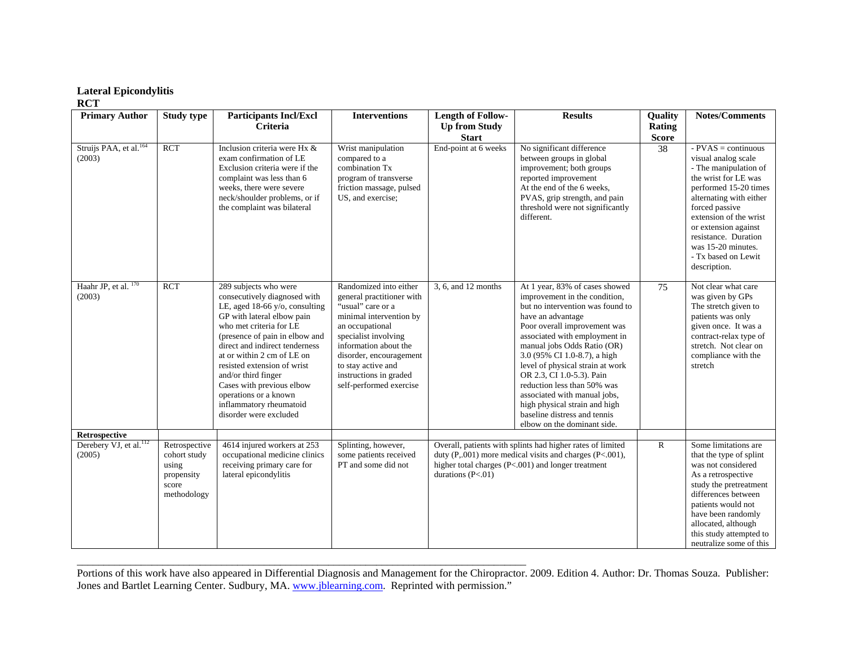# **Lateral Epicondylitis**

### **RCT**

| <b>Primary Author</b>                        | <b>Study type</b>                                                            | <b>Participants Incl/Excl</b><br><b>Criteria</b>                                                                                                                                                                                                                                                                                                                                                                       | <b>Interventions</b>                                                                                                                                                                                                                                                          | <b>Length of Follow-</b><br><b>Up from Study</b> | <b>Results</b>                                                                                                                                                                                                                                                                                                                                                                                                                                                                           | Quality<br>Rating | <b>Notes/Comments</b>                                                                                                                                                                                                                                                                                     |
|----------------------------------------------|------------------------------------------------------------------------------|------------------------------------------------------------------------------------------------------------------------------------------------------------------------------------------------------------------------------------------------------------------------------------------------------------------------------------------------------------------------------------------------------------------------|-------------------------------------------------------------------------------------------------------------------------------------------------------------------------------------------------------------------------------------------------------------------------------|--------------------------------------------------|------------------------------------------------------------------------------------------------------------------------------------------------------------------------------------------------------------------------------------------------------------------------------------------------------------------------------------------------------------------------------------------------------------------------------------------------------------------------------------------|-------------------|-----------------------------------------------------------------------------------------------------------------------------------------------------------------------------------------------------------------------------------------------------------------------------------------------------------|
|                                              |                                                                              |                                                                                                                                                                                                                                                                                                                                                                                                                        |                                                                                                                                                                                                                                                                               | <b>Start</b>                                     |                                                                                                                                                                                                                                                                                                                                                                                                                                                                                          | <b>Score</b>      |                                                                                                                                                                                                                                                                                                           |
| Struijs PAA, et al. <sup>164</sup><br>(2003) | <b>RCT</b>                                                                   | Inclusion criteria were Hx &<br>exam confirmation of LE<br>Exclusion criteria were if the<br>complaint was less than 6<br>weeks, there were severe<br>neck/shoulder problems, or if<br>the complaint was bilateral                                                                                                                                                                                                     | Wrist manipulation<br>compared to a<br>combination Tx<br>program of transverse<br>friction massage, pulsed<br>US, and exercise;                                                                                                                                               | End-point at 6 weeks                             | No significant difference<br>between groups in global<br>improvement; both groups<br>reported improvement<br>At the end of the 6 weeks,<br>PVAS, grip strength, and pain<br>threshold were not significantly<br>different.                                                                                                                                                                                                                                                               | 38                | $-PVAS =$ continuous<br>visual analog scale<br>- The manipulation of<br>the wrist for LE was<br>performed 15-20 times<br>alternating with either<br>forced passive<br>extension of the wrist<br>or extension against<br>resistance. Duration<br>was 15-20 minutes.<br>- Tx based on Lewit<br>description. |
| Haahr JP, et al. 170<br>(2003)               | <b>RCT</b>                                                                   | 289 subjects who were<br>consecutively diagnosed with<br>LE, aged 18-66 $y/o$ , consulting<br>GP with lateral elbow pain<br>who met criteria for LE<br>(presence of pain in elbow and<br>direct and indirect tenderness<br>at or within 2 cm of LE on<br>resisted extension of wrist<br>and/or third finger<br>Cases with previous elbow<br>operations or a known<br>inflammatory rheumatoid<br>disorder were excluded | Randomized into either<br>general practitioner with<br>"usual" care or a<br>minimal intervention by<br>an occupational<br>specialist involving<br>information about the<br>disorder, encouragement<br>to stay active and<br>instructions in graded<br>self-performed exercise | 3, 6, and 12 months                              | At 1 year, 83% of cases showed<br>improvement in the condition,<br>but no intervention was found to<br>have an advantage<br>Poor overall improvement was<br>associated with employment in<br>manual jobs Odds Ratio (OR)<br>3.0 (95% CI 1.0-8.7), a high<br>level of physical strain at work<br>OR 2.3, CI 1.0-5.3). Pain<br>reduction less than 50% was<br>associated with manual jobs,<br>high physical strain and high<br>baseline distress and tennis<br>elbow on the dominant side. | 75                | Not clear what care<br>was given by GPs<br>The stretch given to<br>patients was only<br>given once. It was a<br>contract-relax type of<br>stretch. Not clear on<br>compliance with the<br>stretch                                                                                                         |
| Retrospective                                |                                                                              |                                                                                                                                                                                                                                                                                                                                                                                                                        |                                                                                                                                                                                                                                                                               |                                                  |                                                                                                                                                                                                                                                                                                                                                                                                                                                                                          |                   |                                                                                                                                                                                                                                                                                                           |
| Derebery VJ, et al. <sup>112</sup><br>(2005) | Retrospective<br>cohort study<br>using<br>propensity<br>score<br>methodology | 4614 injured workers at 253<br>occupational medicine clinics<br>receiving primary care for<br>lateral epicondylitis                                                                                                                                                                                                                                                                                                    | Splinting, however,<br>some patients received<br>PT and some did not                                                                                                                                                                                                          | durations (P<.01)                                | Overall, patients with splints had higher rates of limited<br>duty (P,.001) more medical visits and charges (P<.001),<br>higher total charges (P<.001) and longer treatment                                                                                                                                                                                                                                                                                                              | $\mathbf R$       | Some limitations are<br>that the type of splint<br>was not considered<br>As a retrospective<br>study the pretreatment<br>differences between<br>patients would not<br>have been randomly<br>allocated, although<br>this study attempted to<br>neutralize some of this                                     |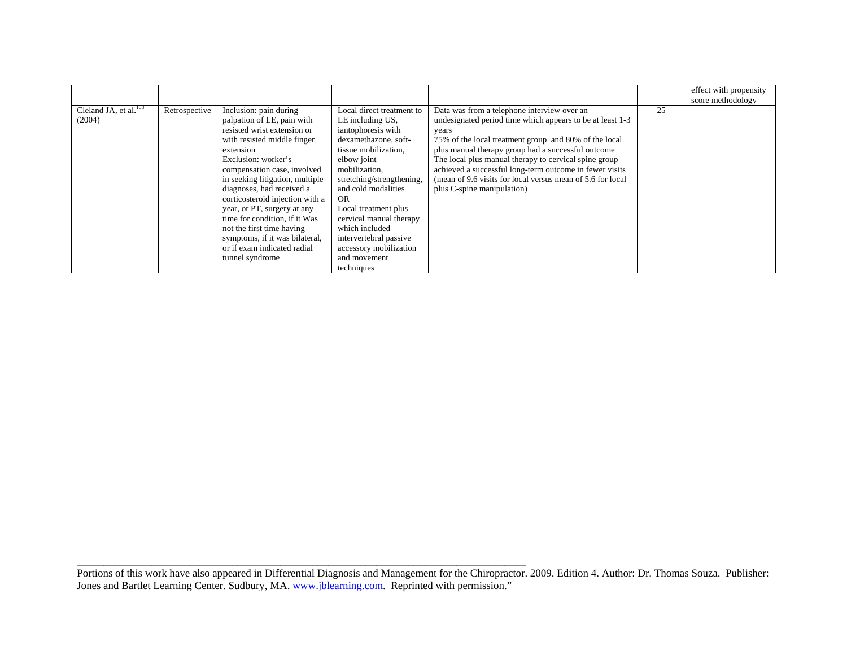|                                             |               |                                                                                                                                                                                                                                                                                                                                                                                                                                                                           |                                                                                                                                                                                                                                                                                                                                                                      |                                                                                                                                                                                                                                                                                                                                                                                                                                                  |    | effect with propensity<br>score methodology |
|---------------------------------------------|---------------|---------------------------------------------------------------------------------------------------------------------------------------------------------------------------------------------------------------------------------------------------------------------------------------------------------------------------------------------------------------------------------------------------------------------------------------------------------------------------|----------------------------------------------------------------------------------------------------------------------------------------------------------------------------------------------------------------------------------------------------------------------------------------------------------------------------------------------------------------------|--------------------------------------------------------------------------------------------------------------------------------------------------------------------------------------------------------------------------------------------------------------------------------------------------------------------------------------------------------------------------------------------------------------------------------------------------|----|---------------------------------------------|
| Cleland JA, et al. <sup>108</sup><br>(2004) | Retrospective | Inclusion: pain during<br>palpation of LE, pain with<br>resisted wrist extension or<br>with resisted middle finger<br>extension<br>Exclusion: worker's<br>compensation case, involved<br>in seeking litigation, multiple<br>diagnoses, had received a<br>corticosteroid injection with a<br>year, or PT, surgery at any<br>time for condition, if it Was<br>not the first time having<br>symptoms, if it was bilateral,<br>or if exam indicated radial<br>tunnel syndrome | Local direct treatment to<br>LE including US,<br>iantophoresis with<br>dexamethazone, soft-<br>tissue mobilization,<br>elbow joint<br>mobilization,<br>stretching/strengthening,<br>and cold modalities<br>OR<br>Local treatment plus<br>cervical manual therapy<br>which included<br>intervertebral passive<br>accessory mobilization<br>and movement<br>techniques | Data was from a telephone interview over an<br>undesignated period time which appears to be at least 1-3<br>years<br>75% of the local treatment group and 80% of the local<br>plus manual therapy group had a successful outcome<br>The local plus manual therapy to cervical spine group<br>achieved a successful long-term outcome in fewer visits<br>(mean of 9.6 visits for local versus mean of 5.6 for local<br>plus C-spine manipulation) | 25 |                                             |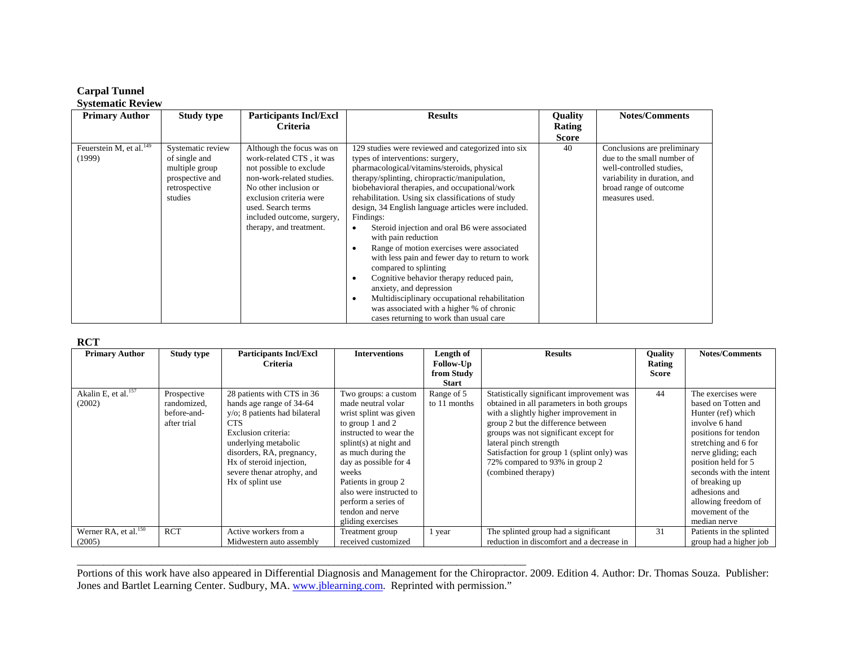### **Carpal Tunnel Systematic Review**

| <b>Primary Author</b>                                       | <b>Study type</b>                                                                                   | <b>Participants Incl/Excl</b><br><b>Criteria</b>                                                                                                                                                                                                 | <b>Results</b>                                                                                                                                                                                                                                                                                                                                                                                                                                                                                                                                                                                                                                                                                                                                                                     | <b>Quality</b><br>Rating | <b>Notes/Comments</b>                                                                                                                                             |
|-------------------------------------------------------------|-----------------------------------------------------------------------------------------------------|--------------------------------------------------------------------------------------------------------------------------------------------------------------------------------------------------------------------------------------------------|------------------------------------------------------------------------------------------------------------------------------------------------------------------------------------------------------------------------------------------------------------------------------------------------------------------------------------------------------------------------------------------------------------------------------------------------------------------------------------------------------------------------------------------------------------------------------------------------------------------------------------------------------------------------------------------------------------------------------------------------------------------------------------|--------------------------|-------------------------------------------------------------------------------------------------------------------------------------------------------------------|
| Feuerstein $\overline{M}$ , et al. <sup>149</sup><br>(1999) | Systematic review<br>of single and<br>multiple group<br>prospective and<br>retrospective<br>studies | Although the focus was on<br>work-related CTS, it was<br>not possible to exclude<br>non-work-related studies.<br>No other inclusion or<br>exclusion criteria were<br>used. Search terms<br>included outcome, surgery,<br>therapy, and treatment. | 129 studies were reviewed and categorized into six<br>types of interventions: surgery,<br>pharmacological/vitamins/steroids, physical<br>therapy/splinting, chiropractic/manipulation,<br>biobehavioral therapies, and occupational/work<br>rehabilitation. Using six classifications of study<br>design, 34 English language articles were included.<br>Findings:<br>Steroid injection and oral B6 were associated<br>with pain reduction<br>Range of motion exercises were associated<br>with less pain and fewer day to return to work<br>compared to splinting<br>Cognitive behavior therapy reduced pain,<br>anxiety, and depression<br>Multidisciplinary occupational rehabilitation<br>was associated with a higher % of chronic<br>cases returning to work than usual care | <b>Score</b><br>40       | Conclusions are preliminary<br>due to the small number of<br>well-controlled studies.<br>variability in duration, and<br>broad range of outcome<br>measures used. |

#### **RCT**

| <b>Primary Author</b>                      | Study type                                               | <b>Participants Incl/Excl</b>                                                                                                                                                                                                                                   | <b>Interventions</b>                                                                                                                                                                                                                                                                                                   | Length of                                      | <b>Results</b>                                                                                                                                                                                                                                                                                                                                 | <b>Ouality</b>  | <b>Notes/Comments</b>                                                                                                                                                                                                                                                                                   |
|--------------------------------------------|----------------------------------------------------------|-----------------------------------------------------------------------------------------------------------------------------------------------------------------------------------------------------------------------------------------------------------------|------------------------------------------------------------------------------------------------------------------------------------------------------------------------------------------------------------------------------------------------------------------------------------------------------------------------|------------------------------------------------|------------------------------------------------------------------------------------------------------------------------------------------------------------------------------------------------------------------------------------------------------------------------------------------------------------------------------------------------|-----------------|---------------------------------------------------------------------------------------------------------------------------------------------------------------------------------------------------------------------------------------------------------------------------------------------------------|
|                                            |                                                          | Criteria                                                                                                                                                                                                                                                        |                                                                                                                                                                                                                                                                                                                        | <b>Follow-Up</b><br>from Study<br><b>Start</b> |                                                                                                                                                                                                                                                                                                                                                | Rating<br>Score |                                                                                                                                                                                                                                                                                                         |
| Akalin E, et al. <sup>157</sup><br>(2002)  | Prospective<br>randomized,<br>before-and-<br>after trial | 28 patients with CTS in 36<br>hands age range of 34-64<br>y/o; 8 patients had bilateral<br><b>CTS</b><br>Exclusion criteria:<br>underlying metabolic<br>disorders, RA, pregnancy,<br>Hx of steroid injection,<br>severe thenar atrophy, and<br>Hx of splint use | Two groups: a custom<br>made neutral volar<br>wrist splint was given<br>to group 1 and 2<br>instructed to wear the<br>splint(s) at night and<br>as much during the<br>day as possible for 4<br>weeks<br>Patients in group 2<br>also were instructed to<br>perform a series of<br>tendon and nerve<br>gliding exercises | Range of 5<br>to 11 months                     | Statistically significant improvement was<br>obtained in all parameters in both groups<br>with a slightly higher improvement in<br>group 2 but the difference between<br>groups was not significant except for<br>lateral pinch strength<br>Satisfaction for group 1 (splint only) was<br>72% compared to 93% in group 2<br>(combined therapy) | 44              | The exercises were<br>based on Totten and<br>Hunter (ref) which<br>involve 6 hand<br>positions for tendon<br>stretching and 6 for<br>nerve gliding; each<br>position held for 5<br>seconds with the intent<br>of breaking up<br>adhesions and<br>allowing freedom of<br>movement of the<br>median nerve |
| Werner RA, et al. <sup>150</sup><br>(2005) | <b>RCT</b>                                               | Active workers from a<br>Midwestern auto assembly                                                                                                                                                                                                               | Treatment group<br>received customized                                                                                                                                                                                                                                                                                 | year                                           | The splinted group had a significant<br>reduction in discomfort and a decrease in                                                                                                                                                                                                                                                              | 31              | Patients in the splinted<br>group had a higher job                                                                                                                                                                                                                                                      |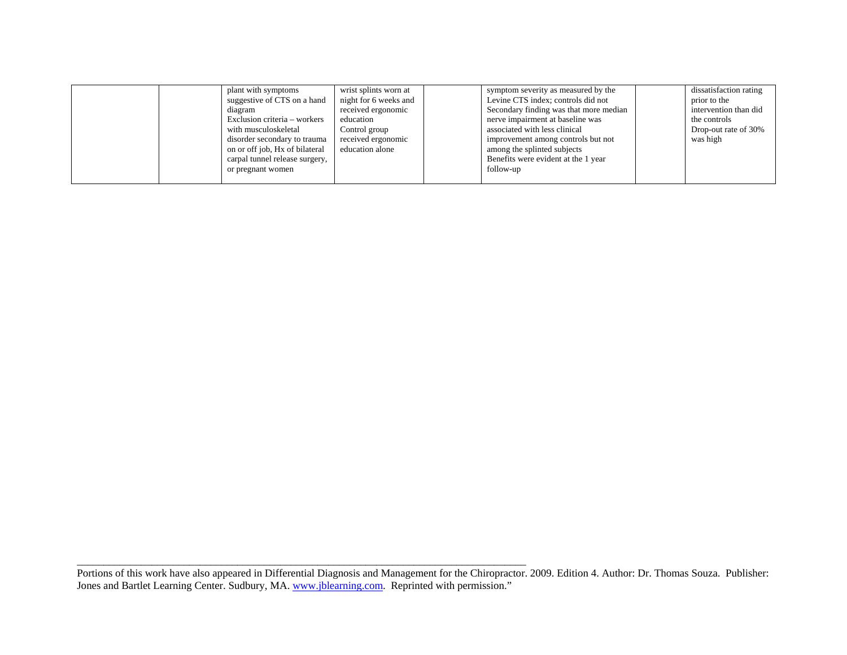|  | plant with symptoms<br>suggestive of CTS on a hand<br>diagram<br>Exclusion criteria – workers<br>with musculoskeletal<br>disorder secondary to trauma<br>on or off job, Hx of bilateral<br>carpal tunnel release surgery,<br>or pregnant women | wrist splints worn at<br>night for 6 weeks and<br>received ergonomic<br>education<br>Control group<br>received ergonomic<br>education alone |  | symptom severity as measured by the<br>Levine CTS index; controls did not<br>Secondary finding was that more median<br>nerve impairment at baseline was<br>associated with less clinical<br>improvement among controls but not<br>among the splinted subjects<br>Benefits were evident at the 1 year<br>follow-up |  | dissatisfaction rating<br>prior to the<br>intervention than did<br>the controls<br>Drop-out rate of 30%<br>was high |
|--|------------------------------------------------------------------------------------------------------------------------------------------------------------------------------------------------------------------------------------------------|---------------------------------------------------------------------------------------------------------------------------------------------|--|-------------------------------------------------------------------------------------------------------------------------------------------------------------------------------------------------------------------------------------------------------------------------------------------------------------------|--|---------------------------------------------------------------------------------------------------------------------|
|--|------------------------------------------------------------------------------------------------------------------------------------------------------------------------------------------------------------------------------------------------|---------------------------------------------------------------------------------------------------------------------------------------------|--|-------------------------------------------------------------------------------------------------------------------------------------------------------------------------------------------------------------------------------------------------------------------------------------------------------------------|--|---------------------------------------------------------------------------------------------------------------------|

Portions of this work have also appeared in Differential Diagnosis and Management for the Chiropractor. 2009. Edition 4. Author: Dr. Thomas Souza. Publisher: Jones and Bartlet Learning Center. Sudbury, MA. www.jblearning.com. Reprinted with permission."